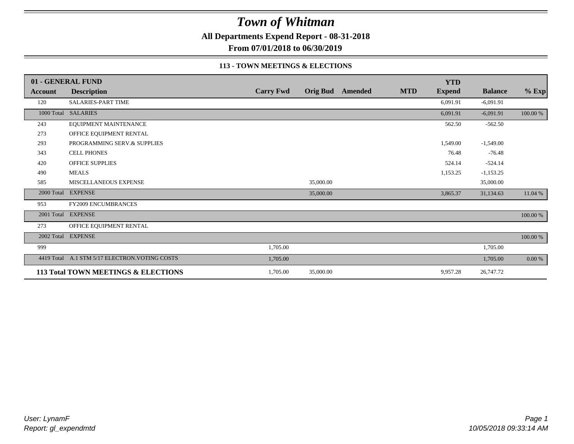**All Departments Expend Report - 08-31-2018**

**From 07/01/2018 to 06/30/2019**

#### **113 - TOWN MEETINGS & ELECTIONS**

|                | 01 - GENERAL FUND                              |                  |           |                         |            | <b>YTD</b>    |                |          |
|----------------|------------------------------------------------|------------------|-----------|-------------------------|------------|---------------|----------------|----------|
| <b>Account</b> | <b>Description</b>                             | <b>Carry Fwd</b> |           | <b>Orig Bud</b> Amended | <b>MTD</b> | <b>Expend</b> | <b>Balance</b> | $%$ Exp  |
| 120            | <b>SALARIES-PART TIME</b>                      |                  |           |                         |            | 6,091.91      | $-6,091.91$    |          |
|                | 1000 Total SALARIES                            |                  |           |                         |            | 6,091.91      | $-6,091.91$    | 100.00 % |
| 243            | EQUIPMENT MAINTENANCE                          |                  |           |                         |            | 562.50        | $-562.50$      |          |
| 273            | OFFICE EQUIPMENT RENTAL                        |                  |           |                         |            |               |                |          |
| 293            | PROGRAMMING SERV.& SUPPLIES                    |                  |           |                         |            | 1,549.00      | $-1,549.00$    |          |
| 343            | <b>CELL PHONES</b>                             |                  |           |                         |            | 76.48         | $-76.48$       |          |
| 420            | <b>OFFICE SUPPLIES</b>                         |                  |           |                         |            | 524.14        | $-524.14$      |          |
| 490            | <b>MEALS</b>                                   |                  |           |                         |            | 1,153.25      | $-1,153.25$    |          |
| 585            | MISCELLANEOUS EXPENSE                          |                  | 35,000.00 |                         |            |               | 35,000.00      |          |
|                | 2000 Total EXPENSE                             |                  | 35,000.00 |                         |            | 3,865.37      | 31,134.63      | 11.04 %  |
| 953            | <b>FY2009 ENCUMBRANCES</b>                     |                  |           |                         |            |               |                |          |
|                | 2001 Total EXPENSE                             |                  |           |                         |            |               |                | 100.00 % |
| 273            | OFFICE EQUIPMENT RENTAL                        |                  |           |                         |            |               |                |          |
|                | 2002 Total EXPENSE                             |                  |           |                         |            |               |                | 100.00 % |
| 999            |                                                | 1,705.00         |           |                         |            |               | 1,705.00       |          |
|                | 4419 Total A.1 STM 5/17 ELECTRON. VOTING COSTS | 1,705.00         |           |                         |            |               | 1,705.00       | 0.00 %   |
|                | 113 Total TOWN MEETINGS & ELECTIONS            | 1,705.00         | 35,000.00 |                         |            | 9,957.28      | 26,747.72      |          |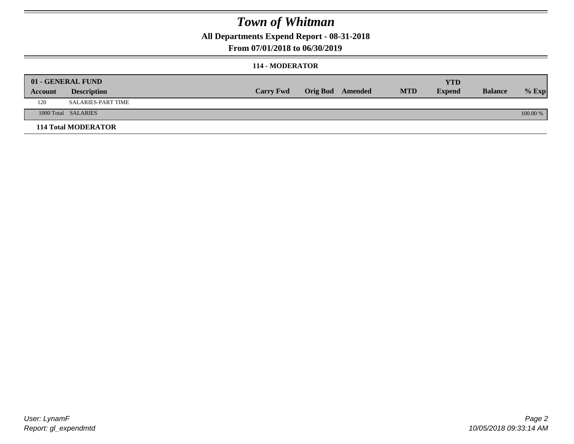**All Departments Expend Report - 08-31-2018**

**From 07/01/2018 to 06/30/2019**

#### **114 - MODERATOR**

| Account | 01 - GENERAL FUND<br><b>Description</b> | <b>Carry Fwd</b> | <b>Orig Bud</b> Amended | <b>MTD</b> | <b>YTD</b><br><b>Expend</b> | <b>Balance</b> | $%$ Exp  |
|---------|-----------------------------------------|------------------|-------------------------|------------|-----------------------------|----------------|----------|
| 120     | SALARIES-PART TIME                      |                  |                         |            |                             |                |          |
|         | 1000 Total SALARIES                     |                  |                         |            |                             |                | 100.00 % |
|         | <b>114 Total MODERATOR</b>              |                  |                         |            |                             |                |          |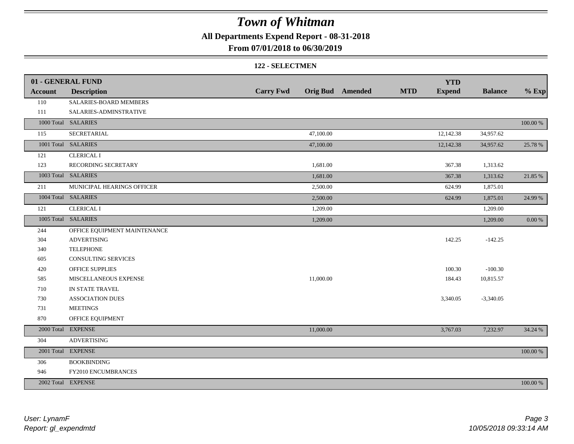**All Departments Expend Report - 08-31-2018**

**From 07/01/2018 to 06/30/2019**

#### **122 - SELECTMEN**

|                | 01 - GENERAL FUND            |                  |           |                         |            | <b>YTD</b>    |                |             |
|----------------|------------------------------|------------------|-----------|-------------------------|------------|---------------|----------------|-------------|
| <b>Account</b> | <b>Description</b>           | <b>Carry Fwd</b> |           | <b>Orig Bud</b> Amended | <b>MTD</b> | <b>Expend</b> | <b>Balance</b> | $%$ Exp     |
| 110            | SALARIES-BOARD MEMBERS       |                  |           |                         |            |               |                |             |
| 111            | SALARIES-ADMINSTRATIVE       |                  |           |                         |            |               |                |             |
|                | 1000 Total SALARIES          |                  |           |                         |            |               |                | $100.00~\%$ |
| 115            | SECRETARIAL                  |                  | 47,100.00 |                         |            | 12,142.38     | 34,957.62      |             |
|                | 1001 Total SALARIES          |                  | 47,100.00 |                         |            | 12,142.38     | 34,957.62      | 25.78 %     |
| 121            | <b>CLERICAL I</b>            |                  |           |                         |            |               |                |             |
| 123            | RECORDING SECRETARY          |                  | 1,681.00  |                         |            | 367.38        | 1,313.62       |             |
|                | 1003 Total SALARIES          |                  | 1,681.00  |                         |            | 367.38        | 1,313.62       | 21.85 %     |
| 211            | MUNICIPAL HEARINGS OFFICER   |                  | 2,500.00  |                         |            | 624.99        | 1,875.01       |             |
|                | 1004 Total SALARIES          |                  | 2,500.00  |                         |            | 624.99        | 1,875.01       | 24.99 %     |
| 121            | <b>CLERICAL I</b>            |                  | 1,209.00  |                         |            |               | 1,209.00       |             |
|                | 1005 Total SALARIES          |                  | 1,209.00  |                         |            |               | 1,209.00       | $0.00~\%$   |
| 244            | OFFICE EQUIPMENT MAINTENANCE |                  |           |                         |            |               |                |             |
| 304            | <b>ADVERTISING</b>           |                  |           |                         |            | 142.25        | $-142.25$      |             |
| 340            | <b>TELEPHONE</b>             |                  |           |                         |            |               |                |             |
| 605            | <b>CONSULTING SERVICES</b>   |                  |           |                         |            |               |                |             |
| 420            | OFFICE SUPPLIES              |                  |           |                         |            | 100.30        | $-100.30$      |             |
| 585            | MISCELLANEOUS EXPENSE        |                  | 11,000.00 |                         |            | 184.43        | 10,815.57      |             |
| 710            | IN STATE TRAVEL              |                  |           |                         |            |               |                |             |
| 730            | <b>ASSOCIATION DUES</b>      |                  |           |                         |            | 3,340.05      | $-3,340.05$    |             |
| 731            | <b>MEETINGS</b>              |                  |           |                         |            |               |                |             |
| 870            | OFFICE EQUIPMENT             |                  |           |                         |            |               |                |             |
|                | 2000 Total EXPENSE           |                  | 11,000.00 |                         |            | 3,767.03      | 7,232.97       | 34.24 %     |
| 304            | <b>ADVERTISING</b>           |                  |           |                         |            |               |                |             |
|                | 2001 Total EXPENSE           |                  |           |                         |            |               |                | $100.00~\%$ |
| 306            | <b>BOOKBINDING</b>           |                  |           |                         |            |               |                |             |
| 946            | FY2010 ENCUMBRANCES          |                  |           |                         |            |               |                |             |
|                | 2002 Total EXPENSE           |                  |           |                         |            |               |                | 100.00 %    |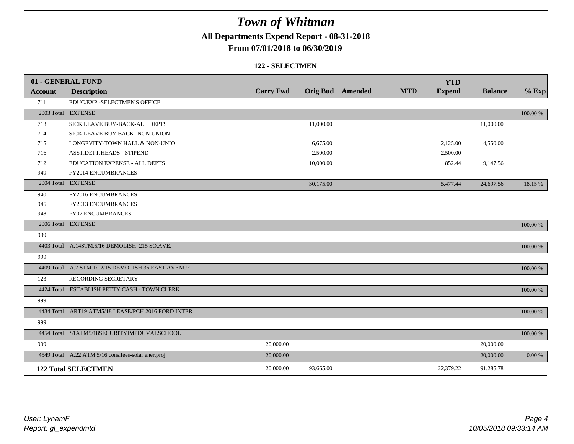**All Departments Expend Report - 08-31-2018**

### **From 07/01/2018 to 06/30/2019**

#### **122 - SELECTMEN**

|                | 01 - GENERAL FUND                                   |                  |           |                         |            | <b>YTD</b>    |                |             |
|----------------|-----------------------------------------------------|------------------|-----------|-------------------------|------------|---------------|----------------|-------------|
| <b>Account</b> | <b>Description</b>                                  | <b>Carry Fwd</b> |           | <b>Orig Bud</b> Amended | <b>MTD</b> | <b>Expend</b> | <b>Balance</b> | $%$ Exp     |
| 711            | EDUC.EXP.-SELECTMEN'S OFFICE                        |                  |           |                         |            |               |                |             |
|                | 2003 Total EXPENSE                                  |                  |           |                         |            |               |                | 100.00 %    |
| 713            | SICK LEAVE BUY-BACK-ALL DEPTS                       |                  | 11,000.00 |                         |            |               | 11,000.00      |             |
| 714            | SICK LEAVE BUY BACK -NON UNION                      |                  |           |                         |            |               |                |             |
| 715            | LONGEVITY-TOWN HALL & NON-UNIO                      |                  | 6,675.00  |                         |            | 2,125.00      | 4,550.00       |             |
| 716            | ASST.DEPT.HEADS - STIPEND                           |                  | 2,500.00  |                         |            | 2,500.00      |                |             |
| 712            | EDUCATION EXPENSE - ALL DEPTS                       |                  | 10,000.00 |                         |            | 852.44        | 9,147.56       |             |
| 949            | FY2014 ENCUMBRANCES                                 |                  |           |                         |            |               |                |             |
|                | 2004 Total EXPENSE                                  |                  | 30,175.00 |                         |            | 5,477.44      | 24,697.56      | 18.15 %     |
| 940            | FY2016 ENCUMBRANCES                                 |                  |           |                         |            |               |                |             |
| 945            | FY2013 ENCUMBRANCES                                 |                  |           |                         |            |               |                |             |
| 948            | <b>FY07 ENCUMBRANCES</b>                            |                  |           |                         |            |               |                |             |
|                | 2006 Total EXPENSE                                  |                  |           |                         |            |               |                | 100.00 %    |
| 999            |                                                     |                  |           |                         |            |               |                |             |
|                | 4403 Total A.14STM.5/16 DEMOLISH 215 SO.AVE.        |                  |           |                         |            |               |                | 100.00 %    |
| 999            |                                                     |                  |           |                         |            |               |                |             |
|                | 4409 Total A.7 STM 1/12/15 DEMOLISH 36 EAST AVENUE  |                  |           |                         |            |               |                | 100.00 %    |
| 123            | RECORDING SECRETARY                                 |                  |           |                         |            |               |                |             |
|                | 4424 Total ESTABLISH PETTY CASH - TOWN CLERK        |                  |           |                         |            |               |                | 100.00 %    |
| 999            |                                                     |                  |           |                         |            |               |                |             |
|                | 4434 Total ART19 ATM5/18 LEASE/PCH 2016 FORD INTER  |                  |           |                         |            |               |                | 100.00 %    |
| 999            |                                                     |                  |           |                         |            |               |                |             |
|                | 4454 Total S1ATM5/18SECURITYIMPDUVALSCHOOL          |                  |           |                         |            |               |                | $100.00~\%$ |
| 999            |                                                     | 20,000.00        |           |                         |            |               | 20,000.00      |             |
|                | 4549 Total A.22 ATM 5/16 cons.fees-solar ener.proj. | 20,000.00        |           |                         |            |               | 20,000.00      | 0.00 %      |
|                | <b>122 Total SELECTMEN</b>                          | 20,000.00        | 93,665.00 |                         |            | 22,379.22     | 91,285.78      |             |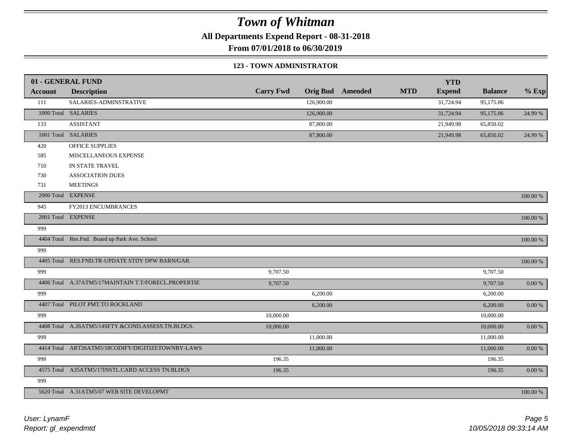**All Departments Expend Report - 08-31-2018**

**From 07/01/2018 to 06/30/2019**

#### **123 - TOWN ADMINISTRATOR**

|                | 01 - GENERAL FUND                                   |                  |            |                         |            | <b>YTD</b>    |                |             |
|----------------|-----------------------------------------------------|------------------|------------|-------------------------|------------|---------------|----------------|-------------|
| <b>Account</b> | <b>Description</b>                                  | <b>Carry Fwd</b> |            | <b>Orig Bud</b> Amended | <b>MTD</b> | <b>Expend</b> | <b>Balance</b> | $%$ Exp     |
| 111            | SALARIES-ADMINSTRATIVE                              |                  | 126,900.00 |                         |            | 31,724.94     | 95,175.06      |             |
|                | 1000 Total SALARIES                                 |                  | 126,900.00 |                         |            | 31,724.94     | 95,175.06      | 24.99 %     |
| 133            | <b>ASSISTANT</b>                                    |                  | 87,800.00  |                         |            | 21,949.98     | 65,850.02      |             |
|                | 1001 Total SALARIES                                 |                  | 87,800.00  |                         |            | 21,949.98     | 65,850.02      | 24.99 %     |
| 420            | OFFICE SUPPLIES                                     |                  |            |                         |            |               |                |             |
| 585            | MISCELLANEOUS EXPENSE                               |                  |            |                         |            |               |                |             |
| 710            | IN STATE TRAVEL                                     |                  |            |                         |            |               |                |             |
| 730            | <b>ASSOCIATION DUES</b>                             |                  |            |                         |            |               |                |             |
| 731            | <b>MEETINGS</b>                                     |                  |            |                         |            |               |                |             |
|                | 2000 Total EXPENSE                                  |                  |            |                         |            |               |                | 100.00 %    |
| 945            | FY2013 ENCUMBRANCES                                 |                  |            |                         |            |               |                |             |
|                | 2001 Total EXPENSE                                  |                  |            |                         |            |               |                | $100.00~\%$ |
| 999            |                                                     |                  |            |                         |            |               |                |             |
|                | 4404 Total Res.Fnd. Board up Park Ave. School       |                  |            |                         |            |               |                | $100.00~\%$ |
| 999            |                                                     |                  |            |                         |            |               |                |             |
|                | 4405 Total RES.FND.TR-UPDATE STDY DPW BARN/GAR.     |                  |            |                         |            |               |                | $100.00~\%$ |
| 999            |                                                     | 9,707.50         |            |                         |            |               | 9,707.50       |             |
|                | 4406 Total A.37ATM5/17MAINTAIN T.T/FORECL.PROPERTIE | 9,707.50         |            |                         |            |               | 9,707.50       | $0.00\ \%$  |
| 999            |                                                     |                  | 6,200.00   |                         |            |               | 6,200.00       |             |
|                | 4407 Total PILOT PMT.TO ROCKLAND                    |                  | 6,200.00   |                         |            |               | 6,200.00       | $0.00~\%$   |
| 999            |                                                     | 10,000.00        |            |                         |            |               | 10,000.00      |             |
|                | 4408 Total A.26ATM5/14SFTY.&COND.ASSESS.TN.BLDGS.   | 10,000.00        |            |                         |            |               | 10,000.00      | $0.00\ \%$  |
| 999            |                                                     |                  | 11,000.00  |                         |            |               | 11,000.00      |             |
|                | 4414 Total ART26ATM5/18CODIFY/DIGITIZETOWNBY-LAWS   |                  | 11,000.00  |                         |            |               | 11,000.00      | $0.00~\%$   |
| 999            |                                                     | 196.35           |            |                         |            |               | 196.35         |             |
|                | 4575 Total A35ATM5/17INSTL.CARD ACCESS TN.BLDGS     | 196.35           |            |                         |            |               | 196.35         | $0.00~\%$   |
| 999            |                                                     |                  |            |                         |            |               |                |             |
|                | 5620 Total A.31ATM5/07 WEB SITE DEVELOPMT           |                  |            |                         |            |               |                | 100.00 %    |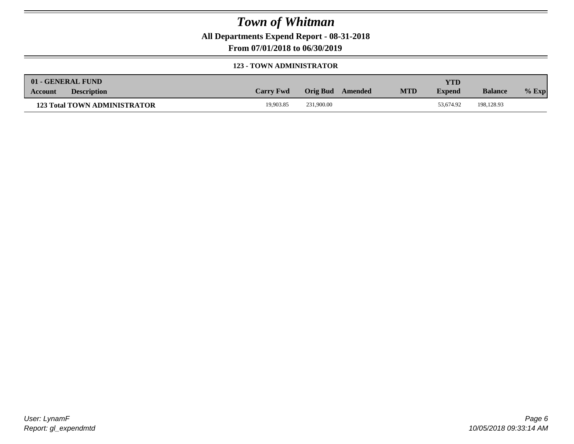**All Departments Expend Report - 08-31-2018**

**From 07/01/2018 to 06/30/2019**

#### **123 - TOWN ADMINISTRATOR**

| 01 - GENERAL FUND                   |                  |                  |            | YTD           |                |         |
|-------------------------------------|------------------|------------------|------------|---------------|----------------|---------|
| <b>Description</b><br>Account       | <b>Carry Fwd</b> | Orig Bud Amended | <b>MTD</b> | <b>Expend</b> | <b>Balance</b> | $%$ Exp |
| <b>123 Total TOWN ADMINISTRATOR</b> | 19.903.85        | 231,900.00       |            | 53.674.92     | 198.128.93     |         |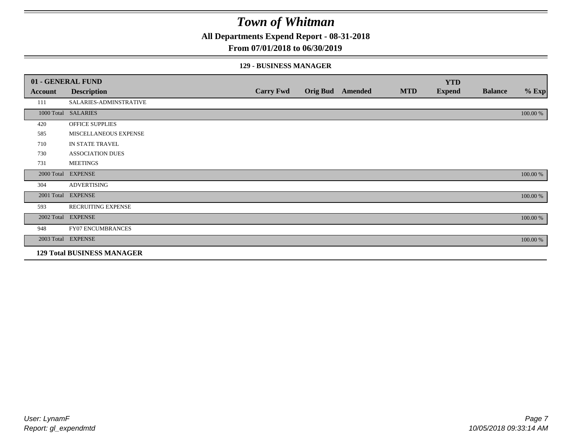**All Departments Expend Report - 08-31-2018**

#### **From 07/01/2018 to 06/30/2019**

#### **129 - BUSINESS MANAGER**

|            | 01 - GENERAL FUND                 |                  |                         |            | <b>YTD</b>    |                |          |
|------------|-----------------------------------|------------------|-------------------------|------------|---------------|----------------|----------|
| Account    | <b>Description</b>                | <b>Carry Fwd</b> | <b>Orig Bud</b> Amended | <b>MTD</b> | <b>Expend</b> | <b>Balance</b> | $%$ Exp  |
| 111        | SALARIES-ADMINSTRATIVE            |                  |                         |            |               |                |          |
|            | 1000 Total SALARIES               |                  |                         |            |               |                | 100.00 % |
| 420        | <b>OFFICE SUPPLIES</b>            |                  |                         |            |               |                |          |
| 585        | MISCELLANEOUS EXPENSE             |                  |                         |            |               |                |          |
| 710        | IN STATE TRAVEL                   |                  |                         |            |               |                |          |
| 730        | <b>ASSOCIATION DUES</b>           |                  |                         |            |               |                |          |
| 731        | <b>MEETINGS</b>                   |                  |                         |            |               |                |          |
| 2000 Total | <b>EXPENSE</b>                    |                  |                         |            |               |                | 100.00 % |
| 304        | <b>ADVERTISING</b>                |                  |                         |            |               |                |          |
| 2001 Total | <b>EXPENSE</b>                    |                  |                         |            |               |                | 100.00 % |
| 593        | RECRUITING EXPENSE                |                  |                         |            |               |                |          |
|            | 2002 Total EXPENSE                |                  |                         |            |               |                | 100.00 % |
| 948        | FY07 ENCUMBRANCES                 |                  |                         |            |               |                |          |
|            | 2003 Total EXPENSE                |                  |                         |            |               |                | 100.00 % |
|            | <b>129 Total BUSINESS MANAGER</b> |                  |                         |            |               |                |          |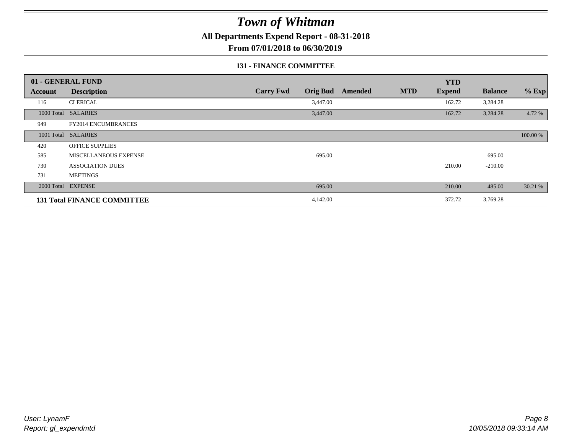**All Departments Expend Report - 08-31-2018**

**From 07/01/2018 to 06/30/2019**

#### **131 - FINANCE COMMITTEE**

|            | 01 - GENERAL FUND                  |                                     |                |            | <b>YTD</b>    |                |          |
|------------|------------------------------------|-------------------------------------|----------------|------------|---------------|----------------|----------|
| Account    | <b>Description</b>                 | <b>Carry Fwd</b><br><b>Orig Bud</b> | <b>Amended</b> | <b>MTD</b> | <b>Expend</b> | <b>Balance</b> | $%$ Exp  |
| 116        | <b>CLERICAL</b>                    | 3,447.00                            |                |            | 162.72        | 3,284.28       |          |
| 1000 Total | <b>SALARIES</b>                    | 3,447.00                            |                |            | 162.72        | 3,284.28       | 4.72 %   |
| 949        | FY2014 ENCUMBRANCES                |                                     |                |            |               |                |          |
|            | 1001 Total SALARIES                |                                     |                |            |               |                | 100.00 % |
| 420        | <b>OFFICE SUPPLIES</b>             |                                     |                |            |               |                |          |
| 585        | MISCELLANEOUS EXPENSE              | 695.00                              |                |            |               | 695.00         |          |
| 730        | <b>ASSOCIATION DUES</b>            |                                     |                |            | 210.00        | $-210.00$      |          |
| 731        | <b>MEETINGS</b>                    |                                     |                |            |               |                |          |
|            | 2000 Total EXPENSE                 | 695.00                              |                |            | 210.00        | 485.00         | 30.21 %  |
|            | <b>131 Total FINANCE COMMITTEE</b> | 4,142.00                            |                |            | 372.72        | 3,769.28       |          |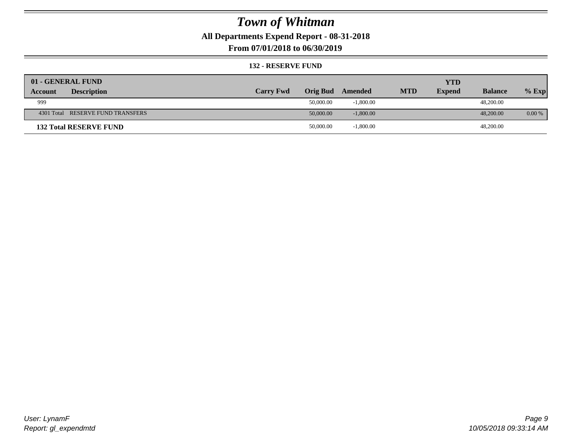**All Departments Expend Report - 08-31-2018**

**From 07/01/2018 to 06/30/2019**

#### **132 - RESERVE FUND**

| 01 - GENERAL FUND                 |                  |                 |             |            | <b>YTD</b>    |                |          |
|-----------------------------------|------------------|-----------------|-------------|------------|---------------|----------------|----------|
| <b>Description</b><br>Account     | <b>Carry Fwd</b> | <b>Orig Bud</b> | Amended     | <b>MTD</b> | <b>Expend</b> | <b>Balance</b> | $%$ Exp  |
| 999                               |                  | 50,000.00       | $-1,800.00$ |            |               | 48,200.00      |          |
| 4301 Total RESERVE FUND TRANSFERS |                  | 50,000.00       | $-1,800.00$ |            |               | 48,200,00      | $0.00\%$ |
| <b>132 Total RESERVE FUND</b>     |                  | 50,000.00       | $-1,800.00$ |            |               | 48,200.00      |          |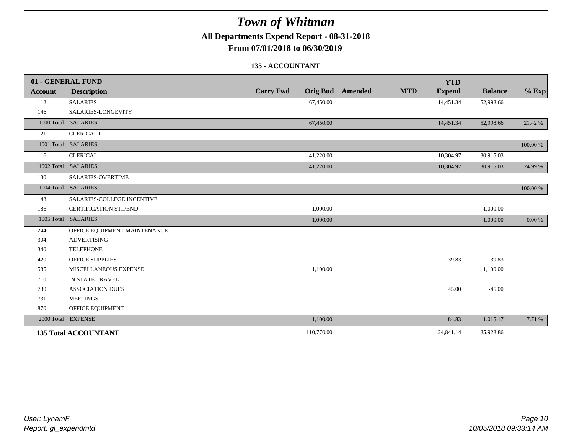**All Departments Expend Report - 08-31-2018**

**From 07/01/2018 to 06/30/2019**

### **135 - ACCOUNTANT**

|         | 01 - GENERAL FUND            |                                     | <b>YTD</b>                                    |                |          |
|---------|------------------------------|-------------------------------------|-----------------------------------------------|----------------|----------|
| Account | <b>Description</b>           | <b>Carry Fwd</b><br><b>Orig Bud</b> | <b>MTD</b><br><b>Amended</b><br><b>Expend</b> | <b>Balance</b> | $%$ Exp  |
| 112     | <b>SALARIES</b>              | 67,450.00                           | 14,451.34                                     | 52,998.66      |          |
| 146     | SALARIES-LONGEVITY           |                                     |                                               |                |          |
|         | 1000 Total SALARIES          | 67,450.00                           | 14,451.34                                     | 52,998.66      | 21.42 %  |
| 121     | <b>CLERICAL I</b>            |                                     |                                               |                |          |
|         | 1001 Total SALARIES          |                                     |                                               |                | 100.00 % |
| 116     | <b>CLERICAL</b>              | 41,220.00                           | 10,304.97                                     | 30,915.03      |          |
|         | 1002 Total SALARIES          | 41,220.00                           | 10,304.97                                     | 30,915.03      | 24.99 %  |
| 130     | SALARIES-OVERTIME            |                                     |                                               |                |          |
|         | 1004 Total SALARIES          |                                     |                                               |                | 100.00 % |
| 143     | SALARIES-COLLEGE INCENTIVE   |                                     |                                               |                |          |
| 186     | <b>CERTIFICATION STIPEND</b> | 1,000.00                            |                                               | 1,000.00       |          |
|         | 1005 Total SALARIES          | 1,000.00                            |                                               | 1,000.00       | 0.00 %   |
| 244     | OFFICE EQUIPMENT MAINTENANCE |                                     |                                               |                |          |
| 304     | <b>ADVERTISING</b>           |                                     |                                               |                |          |
| 340     | <b>TELEPHONE</b>             |                                     |                                               |                |          |
| 420     | <b>OFFICE SUPPLIES</b>       |                                     | 39.83                                         | $-39.83$       |          |
| 585     | MISCELLANEOUS EXPENSE        | 1,100.00                            |                                               | 1,100.00       |          |
| 710     | IN STATE TRAVEL              |                                     |                                               |                |          |
| 730     | <b>ASSOCIATION DUES</b>      |                                     | 45.00                                         | $-45.00$       |          |
| 731     | <b>MEETINGS</b>              |                                     |                                               |                |          |
| 870     | OFFICE EQUIPMENT             |                                     |                                               |                |          |
|         | 2000 Total EXPENSE           | 1,100.00                            | 84.83                                         | 1,015.17       | 7.71 %   |
|         | <b>135 Total ACCOUNTANT</b>  | 110,770.00                          | 24,841.14                                     | 85,928.86      |          |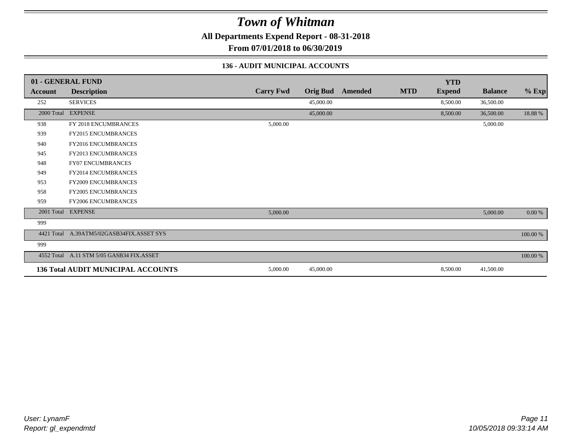**All Departments Expend Report - 08-31-2018**

**From 07/01/2018 to 06/30/2019**

#### **136 - AUDIT MUNICIPAL ACCOUNTS**

|            | 01 - GENERAL FUND                         |                  |                 |         |            | <b>YTD</b>    |                |             |
|------------|-------------------------------------------|------------------|-----------------|---------|------------|---------------|----------------|-------------|
| Account    | <b>Description</b>                        | <b>Carry Fwd</b> | <b>Orig Bud</b> | Amended | <b>MTD</b> | <b>Expend</b> | <b>Balance</b> | $%$ Exp     |
| 252        | <b>SERVICES</b>                           |                  | 45,000.00       |         |            | 8,500.00      | 36,500.00      |             |
| 2000 Total | <b>EXPENSE</b>                            |                  | 45,000.00       |         |            | 8,500.00      | 36,500.00      | 18.88%      |
| 938        | FY 2018 ENCUMBRANCES                      | 5,000.00         |                 |         |            |               | 5,000.00       |             |
| 939        | FY2015 ENCUMBRANCES                       |                  |                 |         |            |               |                |             |
| 940        | <b>FY2016 ENCUMBRANCES</b>                |                  |                 |         |            |               |                |             |
| 945        | <b>FY2013 ENCUMBRANCES</b>                |                  |                 |         |            |               |                |             |
| 948        | FY07 ENCUMBRANCES                         |                  |                 |         |            |               |                |             |
| 949        | <b>FY2014 ENCUMBRANCES</b>                |                  |                 |         |            |               |                |             |
| 953        | FY2009 ENCUMBRANCES                       |                  |                 |         |            |               |                |             |
| 958        | FY2005 ENCUMBRANCES                       |                  |                 |         |            |               |                |             |
| 959        | <b>FY2006 ENCUMBRANCES</b>                |                  |                 |         |            |               |                |             |
|            | 2001 Total EXPENSE                        | 5,000.00         |                 |         |            |               | 5,000.00       | $0.00\ \%$  |
| 999        |                                           |                  |                 |         |            |               |                |             |
|            | 4421 Total A.39ATM5/02GASB34FIX.ASSET SYS |                  |                 |         |            |               |                | $100.00~\%$ |
| 999        |                                           |                  |                 |         |            |               |                |             |
|            | 4552 Total A.11 STM 5/05 GASB34 FIX.ASSET |                  |                 |         |            |               |                | $100.00~\%$ |
|            | <b>136 Total AUDIT MUNICIPAL ACCOUNTS</b> | 5,000.00         | 45,000.00       |         |            | 8,500.00      | 41,500.00      |             |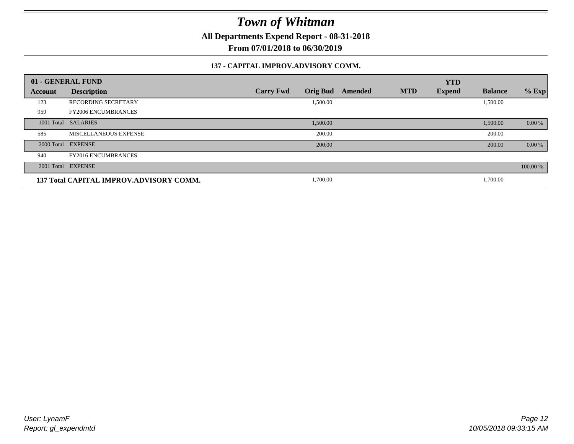**All Departments Expend Report - 08-31-2018**

**From 07/01/2018 to 06/30/2019**

#### **137 - CAPITAL IMPROV.ADVISORY COMM.**

|                | 01 - GENERAL FUND                       |                                     |         |            | <b>YTD</b>    |                |          |
|----------------|-----------------------------------------|-------------------------------------|---------|------------|---------------|----------------|----------|
| <b>Account</b> | <b>Description</b>                      | <b>Orig Bud</b><br><b>Carry Fwd</b> | Amended | <b>MTD</b> | <b>Expend</b> | <b>Balance</b> | $%$ Exp  |
| 123            | <b>RECORDING SECRETARY</b>              | 1,500.00                            |         |            |               | 1,500.00       |          |
| 959            | <b>FY2006 ENCUMBRANCES</b>              |                                     |         |            |               |                |          |
|                | 1001 Total SALARIES                     | 1,500.00                            |         |            |               | 1,500.00       | 0.00 %   |
| 585            | MISCELLANEOUS EXPENSE                   | 200.00                              |         |            |               | 200.00         |          |
|                | 2000 Total EXPENSE                      | 200.00                              |         |            |               | 200.00         | 0.00 %   |
| 940            | <b>FY2016 ENCUMBRANCES</b>              |                                     |         |            |               |                |          |
|                | 2001 Total EXPENSE                      |                                     |         |            |               |                | 100.00 % |
|                | 137 Total CAPITAL IMPROV.ADVISORY COMM. | 1,700.00                            |         |            |               | 1,700.00       |          |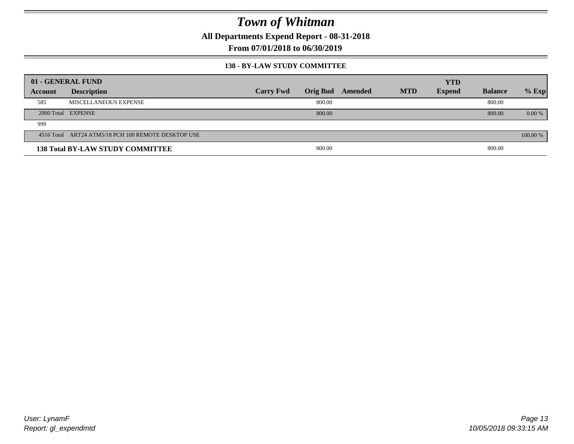**All Departments Expend Report - 08-31-2018**

**From 07/01/2018 to 06/30/2019**

#### **138 - BY-LAW STUDY COMMITTEE**

|         | 01 - GENERAL FUND                                   |                  |                 |         |            | <b>YTD</b>    |                |          |
|---------|-----------------------------------------------------|------------------|-----------------|---------|------------|---------------|----------------|----------|
| Account | <b>Description</b>                                  | <b>Carry Fwd</b> | <b>Orig Bud</b> | Amended | <b>MTD</b> | <b>Expend</b> | <b>Balance</b> | $%$ Exp  |
| 585     | MISCELLANEOUS EXPENSE                               |                  | 800.00          |         |            |               | 800.00         |          |
|         | 2000 Total EXPENSE                                  |                  | 800.00          |         |            |               | 800.00         | $0.00\%$ |
| 999     |                                                     |                  |                 |         |            |               |                |          |
|         | 4516 Total ART24 ATM5/18 PCH 100 REMOTE DESKTOP USE |                  |                 |         |            |               |                | 100.00 % |
|         | <b>138 Total BY-LAW STUDY COMMITTEE</b>             |                  | 800.00          |         |            |               | 800.00         |          |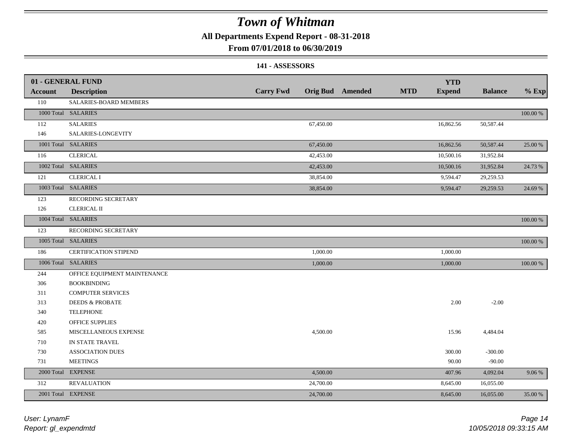**All Departments Expend Report - 08-31-2018**

### **From 07/01/2018 to 06/30/2019**

#### **141 - ASSESSORS**

|                | 01 - GENERAL FUND            |                  |           |                  |            | <b>YTD</b>    |                |          |
|----------------|------------------------------|------------------|-----------|------------------|------------|---------------|----------------|----------|
| <b>Account</b> | <b>Description</b>           | <b>Carry Fwd</b> |           | Orig Bud Amended | <b>MTD</b> | <b>Expend</b> | <b>Balance</b> | $%$ Exp  |
| 110            | SALARIES-BOARD MEMBERS       |                  |           |                  |            |               |                |          |
|                | 1000 Total SALARIES          |                  |           |                  |            |               |                | 100.00 % |
| 112            | <b>SALARIES</b>              |                  | 67,450.00 |                  |            | 16,862.56     | 50,587.44      |          |
| 146            | SALARIES-LONGEVITY           |                  |           |                  |            |               |                |          |
|                | 1001 Total SALARIES          |                  | 67,450.00 |                  |            | 16,862.56     | 50,587.44      | 25.00 %  |
| 116            | <b>CLERICAL</b>              |                  | 42,453.00 |                  |            | 10,500.16     | 31,952.84      |          |
|                | 1002 Total SALARIES          |                  | 42,453.00 |                  |            | 10,500.16     | 31,952.84      | 24.73 %  |
| 121            | <b>CLERICAL I</b>            |                  | 38,854.00 |                  |            | 9,594.47      | 29,259.53      |          |
|                | 1003 Total SALARIES          |                  | 38,854.00 |                  |            | 9,594.47      | 29,259.53      | 24.69 %  |
| 123            | RECORDING SECRETARY          |                  |           |                  |            |               |                |          |
| 126            | <b>CLERICAL II</b>           |                  |           |                  |            |               |                |          |
|                | 1004 Total SALARIES          |                  |           |                  |            |               |                | 100.00 % |
| 123            | RECORDING SECRETARY          |                  |           |                  |            |               |                |          |
|                | 1005 Total SALARIES          |                  |           |                  |            |               |                | 100.00 % |
| 186            | <b>CERTIFICATION STIPEND</b> |                  | 1,000.00  |                  |            | 1,000.00      |                |          |
|                | 1006 Total SALARIES          |                  | 1,000.00  |                  |            | 1,000.00      |                | 100.00 % |
| 244            | OFFICE EQUIPMENT MAINTENANCE |                  |           |                  |            |               |                |          |
| 306            | <b>BOOKBINDING</b>           |                  |           |                  |            |               |                |          |
| 311            | <b>COMPUTER SERVICES</b>     |                  |           |                  |            |               |                |          |
| 313            | <b>DEEDS &amp; PROBATE</b>   |                  |           |                  |            | 2.00          | $-2.00$        |          |
| 340            | <b>TELEPHONE</b>             |                  |           |                  |            |               |                |          |
| 420            | OFFICE SUPPLIES              |                  |           |                  |            |               |                |          |
| 585            | MISCELLANEOUS EXPENSE        |                  | 4,500.00  |                  |            | 15.96         | 4,484.04       |          |
| 710            | IN STATE TRAVEL              |                  |           |                  |            |               |                |          |
| 730            | <b>ASSOCIATION DUES</b>      |                  |           |                  |            | 300.00        | $-300.00$      |          |
| 731            | <b>MEETINGS</b>              |                  |           |                  |            | 90.00         | $-90.00$       |          |
| 2000 Total     | <b>EXPENSE</b>               |                  | 4,500.00  |                  |            | 407.96        | 4,092.04       | 9.06 %   |
| 312            | <b>REVALUATION</b>           |                  | 24,700.00 |                  |            | 8,645.00      | 16,055.00      |          |
|                | 2001 Total EXPENSE           |                  | 24,700.00 |                  |            | 8,645.00      | 16,055.00      | 35.00 %  |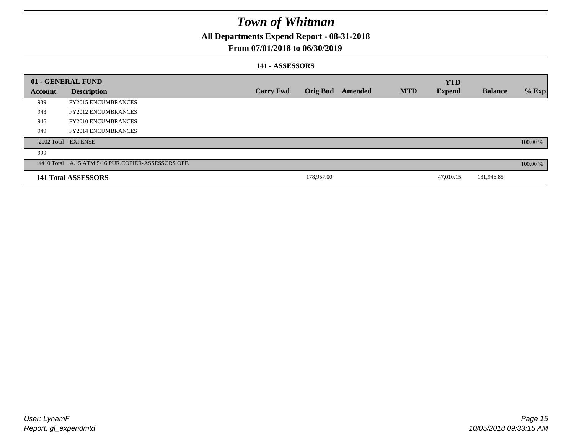**All Departments Expend Report - 08-31-2018**

### **From 07/01/2018 to 06/30/2019**

#### **141 - ASSESSORS**

|         | 01 - GENERAL FUND                                  |                  |                 |         |            | <b>YTD</b>    |                |          |
|---------|----------------------------------------------------|------------------|-----------------|---------|------------|---------------|----------------|----------|
| Account | <b>Description</b>                                 | <b>Carry Fwd</b> | <b>Orig Bud</b> | Amended | <b>MTD</b> | <b>Expend</b> | <b>Balance</b> | $%$ Exp  |
| 939     | <b>FY2015 ENCUMBRANCES</b>                         |                  |                 |         |            |               |                |          |
| 943     | <b>FY2012 ENCUMBRANCES</b>                         |                  |                 |         |            |               |                |          |
| 946     | <b>FY2010 ENCUMBRANCES</b>                         |                  |                 |         |            |               |                |          |
| 949     | <b>FY2014 ENCUMBRANCES</b>                         |                  |                 |         |            |               |                |          |
|         | 2002 Total EXPENSE                                 |                  |                 |         |            |               |                | 100.00 % |
| 999     |                                                    |                  |                 |         |            |               |                |          |
|         | 4410 Total A.15 ATM 5/16 PUR.COPIER-ASSESSORS OFF. |                  |                 |         |            |               |                | 100.00 % |
|         | 141 Total ASSESSORS                                |                  | 178,957.00      |         |            | 47,010.15     | 131,946.85     |          |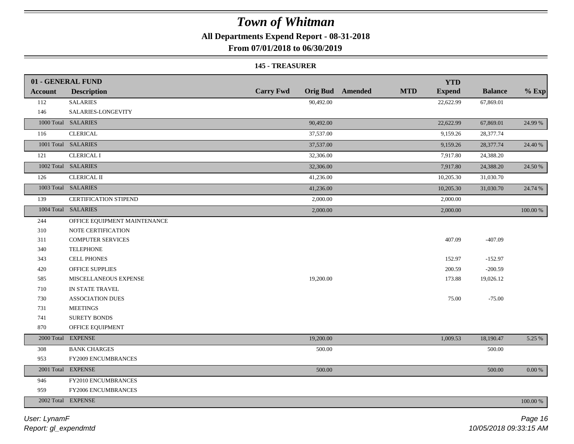**All Departments Expend Report - 08-31-2018**

**From 07/01/2018 to 06/30/2019**

#### **145 - TREASURER**

|                | 01 - GENERAL FUND            |                  |                         |            | <b>YTD</b>    |                |             |
|----------------|------------------------------|------------------|-------------------------|------------|---------------|----------------|-------------|
| <b>Account</b> | <b>Description</b>           | <b>Carry Fwd</b> | <b>Orig Bud</b> Amended | <b>MTD</b> | <b>Expend</b> | <b>Balance</b> | $%$ Exp     |
| 112            | <b>SALARIES</b>              | 90,492.00        |                         |            | 22,622.99     | 67,869.01      |             |
| 146            | SALARIES-LONGEVITY           |                  |                         |            |               |                |             |
|                | 1000 Total SALARIES          | 90,492.00        |                         |            | 22,622.99     | 67,869.01      | 24.99 %     |
| 116            | <b>CLERICAL</b>              | 37,537.00        |                         |            | 9,159.26      | 28,377.74      |             |
|                | 1001 Total SALARIES          | 37,537.00        |                         |            | 9,159.26      | 28,377.74      | 24.40 %     |
| 121            | <b>CLERICAL I</b>            | 32,306.00        |                         |            | 7,917.80      | 24,388.20      |             |
|                | 1002 Total SALARIES          | 32,306.00        |                         |            | 7,917.80      | 24,388.20      | 24.50 %     |
| 126            | CLERICAL II                  | 41,236.00        |                         |            | 10,205.30     | 31,030.70      |             |
|                | 1003 Total SALARIES          | 41,236.00        |                         |            | 10,205.30     | 31,030.70      | 24.74 %     |
| 139            | <b>CERTIFICATION STIPEND</b> | 2,000.00         |                         |            | 2,000.00      |                |             |
|                | 1004 Total SALARIES          | 2,000.00         |                         |            | 2,000.00      |                | 100.00 %    |
| 244            | OFFICE EQUIPMENT MAINTENANCE |                  |                         |            |               |                |             |
| 310            | NOTE CERTIFICATION           |                  |                         |            |               |                |             |
| 311            | <b>COMPUTER SERVICES</b>     |                  |                         |            | 407.09        | $-407.09$      |             |
| 340            | <b>TELEPHONE</b>             |                  |                         |            |               |                |             |
| 343            | <b>CELL PHONES</b>           |                  |                         |            | 152.97        | $-152.97$      |             |
| 420            | OFFICE SUPPLIES              |                  |                         |            | 200.59        | $-200.59$      |             |
| 585            | MISCELLANEOUS EXPENSE        | 19,200.00        |                         |            | 173.88        | 19,026.12      |             |
| 710            | IN STATE TRAVEL              |                  |                         |            |               |                |             |
| 730            | <b>ASSOCIATION DUES</b>      |                  |                         |            | 75.00         | $-75.00$       |             |
| 731            | <b>MEETINGS</b>              |                  |                         |            |               |                |             |
| 741            | SURETY BONDS                 |                  |                         |            |               |                |             |
| 870            | OFFICE EQUIPMENT             |                  |                         |            |               |                |             |
|                | 2000 Total EXPENSE           | 19,200.00        |                         |            | 1,009.53      | 18,190.47      | 5.25 %      |
| 308            | <b>BANK CHARGES</b>          | 500.00           |                         |            |               | 500.00         |             |
| 953            | <b>FY2009 ENCUMBRANCES</b>   |                  |                         |            |               |                |             |
|                | 2001 Total EXPENSE           | 500.00           |                         |            |               | 500.00         | $0.00~\%$   |
| 946            | FY2010 ENCUMBRANCES          |                  |                         |            |               |                |             |
| 959            | FY2006 ENCUMBRANCES          |                  |                         |            |               |                |             |
|                | 2002 Total EXPENSE           |                  |                         |            |               |                | $100.00~\%$ |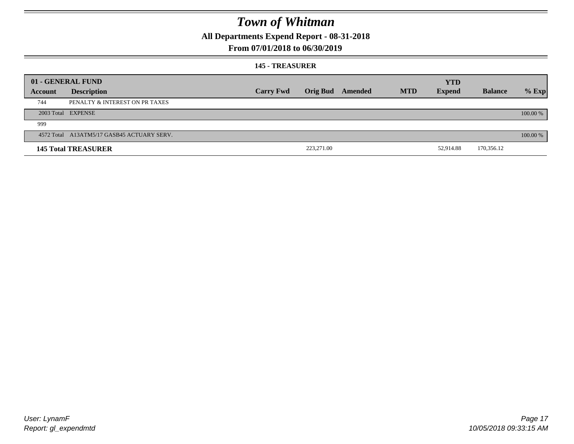**All Departments Expend Report - 08-31-2018**

### **From 07/01/2018 to 06/30/2019**

#### **145 - TREASURER**

|         | 01 - GENERAL FUND                          |                  |                 |         |            | <b>YTD</b>    |                |          |
|---------|--------------------------------------------|------------------|-----------------|---------|------------|---------------|----------------|----------|
| Account | <b>Description</b>                         | <b>Carry Fwd</b> | <b>Orig Bud</b> | Amended | <b>MTD</b> | <b>Expend</b> | <b>Balance</b> | $%$ Exp  |
| 744     | PENALTY & INTEREST ON PR TAXES             |                  |                 |         |            |               |                |          |
|         | 2003 Total EXPENSE                         |                  |                 |         |            |               |                | 100.00 % |
| 999     |                                            |                  |                 |         |            |               |                |          |
|         | 4572 Total A13ATM5/17 GASB45 ACTUARY SERV. |                  |                 |         |            |               |                | 100.00 % |
|         | <b>145 Total TREASURER</b>                 |                  | 223,271.00      |         |            | 52,914.88     | 170,356.12     |          |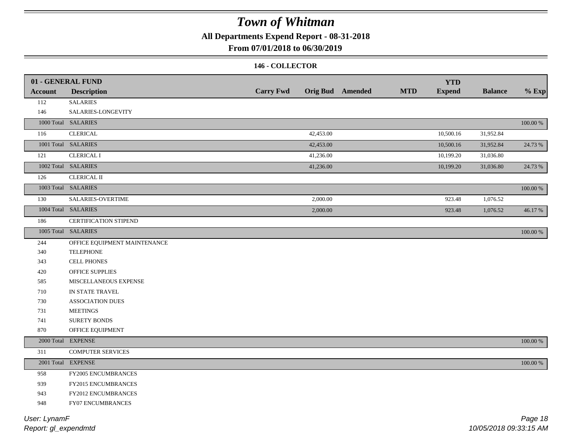**All Departments Expend Report - 08-31-2018**

**From 07/01/2018 to 06/30/2019**

#### **146 - COLLECTOR**

|         | 01 - GENERAL FUND            |                  |                         |            | <b>YTD</b>    |                |          |
|---------|------------------------------|------------------|-------------------------|------------|---------------|----------------|----------|
| Account | <b>Description</b>           | <b>Carry Fwd</b> | <b>Orig Bud</b> Amended | <b>MTD</b> | <b>Expend</b> | <b>Balance</b> | $%$ Exp  |
| 112     | <b>SALARIES</b>              |                  |                         |            |               |                |          |
| 146     | SALARIES-LONGEVITY           |                  |                         |            |               |                |          |
|         | 1000 Total SALARIES          |                  |                         |            |               |                | 100.00 % |
| 116     | <b>CLERICAL</b>              |                  | 42,453.00               |            | 10,500.16     | 31,952.84      |          |
|         | 1001 Total SALARIES          |                  | 42,453.00               |            | 10,500.16     | 31,952.84      | 24.73 %  |
| 121     | <b>CLERICAL I</b>            |                  | 41,236.00               |            | 10,199.20     | 31,036.80      |          |
|         | 1002 Total SALARIES          |                  | 41,236.00               |            | 10,199.20     | 31,036.80      | 24.73 %  |
| 126     | <b>CLERICAL II</b>           |                  |                         |            |               |                |          |
|         | 1003 Total SALARIES          |                  |                         |            |               |                | 100.00 % |
| 130     | SALARIES-OVERTIME            |                  | 2,000.00                |            | 923.48        | 1,076.52       |          |
|         | 1004 Total SALARIES          |                  | 2,000.00                |            | 923.48        | 1,076.52       | 46.17%   |
| 186     | CERTIFICATION STIPEND        |                  |                         |            |               |                |          |
|         | 1005 Total SALARIES          |                  |                         |            |               |                | 100.00 % |
| 244     | OFFICE EQUIPMENT MAINTENANCE |                  |                         |            |               |                |          |
| 340     | <b>TELEPHONE</b>             |                  |                         |            |               |                |          |
| 343     | <b>CELL PHONES</b>           |                  |                         |            |               |                |          |
| 420     | OFFICE SUPPLIES              |                  |                         |            |               |                |          |
| 585     | MISCELLANEOUS EXPENSE        |                  |                         |            |               |                |          |
| 710     | IN STATE TRAVEL              |                  |                         |            |               |                |          |
| 730     | <b>ASSOCIATION DUES</b>      |                  |                         |            |               |                |          |
| 731     | <b>MEETINGS</b>              |                  |                         |            |               |                |          |
| 741     | SURETY BONDS                 |                  |                         |            |               |                |          |
| 870     | OFFICE EQUIPMENT             |                  |                         |            |               |                |          |
|         | 2000 Total EXPENSE           |                  |                         |            |               |                | 100.00 % |
| 311     | <b>COMPUTER SERVICES</b>     |                  |                         |            |               |                |          |
|         | 2001 Total EXPENSE           |                  |                         |            |               |                | 100.00 % |
| 958     | FY2005 ENCUMBRANCES          |                  |                         |            |               |                |          |
| 939     | FY2015 ENCUMBRANCES          |                  |                         |            |               |                |          |
| 943     | FY2012 ENCUMBRANCES          |                  |                         |            |               |                |          |
| 948     | FY07 ENCUMBRANCES            |                  |                         |            |               |                |          |
|         |                              |                  |                         |            |               |                |          |

*Report: gl\_expendmtd User: LynamF*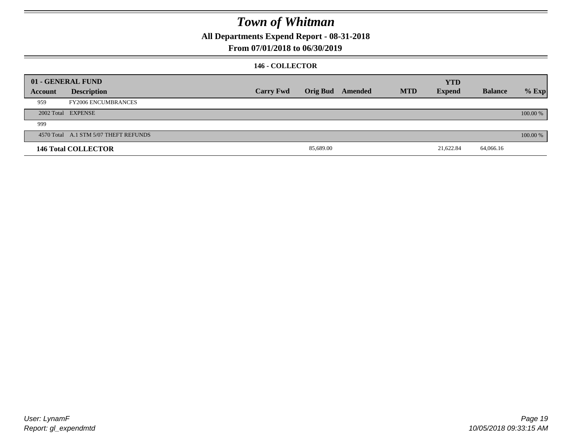**All Departments Expend Report - 08-31-2018**

### **From 07/01/2018 to 06/30/2019**

### **146 - COLLECTOR**

|         | 01 - GENERAL FUND                     |                  |                 |         |            | <b>YTD</b>    |                |          |
|---------|---------------------------------------|------------------|-----------------|---------|------------|---------------|----------------|----------|
| Account | <b>Description</b>                    | <b>Carry Fwd</b> | <b>Orig Bud</b> | Amended | <b>MTD</b> | <b>Expend</b> | <b>Balance</b> | $%$ Exp  |
| 959     | <b>FY2006 ENCUMBRANCES</b>            |                  |                 |         |            |               |                |          |
|         | 2002 Total EXPENSE                    |                  |                 |         |            |               |                | 100.00 % |
| 999     |                                       |                  |                 |         |            |               |                |          |
|         | 4570 Total A.1 STM 5/07 THEFT REFUNDS |                  |                 |         |            |               |                | 100.00 % |
|         | <b>146 Total COLLECTOR</b>            |                  | 85,689.00       |         |            | 21,622.84     | 64,066.16      |          |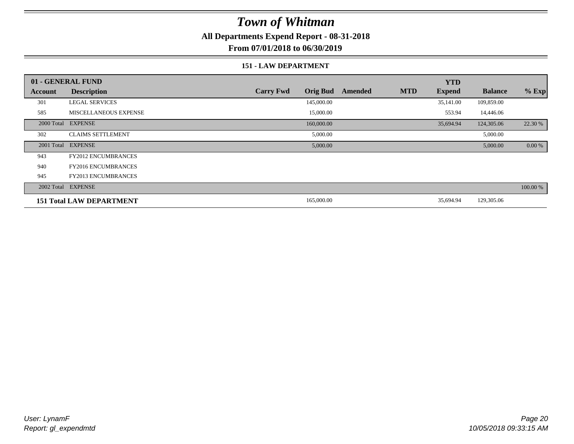**All Departments Expend Report - 08-31-2018**

**From 07/01/2018 to 06/30/2019**

#### **151 - LAW DEPARTMENT**

|            | 01 - GENERAL FUND               |                                     |         |            | <b>YTD</b>    |                |          |
|------------|---------------------------------|-------------------------------------|---------|------------|---------------|----------------|----------|
| Account    | <b>Description</b>              | <b>Carry Fwd</b><br><b>Orig Bud</b> | Amended | <b>MTD</b> | <b>Expend</b> | <b>Balance</b> | $%$ Exp  |
| 301        | <b>LEGAL SERVICES</b>           | 145,000.00                          |         |            | 35,141.00     | 109,859.00     |          |
| 585        | MISCELLANEOUS EXPENSE           | 15,000.00                           |         |            | 553.94        | 14,446.06      |          |
| 2000 Total | <b>EXPENSE</b>                  | 160,000.00                          |         |            | 35,694.94     | 124,305.06     | 22.30 %  |
| 302        | <b>CLAIMS SETTLEMENT</b>        | 5,000.00                            |         |            |               | 5,000.00       |          |
| 2001 Total | <b>EXPENSE</b>                  | 5,000.00                            |         |            |               | 5,000.00       | 0.00 %   |
| 943        | <b>FY2012 ENCUMBRANCES</b>      |                                     |         |            |               |                |          |
| 940        | <b>FY2016 ENCUMBRANCES</b>      |                                     |         |            |               |                |          |
| 945        | <b>FY2013 ENCUMBRANCES</b>      |                                     |         |            |               |                |          |
|            | 2002 Total EXPENSE              |                                     |         |            |               |                | 100.00 % |
|            | <b>151 Total LAW DEPARTMENT</b> | 165,000.00                          |         |            | 35,694.94     | 129,305.06     |          |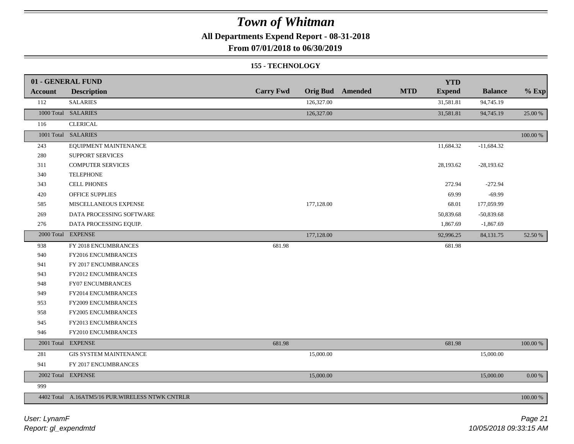**All Departments Expend Report - 08-31-2018**

**From 07/01/2018 to 06/30/2019**

#### **155 - TECHNOLOGY**

|                | 01 - GENERAL FUND                                |                  |            |                         |            | <b>YTD</b>    |                |             |
|----------------|--------------------------------------------------|------------------|------------|-------------------------|------------|---------------|----------------|-------------|
| <b>Account</b> | <b>Description</b>                               | <b>Carry Fwd</b> |            | <b>Orig Bud</b> Amended | <b>MTD</b> | <b>Expend</b> | <b>Balance</b> | $%$ Exp     |
| 112            | <b>SALARIES</b>                                  |                  | 126,327.00 |                         |            | 31,581.81     | 94,745.19      |             |
|                | 1000 Total SALARIES                              |                  | 126,327.00 |                         |            | 31,581.81     | 94,745.19      | 25.00 %     |
| 116            | <b>CLERICAL</b>                                  |                  |            |                         |            |               |                |             |
|                | 1001 Total SALARIES                              |                  |            |                         |            |               |                | 100.00 %    |
| 243            | EQUIPMENT MAINTENANCE                            |                  |            |                         |            | 11,684.32     | $-11,684.32$   |             |
| 280            | <b>SUPPORT SERVICES</b>                          |                  |            |                         |            |               |                |             |
| 311            | <b>COMPUTER SERVICES</b>                         |                  |            |                         |            | 28,193.62     | $-28,193.62$   |             |
| 340            | <b>TELEPHONE</b>                                 |                  |            |                         |            |               |                |             |
| 343            | <b>CELL PHONES</b>                               |                  |            |                         |            | 272.94        | $-272.94$      |             |
| 420            | OFFICE SUPPLIES                                  |                  |            |                         |            | 69.99         | $-69.99$       |             |
| 585            | MISCELLANEOUS EXPENSE                            |                  | 177,128.00 |                         |            | 68.01         | 177,059.99     |             |
| 269            | DATA PROCESSING SOFTWARE                         |                  |            |                         |            | 50,839.68     | $-50,839.68$   |             |
| 276            | DATA PROCESSING EQUIP.                           |                  |            |                         |            | 1,867.69      | $-1,867.69$    |             |
|                | 2000 Total EXPENSE                               |                  | 177,128.00 |                         |            | 92,996.25     | 84,131.75      | 52.50 %     |
| 938            | FY 2018 ENCUMBRANCES                             | 681.98           |            |                         |            | 681.98        |                |             |
| 940            | FY2016 ENCUMBRANCES                              |                  |            |                         |            |               |                |             |
| 941            | FY 2017 ENCUMBRANCES                             |                  |            |                         |            |               |                |             |
| 943            | FY2012 ENCUMBRANCES                              |                  |            |                         |            |               |                |             |
| 948            | FY07 ENCUMBRANCES                                |                  |            |                         |            |               |                |             |
| 949            | FY2014 ENCUMBRANCES                              |                  |            |                         |            |               |                |             |
| 953            | FY2009 ENCUMBRANCES                              |                  |            |                         |            |               |                |             |
| 958            | FY2005 ENCUMBRANCES                              |                  |            |                         |            |               |                |             |
| 945            | FY2013 ENCUMBRANCES                              |                  |            |                         |            |               |                |             |
| 946            | FY2010 ENCUMBRANCES                              |                  |            |                         |            |               |                |             |
|                | 2001 Total EXPENSE                               | 681.98           |            |                         |            | 681.98        |                | $100.00~\%$ |
| 281            | <b>GIS SYSTEM MAINTENANCE</b>                    |                  | 15,000.00  |                         |            |               | 15,000.00      |             |
| 941            | FY 2017 ENCUMBRANCES                             |                  |            |                         |            |               |                |             |
|                | 2002 Total EXPENSE                               |                  | 15,000.00  |                         |            |               | 15,000.00      | $0.00\%$    |
| 999            |                                                  |                  |            |                         |            |               |                |             |
|                | 4402 Total A.16ATM5/16 PUR. WIRELESS NTWK CNTRLR |                  |            |                         |            |               |                | 100.00 %    |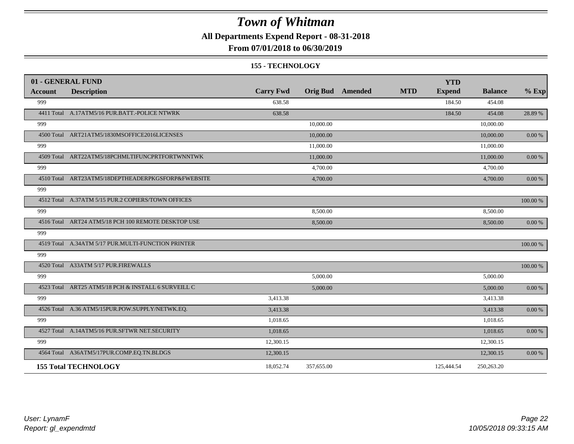**All Departments Expend Report - 08-31-2018**

#### **From 07/01/2018 to 06/30/2019**

#### **155 - TECHNOLOGY**

| 01 - GENERAL FUND |                                                     |                  |            |                         |            | <b>YTD</b>    |                |            |
|-------------------|-----------------------------------------------------|------------------|------------|-------------------------|------------|---------------|----------------|------------|
| <b>Account</b>    | <b>Description</b>                                  | <b>Carry Fwd</b> |            | <b>Orig Bud</b> Amended | <b>MTD</b> | <b>Expend</b> | <b>Balance</b> | $%$ Exp    |
| 999               |                                                     | 638.58           |            |                         |            | 184.50        | 454.08         |            |
|                   | 4411 Total A.17ATM5/16 PUR.BATT.-POLICE NTWRK       | 638.58           |            |                         |            | 184.50        | 454.08         | 28.89 %    |
| 999               |                                                     |                  | 10,000.00  |                         |            |               | 10,000.00      |            |
|                   | 4500 Total ART21ATM5/1830MSOFFICE2016LICENSES       |                  | 10,000.00  |                         |            |               | 10,000.00      | 0.00 %     |
| 999               |                                                     |                  | 11,000.00  |                         |            |               | 11,000.00      |            |
|                   | 4509 Total ART22ATM5/18PCHMLTIFUNCPRTFORTWNNTWK     |                  | 11,000.00  |                         |            |               | 11,000.00      | 0.00 %     |
| 999               |                                                     |                  | 4,700.00   |                         |            |               | 4,700.00       |            |
|                   | 4510 Total ART23ATM5/18DEPTHEADERPKGSFORP&FWEBSITE  |                  | 4,700.00   |                         |            |               | 4,700.00       | 0.00 %     |
| 999               |                                                     |                  |            |                         |            |               |                |            |
|                   | 4512 Total A.37ATM 5/15 PUR.2 COPIERS/TOWN OFFICES  |                  |            |                         |            |               |                | 100.00 %   |
| 999               |                                                     |                  | 8,500.00   |                         |            |               | 8,500.00       |            |
|                   | 4516 Total ART24 ATM5/18 PCH 100 REMOTE DESKTOP USE |                  | 8,500.00   |                         |            |               | 8,500.00       | $0.00 \%$  |
| 999               |                                                     |                  |            |                         |            |               |                |            |
|                   | 4519 Total A.34ATM 5/17 PUR.MULTI-FUNCTION PRINTER  |                  |            |                         |            |               |                | 100.00 %   |
| 999               |                                                     |                  |            |                         |            |               |                |            |
|                   | 4520 Total A33ATM 5/17 PUR.FIREWALLS                |                  |            |                         |            |               |                | 100.00 %   |
| 999               |                                                     |                  | 5,000.00   |                         |            |               | 5,000.00       |            |
|                   | 4523 Total ART25 ATM5/18 PCH & INSTALL 6 SURVEILL C |                  | 5,000.00   |                         |            |               | 5,000.00       | 0.00 %     |
| 999               |                                                     | 3,413.38         |            |                         |            |               | 3,413.38       |            |
|                   | 4526 Total A.36 ATM5/15PUR.POW.SUPPLY/NETWK.EQ.     | 3,413.38         |            |                         |            |               | 3,413.38       | $0.00\ \%$ |
| 999               |                                                     | 1,018.65         |            |                         |            |               | 1,018.65       |            |
|                   | 4527 Total A.14ATM5/16 PUR.SFTWR NET.SECURITY       | 1,018.65         |            |                         |            |               | 1,018.65       | 0.00 %     |
| 999               |                                                     | 12,300.15        |            |                         |            |               | 12,300.15      |            |
|                   | 4564 Total A36ATM5/17PUR.COMP.EQ.TN.BLDGS           | 12,300.15        |            |                         |            |               | 12,300.15      | 0.00 %     |
|                   | <b>155 Total TECHNOLOGY</b>                         | 18,052.74        | 357,655.00 |                         |            | 125,444.54    | 250,263.20     |            |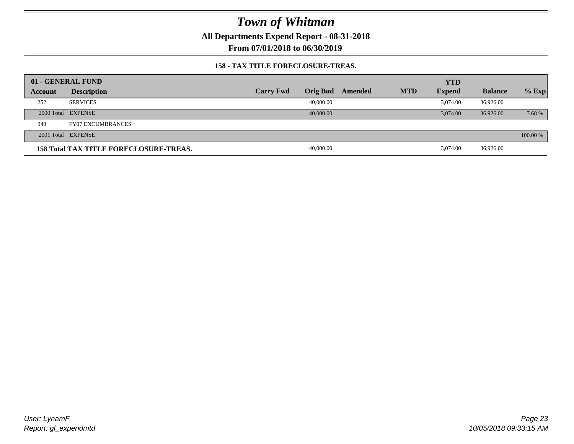**All Departments Expend Report - 08-31-2018**

**From 07/01/2018 to 06/30/2019**

#### **158 - TAX TITLE FORECLOSURE-TREAS.**

|         | 01 - GENERAL FUND                             |                  |                 |         |            | <b>YTD</b>    |                |          |
|---------|-----------------------------------------------|------------------|-----------------|---------|------------|---------------|----------------|----------|
| Account | <b>Description</b>                            | <b>Carry Fwd</b> | <b>Orig Bud</b> | Amended | <b>MTD</b> | <b>Expend</b> | <b>Balance</b> | $%$ Exp  |
| 252     | <b>SERVICES</b>                               |                  | 40,000.00       |         |            | 3.074.00      | 36,926.00      |          |
|         | 2000 Total EXPENSE                            |                  | 40,000,00       |         |            | 3.074.00      | 36,926.00      | 7.68 %   |
| 948     | <b>FY07 ENCUMBRANCES</b>                      |                  |                 |         |            |               |                |          |
|         | 2001 Total EXPENSE                            |                  |                 |         |            |               |                | 100.00 % |
|         | <b>158 Total TAX TITLE FORECLOSURE-TREAS.</b> |                  | 40,000.00       |         |            | 3.074.00      | 36,926.00      |          |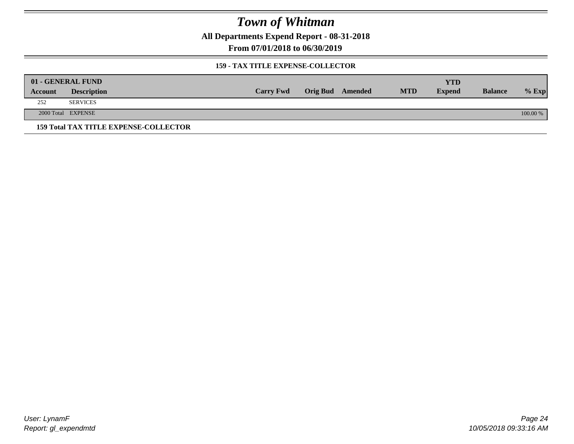**All Departments Expend Report - 08-31-2018**

**From 07/01/2018 to 06/30/2019**

#### **159 - TAX TITLE EXPENSE-COLLECTOR**

| 01 - GENERAL FUND |                                              |                  |                         |            | <b>YTD</b>    |                |            |
|-------------------|----------------------------------------------|------------------|-------------------------|------------|---------------|----------------|------------|
| Account           | <b>Description</b>                           | <b>Carry Fwd</b> | <b>Orig Bud</b> Amended | <b>MTD</b> | <b>Expend</b> | <b>Balance</b> | $%$ Exp    |
| 252               | <b>SERVICES</b>                              |                  |                         |            |               |                |            |
|                   | 2000 Total EXPENSE                           |                  |                         |            |               |                | $100.00\%$ |
|                   | <b>159 Total TAX TITLE EXPENSE-COLLECTOR</b> |                  |                         |            |               |                |            |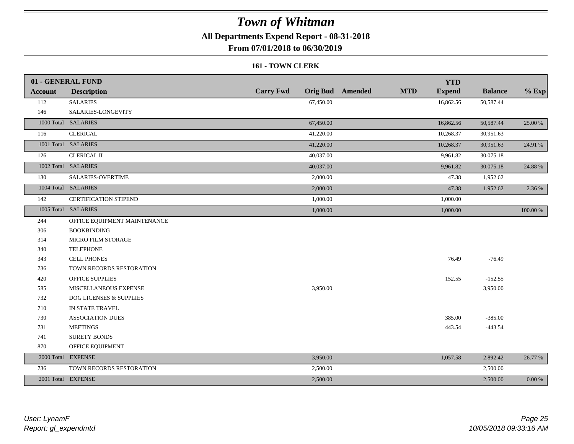**All Departments Expend Report - 08-31-2018**

**From 07/01/2018 to 06/30/2019**

#### **161 - TOWN CLERK**

|                | 01 - GENERAL FUND            |                  | <b>YTD</b>                                             |                      |            |
|----------------|------------------------------|------------------|--------------------------------------------------------|----------------------|------------|
| <b>Account</b> | <b>Description</b>           | <b>Carry Fwd</b> | <b>MTD</b><br><b>Orig Bud</b> Amended<br><b>Expend</b> | <b>Balance</b>       | $%$ Exp    |
| 112            | <b>SALARIES</b>              | 67,450.00        | 16,862.56                                              | 50,587.44            |            |
| 146            | SALARIES-LONGEVITY           |                  |                                                        |                      |            |
|                | 1000 Total SALARIES          | 67,450.00        | 16,862.56                                              | 50,587.44<br>25.00 % |            |
| 116            | <b>CLERICAL</b>              | 41,220.00        | 10,268.37                                              | 30,951.63            |            |
|                | 1001 Total SALARIES          | 41,220.00        | 10,268.37                                              | 30,951.63<br>24.91 % |            |
| 126            | <b>CLERICAL II</b>           | 40,037.00        | 9,961.82                                               | 30,075.18            |            |
|                | 1002 Total SALARIES          | 40,037.00        | 9,961.82                                               | 30,075.18<br>24.88 % |            |
| 130            | <b>SALARIES-OVERTIME</b>     | 2,000.00         | 47.38                                                  | 1,952.62             |            |
|                | 1004 Total SALARIES          | 2,000.00         | 47.38                                                  | 1,952.62             | 2.36 %     |
| 142            | <b>CERTIFICATION STIPEND</b> | 1,000.00         | 1,000.00                                               |                      |            |
|                | 1005 Total SALARIES          | 1,000.00         | 1,000.00                                               | 100.00 %             |            |
| 244            | OFFICE EQUIPMENT MAINTENANCE |                  |                                                        |                      |            |
| 306            | <b>BOOKBINDING</b>           |                  |                                                        |                      |            |
| 314            | <b>MICRO FILM STORAGE</b>    |                  |                                                        |                      |            |
| 340            | <b>TELEPHONE</b>             |                  |                                                        |                      |            |
| 343            | <b>CELL PHONES</b>           |                  | 76.49                                                  | $-76.49$             |            |
| 736            | TOWN RECORDS RESTORATION     |                  |                                                        |                      |            |
| 420            | <b>OFFICE SUPPLIES</b>       |                  | 152.55                                                 | $-152.55$            |            |
| 585            | MISCELLANEOUS EXPENSE        | 3,950.00         |                                                        | 3,950.00             |            |
| 732            | DOG LICENSES & SUPPLIES      |                  |                                                        |                      |            |
| 710            | IN STATE TRAVEL              |                  |                                                        |                      |            |
| 730            | <b>ASSOCIATION DUES</b>      |                  | 385.00                                                 | $-385.00$            |            |
| 731            | <b>MEETINGS</b>              |                  | 443.54                                                 | $-443.54$            |            |
| 741            | <b>SURETY BONDS</b>          |                  |                                                        |                      |            |
| 870            | OFFICE EQUIPMENT             |                  |                                                        |                      |            |
|                | 2000 Total EXPENSE           | 3,950.00         | 1,057.58                                               | 2,892.42<br>26.77 %  |            |
| 736            | TOWN RECORDS RESTORATION     | 2,500.00         |                                                        | 2,500.00             |            |
|                | 2001 Total EXPENSE           | 2,500.00         |                                                        | 2,500.00             | $0.00\ \%$ |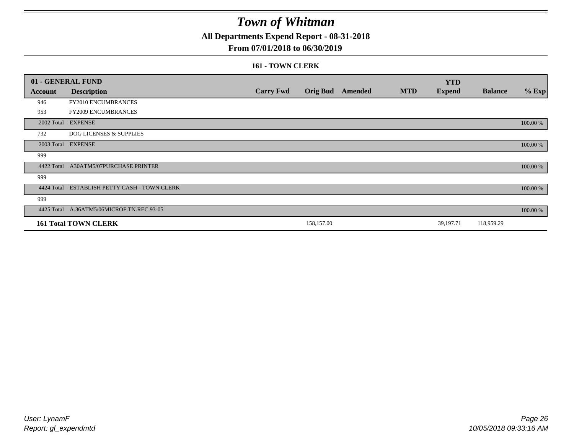**All Departments Expend Report - 08-31-2018**

### **From 07/01/2018 to 06/30/2019**

#### **161 - TOWN CLERK**

|            | 01 - GENERAL FUND                         |                  |            |                         |            | <b>YTD</b>    |                |          |
|------------|-------------------------------------------|------------------|------------|-------------------------|------------|---------------|----------------|----------|
| Account    | <b>Description</b>                        | <b>Carry Fwd</b> |            | <b>Orig Bud</b> Amended | <b>MTD</b> | <b>Expend</b> | <b>Balance</b> | $%$ Exp  |
| 946        | FY2010 ENCUMBRANCES                       |                  |            |                         |            |               |                |          |
| 953        | FY2009 ENCUMBRANCES                       |                  |            |                         |            |               |                |          |
|            | 2002 Total EXPENSE                        |                  |            |                         |            |               |                | 100.00 % |
| 732        | <b>DOG LICENSES &amp; SUPPLIES</b>        |                  |            |                         |            |               |                |          |
|            | 2003 Total EXPENSE                        |                  |            |                         |            |               |                | 100.00 % |
| 999        |                                           |                  |            |                         |            |               |                |          |
|            | 4422 Total A30ATM5/07PURCHASE PRINTER     |                  |            |                         |            |               |                | 100.00 % |
| 999        |                                           |                  |            |                         |            |               |                |          |
| 4424 Total | ESTABLISH PETTY CASH - TOWN CLERK         |                  |            |                         |            |               |                | 100.00 % |
| 999        |                                           |                  |            |                         |            |               |                |          |
|            | 4425 Total A.36ATM5/06MICROF.TN.REC.93-05 |                  |            |                         |            |               |                | 100.00 % |
|            | <b>161 Total TOWN CLERK</b>               |                  | 158,157.00 |                         |            | 39,197.71     | 118,959.29     |          |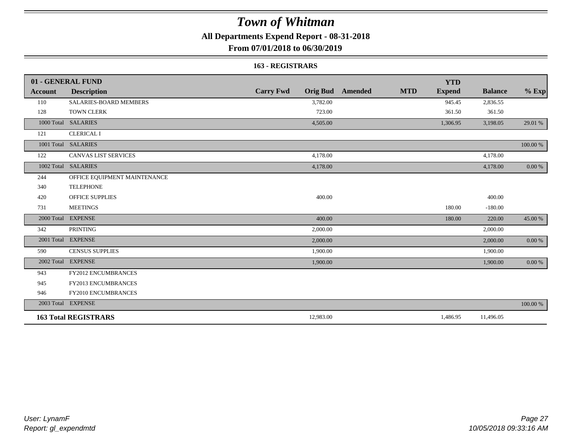**All Departments Expend Report - 08-31-2018**

**From 07/01/2018 to 06/30/2019**

#### **163 - REGISTRARS**

|                | 01 - GENERAL FUND             |                  |                                       | <b>YTD</b>    |                |            |
|----------------|-------------------------------|------------------|---------------------------------------|---------------|----------------|------------|
| <b>Account</b> | <b>Description</b>            | <b>Carry Fwd</b> | <b>Orig Bud</b> Amended<br><b>MTD</b> | <b>Expend</b> | <b>Balance</b> | $%$ Exp    |
| 110            | <b>SALARIES-BOARD MEMBERS</b> | 3,782.00         |                                       | 945.45        | 2,836.55       |            |
| 128            | <b>TOWN CLERK</b>             | 723.00           |                                       | 361.50        | 361.50         |            |
| 1000 Total     | <b>SALARIES</b>               | 4,505.00         |                                       | 1,306.95      | 3,198.05       | 29.01 %    |
| 121            | <b>CLERICAL I</b>             |                  |                                       |               |                |            |
|                | 1001 Total SALARIES           |                  |                                       |               |                | 100.00 %   |
| 122            | <b>CANVAS LIST SERVICES</b>   | 4,178.00         |                                       |               | 4,178.00       |            |
| 1002 Total     | <b>SALARIES</b>               | 4,178.00         |                                       |               | 4,178.00       | 0.00 %     |
| 244            | OFFICE EQUIPMENT MAINTENANCE  |                  |                                       |               |                |            |
| 340            | <b>TELEPHONE</b>              |                  |                                       |               |                |            |
| 420            | <b>OFFICE SUPPLIES</b>        | 400.00           |                                       |               | 400.00         |            |
| 731            | <b>MEETINGS</b>               |                  |                                       | 180.00        | $-180.00$      |            |
| 2000 Total     | <b>EXPENSE</b>                | 400.00           |                                       | 180.00        | 220.00         | 45.00 %    |
| 342            | <b>PRINTING</b>               | 2,000.00         |                                       |               | 2,000.00       |            |
|                | 2001 Total EXPENSE            | 2,000.00         |                                       |               | 2,000.00       | 0.00 %     |
| 590            | <b>CENSUS SUPPLIES</b>        | 1,900.00         |                                       |               | 1,900.00       |            |
| 2002 Total     | <b>EXPENSE</b>                | 1,900.00         |                                       |               | 1,900.00       | $0.00\ \%$ |
| 943            | <b>FY2012 ENCUMBRANCES</b>    |                  |                                       |               |                |            |
| 945            | <b>FY2013 ENCUMBRANCES</b>    |                  |                                       |               |                |            |
| 946            | FY2010 ENCUMBRANCES           |                  |                                       |               |                |            |
|                | 2003 Total EXPENSE            |                  |                                       |               |                | 100.00 %   |
|                | <b>163 Total REGISTRARS</b>   | 12,983.00        |                                       | 1,486.95      | 11,496.05      |            |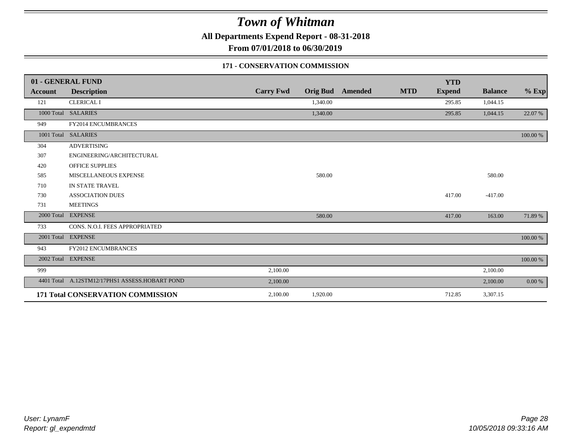**All Departments Expend Report - 08-31-2018**

**From 07/01/2018 to 06/30/2019**

#### **171 - CONSERVATION COMMISSION**

|                | 01 - GENERAL FUND                              |                  |                 |                |            | <b>YTD</b>    |                |          |
|----------------|------------------------------------------------|------------------|-----------------|----------------|------------|---------------|----------------|----------|
| <b>Account</b> | <b>Description</b>                             | <b>Carry Fwd</b> | <b>Orig Bud</b> | <b>Amended</b> | <b>MTD</b> | <b>Expend</b> | <b>Balance</b> | $%$ Exp  |
| 121            | <b>CLERICAL I</b>                              |                  | 1,340.00        |                |            | 295.85        | 1,044.15       |          |
|                | 1000 Total SALARIES                            |                  | 1,340.00        |                |            | 295.85        | 1,044.15       | 22.07 %  |
| 949            | FY2014 ENCUMBRANCES                            |                  |                 |                |            |               |                |          |
|                | 1001 Total SALARIES                            |                  |                 |                |            |               |                | 100.00 % |
| 304            | <b>ADVERTISING</b>                             |                  |                 |                |            |               |                |          |
| 307            | ENGINEERING/ARCHITECTURAL                      |                  |                 |                |            |               |                |          |
| 420            | <b>OFFICE SUPPLIES</b>                         |                  |                 |                |            |               |                |          |
| 585            | MISCELLANEOUS EXPENSE                          |                  | 580.00          |                |            |               | 580.00         |          |
| 710            | IN STATE TRAVEL                                |                  |                 |                |            |               |                |          |
| 730            | <b>ASSOCIATION DUES</b>                        |                  |                 |                |            | 417.00        | $-417.00$      |          |
| 731            | <b>MEETINGS</b>                                |                  |                 |                |            |               |                |          |
| 2000 Total     | <b>EXPENSE</b>                                 |                  | 580.00          |                |            | 417.00        | 163.00         | 71.89 %  |
| 733            | CONS. N.O.I. FEES APPROPRIATED                 |                  |                 |                |            |               |                |          |
|                | 2001 Total EXPENSE                             |                  |                 |                |            |               |                | 100.00 % |
| 943            | <b>FY2012 ENCUMBRANCES</b>                     |                  |                 |                |            |               |                |          |
|                | 2002 Total EXPENSE                             |                  |                 |                |            |               |                | 100.00 % |
| 999            |                                                | 2,100.00         |                 |                |            |               | 2,100.00       |          |
|                | 4401 Total A.12STM12/17PHS1 ASSESS.HOBART POND | 2,100.00         |                 |                |            |               | 2,100.00       | 0.00 %   |
|                | 171 Total CONSERVATION COMMISSION              | 2,100.00         | 1,920.00        |                |            | 712.85        | 3,307.15       |          |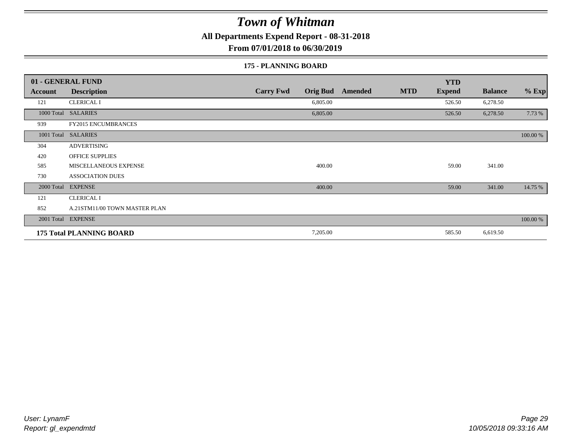**All Departments Expend Report - 08-31-2018**

**From 07/01/2018 to 06/30/2019**

#### **175 - PLANNING BOARD**

|                | 01 - GENERAL FUND               |                                     | <b>YTD</b>                                    |                           |
|----------------|---------------------------------|-------------------------------------|-----------------------------------------------|---------------------------|
| <b>Account</b> | <b>Description</b>              | <b>Carry Fwd</b><br><b>Orig Bud</b> | <b>MTD</b><br><b>Expend</b><br><b>Amended</b> | $%$ Exp<br><b>Balance</b> |
| 121            | <b>CLERICAL I</b>               | 6,805.00                            | 526.50                                        | 6,278.50                  |
|                | 1000 Total SALARIES             | 6,805.00                            | 526.50                                        | 7.73 %<br>6,278.50        |
| 939            | <b>FY2015 ENCUMBRANCES</b>      |                                     |                                               |                           |
|                | 1001 Total SALARIES             |                                     |                                               | 100.00 %                  |
| 304            | <b>ADVERTISING</b>              |                                     |                                               |                           |
| 420            | <b>OFFICE SUPPLIES</b>          |                                     |                                               |                           |
| 585            | MISCELLANEOUS EXPENSE           | 400.00                              | 59.00                                         | 341.00                    |
| 730            | <b>ASSOCIATION DUES</b>         |                                     |                                               |                           |
| 2000 Total     | <b>EXPENSE</b>                  | 400.00                              | 59.00                                         | 14.75 %<br>341.00         |
| 121            | <b>CLERICAL I</b>               |                                     |                                               |                           |
| 852            | A.21STM11/00 TOWN MASTER PLAN   |                                     |                                               |                           |
|                | 2001 Total EXPENSE              |                                     |                                               | 100.00 %                  |
|                | <b>175 Total PLANNING BOARD</b> | 7,205.00                            | 585.50                                        | 6,619.50                  |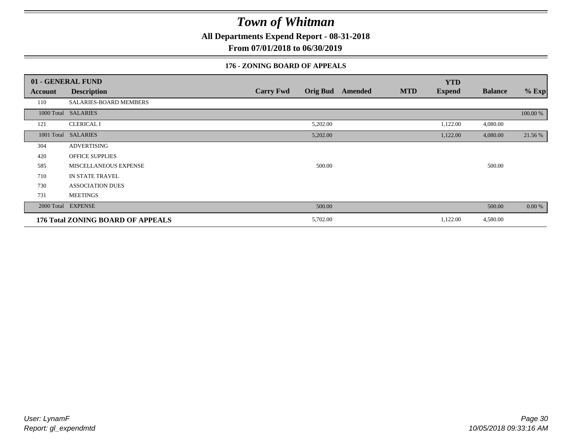**All Departments Expend Report - 08-31-2018**

**From 07/01/2018 to 06/30/2019**

### **176 - ZONING BOARD OF APPEALS**

|            | 01 - GENERAL FUND                 |                                     |                |            | <b>YTD</b>    |                |          |
|------------|-----------------------------------|-------------------------------------|----------------|------------|---------------|----------------|----------|
| Account    | <b>Description</b>                | <b>Carry Fwd</b><br><b>Orig Bud</b> | <b>Amended</b> | <b>MTD</b> | <b>Expend</b> | <b>Balance</b> | $%$ Exp  |
| 110        | SALARIES-BOARD MEMBERS            |                                     |                |            |               |                |          |
|            | 1000 Total SALARIES               |                                     |                |            |               |                | 100.00 % |
| 121        | <b>CLERICAL I</b>                 | 5,202.00                            |                |            | 1,122.00      | 4,080.00       |          |
| 1001 Total | <b>SALARIES</b>                   | 5,202.00                            |                |            | 1,122.00      | 4,080.00       | 21.56 %  |
| 304        | <b>ADVERTISING</b>                |                                     |                |            |               |                |          |
| 420        | <b>OFFICE SUPPLIES</b>            |                                     |                |            |               |                |          |
| 585        | MISCELLANEOUS EXPENSE             | 500.00                              |                |            |               | 500.00         |          |
| 710        | <b>IN STATE TRAVEL</b>            |                                     |                |            |               |                |          |
| 730        | <b>ASSOCIATION DUES</b>           |                                     |                |            |               |                |          |
| 731        | <b>MEETINGS</b>                   |                                     |                |            |               |                |          |
|            | 2000 Total EXPENSE                | 500.00                              |                |            |               | 500.00         | $0.00\%$ |
|            | 176 Total ZONING BOARD OF APPEALS | 5,702.00                            |                |            | 1,122.00      | 4,580.00       |          |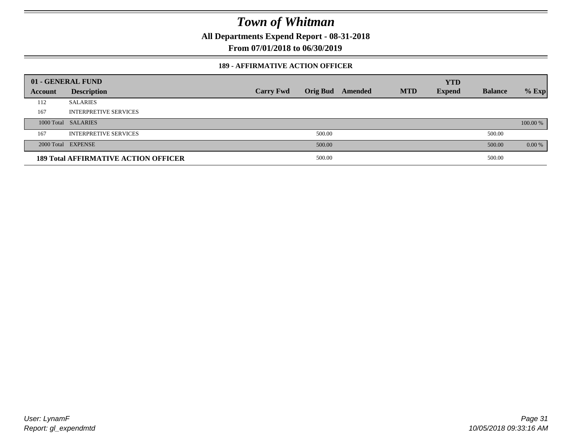**All Departments Expend Report - 08-31-2018**

**From 07/01/2018 to 06/30/2019**

#### **189 - AFFIRMATIVE ACTION OFFICER**

|         | 01 - GENERAL FUND                           |                  |                 |         |            | <b>YTD</b>    |                |          |
|---------|---------------------------------------------|------------------|-----------------|---------|------------|---------------|----------------|----------|
| Account | <b>Description</b>                          | <b>Carry Fwd</b> | <b>Orig Bud</b> | Amended | <b>MTD</b> | <b>Expend</b> | <b>Balance</b> | $%$ Exp  |
| 112     | <b>SALARIES</b>                             |                  |                 |         |            |               |                |          |
| 167     | <b>INTERPRETIVE SERVICES</b>                |                  |                 |         |            |               |                |          |
|         | 1000 Total SALARIES                         |                  |                 |         |            |               |                | 100.00 % |
| 167     | <b>INTERPRETIVE SERVICES</b>                |                  | 500.00          |         |            |               | 500.00         |          |
|         | 2000 Total EXPENSE                          |                  | 500.00          |         |            |               | 500.00         | 0.00 %   |
|         | <b>189 Total AFFIRMATIVE ACTION OFFICER</b> |                  | 500.00          |         |            |               | 500.00         |          |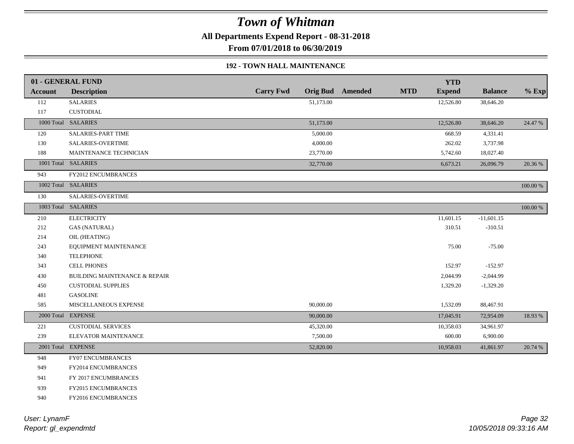**All Departments Expend Report - 08-31-2018**

**From 07/01/2018 to 06/30/2019**

#### **192 - TOWN HALL MAINTENANCE**

|         | 01 - GENERAL FUND                        |                  |                         |            | <b>YTD</b>    |                |          |
|---------|------------------------------------------|------------------|-------------------------|------------|---------------|----------------|----------|
| Account | <b>Description</b>                       | <b>Carry Fwd</b> | <b>Orig Bud</b> Amended | <b>MTD</b> | <b>Expend</b> | <b>Balance</b> | $%$ Exp  |
| 112     | <b>SALARIES</b>                          | 51,173.00        |                         |            | 12,526.80     | 38,646.20      |          |
| 117     | <b>CUSTODIAL</b>                         |                  |                         |            |               |                |          |
|         | 1000 Total SALARIES                      | 51,173.00        |                         |            | 12,526.80     | 38,646.20      | 24.47 %  |
| 120     | <b>SALARIES-PART TIME</b>                | 5,000.00         |                         |            | 668.59        | 4,331.41       |          |
| 130     | <b>SALARIES-OVERTIME</b>                 | 4,000.00         |                         |            | 262.02        | 3,737.98       |          |
| 188     | MAINTENANCE TECHNICIAN                   | 23,770.00        |                         |            | 5,742.60      | 18,027.40      |          |
|         | 1001 Total SALARIES                      | 32,770.00        |                         |            | 6,673.21      | 26,096.79      | 20.36 %  |
| 943     | <b>FY2012 ENCUMBRANCES</b>               |                  |                         |            |               |                |          |
|         | 1002 Total SALARIES                      |                  |                         |            |               |                | 100.00 % |
| 130     | <b>SALARIES-OVERTIME</b>                 |                  |                         |            |               |                |          |
|         | 1003 Total SALARIES                      |                  |                         |            |               |                | 100.00 % |
| 210     | <b>ELECTRICITY</b>                       |                  |                         |            | 11,601.15     | $-11,601.15$   |          |
| 212     | <b>GAS (NATURAL)</b>                     |                  |                         |            | 310.51        | $-310.51$      |          |
| 214     | OIL (HEATING)                            |                  |                         |            |               |                |          |
| 243     | EQUIPMENT MAINTENANCE                    |                  |                         |            | 75.00         | $-75.00$       |          |
| 340     | <b>TELEPHONE</b>                         |                  |                         |            |               |                |          |
| 343     | <b>CELL PHONES</b>                       |                  |                         |            | 152.97        | $-152.97$      |          |
| 430     | <b>BUILDING MAINTENANCE &amp; REPAIR</b> |                  |                         |            | 2,044.99      | $-2,044.99$    |          |
| 450     | <b>CUSTODIAL SUPPLIES</b>                |                  |                         |            | 1,329.20      | $-1,329.20$    |          |
| 481     | <b>GASOLINE</b>                          |                  |                         |            |               |                |          |
| 585     | MISCELLANEOUS EXPENSE                    | 90,000.00        |                         |            | 1,532.09      | 88,467.91      |          |
|         | 2000 Total EXPENSE                       | 90,000.00        |                         |            | 17,045.91     | 72,954.09      | 18.93%   |
| 221     | <b>CUSTODIAL SERVICES</b>                | 45,320.00        |                         |            | 10,358.03     | 34,961.97      |          |
| 239     | ELEVATOR MAINTENANCE                     | 7,500.00         |                         |            | 600.00        | 6,900.00       |          |
|         | 2001 Total EXPENSE                       | 52,820.00        |                         |            | 10,958.03     | 41,861.97      | 20.74 %  |
| 948     | <b>FY07 ENCUMBRANCES</b>                 |                  |                         |            |               |                |          |
| 949     | FY2014 ENCUMBRANCES                      |                  |                         |            |               |                |          |
| 941     | FY 2017 ENCUMBRANCES                     |                  |                         |            |               |                |          |
| 939     | FY2015 ENCUMBRANCES                      |                  |                         |            |               |                |          |
| 940     | FY2016 ENCUMBRANCES                      |                  |                         |            |               |                |          |
|         |                                          |                  |                         |            |               |                |          |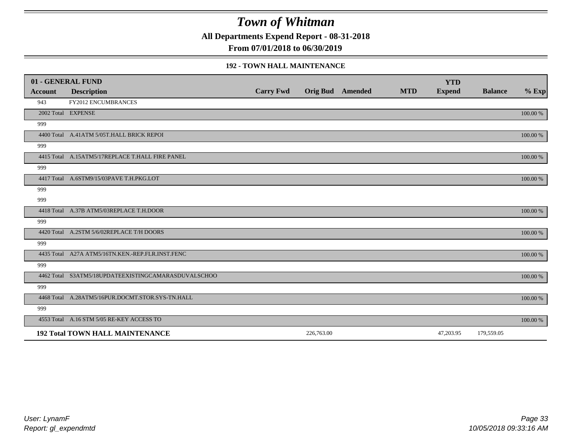**All Departments Expend Report - 08-31-2018**

**From 07/01/2018 to 06/30/2019**

#### **192 - TOWN HALL MAINTENANCE**

|         | 01 - GENERAL FUND                                   |                  |                         |            | <b>YTD</b>    |                |          |
|---------|-----------------------------------------------------|------------------|-------------------------|------------|---------------|----------------|----------|
| Account | <b>Description</b>                                  | <b>Carry Fwd</b> | <b>Orig Bud</b> Amended | <b>MTD</b> | <b>Expend</b> | <b>Balance</b> | $%$ Exp  |
| 943     | <b>FY2012 ENCUMBRANCES</b>                          |                  |                         |            |               |                |          |
|         | 2002 Total EXPENSE                                  |                  |                         |            |               |                | 100.00 % |
| 999     |                                                     |                  |                         |            |               |                |          |
|         | 4400 Total A.41ATM 5/05T.HALL BRICK REPOI           |                  |                         |            |               |                | 100.00 % |
| 999     |                                                     |                  |                         |            |               |                |          |
|         | 4415 Total A.15ATM5/17REPLACE T.HALL FIRE PANEL     |                  |                         |            |               |                | 100.00 % |
| 999     |                                                     |                  |                         |            |               |                |          |
|         | 4417 Total A.6STM9/15/03PAVE T.H.PKG.LOT            |                  |                         |            |               |                | 100.00 % |
| 999     |                                                     |                  |                         |            |               |                |          |
| 999     |                                                     |                  |                         |            |               |                |          |
|         | 4418 Total A.37B ATM5/03REPLACE T.H.DOOR            |                  |                         |            |               |                | 100.00 % |
| 999     |                                                     |                  |                         |            |               |                |          |
|         | 4420 Total A.2STM 5/6/02REPLACE T/H DOORS           |                  |                         |            |               |                | 100.00 % |
| 999     |                                                     |                  |                         |            |               |                |          |
|         | 4435 Total A27A ATM5/16TN.KEN.-REP.FLR.INST.FENC    |                  |                         |            |               |                | 100.00 % |
| 999     |                                                     |                  |                         |            |               |                |          |
|         | 4462 Total S3ATM5/18UPDATEEXISTINGCAMARASDUVALSCHOO |                  |                         |            |               |                | 100.00 % |
| 999     |                                                     |                  |                         |            |               |                |          |
|         | 4468 Total A.28ATM5/16PUR.DOCMT.STOR.SYS-TN.HALL    |                  |                         |            |               |                | 100.00 % |
| 999     |                                                     |                  |                         |            |               |                |          |
|         | 4553 Total A.16 STM 5/05 RE-KEY ACCESS TO           |                  |                         |            |               |                | 100.00 % |
|         | <b>192 Total TOWN HALL MAINTENANCE</b>              |                  | 226,763.00              |            | 47,203.95     | 179,559.05     |          |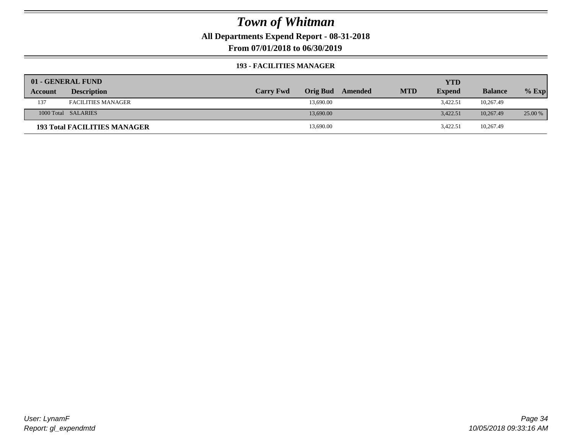**All Departments Expend Report - 08-31-2018**

**From 07/01/2018 to 06/30/2019**

#### **193 - FACILITIES MANAGER**

|         | 01 - GENERAL FUND                   |                  |                 |         |            | <b>YTD</b>    |                |         |
|---------|-------------------------------------|------------------|-----------------|---------|------------|---------------|----------------|---------|
| Account | <b>Description</b>                  | <b>Carry Fwd</b> | <b>Orig Bud</b> | Amended | <b>MTD</b> | <b>Expend</b> | <b>Balance</b> | $%$ Exp |
| 137     | <b>FACILITIES MANAGER</b>           |                  | 13,690.00       |         |            | 3,422.51      | 10,267.49      |         |
|         | 1000 Total SALARIES                 |                  | 13,690.00       |         |            | 3.422.51      | 10.267.49      | 25.00 % |
|         | <b>193 Total FACILITIES MANAGER</b> |                  | 13,690.00       |         |            | 3,422.51      | 10,267.49      |         |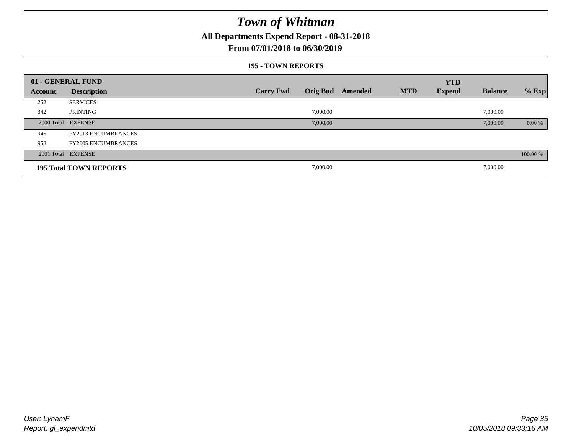**All Departments Expend Report - 08-31-2018**

### **From 07/01/2018 to 06/30/2019**

#### **195 - TOWN REPORTS**

|         | 01 - GENERAL FUND             |                  |          |                         |            | <b>YTD</b>    |                |          |
|---------|-------------------------------|------------------|----------|-------------------------|------------|---------------|----------------|----------|
| Account | <b>Description</b>            | <b>Carry Fwd</b> |          | <b>Orig Bud</b> Amended | <b>MTD</b> | <b>Expend</b> | <b>Balance</b> | $%$ Exp  |
| 252     | <b>SERVICES</b>               |                  |          |                         |            |               |                |          |
| 342     | PRINTING                      |                  | 7,000.00 |                         |            |               | 7,000.00       |          |
|         | 2000 Total EXPENSE            |                  | 7,000.00 |                         |            |               | 7,000.00       | $0.00\%$ |
| 945     | <b>FY2013 ENCUMBRANCES</b>    |                  |          |                         |            |               |                |          |
| 958     | <b>FY2005 ENCUMBRANCES</b>    |                  |          |                         |            |               |                |          |
|         | 2001 Total EXPENSE            |                  |          |                         |            |               |                | 100.00 % |
|         | <b>195 Total TOWN REPORTS</b> |                  | 7,000.00 |                         |            |               | 7,000.00       |          |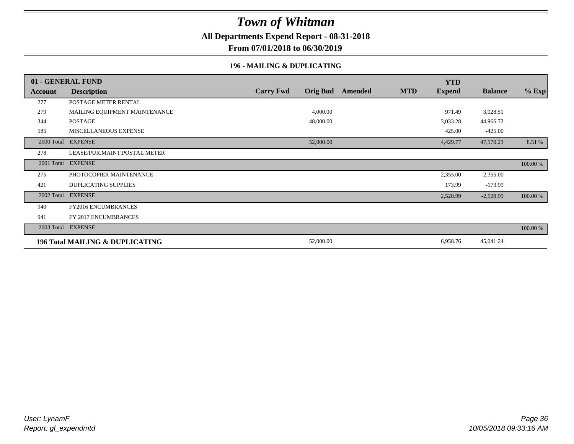**All Departments Expend Report - 08-31-2018**

**From 07/01/2018 to 06/30/2019**

### **196 - MAILING & DUPLICATING**

|            | 01 - GENERAL FUND                          |                  |                 |         |            | <b>YTD</b>    |                |          |
|------------|--------------------------------------------|------------------|-----------------|---------|------------|---------------|----------------|----------|
| Account    | <b>Description</b>                         | <b>Carry Fwd</b> | <b>Orig Bud</b> | Amended | <b>MTD</b> | <b>Expend</b> | <b>Balance</b> | $%$ Exp  |
| 277        | POSTAGE METER RENTAL                       |                  |                 |         |            |               |                |          |
| 279        | MAILING EQUIPMENT MAINTENANCE              |                  | 4,000.00        |         |            | 971.49        | 3,028.51       |          |
| 344        | <b>POSTAGE</b>                             |                  | 48,000.00       |         |            | 3,033.28      | 44,966.72      |          |
| 585        | MISCELLANEOUS EXPENSE                      |                  |                 |         |            | 425.00        | $-425.00$      |          |
|            | 2000 Total EXPENSE                         |                  | 52,000.00       |         |            | 4,429.77      | 47,570.23      | 8.51 %   |
| 278        | LEASE/PUR.MAINT.POSTAL METER               |                  |                 |         |            |               |                |          |
|            | 2001 Total EXPENSE                         |                  |                 |         |            |               |                | 100.00 % |
| 275        | PHOTOCOPIER MAINTENANCE                    |                  |                 |         |            | 2,355.00      | $-2,355.00$    |          |
| 421        | <b>DUPLICATING SUPPLIES</b>                |                  |                 |         |            | 173.99        | $-173.99$      |          |
| 2002 Total | <b>EXPENSE</b>                             |                  |                 |         |            | 2,528.99      | $-2,528.99$    | 100.00 % |
| 940        | FY2016 ENCUMBRANCES                        |                  |                 |         |            |               |                |          |
| 941        | FY 2017 ENCUMBRANCES                       |                  |                 |         |            |               |                |          |
|            | 2003 Total EXPENSE                         |                  |                 |         |            |               |                | 100.00 % |
|            | <b>196 Total MAILING &amp; DUPLICATING</b> |                  | 52,000.00       |         |            | 6,958.76      | 45,041.24      |          |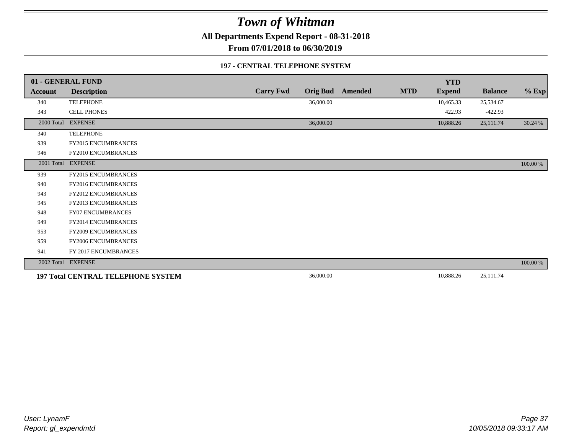**All Departments Expend Report - 08-31-2018**

**From 07/01/2018 to 06/30/2019**

#### **197 - CENTRAL TELEPHONE SYSTEM**

|            | 01 - GENERAL FUND                         |                  |                 |         |            | <b>YTD</b>    |                |          |
|------------|-------------------------------------------|------------------|-----------------|---------|------------|---------------|----------------|----------|
| Account    | <b>Description</b>                        | <b>Carry Fwd</b> | <b>Orig Bud</b> | Amended | <b>MTD</b> | <b>Expend</b> | <b>Balance</b> | $%$ Exp  |
| 340        | <b>TELEPHONE</b>                          |                  | 36,000.00       |         |            | 10,465.33     | 25,534.67      |          |
| 343        | <b>CELL PHONES</b>                        |                  |                 |         |            | 422.93        | $-422.93$      |          |
| 2000 Total | <b>EXPENSE</b>                            |                  | 36,000.00       |         |            | 10,888.26     | 25,111.74      | 30.24 %  |
| 340        | <b>TELEPHONE</b>                          |                  |                 |         |            |               |                |          |
| 939        | <b>FY2015 ENCUMBRANCES</b>                |                  |                 |         |            |               |                |          |
| 946        | FY2010 ENCUMBRANCES                       |                  |                 |         |            |               |                |          |
|            | 2001 Total EXPENSE                        |                  |                 |         |            |               |                | 100.00 % |
| 939        | FY2015 ENCUMBRANCES                       |                  |                 |         |            |               |                |          |
| 940        | <b>FY2016 ENCUMBRANCES</b>                |                  |                 |         |            |               |                |          |
| 943        | <b>FY2012 ENCUMBRANCES</b>                |                  |                 |         |            |               |                |          |
| 945        | <b>FY2013 ENCUMBRANCES</b>                |                  |                 |         |            |               |                |          |
| 948        | FY07 ENCUMBRANCES                         |                  |                 |         |            |               |                |          |
| 949        | FY2014 ENCUMBRANCES                       |                  |                 |         |            |               |                |          |
| 953        | <b>FY2009 ENCUMBRANCES</b>                |                  |                 |         |            |               |                |          |
| 959        | FY2006 ENCUMBRANCES                       |                  |                 |         |            |               |                |          |
| 941        | FY 2017 ENCUMBRANCES                      |                  |                 |         |            |               |                |          |
|            | 2002 Total EXPENSE                        |                  |                 |         |            |               |                | 100.00 % |
|            | <b>197 Total CENTRAL TELEPHONE SYSTEM</b> |                  | 36,000.00       |         |            | 10,888.26     | 25,111.74      |          |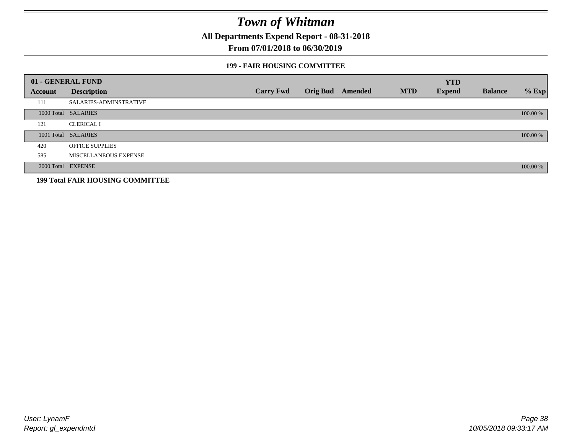**All Departments Expend Report - 08-31-2018**

### **From 07/01/2018 to 06/30/2019**

#### **199 - FAIR HOUSING COMMITTEE**

|         | 01 - GENERAL FUND                       |                  |                         |            | <b>YTD</b>    |                |          |
|---------|-----------------------------------------|------------------|-------------------------|------------|---------------|----------------|----------|
| Account | <b>Description</b>                      | <b>Carry Fwd</b> | <b>Orig Bud</b> Amended | <b>MTD</b> | <b>Expend</b> | <b>Balance</b> | $%$ Exp  |
| 111     | <b>SALARIES-ADMINSTRATIVE</b>           |                  |                         |            |               |                |          |
|         | 1000 Total SALARIES                     |                  |                         |            |               |                | 100.00 % |
| 121     | <b>CLERICAL I</b>                       |                  |                         |            |               |                |          |
|         | 1001 Total SALARIES                     |                  |                         |            |               |                | 100.00 % |
| 420     | <b>OFFICE SUPPLIES</b>                  |                  |                         |            |               |                |          |
| 585     | MISCELLANEOUS EXPENSE                   |                  |                         |            |               |                |          |
|         | 2000 Total EXPENSE                      |                  |                         |            |               |                | 100.00 % |
|         | <b>199 Total FAIR HOUSING COMMITTEE</b> |                  |                         |            |               |                |          |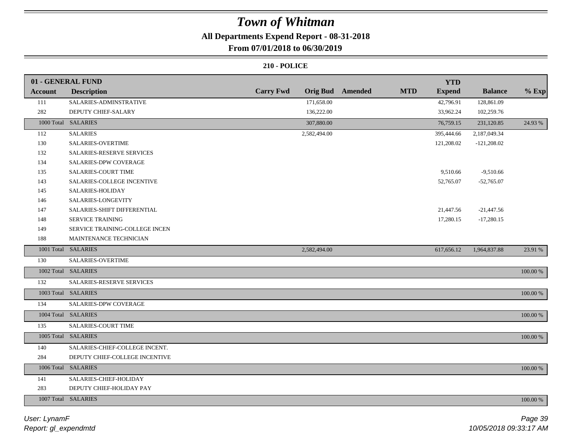## **All Departments Expend Report - 08-31-2018**

### **From 07/01/2018 to 06/30/2019**

|         | 01 - GENERAL FUND              |                  |                         |            | <b>YTD</b>    |                |             |
|---------|--------------------------------|------------------|-------------------------|------------|---------------|----------------|-------------|
| Account | <b>Description</b>             | <b>Carry Fwd</b> | <b>Orig Bud</b> Amended | <b>MTD</b> | <b>Expend</b> | <b>Balance</b> | $%$ Exp     |
| 111     | SALARIES-ADMINSTRATIVE         | 171,658.00       |                         |            | 42,796.91     | 128,861.09     |             |
| 282     | DEPUTY CHIEF-SALARY            | 136,222.00       |                         |            | 33,962.24     | 102,259.76     |             |
|         | 1000 Total SALARIES            | 307,880.00       |                         |            | 76,759.15     | 231,120.85     | 24.93 %     |
| 112     | <b>SALARIES</b>                | 2,582,494.00     |                         |            | 395,444.66    | 2,187,049.34   |             |
| 130     | SALARIES-OVERTIME              |                  |                         |            | 121,208.02    | $-121,208.02$  |             |
| 132     | SALARIES-RESERVE SERVICES      |                  |                         |            |               |                |             |
| 134     | <b>SALARIES-DPW COVERAGE</b>   |                  |                         |            |               |                |             |
| 135     | SALARIES-COURT TIME            |                  |                         |            | 9,510.66      | $-9,510.66$    |             |
| 143     | SALARIES-COLLEGE INCENTIVE     |                  |                         |            | 52,765.07     | $-52,765.07$   |             |
| 145     | SALARIES-HOLIDAY               |                  |                         |            |               |                |             |
| 146     | SALARIES-LONGEVITY             |                  |                         |            |               |                |             |
| 147     | SALARIES-SHIFT DIFFERENTIAL    |                  |                         |            | 21,447.56     | $-21,447.56$   |             |
| 148     | SERVICE TRAINING               |                  |                         |            | 17,280.15     | $-17,280.15$   |             |
| 149     | SERVICE TRAINING-COLLEGE INCEN |                  |                         |            |               |                |             |
| 188     | MAINTENANCE TECHNICIAN         |                  |                         |            |               |                |             |
|         | 1001 Total SALARIES            | 2,582,494.00     |                         |            | 617,656.12    | 1,964,837.88   | 23.91 %     |
| 130     | SALARIES-OVERTIME              |                  |                         |            |               |                |             |
|         | 1002 Total SALARIES            |                  |                         |            |               |                | 100.00 %    |
| 132     | SALARIES-RESERVE SERVICES      |                  |                         |            |               |                |             |
|         | 1003 Total SALARIES            |                  |                         |            |               |                | $100.00~\%$ |
| 134     | <b>SALARIES-DPW COVERAGE</b>   |                  |                         |            |               |                |             |
|         | 1004 Total SALARIES            |                  |                         |            |               |                | 100.00 %    |
| 135     | <b>SALARIES-COURT TIME</b>     |                  |                         |            |               |                |             |
|         | 1005 Total SALARIES            |                  |                         |            |               |                | 100.00 %    |
| 140     | SALARIES-CHIEF-COLLEGE INCENT. |                  |                         |            |               |                |             |
| 284     | DEPUTY CHIEF-COLLEGE INCENTIVE |                  |                         |            |               |                |             |
|         | 1006 Total SALARIES            |                  |                         |            |               |                | 100.00 %    |
| 141     | SALARIES-CHIEF-HOLIDAY         |                  |                         |            |               |                |             |
| 283     | DEPUTY CHIEF-HOLIDAY PAY       |                  |                         |            |               |                |             |
|         | 1007 Total SALARIES            |                  |                         |            |               |                | 100.00 %    |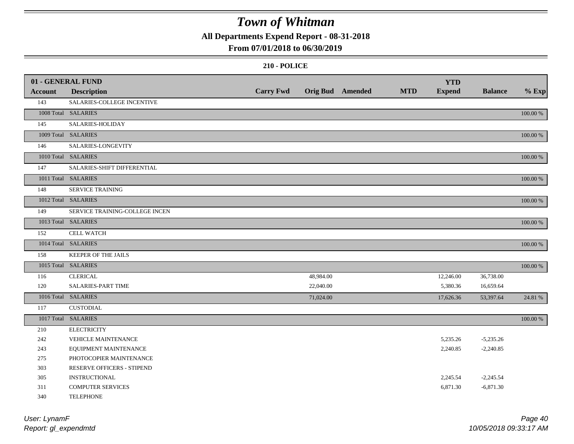**All Departments Expend Report - 08-31-2018**

## **From 07/01/2018 to 06/30/2019**

|                | 01 - GENERAL FUND              |                  |           |                         |            | <b>YTD</b>    |                |          |
|----------------|--------------------------------|------------------|-----------|-------------------------|------------|---------------|----------------|----------|
| <b>Account</b> | <b>Description</b>             | <b>Carry Fwd</b> |           | <b>Orig Bud</b> Amended | <b>MTD</b> | <b>Expend</b> | <b>Balance</b> | $%$ Exp  |
| 143            | SALARIES-COLLEGE INCENTIVE     |                  |           |                         |            |               |                |          |
|                | 1008 Total SALARIES            |                  |           |                         |            |               |                | 100.00 % |
| 145            | SALARIES-HOLIDAY               |                  |           |                         |            |               |                |          |
|                | 1009 Total SALARIES            |                  |           |                         |            |               |                | 100.00 % |
| 146            | SALARIES-LONGEVITY             |                  |           |                         |            |               |                |          |
|                | 1010 Total SALARIES            |                  |           |                         |            |               |                | 100.00 % |
| 147            | SALARIES-SHIFT DIFFERENTIAL    |                  |           |                         |            |               |                |          |
|                | 1011 Total SALARIES            |                  |           |                         |            |               |                | 100.00 % |
| 148            | <b>SERVICE TRAINING</b>        |                  |           |                         |            |               |                |          |
|                | 1012 Total SALARIES            |                  |           |                         |            |               |                | 100.00 % |
| 149            | SERVICE TRAINING-COLLEGE INCEN |                  |           |                         |            |               |                |          |
|                | 1013 Total SALARIES            |                  |           |                         |            |               |                | 100.00 % |
| 152            | <b>CELL WATCH</b>              |                  |           |                         |            |               |                |          |
|                | 1014 Total SALARIES            |                  |           |                         |            |               |                | 100.00 % |
| 158            | <b>KEEPER OF THE JAILS</b>     |                  |           |                         |            |               |                |          |
|                | 1015 Total SALARIES            |                  |           |                         |            |               |                | 100.00 % |
| 116            | <b>CLERICAL</b>                |                  | 48,984.00 |                         |            | 12,246.00     | 36,738.00      |          |
| 120            | SALARIES-PART TIME             |                  | 22,040.00 |                         |            | 5,380.36      | 16,659.64      |          |
|                | 1016 Total SALARIES            |                  | 71,024.00 |                         |            | 17,626.36     | 53,397.64      | 24.81 %  |
| 117            | <b>CUSTODIAL</b>               |                  |           |                         |            |               |                |          |
|                | 1017 Total SALARIES            |                  |           |                         |            |               |                | 100.00 % |
| 210            | <b>ELECTRICITY</b>             |                  |           |                         |            |               |                |          |
| 242            | VEHICLE MAINTENANCE            |                  |           |                         |            | 5,235.26      | $-5,235.26$    |          |
| 243            | EQUIPMENT MAINTENANCE          |                  |           |                         |            | 2,240.85      | $-2,240.85$    |          |
| 275            | PHOTOCOPIER MAINTENANCE        |                  |           |                         |            |               |                |          |
| 303            | RESERVE OFFICERS - STIPEND     |                  |           |                         |            |               |                |          |
| 305            | <b>INSTRUCTIONAL</b>           |                  |           |                         |            | 2,245.54      | $-2,245.54$    |          |
| 311            | <b>COMPUTER SERVICES</b>       |                  |           |                         |            | 6,871.30      | $-6,871.30$    |          |
| 340            | <b>TELEPHONE</b>               |                  |           |                         |            |               |                |          |

| User: LynamF         | Page 40                |
|----------------------|------------------------|
| Report: gl_expendmtd | 10/05/2018 09:33:17 AM |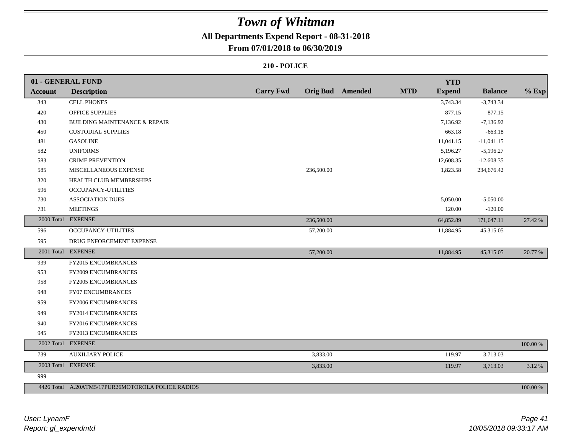## **All Departments Expend Report - 08-31-2018**

### **From 07/01/2018 to 06/30/2019**

|                | 01 - GENERAL FUND                                 |                  |                         |            | <b>YTD</b>    |                |          |
|----------------|---------------------------------------------------|------------------|-------------------------|------------|---------------|----------------|----------|
| <b>Account</b> | <b>Description</b>                                | <b>Carry Fwd</b> | <b>Orig Bud</b> Amended | <b>MTD</b> | <b>Expend</b> | <b>Balance</b> | $%$ Exp  |
| 343            | <b>CELL PHONES</b>                                |                  |                         |            | 3,743.34      | $-3,743.34$    |          |
| 420            | <b>OFFICE SUPPLIES</b>                            |                  |                         |            | 877.15        | $-877.15$      |          |
| 430            | <b>BUILDING MAINTENANCE &amp; REPAIR</b>          |                  |                         |            | 7,136.92      | $-7,136.92$    |          |
| 450            | <b>CUSTODIAL SUPPLIES</b>                         |                  |                         |            | 663.18        | $-663.18$      |          |
| 481            | <b>GASOLINE</b>                                   |                  |                         |            | 11,041.15     | $-11,041.15$   |          |
| 582            | <b>UNIFORMS</b>                                   |                  |                         |            | 5,196.27      | $-5,196.27$    |          |
| 583            | <b>CRIME PREVENTION</b>                           |                  |                         |            | 12,608.35     | $-12,608.35$   |          |
| 585            | MISCELLANEOUS EXPENSE                             | 236,500.00       |                         |            | 1,823.58      | 234,676.42     |          |
| 320            | HEALTH CLUB MEMBERSHIPS                           |                  |                         |            |               |                |          |
| 596            | OCCUPANCY-UTILITIES                               |                  |                         |            |               |                |          |
| 730            | <b>ASSOCIATION DUES</b>                           |                  |                         |            | 5,050.00      | $-5,050.00$    |          |
| 731            | <b>MEETINGS</b>                                   |                  |                         |            | 120.00        | $-120.00$      |          |
|                | 2000 Total EXPENSE                                | 236,500.00       |                         |            | 64,852.89     | 171,647.11     | 27.42 %  |
| 596            | OCCUPANCY-UTILITIES                               | 57,200.00        |                         |            | 11,884.95     | 45,315.05      |          |
| 595            | DRUG ENFORCEMENT EXPENSE                          |                  |                         |            |               |                |          |
|                | 2001 Total EXPENSE                                | 57,200.00        |                         |            | 11,884.95     | 45,315.05      | 20.77 %  |
| 939            | FY2015 ENCUMBRANCES                               |                  |                         |            |               |                |          |
| 953            | FY2009 ENCUMBRANCES                               |                  |                         |            |               |                |          |
| 958            | FY2005 ENCUMBRANCES                               |                  |                         |            |               |                |          |
| 948            | FY07 ENCUMBRANCES                                 |                  |                         |            |               |                |          |
| 959            | FY2006 ENCUMBRANCES                               |                  |                         |            |               |                |          |
| 949            | FY2014 ENCUMBRANCES                               |                  |                         |            |               |                |          |
| 940            | FY2016 ENCUMBRANCES                               |                  |                         |            |               |                |          |
| 945            | FY2013 ENCUMBRANCES                               |                  |                         |            |               |                |          |
| 2002 Total     | <b>EXPENSE</b>                                    |                  |                         |            |               |                | 100.00 % |
| 739            | <b>AUXILIARY POLICE</b>                           | 3,833.00         |                         |            | 119.97        | 3,713.03       |          |
|                | 2003 Total EXPENSE                                | 3,833.00         |                         |            | 119.97        | 3,713.03       | 3.12%    |
| 999            |                                                   |                  |                         |            |               |                |          |
|                | 4426 Total A.20ATM5/17PUR26MOTOROLA POLICE RADIOS |                  |                         |            |               |                | 100.00 % |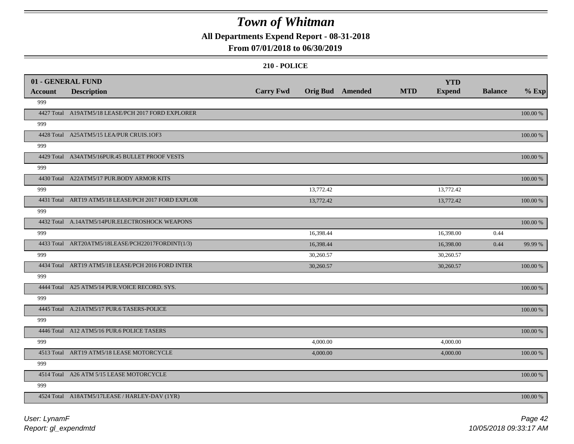**All Departments Expend Report - 08-31-2018**

### **From 07/01/2018 to 06/30/2019**

|                | 01 - GENERAL FUND                                   |                  |                  |            | <b>YTD</b>    |                |          |
|----------------|-----------------------------------------------------|------------------|------------------|------------|---------------|----------------|----------|
| <b>Account</b> | <b>Description</b>                                  | <b>Carry Fwd</b> | Orig Bud Amended | <b>MTD</b> | <b>Expend</b> | <b>Balance</b> | $%$ Exp  |
| 999            |                                                     |                  |                  |            |               |                |          |
|                | 4427 Total A19ATM5/18 LEASE/PCH 2017 FORD EXPLORER  |                  |                  |            |               |                | 100.00 % |
| 999            |                                                     |                  |                  |            |               |                |          |
|                | 4428 Total A25ATM5/15 LEA/PUR CRUIS.1OF3            |                  |                  |            |               |                | 100.00 % |
| 999            |                                                     |                  |                  |            |               |                |          |
|                | 4429 Total A34ATM5/16PUR.45 BULLET PROOF VESTS      |                  |                  |            |               |                | 100.00 % |
| 999            |                                                     |                  |                  |            |               |                |          |
|                | 4430 Total A22ATM5/17 PUR.BODY ARMOR KITS           |                  |                  |            |               |                | 100.00 % |
| 999            |                                                     |                  | 13,772.42        |            | 13,772.42     |                |          |
|                | 4431 Total ART19 ATM5/18 LEASE/PCH 2017 FORD EXPLOR |                  | 13,772.42        |            | 13,772.42     |                | 100.00 % |
| 999            |                                                     |                  |                  |            |               |                |          |
|                | 4432 Total A.14ATM5/14PUR.ELECTROSHOCK WEAPONS      |                  |                  |            |               |                | 100.00 % |
| 999            |                                                     |                  | 16,398.44        |            | 16,398.00     | 0.44           |          |
|                | 4433 Total ART20ATM5/18LEASE/PCH22017FORDINT(1/3)   |                  | 16,398.44        |            | 16,398.00     | 0.44           | 99.99 %  |
| 999            |                                                     |                  | 30,260.57        |            | 30,260.57     |                |          |
|                | 4434 Total ART19 ATM5/18 LEASE/PCH 2016 FORD INTER  |                  | 30,260.57        |            | 30,260.57     |                | 100.00 % |
| 999            |                                                     |                  |                  |            |               |                |          |
|                | 4444 Total A25 ATM5/14 PUR.VOICE RECORD. SYS.       |                  |                  |            |               |                | 100.00 % |
| 999            |                                                     |                  |                  |            |               |                |          |
|                | 4445 Total A.21ATM5/17 PUR.6 TASERS-POLICE          |                  |                  |            |               |                | 100.00 % |
| 999            |                                                     |                  |                  |            |               |                |          |
|                | 4446 Total A12 ATM5/16 PUR.6 POLICE TASERS          |                  |                  |            |               |                | 100.00 % |
| 999            |                                                     |                  | 4,000.00         |            | 4,000.00      |                |          |
|                | 4513 Total ART19 ATM5/18 LEASE MOTORCYCLE           |                  | 4,000.00         |            | 4,000.00      |                | 100.00 % |
| 999            |                                                     |                  |                  |            |               |                |          |
|                | 4514 Total A26 ATM 5/15 LEASE MOTORCYCLE            |                  |                  |            |               |                | 100.00 % |
| 999            |                                                     |                  |                  |            |               |                |          |
|                | 4524 Total A18ATM5/17LEASE / HARLEY-DAV (1YR)       |                  |                  |            |               |                | 100.00 % |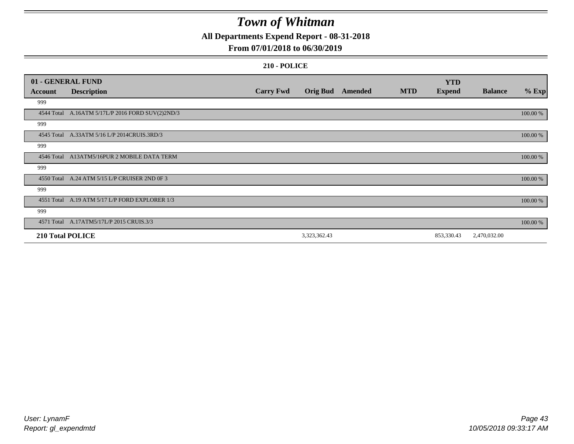**All Departments Expend Report - 08-31-2018**

## **From 07/01/2018 to 06/30/2019**

|                  | 01 - GENERAL FUND                                |                  |                 |         |            | <b>YTD</b>    |                |          |
|------------------|--------------------------------------------------|------------------|-----------------|---------|------------|---------------|----------------|----------|
| <b>Account</b>   | <b>Description</b>                               | <b>Carry Fwd</b> | <b>Orig Bud</b> | Amended | <b>MTD</b> | <b>Expend</b> | <b>Balance</b> | $%$ Exp  |
| 999              |                                                  |                  |                 |         |            |               |                |          |
|                  | 4544 Total A.16ATM 5/17L/P 2016 FORD SUV(2)2ND/3 |                  |                 |         |            |               |                | 100.00 % |
| 999              |                                                  |                  |                 |         |            |               |                |          |
|                  | 4545 Total A.33ATM 5/16 L/P 2014CRUIS.3RD/3      |                  |                 |         |            |               |                | 100.00 % |
| 999              |                                                  |                  |                 |         |            |               |                |          |
|                  | 4546 Total A13ATM5/16PUR 2 MOBILE DATA TERM      |                  |                 |         |            |               |                | 100.00 % |
| 999              |                                                  |                  |                 |         |            |               |                |          |
| 4550 Total       | A.24 ATM 5/15 L/P CRUISER 2ND 0F 3               |                  |                 |         |            |               |                | 100.00 % |
| 999              |                                                  |                  |                 |         |            |               |                |          |
|                  | 4551 Total A.19 ATM 5/17 L/P FORD EXPLORER 1/3   |                  |                 |         |            |               |                | 100.00 % |
| 999              |                                                  |                  |                 |         |            |               |                |          |
|                  | 4571 Total A.17ATM5/17L/P 2015 CRUIS.3/3         |                  |                 |         |            |               |                | 100.00 % |
| 210 Total POLICE |                                                  |                  | 3,323,362.43    |         |            | 853,330.43    | 2,470,032.00   |          |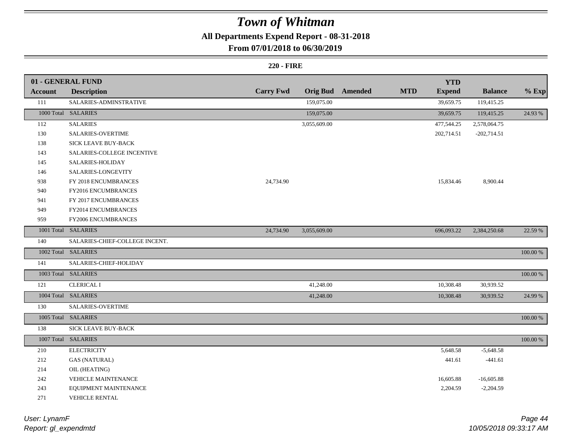## **All Departments Expend Report - 08-31-2018**

### **From 07/01/2018 to 06/30/2019**

### **220 - FIRE**

|                | 01 - GENERAL FUND              |                  |                 |         |            | <b>YTD</b>    |                |             |
|----------------|--------------------------------|------------------|-----------------|---------|------------|---------------|----------------|-------------|
| <b>Account</b> | <b>Description</b>             | <b>Carry Fwd</b> | <b>Orig Bud</b> | Amended | <b>MTD</b> | <b>Expend</b> | <b>Balance</b> | $%$ Exp     |
| 111            | SALARIES-ADMINSTRATIVE         |                  | 159,075.00      |         |            | 39,659.75     | 119,415.25     |             |
|                | 1000 Total SALARIES            |                  | 159,075.00      |         |            | 39,659.75     | 119,415.25     | 24.93 %     |
| 112            | <b>SALARIES</b>                |                  | 3,055,609.00    |         |            | 477,544.25    | 2,578,064.75   |             |
| 130            | <b>SALARIES-OVERTIME</b>       |                  |                 |         |            | 202,714.51    | $-202,714.51$  |             |
| 138            | SICK LEAVE BUY-BACK            |                  |                 |         |            |               |                |             |
| 143            | SALARIES-COLLEGE INCENTIVE     |                  |                 |         |            |               |                |             |
| 145            | SALARIES-HOLIDAY               |                  |                 |         |            |               |                |             |
| 146            | SALARIES-LONGEVITY             |                  |                 |         |            |               |                |             |
| 938            | FY 2018 ENCUMBRANCES           | 24,734.90        |                 |         |            | 15,834.46     | 8,900.44       |             |
| 940            | FY2016 ENCUMBRANCES            |                  |                 |         |            |               |                |             |
| 941            | FY 2017 ENCUMBRANCES           |                  |                 |         |            |               |                |             |
| 949            | FY2014 ENCUMBRANCES            |                  |                 |         |            |               |                |             |
| 959            | FY2006 ENCUMBRANCES            |                  |                 |         |            |               |                |             |
|                | 1001 Total SALARIES            | 24,734.90        | 3,055,609.00    |         |            | 696,093.22    | 2,384,250.68   | 22.59 %     |
| 140            | SALARIES-CHIEF-COLLEGE INCENT. |                  |                 |         |            |               |                |             |
|                | 1002 Total SALARIES            |                  |                 |         |            |               |                | 100.00 %    |
| 141            | SALARIES-CHIEF-HOLIDAY         |                  |                 |         |            |               |                |             |
|                | 1003 Total SALARIES            |                  |                 |         |            |               |                | $100.00~\%$ |
| 121            | <b>CLERICAL I</b>              |                  | 41,248.00       |         |            | 10,308.48     | 30,939.52      |             |
|                | 1004 Total SALARIES            |                  | 41,248.00       |         |            | 10,308.48     | 30,939.52      | 24.99 %     |
| 130            | SALARIES-OVERTIME              |                  |                 |         |            |               |                |             |
|                | 1005 Total SALARIES            |                  |                 |         |            |               |                | 100.00 %    |
| 138            | <b>SICK LEAVE BUY-BACK</b>     |                  |                 |         |            |               |                |             |
|                | 1007 Total SALARIES            |                  |                 |         |            |               |                | 100.00 %    |
| 210            | <b>ELECTRICITY</b>             |                  |                 |         |            | 5,648.58      | $-5,648.58$    |             |
| 212            | <b>GAS (NATURAL)</b>           |                  |                 |         |            | 441.61        | $-441.61$      |             |
| 214            | OIL (HEATING)                  |                  |                 |         |            |               |                |             |
| 242            | VEHICLE MAINTENANCE            |                  |                 |         |            | 16,605.88     | $-16,605.88$   |             |
| 243            | EQUIPMENT MAINTENANCE          |                  |                 |         |            | 2,204.59      | $-2,204.59$    |             |
| 271            | <b>VEHICLE RENTAL</b>          |                  |                 |         |            |               |                |             |

*Report: gl\_expendmtd User: LynamF*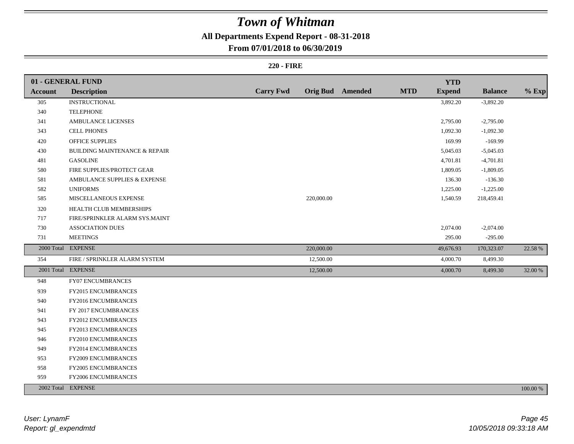## **All Departments Expend Report - 08-31-2018**

### **From 07/01/2018 to 06/30/2019**

### **220 - FIRE**

|         | 01 - GENERAL FUND                        |                  |            |                         |            | <b>YTD</b>    |                |          |
|---------|------------------------------------------|------------------|------------|-------------------------|------------|---------------|----------------|----------|
| Account | <b>Description</b>                       | <b>Carry Fwd</b> |            | <b>Orig Bud</b> Amended | <b>MTD</b> | <b>Expend</b> | <b>Balance</b> | $%$ Exp  |
| 305     | <b>INSTRUCTIONAL</b>                     |                  |            |                         |            | 3,892.20      | $-3,892.20$    |          |
| 340     | <b>TELEPHONE</b>                         |                  |            |                         |            |               |                |          |
| 341     | <b>AMBULANCE LICENSES</b>                |                  |            |                         |            | 2,795.00      | $-2,795.00$    |          |
| 343     | <b>CELL PHONES</b>                       |                  |            |                         |            | 1,092.30      | $-1,092.30$    |          |
| 420     | <b>OFFICE SUPPLIES</b>                   |                  |            |                         |            | 169.99        | $-169.99$      |          |
| 430     | <b>BUILDING MAINTENANCE &amp; REPAIR</b> |                  |            |                         |            | 5,045.03      | $-5,045.03$    |          |
| 481     | <b>GASOLINE</b>                          |                  |            |                         |            | 4,701.81      | $-4,701.81$    |          |
| 580     | FIRE SUPPLIES/PROTECT GEAR               |                  |            |                         |            | 1,809.05      | $-1,809.05$    |          |
| 581     | AMBULANCE SUPPLIES & EXPENSE             |                  |            |                         |            | 136.30        | $-136.30$      |          |
| 582     | <b>UNIFORMS</b>                          |                  |            |                         |            | 1,225.00      | $-1,225.00$    |          |
| 585     | MISCELLANEOUS EXPENSE                    |                  | 220,000.00 |                         |            | 1,540.59      | 218,459.41     |          |
| 320     | HEALTH CLUB MEMBERSHIPS                  |                  |            |                         |            |               |                |          |
| 717     | FIRE/SPRINKLER ALARM SYS.MAINT           |                  |            |                         |            |               |                |          |
| 730     | <b>ASSOCIATION DUES</b>                  |                  |            |                         |            | 2,074.00      | $-2,074.00$    |          |
| 731     | <b>MEETINGS</b>                          |                  |            |                         |            | 295.00        | $-295.00$      |          |
|         | 2000 Total EXPENSE                       |                  | 220,000.00 |                         |            | 49,676.93     | 170,323.07     | 22.58 %  |
| 354     | FIRE / SPRINKLER ALARM SYSTEM            |                  | 12,500.00  |                         |            | 4,000.70      | 8,499.30       |          |
|         | 2001 Total EXPENSE                       |                  | 12,500.00  |                         |            | 4,000.70      | 8,499.30       | 32.00 %  |
| 948     | FY07 ENCUMBRANCES                        |                  |            |                         |            |               |                |          |
| 939     | <b>FY2015 ENCUMBRANCES</b>               |                  |            |                         |            |               |                |          |
| 940     | FY2016 ENCUMBRANCES                      |                  |            |                         |            |               |                |          |
| 941     | FY 2017 ENCUMBRANCES                     |                  |            |                         |            |               |                |          |
| 943     | FY2012 ENCUMBRANCES                      |                  |            |                         |            |               |                |          |
| 945     | FY2013 ENCUMBRANCES                      |                  |            |                         |            |               |                |          |
| 946     | FY2010 ENCUMBRANCES                      |                  |            |                         |            |               |                |          |
| 949     | FY2014 ENCUMBRANCES                      |                  |            |                         |            |               |                |          |
| 953     | FY2009 ENCUMBRANCES                      |                  |            |                         |            |               |                |          |
| 958     | FY2005 ENCUMBRANCES                      |                  |            |                         |            |               |                |          |
| 959     | FY2006 ENCUMBRANCES                      |                  |            |                         |            |               |                |          |
|         | 2002 Total EXPENSE                       |                  |            |                         |            |               |                | 100.00 % |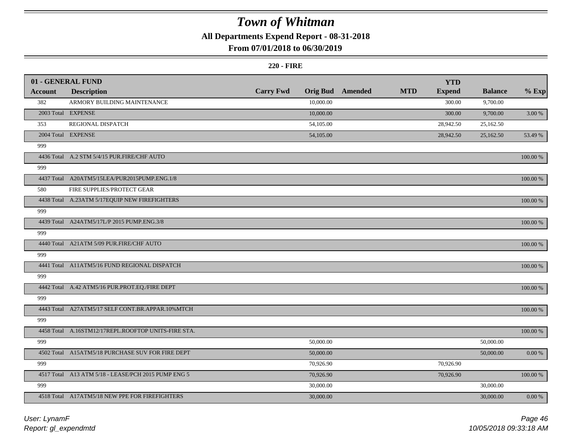## **All Departments Expend Report - 08-31-2018**

## **From 07/01/2018 to 06/30/2019**

#### **220 - FIRE**

|                | 01 - GENERAL FUND                                   |                  |                 |         |            | <b>YTD</b>    |                |           |
|----------------|-----------------------------------------------------|------------------|-----------------|---------|------------|---------------|----------------|-----------|
| <b>Account</b> | <b>Description</b>                                  | <b>Carry Fwd</b> | <b>Orig Bud</b> | Amended | <b>MTD</b> | <b>Expend</b> | <b>Balance</b> | $%$ Exp   |
| 382            | ARMORY BUILDING MAINTENANCE                         |                  | 10,000.00       |         |            | 300.00        | 9,700.00       |           |
|                | 2003 Total EXPENSE                                  |                  | 10,000.00       |         |            | 300.00        | 9,700.00       | 3.00 %    |
| 353            | REGIONAL DISPATCH                                   |                  | 54,105.00       |         |            | 28,942.50     | 25,162.50      |           |
|                | 2004 Total EXPENSE                                  |                  | 54,105.00       |         |            | 28,942.50     | 25,162.50      | 53.49 %   |
| 999            |                                                     |                  |                 |         |            |               |                |           |
|                | 4436 Total A.2 STM 5/4/15 PUR.FIRE/CHF AUTO         |                  |                 |         |            |               |                | 100.00 %  |
| 999            |                                                     |                  |                 |         |            |               |                |           |
|                | 4437 Total A20ATM5/15LEA/PUR2015PUMP.ENG.1/8        |                  |                 |         |            |               |                | 100.00 %  |
| 580            | FIRE SUPPLIES/PROTECT GEAR                          |                  |                 |         |            |               |                |           |
|                | 4438 Total A.23ATM 5/17EQUIP NEW FIREFIGHTERS       |                  |                 |         |            |               |                | 100.00 %  |
| 999            |                                                     |                  |                 |         |            |               |                |           |
|                | 4439 Total A24ATM5/17L/P 2015 PUMP.ENG.3/8          |                  |                 |         |            |               |                | 100.00 %  |
| 999            |                                                     |                  |                 |         |            |               |                |           |
|                | 4440 Total A21ATM 5/09 PUR.FIRE/CHF AUTO            |                  |                 |         |            |               |                | 100.00 %  |
| 999            |                                                     |                  |                 |         |            |               |                |           |
|                | 4441 Total A11ATM5/16 FUND REGIONAL DISPATCH        |                  |                 |         |            |               |                | 100.00 %  |
| 999            |                                                     |                  |                 |         |            |               |                |           |
|                | 4442 Total A.42 ATM5/16 PUR.PROT.EQ./FIRE DEPT      |                  |                 |         |            |               |                | 100.00 %  |
| 999            |                                                     |                  |                 |         |            |               |                |           |
|                | 4443 Total A27ATM5/17 SELF CONT.BR.APPAR.10%MTCH    |                  |                 |         |            |               |                | 100.00 %  |
| 999            |                                                     |                  |                 |         |            |               |                |           |
|                | 4458 Total A.16STM12/17REPL.ROOFTOP UNITS-FIRE STA. |                  |                 |         |            |               |                | 100.00 %  |
| 999            |                                                     |                  | 50,000.00       |         |            |               | 50,000.00      |           |
|                | 4502 Total A15ATM5/18 PURCHASE SUV FOR FIRE DEPT    |                  | 50,000.00       |         |            |               | 50,000.00      | $0.00~\%$ |
| 999            |                                                     |                  | 70,926.90       |         |            | 70,926.90     |                |           |
|                | 4517 Total A13 ATM 5/18 - LEASE/PCH 2015 PUMP ENG 5 |                  | 70,926.90       |         |            | 70,926.90     |                | 100.00 %  |
| 999            |                                                     |                  | 30,000.00       |         |            |               | 30,000.00      |           |
|                | 4518 Total A17ATM5/18 NEW PPE FOR FIREFIGHTERS      |                  | 30,000.00       |         |            |               | 30,000.00      | $0.00 \%$ |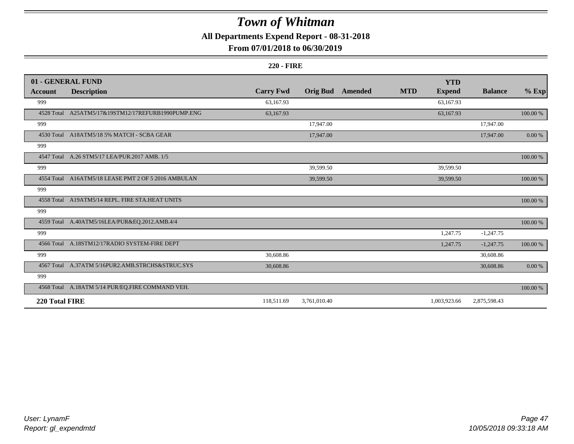## **All Departments Expend Report - 08-31-2018**

### **From 07/01/2018 to 06/30/2019**

#### **220 - FIRE**

|                | 01 - GENERAL FUND                                   |                  |                 |         |            | <b>YTD</b>    |                |             |
|----------------|-----------------------------------------------------|------------------|-----------------|---------|------------|---------------|----------------|-------------|
| <b>Account</b> | <b>Description</b>                                  | <b>Carry Fwd</b> | <b>Orig Bud</b> | Amended | <b>MTD</b> | <b>Expend</b> | <b>Balance</b> | $%$ Exp     |
| 999            |                                                     | 63,167.93        |                 |         |            | 63,167.93     |                |             |
|                | 4528 Total A25ATM5/17&19STM12/17REFURB1990PUMP.ENG  | 63,167.93        |                 |         |            | 63,167.93     |                | 100.00 %    |
| 999            |                                                     |                  | 17,947.00       |         |            |               | 17,947.00      |             |
|                | 4530 Total A18ATM5/18 5% MATCH - SCBA GEAR          |                  | 17,947.00       |         |            |               | 17,947.00      | $0.00\,\%$  |
| 999            |                                                     |                  |                 |         |            |               |                |             |
|                | 4547 Total A.26 STM5/17 LEA/PUR.2017 AMB. 1/5       |                  |                 |         |            |               |                | 100.00 %    |
| 999            |                                                     |                  | 39,599.50       |         |            | 39,599.50     |                |             |
|                | 4554 Total A16ATM5/18 LEASE PMT 2 OF 5 2016 AMBULAN |                  | 39,599.50       |         |            | 39,599.50     |                | $100.00~\%$ |
| 999            |                                                     |                  |                 |         |            |               |                |             |
|                | 4558 Total A19ATM5/14 REPL. FIRE STA.HEAT UNITS     |                  |                 |         |            |               |                | 100.00 %    |
| 999            |                                                     |                  |                 |         |            |               |                |             |
|                | 4559 Total A.40ATM5/16LEA/PUR&EQ.2012.AMB.4/4       |                  |                 |         |            |               |                | $100.00~\%$ |
| 999            |                                                     |                  |                 |         |            | 1,247.75      | $-1,247.75$    |             |
|                | 4566 Total A.18STM12/17RADIO SYSTEM-FIRE DEPT       |                  |                 |         |            | 1,247.75      | $-1,247.75$    | 100.00 %    |
| 999            |                                                     | 30,608.86        |                 |         |            |               | 30,608.86      |             |
|                | 4567 Total A.37ATM 5/16PUR2.AMB.STRCHS&STRUC.SYS    | 30,608.86        |                 |         |            |               | 30,608.86      | 0.00 %      |
| 999            |                                                     |                  |                 |         |            |               |                |             |
|                | 4568 Total A.18ATM 5/14 PUR/EQ.FIRE COMMAND VEH.    |                  |                 |         |            |               |                | 100.00 %    |
| 220 Total FIRE |                                                     | 118,511.69       | 3,761,010.40    |         |            | 1,003,923.66  | 2,875,598.43   |             |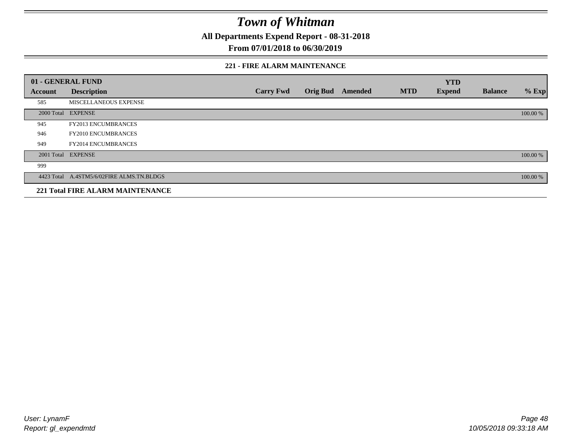**All Departments Expend Report - 08-31-2018**

**From 07/01/2018 to 06/30/2019**

#### **221 - FIRE ALARM MAINTENANCE**

|         | 01 - GENERAL FUND                         |                  |                 |         |            | <b>YTD</b>    |                |          |
|---------|-------------------------------------------|------------------|-----------------|---------|------------|---------------|----------------|----------|
| Account | <b>Description</b>                        | <b>Carry Fwd</b> | <b>Orig Bud</b> | Amended | <b>MTD</b> | <b>Expend</b> | <b>Balance</b> | $%$ Exp  |
| 585     | MISCELLANEOUS EXPENSE                     |                  |                 |         |            |               |                |          |
|         | 2000 Total EXPENSE                        |                  |                 |         |            |               |                | 100.00 % |
| 945     | <b>FY2013 ENCUMBRANCES</b>                |                  |                 |         |            |               |                |          |
| 946     | <b>FY2010 ENCUMBRANCES</b>                |                  |                 |         |            |               |                |          |
| 949     | <b>FY2014 ENCUMBRANCES</b>                |                  |                 |         |            |               |                |          |
|         | 2001 Total EXPENSE                        |                  |                 |         |            |               |                | 100.00 % |
| 999     |                                           |                  |                 |         |            |               |                |          |
|         | 4423 Total A.4STM5/6/02FIRE ALMS.TN.BLDGS |                  |                 |         |            |               |                | 100.00 % |
|         | <b>221 Total FIRE ALARM MAINTENANCE</b>   |                  |                 |         |            |               |                |          |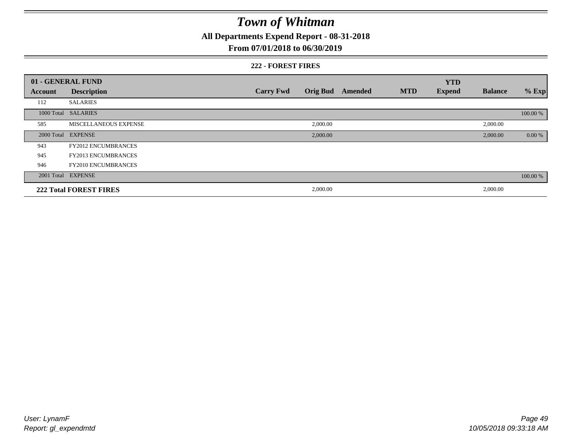**All Departments Expend Report - 08-31-2018**

### **From 07/01/2018 to 06/30/2019**

#### **222 - FOREST FIRES**

|         | 01 - GENERAL FUND             |                  |                 |         |            | <b>YTD</b>    |                |          |
|---------|-------------------------------|------------------|-----------------|---------|------------|---------------|----------------|----------|
| Account | <b>Description</b>            | <b>Carry Fwd</b> | <b>Orig Bud</b> | Amended | <b>MTD</b> | <b>Expend</b> | <b>Balance</b> | $%$ Exp  |
| 112     | <b>SALARIES</b>               |                  |                 |         |            |               |                |          |
|         | 1000 Total SALARIES           |                  |                 |         |            |               |                | 100.00 % |
| 585     | MISCELLANEOUS EXPENSE         |                  | 2,000.00        |         |            |               | 2,000.00       |          |
|         | 2000 Total EXPENSE            |                  | 2,000.00        |         |            |               | 2,000.00       | 0.00 %   |
| 943     | <b>FY2012 ENCUMBRANCES</b>    |                  |                 |         |            |               |                |          |
| 945     | <b>FY2013 ENCUMBRANCES</b>    |                  |                 |         |            |               |                |          |
| 946     | <b>FY2010 ENCUMBRANCES</b>    |                  |                 |         |            |               |                |          |
|         | 2001 Total EXPENSE            |                  |                 |         |            |               |                | 100.00 % |
|         | <b>222 Total FOREST FIRES</b> |                  | 2,000.00        |         |            |               | 2,000.00       |          |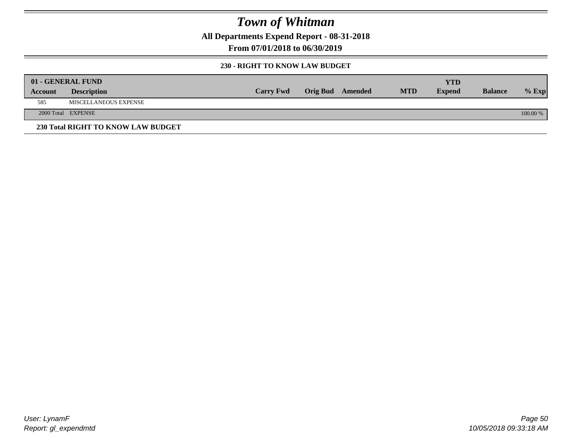**All Departments Expend Report - 08-31-2018**

**From 07/01/2018 to 06/30/2019**

#### **230 - RIGHT TO KNOW LAW BUDGET**

|         | 01 - GENERAL FUND                  |                  |                  |            | <b>YTD</b>    |                |          |
|---------|------------------------------------|------------------|------------------|------------|---------------|----------------|----------|
| Account | <b>Description</b>                 | <b>Carry Fwd</b> | Orig Bud Amended | <b>MTD</b> | <b>Expend</b> | <b>Balance</b> | $%$ Exp  |
| 585     | MISCELLANEOUS EXPENSE              |                  |                  |            |               |                |          |
|         | 2000 Total EXPENSE                 |                  |                  |            |               |                | 100.00 % |
|         | 230 Total RIGHT TO KNOW LAW BUDGET |                  |                  |            |               |                |          |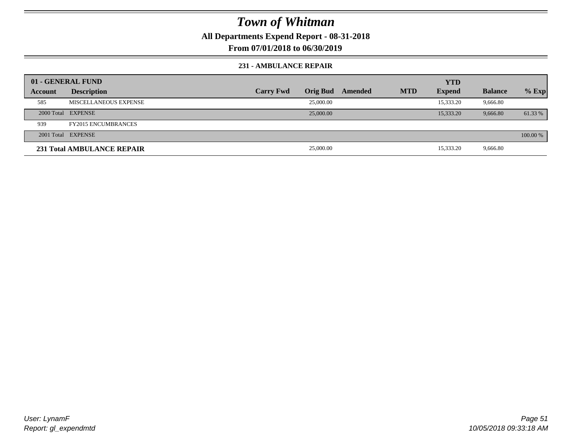**All Departments Expend Report - 08-31-2018**

**From 07/01/2018 to 06/30/2019**

#### **231 - AMBULANCE REPAIR**

|         | 01 - GENERAL FUND                 |                  |                 |         |            | <b>YTD</b>    |                |          |
|---------|-----------------------------------|------------------|-----------------|---------|------------|---------------|----------------|----------|
| Account | <b>Description</b>                | <b>Carry Fwd</b> | <b>Orig Bud</b> | Amended | <b>MTD</b> | <b>Expend</b> | <b>Balance</b> | $%$ Exp  |
| 585     | MISCELLANEOUS EXPENSE             |                  | 25,000.00       |         |            | 15,333.20     | 9,666.80       |          |
|         | 2000 Total EXPENSE                |                  | 25,000.00       |         |            | 15,333.20     | 9,666.80       | 61.33 %  |
| 939     | <b>FY2015 ENCUMBRANCES</b>        |                  |                 |         |            |               |                |          |
|         | 2001 Total EXPENSE                |                  |                 |         |            |               |                | 100.00 % |
|         | <b>231 Total AMBULANCE REPAIR</b> |                  | 25,000.00       |         |            | 15,333.20     | 9,666.80       |          |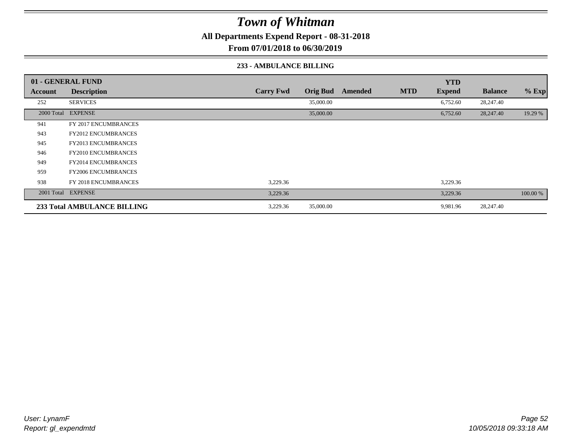**All Departments Expend Report - 08-31-2018**

**From 07/01/2018 to 06/30/2019**

#### **233 - AMBULANCE BILLING**

|         | 01 - GENERAL FUND                  |                  |                 |         |            | <b>YTD</b>    |                |          |
|---------|------------------------------------|------------------|-----------------|---------|------------|---------------|----------------|----------|
| Account | <b>Description</b>                 | <b>Carry Fwd</b> | <b>Orig Bud</b> | Amended | <b>MTD</b> | <b>Expend</b> | <b>Balance</b> | % Exp    |
| 252     | <b>SERVICES</b>                    |                  | 35,000.00       |         |            | 6,752.60      | 28,247.40      |          |
|         | 2000 Total EXPENSE                 |                  | 35,000.00       |         |            | 6,752.60      | 28,247.40      | 19.29 %  |
| 941     | FY 2017 ENCUMBRANCES               |                  |                 |         |            |               |                |          |
| 943     | <b>FY2012 ENCUMBRANCES</b>         |                  |                 |         |            |               |                |          |
| 945     | <b>FY2013 ENCUMBRANCES</b>         |                  |                 |         |            |               |                |          |
| 946     | <b>FY2010 ENCUMBRANCES</b>         |                  |                 |         |            |               |                |          |
| 949     | <b>FY2014 ENCUMBRANCES</b>         |                  |                 |         |            |               |                |          |
| 959     | <b>FY2006 ENCUMBRANCES</b>         |                  |                 |         |            |               |                |          |
| 938     | FY 2018 ENCUMBRANCES               | 3,229.36         |                 |         |            | 3,229.36      |                |          |
|         | 2001 Total EXPENSE                 | 3,229.36         |                 |         |            | 3,229.36      |                | 100.00 % |
|         | <b>233 Total AMBULANCE BILLING</b> | 3,229.36         | 35,000.00       |         |            | 9,981.96      | 28,247.40      |          |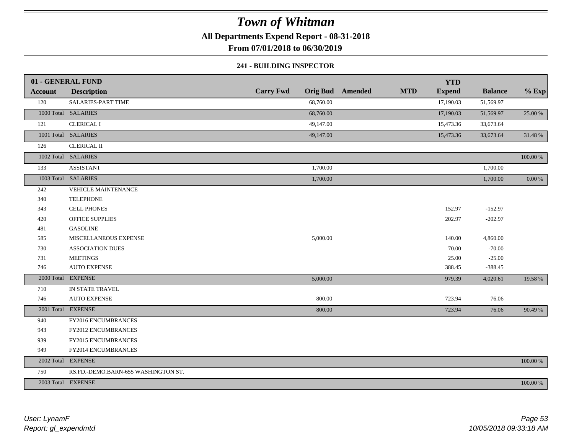**All Departments Expend Report - 08-31-2018**

**From 07/01/2018 to 06/30/2019**

#### **241 - BUILDING INSPECTOR**

|                | 01 - GENERAL FUND                   |                  |                         |            | <b>YTD</b>    |                |             |
|----------------|-------------------------------------|------------------|-------------------------|------------|---------------|----------------|-------------|
| <b>Account</b> | <b>Description</b>                  | <b>Carry Fwd</b> | <b>Orig Bud</b> Amended | <b>MTD</b> | <b>Expend</b> | <b>Balance</b> | $%$ Exp     |
| 120            | <b>SALARIES-PART TIME</b>           | 68,760.00        |                         |            | 17,190.03     | 51,569.97      |             |
|                | 1000 Total SALARIES                 | 68,760.00        |                         |            | 17,190.03     | 51,569.97      | 25.00 %     |
| 121            | <b>CLERICAL I</b>                   | 49,147.00        |                         |            | 15,473.36     | 33,673.64      |             |
|                | 1001 Total SALARIES                 | 49,147.00        |                         |            | 15,473.36     | 33,673.64      | 31.48 %     |
| 126            | <b>CLERICAL II</b>                  |                  |                         |            |               |                |             |
|                | 1002 Total SALARIES                 |                  |                         |            |               |                | $100.00~\%$ |
| 133            | <b>ASSISTANT</b>                    | 1,700.00         |                         |            |               | 1,700.00       |             |
|                | 1003 Total SALARIES                 | 1,700.00         |                         |            |               | 1,700.00       | $0.00~\%$   |
| 242            | VEHICLE MAINTENANCE                 |                  |                         |            |               |                |             |
| 340            | <b>TELEPHONE</b>                    |                  |                         |            |               |                |             |
| 343            | <b>CELL PHONES</b>                  |                  |                         |            | 152.97        | $-152.97$      |             |
| 420            | <b>OFFICE SUPPLIES</b>              |                  |                         |            | 202.97        | $-202.97$      |             |
| 481            | <b>GASOLINE</b>                     |                  |                         |            |               |                |             |
| 585            | MISCELLANEOUS EXPENSE               | 5,000.00         |                         |            | 140.00        | 4,860.00       |             |
| 730            | <b>ASSOCIATION DUES</b>             |                  |                         |            | 70.00         | $-70.00$       |             |
| 731            | <b>MEETINGS</b>                     |                  |                         |            | 25.00         | $-25.00$       |             |
| 746            | <b>AUTO EXPENSE</b>                 |                  |                         |            | 388.45        | $-388.45$      |             |
|                | 2000 Total EXPENSE                  | 5,000.00         |                         |            | 979.39        | 4,020.61       | 19.58 %     |
| 710            | IN STATE TRAVEL                     |                  |                         |            |               |                |             |
| 746            | <b>AUTO EXPENSE</b>                 | 800.00           |                         |            | 723.94        | 76.06          |             |
|                | 2001 Total EXPENSE                  | 800.00           |                         |            | 723.94        | 76.06          | 90.49 %     |
| 940            | FY2016 ENCUMBRANCES                 |                  |                         |            |               |                |             |
| 943            | FY2012 ENCUMBRANCES                 |                  |                         |            |               |                |             |
| 939            | FY2015 ENCUMBRANCES                 |                  |                         |            |               |                |             |
| 949            | FY2014 ENCUMBRANCES                 |                  |                         |            |               |                |             |
|                | 2002 Total EXPENSE                  |                  |                         |            |               |                | 100.00 %    |
| 750            | RS.FD.-DEMO.BARN-655 WASHINGTON ST. |                  |                         |            |               |                |             |
|                | 2003 Total EXPENSE                  |                  |                         |            |               |                | 100.00 %    |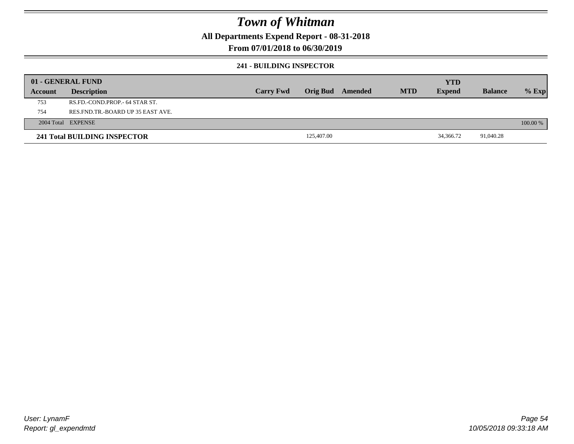**All Departments Expend Report - 08-31-2018**

### **From 07/01/2018 to 06/30/2019**

#### **241 - BUILDING INSPECTOR**

|         | 01 - GENERAL FUND                     |                  |                 |         |            | <b>YTD</b>    |                |            |
|---------|---------------------------------------|------------------|-----------------|---------|------------|---------------|----------------|------------|
| Account | <b>Description</b>                    | <b>Carry Fwd</b> | <b>Orig Bud</b> | Amended | <b>MTD</b> | <b>Expend</b> | <b>Balance</b> | $%$ Exp    |
| 753     | RS.FD.-COND.PROP.- 64 STAR ST.        |                  |                 |         |            |               |                |            |
| 754     | RES. FND. TR. - BOARD UP 35 EAST AVE. |                  |                 |         |            |               |                |            |
|         | 2004 Total EXPENSE                    |                  |                 |         |            |               |                | $100.00\%$ |
|         | <b>241 Total BUILDING INSPECTOR</b>   |                  | 125,407.00      |         |            | 34,366.72     | 91,040.28      |            |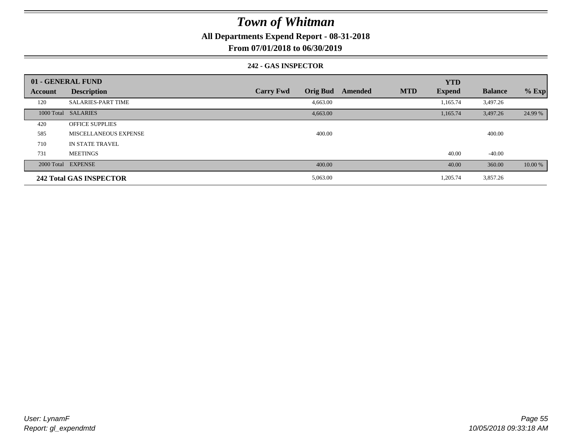**All Departments Expend Report - 08-31-2018**

**From 07/01/2018 to 06/30/2019**

#### **242 - GAS INSPECTOR**

|                | 01 - GENERAL FUND              |                                     |         | <b>YTD</b>                  |                |         |
|----------------|--------------------------------|-------------------------------------|---------|-----------------------------|----------------|---------|
| <b>Account</b> | <b>Description</b>             | <b>Carry Fwd</b><br><b>Orig Bud</b> | Amended | <b>MTD</b><br><b>Expend</b> | <b>Balance</b> | $%$ Exp |
| 120            | <b>SALARIES-PART TIME</b>      | 4,663.00                            |         | 1,165.74                    | 3,497.26       |         |
|                | 1000 Total SALARIES            | 4,663.00                            |         | 1,165.74                    | 3,497.26       | 24.99 % |
| 420            | <b>OFFICE SUPPLIES</b>         |                                     |         |                             |                |         |
| 585            | MISCELLANEOUS EXPENSE          | 400.00                              |         |                             | 400.00         |         |
| 710            | IN STATE TRAVEL                |                                     |         |                             |                |         |
| 731            | <b>MEETINGS</b>                |                                     |         | 40.00                       | $-40.00$       |         |
|                | 2000 Total EXPENSE             | 400.00                              |         | 40.00                       | 360.00         | 10.00 % |
|                | <b>242 Total GAS INSPECTOR</b> | 5,063.00                            |         | 1,205.74                    | 3,857.26       |         |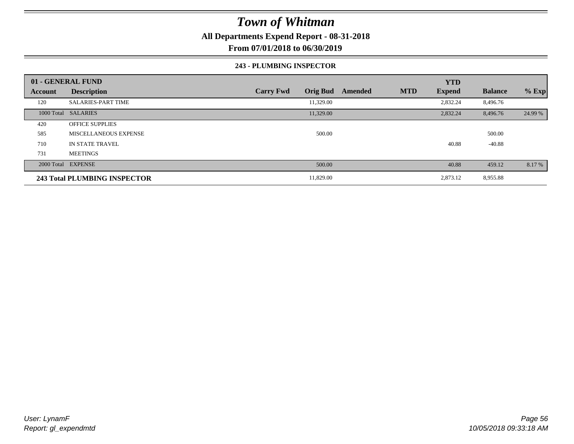**All Departments Expend Report - 08-31-2018**

**From 07/01/2018 to 06/30/2019**

#### **243 - PLUMBING INSPECTOR**

|                | 01 - GENERAL FUND            |                                     |                       | <b>YTD</b>    |                |         |
|----------------|------------------------------|-------------------------------------|-----------------------|---------------|----------------|---------|
| <b>Account</b> | <b>Description</b>           | <b>Orig Bud</b><br><b>Carry Fwd</b> | <b>MTD</b><br>Amended | <b>Expend</b> | <b>Balance</b> | $%$ Exp |
| 120            | <b>SALARIES-PART TIME</b>    | 11,329.00                           |                       | 2,832.24      | 8,496.76       |         |
|                | 1000 Total SALARIES          | 11,329.00                           |                       | 2,832.24      | 8,496.76       | 24.99 % |
| 420            | <b>OFFICE SUPPLIES</b>       |                                     |                       |               |                |         |
| 585            | <b>MISCELLANEOUS EXPENSE</b> | 500.00                              |                       |               | 500.00         |         |
| 710            | <b>IN STATE TRAVEL</b>       |                                     |                       | 40.88         | $-40.88$       |         |
| 731            | <b>MEETINGS</b>              |                                     |                       |               |                |         |
|                | 2000 Total EXPENSE           | 500.00                              |                       | 40.88         | 459.12         | 8.17 %  |
|                | 243 Total PLUMBING INSPECTOR | 11,829.00                           |                       | 2,873.12      | 8,955.88       |         |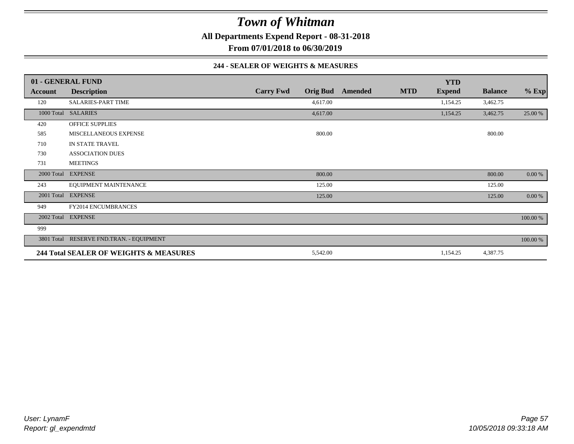**All Departments Expend Report - 08-31-2018**

**From 07/01/2018 to 06/30/2019**

#### **244 - SEALER OF WEIGHTS & MEASURES**

|            | 01 - GENERAL FUND                        |                  |                 |         |            | <b>YTD</b>    |                |          |
|------------|------------------------------------------|------------------|-----------------|---------|------------|---------------|----------------|----------|
| Account    | <b>Description</b>                       | <b>Carry Fwd</b> | <b>Orig Bud</b> | Amended | <b>MTD</b> | <b>Expend</b> | <b>Balance</b> | $%$ Exp  |
| 120        | <b>SALARIES-PART TIME</b>                |                  | 4,617.00        |         |            | 1,154.25      | 3,462.75       |          |
| 1000 Total | <b>SALARIES</b>                          |                  | 4,617.00        |         |            | 1,154.25      | 3,462.75       | 25.00 %  |
| 420        | <b>OFFICE SUPPLIES</b>                   |                  |                 |         |            |               |                |          |
| 585        | MISCELLANEOUS EXPENSE                    |                  | 800.00          |         |            |               | 800.00         |          |
| 710        | IN STATE TRAVEL                          |                  |                 |         |            |               |                |          |
| 730        | <b>ASSOCIATION DUES</b>                  |                  |                 |         |            |               |                |          |
| 731        | <b>MEETINGS</b>                          |                  |                 |         |            |               |                |          |
|            | 2000 Total EXPENSE                       |                  | 800.00          |         |            |               | 800.00         | 0.00 %   |
| 243        | EQUIPMENT MAINTENANCE                    |                  | 125.00          |         |            |               | 125.00         |          |
|            | 2001 Total EXPENSE                       |                  | 125.00          |         |            |               | 125.00         | 0.00 %   |
| 949        | FY2014 ENCUMBRANCES                      |                  |                 |         |            |               |                |          |
|            | 2002 Total EXPENSE                       |                  |                 |         |            |               |                | 100.00 % |
| 999        |                                          |                  |                 |         |            |               |                |          |
|            | 3801 Total RESERVE FND.TRAN. - EQUIPMENT |                  |                 |         |            |               |                | 100.00 % |
|            | 244 Total SEALER OF WEIGHTS & MEASURES   |                  | 5,542.00        |         |            | 1,154.25      | 4,387.75       |          |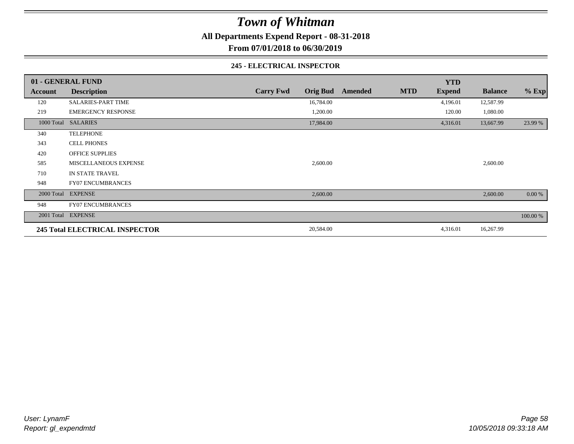**All Departments Expend Report - 08-31-2018**

**From 07/01/2018 to 06/30/2019**

#### **245 - ELECTRICAL INSPECTOR**

|         | 01 - GENERAL FUND                     |                  |                 |         |            | <b>YTD</b>    |                |          |
|---------|---------------------------------------|------------------|-----------------|---------|------------|---------------|----------------|----------|
| Account | <b>Description</b>                    | <b>Carry Fwd</b> | <b>Orig Bud</b> | Amended | <b>MTD</b> | <b>Expend</b> | <b>Balance</b> | $%$ Exp  |
| 120     | <b>SALARIES-PART TIME</b>             |                  | 16,784.00       |         |            | 4,196.01      | 12,587.99      |          |
| 219     | <b>EMERGENCY RESPONSE</b>             |                  | 1,200.00        |         |            | 120.00        | 1,080.00       |          |
|         | 1000 Total SALARIES                   |                  | 17,984.00       |         |            | 4,316.01      | 13,667.99      | 23.99 %  |
| 340     | <b>TELEPHONE</b>                      |                  |                 |         |            |               |                |          |
| 343     | <b>CELL PHONES</b>                    |                  |                 |         |            |               |                |          |
| 420     | <b>OFFICE SUPPLIES</b>                |                  |                 |         |            |               |                |          |
| 585     | MISCELLANEOUS EXPENSE                 |                  | 2,600.00        |         |            |               | 2,600.00       |          |
| 710     | IN STATE TRAVEL                       |                  |                 |         |            |               |                |          |
| 948     | <b>FY07 ENCUMBRANCES</b>              |                  |                 |         |            |               |                |          |
|         | 2000 Total EXPENSE                    |                  | 2,600.00        |         |            |               | 2,600.00       | 0.00 %   |
| 948     | <b>FY07 ENCUMBRANCES</b>              |                  |                 |         |            |               |                |          |
|         | 2001 Total EXPENSE                    |                  |                 |         |            |               |                | 100.00 % |
|         | <b>245 Total ELECTRICAL INSPECTOR</b> |                  | 20,584.00       |         |            | 4,316.01      | 16,267.99      |          |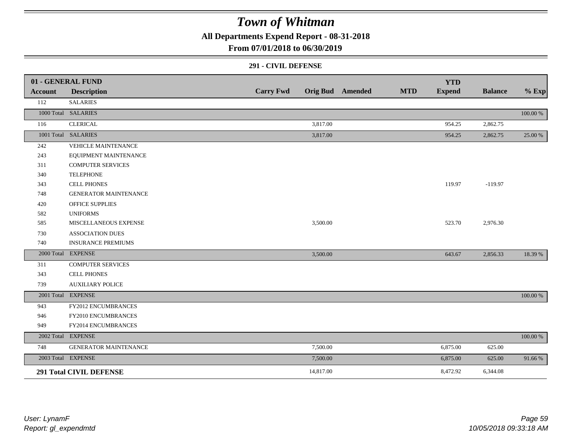**All Departments Expend Report - 08-31-2018**

**From 07/01/2018 to 06/30/2019**

#### **291 - CIVIL DEFENSE**

|                | 01 - GENERAL FUND              |                  |           |                         |            | <b>YTD</b>    |                |          |
|----------------|--------------------------------|------------------|-----------|-------------------------|------------|---------------|----------------|----------|
| <b>Account</b> | <b>Description</b>             | <b>Carry Fwd</b> |           | <b>Orig Bud</b> Amended | <b>MTD</b> | <b>Expend</b> | <b>Balance</b> | $%$ Exp  |
| 112            | <b>SALARIES</b>                |                  |           |                         |            |               |                |          |
|                | 1000 Total SALARIES            |                  |           |                         |            |               |                | 100.00 % |
| 116            | <b>CLERICAL</b>                |                  | 3,817.00  |                         |            | 954.25        | 2,862.75       |          |
|                | 1001 Total SALARIES            |                  | 3,817.00  |                         |            | 954.25        | 2,862.75       | 25.00 %  |
| 242            | <b>VEHICLE MAINTENANCE</b>     |                  |           |                         |            |               |                |          |
| 243            | EQUIPMENT MAINTENANCE          |                  |           |                         |            |               |                |          |
| 311            | <b>COMPUTER SERVICES</b>       |                  |           |                         |            |               |                |          |
| 340            | <b>TELEPHONE</b>               |                  |           |                         |            |               |                |          |
| 343            | <b>CELL PHONES</b>             |                  |           |                         |            | 119.97        | $-119.97$      |          |
| 748            | <b>GENERATOR MAINTENANCE</b>   |                  |           |                         |            |               |                |          |
| 420            | <b>OFFICE SUPPLIES</b>         |                  |           |                         |            |               |                |          |
| 582            | <b>UNIFORMS</b>                |                  |           |                         |            |               |                |          |
| 585            | MISCELLANEOUS EXPENSE          |                  | 3,500.00  |                         |            | 523.70        | 2,976.30       |          |
| 730            | <b>ASSOCIATION DUES</b>        |                  |           |                         |            |               |                |          |
| 740            | <b>INSURANCE PREMIUMS</b>      |                  |           |                         |            |               |                |          |
|                | 2000 Total EXPENSE             |                  | 3,500.00  |                         |            | 643.67        | 2,856.33       | 18.39 %  |
| 311            | <b>COMPUTER SERVICES</b>       |                  |           |                         |            |               |                |          |
| 343            | <b>CELL PHONES</b>             |                  |           |                         |            |               |                |          |
| 739            | <b>AUXILIARY POLICE</b>        |                  |           |                         |            |               |                |          |
|                | 2001 Total EXPENSE             |                  |           |                         |            |               |                | 100.00 % |
| 943            | FY2012 ENCUMBRANCES            |                  |           |                         |            |               |                |          |
| 946            | FY2010 ENCUMBRANCES            |                  |           |                         |            |               |                |          |
| 949            | FY2014 ENCUMBRANCES            |                  |           |                         |            |               |                |          |
|                | 2002 Total EXPENSE             |                  |           |                         |            |               |                | 100.00 % |
| 748            | <b>GENERATOR MAINTENANCE</b>   |                  | 7,500.00  |                         |            | 6,875.00      | 625.00         |          |
|                | 2003 Total EXPENSE             |                  | 7,500.00  |                         |            | 6,875.00      | 625.00         | 91.66%   |
|                | <b>291 Total CIVIL DEFENSE</b> |                  | 14,817.00 |                         |            | 8,472.92      | 6,344.08       |          |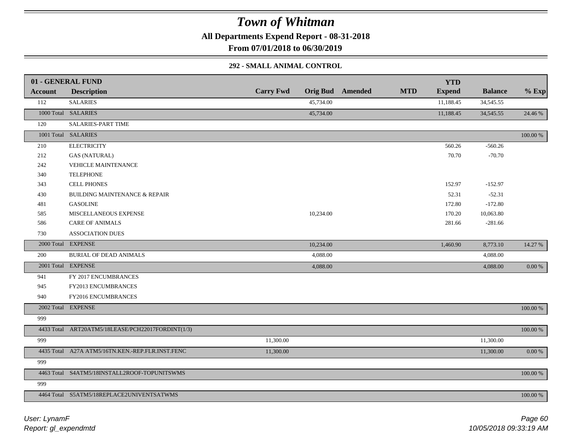**All Departments Expend Report - 08-31-2018**

**From 07/01/2018 to 06/30/2019**

#### **292 - SMALL ANIMAL CONTROL**

|                | 01 - GENERAL FUND                                 |                  |           |                         |            | <b>YTD</b>    |                |           |
|----------------|---------------------------------------------------|------------------|-----------|-------------------------|------------|---------------|----------------|-----------|
| <b>Account</b> | <b>Description</b>                                | <b>Carry Fwd</b> |           | <b>Orig Bud</b> Amended | <b>MTD</b> | <b>Expend</b> | <b>Balance</b> | $%$ Exp   |
| 112            | <b>SALARIES</b>                                   |                  | 45,734.00 |                         |            | 11,188.45     | 34,545.55      |           |
|                | 1000 Total SALARIES                               |                  | 45,734.00 |                         |            | 11,188.45     | 34, 545.55     | 24.46 %   |
| 120            | SALARIES-PART TIME                                |                  |           |                         |            |               |                |           |
|                | 1001 Total SALARIES                               |                  |           |                         |            |               |                | 100.00 %  |
| 210            | <b>ELECTRICITY</b>                                |                  |           |                         |            | 560.26        | $-560.26$      |           |
| 212            | <b>GAS (NATURAL)</b>                              |                  |           |                         |            | 70.70         | $-70.70$       |           |
| 242            | <b>VEHICLE MAINTENANCE</b>                        |                  |           |                         |            |               |                |           |
| 340            | <b>TELEPHONE</b>                                  |                  |           |                         |            |               |                |           |
| 343            | <b>CELL PHONES</b>                                |                  |           |                         |            | 152.97        | $-152.97$      |           |
| 430            | <b>BUILDING MAINTENANCE &amp; REPAIR</b>          |                  |           |                         |            | 52.31         | $-52.31$       |           |
| 481            | <b>GASOLINE</b>                                   |                  |           |                         |            | 172.80        | $-172.80$      |           |
| 585            | MISCELLANEOUS EXPENSE                             |                  | 10,234.00 |                         |            | 170.20        | 10,063.80      |           |
| 586            | <b>CARE OF ANIMALS</b>                            |                  |           |                         |            | 281.66        | $-281.66$      |           |
| 730            | <b>ASSOCIATION DUES</b>                           |                  |           |                         |            |               |                |           |
|                | 2000 Total EXPENSE                                |                  | 10,234.00 |                         |            | 1,460.90      | 8,773.10       | 14.27 %   |
| 200            | BURIAL OF DEAD ANIMALS                            |                  | 4,088.00  |                         |            |               | 4,088.00       |           |
|                | 2001 Total EXPENSE                                |                  | 4,088.00  |                         |            |               | 4,088.00       | $0.00 \%$ |
| 941            | FY 2017 ENCUMBRANCES                              |                  |           |                         |            |               |                |           |
| 945            | FY2013 ENCUMBRANCES                               |                  |           |                         |            |               |                |           |
| 940            | FY2016 ENCUMBRANCES                               |                  |           |                         |            |               |                |           |
|                | 2002 Total EXPENSE                                |                  |           |                         |            |               |                | 100.00 %  |
| 999            |                                                   |                  |           |                         |            |               |                |           |
|                | 4433 Total ART20ATM5/18LEASE/PCH22017FORDINT(1/3) |                  |           |                         |            |               |                | 100.00 %  |
| 999            |                                                   | 11,300.00        |           |                         |            |               | 11,300.00      |           |
|                | 4435 Total A27A ATM5/16TN.KEN.-REP.FLR.INST.FENC  | 11,300.00        |           |                         |            |               | 11,300.00      | $0.00 \%$ |
| 999            |                                                   |                  |           |                         |            |               |                |           |
|                | 4463 Total S4ATM5/18INSTALL2ROOF-TOPUNITSWMS      |                  |           |                         |            |               |                | 100.00 %  |
| 999            |                                                   |                  |           |                         |            |               |                |           |
|                | 4464 Total S5ATM5/18REPLACE2UNIVENTSATWMS         |                  |           |                         |            |               |                | 100.00 %  |
|                |                                                   |                  |           |                         |            |               |                |           |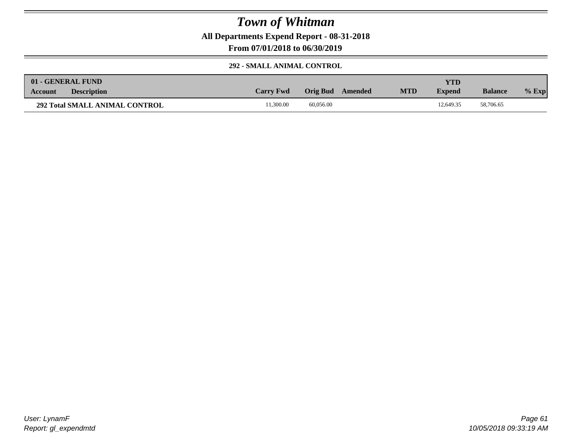**All Departments Expend Report - 08-31-2018**

**From 07/01/2018 to 06/30/2019**

#### **292 - SMALL ANIMAL CONTROL**

| 01 - GENERAL FUND                     |                  |                  |            | YTD           |                |         |
|---------------------------------------|------------------|------------------|------------|---------------|----------------|---------|
| <b>Description</b><br>Account         | <b>Carry Fwd</b> | Orig Bud Amended | <b>MTD</b> | <b>Expend</b> | <b>Balance</b> | $%$ Exp |
| <b>292 Total SMALL ANIMAL CONTROL</b> | 1.300.00         | 60,056.00        |            | 12.649.35     | 58,706.65      |         |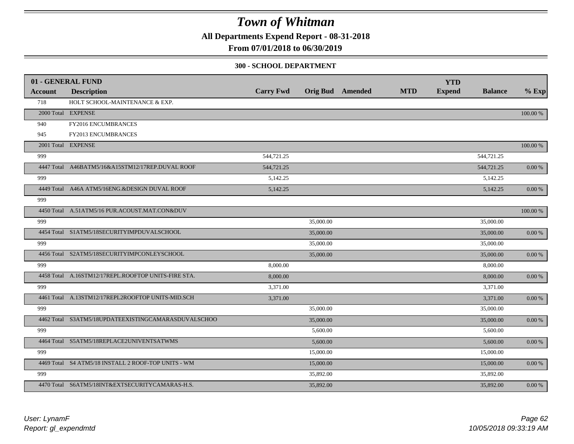**All Departments Expend Report - 08-31-2018**

**From 07/01/2018 to 06/30/2019**

#### **300 - SCHOOL DEPARTMENT**

|                | 01 - GENERAL FUND                                   |                  |           |                         |            | <b>YTD</b>    |                |            |
|----------------|-----------------------------------------------------|------------------|-----------|-------------------------|------------|---------------|----------------|------------|
| <b>Account</b> | <b>Description</b>                                  | <b>Carry Fwd</b> |           | <b>Orig Bud</b> Amended | <b>MTD</b> | <b>Expend</b> | <b>Balance</b> | $%$ Exp    |
| 718            | HOLT SCHOOL-MAINTENANCE & EXP.                      |                  |           |                         |            |               |                |            |
|                | 2000 Total EXPENSE                                  |                  |           |                         |            |               |                | 100.00 %   |
| 940            | FY2016 ENCUMBRANCES                                 |                  |           |                         |            |               |                |            |
| 945            | FY2013 ENCUMBRANCES                                 |                  |           |                         |            |               |                |            |
|                | 2001 Total EXPENSE                                  |                  |           |                         |            |               |                | 100.00 %   |
| 999            |                                                     | 544,721.25       |           |                         |            |               | 544,721.25     |            |
|                | 4447 Total A46BATM5/16&A15STM12/17REP.DUVAL ROOF    | 544,721.25       |           |                         |            |               | 544,721.25     | 0.00 %     |
| 999            |                                                     | 5,142.25         |           |                         |            |               | 5,142.25       |            |
|                | 4449 Total A46A ATM5/16ENG.&DESIGN DUVAL ROOF       | 5,142.25         |           |                         |            |               | 5,142.25       | 0.00 %     |
| 999            |                                                     |                  |           |                         |            |               |                |            |
|                | 4450 Total A.51ATM5/16 PUR.ACOUST.MAT.CON&DUV       |                  |           |                         |            |               |                | 100.00 %   |
| 999            |                                                     |                  | 35,000.00 |                         |            |               | 35,000.00      |            |
|                | 4454 Total S1ATM5/18SECURITYIMPDUVALSCHOOL          |                  | 35,000.00 |                         |            |               | 35,000.00      | 0.00 %     |
| 999            |                                                     |                  | 35,000.00 |                         |            |               | 35,000.00      |            |
|                | 4456 Total S2ATM5/18SECURITYIMPCONLEYSCHOOL         |                  | 35,000.00 |                         |            |               | 35,000.00      | $0.00\ \%$ |
| 999            |                                                     | 8,000.00         |           |                         |            |               | 8,000.00       |            |
|                | 4458 Total A.16STM12/17REPL.ROOFTOP UNITS-FIRE STA. | 8,000.00         |           |                         |            |               | 8,000.00       | 0.00 %     |
| 999            |                                                     | 3,371.00         |           |                         |            |               | 3,371.00       |            |
|                | 4461 Total A.13STM12/17REPL2ROOFTOP UNITS-MID.SCH   | 3,371.00         |           |                         |            |               | 3,371.00       | $0.00\ \%$ |
| 999            |                                                     |                  | 35,000.00 |                         |            |               | 35,000.00      |            |
|                | 4462 Total S3ATM5/18UPDATEEXISTINGCAMARASDUVALSCHOO |                  | 35,000.00 |                         |            |               | 35,000.00      | $0.00\ \%$ |
| 999            |                                                     |                  | 5,600.00  |                         |            |               | 5,600.00       |            |
|                | 4464 Total S5ATM5/18REPLACE2UNIVENTSATWMS           |                  | 5,600.00  |                         |            |               | 5,600.00       | $0.00~\%$  |
| 999            |                                                     |                  | 15,000.00 |                         |            |               | 15,000.00      |            |
|                | 4469 Total S4 ATM5/18 INSTALL 2 ROOF-TOP UNITS - WM |                  | 15,000.00 |                         |            |               | 15,000.00      | 0.00 %     |
| 999            |                                                     |                  | 35,892.00 |                         |            |               | 35,892.00      |            |
|                | 4470 Total S6ATM5/18INT&EXTSECURITYCAMARAS-H.S.     |                  | 35,892.00 |                         |            |               | 35,892.00      | $0.00\ \%$ |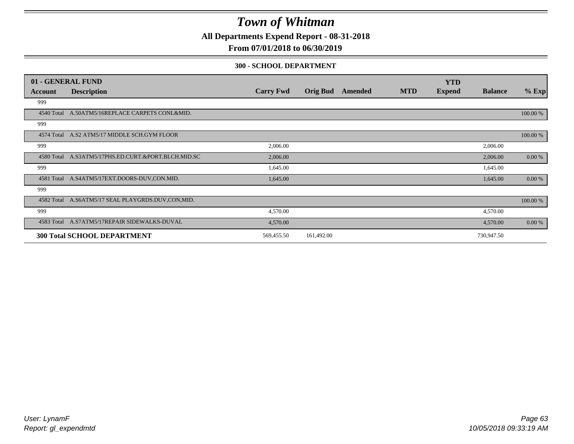**All Departments Expend Report - 08-31-2018**

### **From 07/01/2018 to 06/30/2019**

#### **300 - SCHOOL DEPARTMENT**

|            | 01 - GENERAL FUND                                   |                  |                 |         |            | <b>YTD</b>    |                |           |
|------------|-----------------------------------------------------|------------------|-----------------|---------|------------|---------------|----------------|-----------|
| Account    | <b>Description</b>                                  | <b>Carry Fwd</b> | <b>Orig Bud</b> | Amended | <b>MTD</b> | <b>Expend</b> | <b>Balance</b> | $%$ Exp   |
| 999        |                                                     |                  |                 |         |            |               |                |           |
| 4540 Total | A.50ATM5/16REPLACE CARPETS CONL&MID.                |                  |                 |         |            |               |                | 100.00 %  |
| 999        |                                                     |                  |                 |         |            |               |                |           |
|            | 4574 Total A.S2 ATM5/17 MIDDLE SCH.GYM FLOOR        |                  |                 |         |            |               |                | 100.00 %  |
| 999        |                                                     | 2,006.00         |                 |         |            |               | 2,006.00       |           |
|            | 4580 Total A.S3ATM5/17PHS.ED.CURT.&PORT.BLCH.MID.SC | 2,006.00         |                 |         |            |               | 2,006.00       | 0.00 %    |
| 999        |                                                     | 1,645.00         |                 |         |            |               | 1,645.00       |           |
| 4581 Total | A.S4ATM5/17EXT.DOORS-DUV.CON.MID.                   | 1,645.00         |                 |         |            |               | 1,645.00       | $0.00 \%$ |
| 999        |                                                     |                  |                 |         |            |               |                |           |
| 4582 Total | A.S6ATM5/17 SEAL PLAYGRDS.DUV,CON,MID.              |                  |                 |         |            |               |                | 100.00 %  |
| 999        |                                                     | 4,570.00         |                 |         |            |               | 4,570.00       |           |
|            | 4583 Total A.S7ATM5/17REPAIR SIDEWALKS-DUVAL        | 4,570.00         |                 |         |            |               | 4,570.00       | 0.00 %    |
|            | <b>300 Total SCHOOL DEPARTMENT</b>                  | 569,455.50       | 161,492.00      |         |            |               | 730,947.50     |           |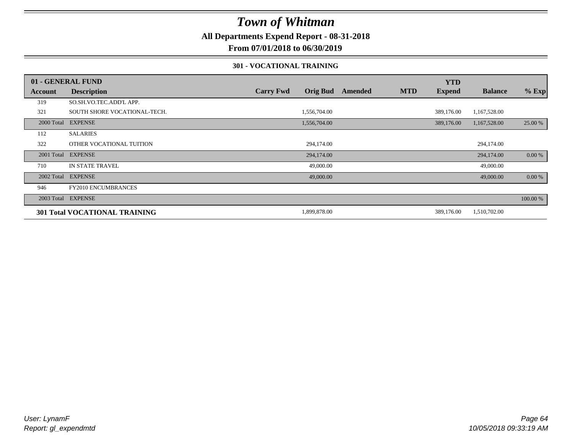**All Departments Expend Report - 08-31-2018**

**From 07/01/2018 to 06/30/2019**

#### **301 - VOCATIONAL TRAINING**

|         | 01 - GENERAL FUND                    |                                     |         |            | <b>YTD</b>    |                |          |
|---------|--------------------------------------|-------------------------------------|---------|------------|---------------|----------------|----------|
| Account | <b>Description</b>                   | <b>Orig Bud</b><br><b>Carry Fwd</b> | Amended | <b>MTD</b> | <b>Expend</b> | <b>Balance</b> | $%$ Exp  |
| 319     | SO.SH.VO.TEC.ADD'L APP.              |                                     |         |            |               |                |          |
| 321     | SOUTH SHORE VOCATIONAL-TECH.         | 1,556,704.00                        |         |            | 389,176.00    | 1,167,528.00   |          |
|         | 2000 Total EXPENSE                   | 1,556,704.00                        |         |            | 389,176.00    | 1,167,528.00   | 25.00 %  |
| 112     | <b>SALARIES</b>                      |                                     |         |            |               |                |          |
| 322     | OTHER VOCATIONAL TUITION             | 294,174.00                          |         |            |               | 294,174.00     |          |
|         | 2001 Total EXPENSE                   | 294,174.00                          |         |            |               | 294,174.00     | 0.00 %   |
| 710     | IN STATE TRAVEL                      | 49,000.00                           |         |            |               | 49,000.00      |          |
|         | 2002 Total EXPENSE                   | 49,000.00                           |         |            |               | 49,000.00      | 0.00 %   |
| 946     | <b>FY2010 ENCUMBRANCES</b>           |                                     |         |            |               |                |          |
|         | 2003 Total EXPENSE                   |                                     |         |            |               |                | 100.00 % |
|         | <b>301 Total VOCATIONAL TRAINING</b> | 1,899,878.00                        |         |            | 389,176.00    | 1,510,702.00   |          |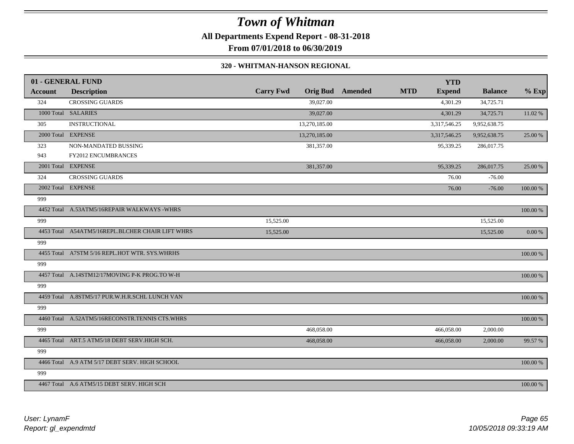**All Departments Expend Report - 08-31-2018**

**From 07/01/2018 to 06/30/2019**

#### **320 - WHITMAN-HANSON REGIONAL**

|         | 01 - GENERAL FUND                                |                  |                 |         |            | <b>YTD</b>    |                |             |
|---------|--------------------------------------------------|------------------|-----------------|---------|------------|---------------|----------------|-------------|
| Account | <b>Description</b>                               | <b>Carry Fwd</b> | <b>Orig Bud</b> | Amended | <b>MTD</b> | <b>Expend</b> | <b>Balance</b> | $%$ Exp     |
| 324     | <b>CROSSING GUARDS</b>                           |                  | 39,027.00       |         |            | 4,301.29      | 34,725.71      |             |
|         | 1000 Total SALARIES                              |                  | 39,027.00       |         |            | 4,301.29      | 34,725.71      | 11.02 %     |
| 305     | <b>INSTRUCTIONAL</b>                             |                  | 13,270,185.00   |         |            | 3,317,546.25  | 9,952,638.75   |             |
|         | 2000 Total EXPENSE                               |                  | 13,270,185.00   |         |            | 3,317,546.25  | 9,952,638.75   | 25.00 %     |
| 323     | NON-MANDATED BUSSING                             |                  | 381,357.00      |         |            | 95,339.25     | 286,017.75     |             |
| 943     | <b>FY2012 ENCUMBRANCES</b>                       |                  |                 |         |            |               |                |             |
|         | 2001 Total EXPENSE                               |                  | 381,357.00      |         |            | 95,339.25     | 286,017.75     | 25.00 %     |
| 324     | <b>CROSSING GUARDS</b>                           |                  |                 |         |            | 76.00         | $-76.00$       |             |
|         | 2002 Total EXPENSE                               |                  |                 |         |            | 76.00         | $-76.00$       | 100.00 %    |
| 999     |                                                  |                  |                 |         |            |               |                |             |
|         | 4452 Total A.53ATM5/16REPAIR WALKWAYS -WHRS      |                  |                 |         |            |               |                | 100.00 %    |
| 999     |                                                  | 15,525.00        |                 |         |            |               | 15,525.00      |             |
|         | 4453 Total A54ATM5/16REPL.BLCHER CHAIR LIFT WHRS | 15,525.00        |                 |         |            |               | 15,525.00      | $0.00~\%$   |
| 999     |                                                  |                  |                 |         |            |               |                |             |
|         | 4455 Total A7STM 5/16 REPL.HOT WTR. SYS.WHRHS    |                  |                 |         |            |               |                | 100.00 %    |
| 999     |                                                  |                  |                 |         |            |               |                |             |
|         | 4457 Total A.14STM12/17MOVING P-K PROG.TO W-H    |                  |                 |         |            |               |                | 100.00 %    |
| 999     |                                                  |                  |                 |         |            |               |                |             |
|         | 4459 Total A.8STM5/17 PUR.W.H.R.SCHL LUNCH VAN   |                  |                 |         |            |               |                | 100.00 %    |
| 999     |                                                  |                  |                 |         |            |               |                |             |
|         | 4460 Total A.52ATM5/16RECONSTR.TENNIS CTS.WHRS   |                  |                 |         |            |               |                | $100.00~\%$ |
| 999     |                                                  |                  | 468,058.00      |         |            | 466,058.00    | 2,000.00       |             |
|         | 4465 Total ART.5 ATM5/18 DEBT SERV.HIGH SCH.     |                  | 468,058.00      |         |            | 466,058.00    | 2,000.00       | 99.57%      |
| 999     |                                                  |                  |                 |         |            |               |                |             |
|         | 4466 Total A.9 ATM 5/17 DEBT SERV. HIGH SCHOOL   |                  |                 |         |            |               |                | 100.00 %    |
| 999     |                                                  |                  |                 |         |            |               |                |             |
|         | 4467 Total A.6 ATM5/15 DEBT SERV. HIGH SCH       |                  |                 |         |            |               |                | 100.00 %    |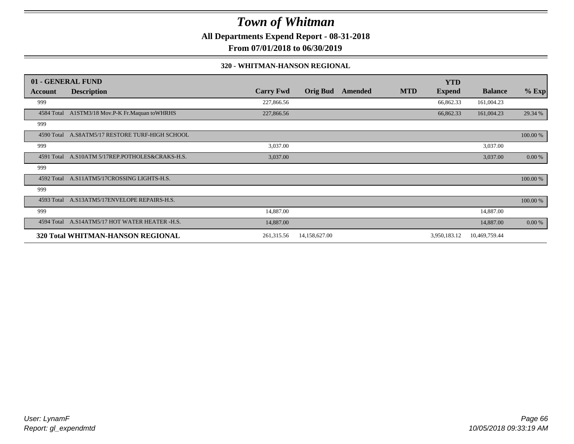**All Departments Expend Report - 08-31-2018**

**From 07/01/2018 to 06/30/2019**

#### **320 - WHITMAN-HANSON REGIONAL**

|            | 01 - GENERAL FUND                               |                  |                 |         |            | <b>YTD</b>    |                |          |
|------------|-------------------------------------------------|------------------|-----------------|---------|------------|---------------|----------------|----------|
| Account    | <b>Description</b>                              | <b>Carry Fwd</b> | <b>Orig Bud</b> | Amended | <b>MTD</b> | <b>Expend</b> | <b>Balance</b> | $%$ Exp  |
| 999        |                                                 | 227,866.56       |                 |         |            | 66,862.33     | 161,004.23     |          |
| 4584 Total | A1STM3/18 Mov.P-K Fr.Maquan to WHRHS            | 227,866.56       |                 |         |            | 66,862.33     | 161,004.23     | 29.34 %  |
| 999        |                                                 |                  |                 |         |            |               |                |          |
|            | 4590 Total A.S8ATM5/17 RESTORE TURF-HIGH SCHOOL |                  |                 |         |            |               |                | 100.00 % |
| 999        |                                                 | 3,037.00         |                 |         |            |               | 3,037.00       |          |
| 4591 Total | A.S10ATM 5/17REP.POTHOLES&CRAKS-H.S.            | 3,037.00         |                 |         |            |               | 3,037.00       | 0.00 %   |
| 999        |                                                 |                  |                 |         |            |               |                |          |
| 4592 Total | A.S11ATM5/17CROSSING LIGHTS-H.S.                |                  |                 |         |            |               |                | 100.00 % |
| 999        |                                                 |                  |                 |         |            |               |                |          |
|            | 4593 Total A.S13ATM5/17ENVELOPE REPAIRS-H.S.    |                  |                 |         |            |               |                | 100.00 % |
| 999        |                                                 | 14,887.00        |                 |         |            |               | 14,887.00      |          |
| 4594 Total | A.S14ATM5/17 HOT WATER HEATER -H.S.             | 14,887.00        |                 |         |            |               | 14,887.00      | 0.00 %   |
|            | 320 Total WHITMAN-HANSON REGIONAL               | 261,315.56       | 14,158,627.00   |         |            | 3,950,183.12  | 10,469,759.44  |          |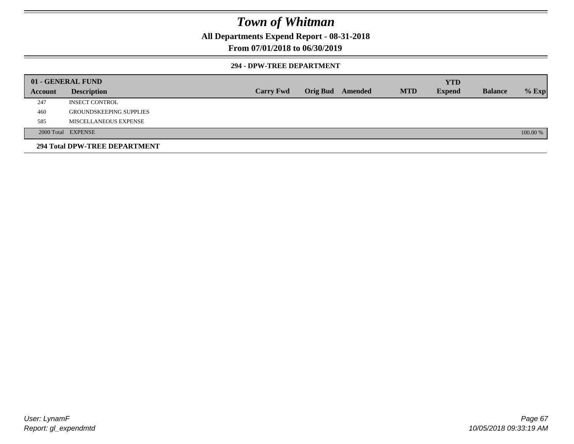**All Departments Expend Report - 08-31-2018**

### **From 07/01/2018 to 06/30/2019**

#### **294 - DPW-TREE DEPARTMENT**

|         | 01 - GENERAL FUND              |                  |  |                  |            | <b>YTD</b>    |                |          |
|---------|--------------------------------|------------------|--|------------------|------------|---------------|----------------|----------|
| Account | <b>Description</b>             | <b>Carry Fwd</b> |  | Orig Bud Amended | <b>MTD</b> | <b>Expend</b> | <b>Balance</b> | $%$ Exp  |
| 247     | <b>INSECT CONTROL</b>          |                  |  |                  |            |               |                |          |
| 460     | <b>GROUNDSKEEPING SUPPLIES</b> |                  |  |                  |            |               |                |          |
| 585     | MISCELLANEOUS EXPENSE          |                  |  |                  |            |               |                |          |
|         | 2000 Total EXPENSE             |                  |  |                  |            |               |                | 100.00 % |
|         | 294 Total DPW-TREE DEPARTMENT  |                  |  |                  |            |               |                |          |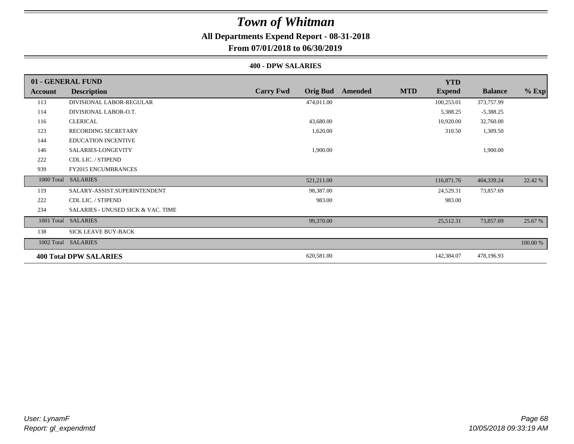## **All Departments Expend Report - 08-31-2018**

### **From 07/01/2018 to 06/30/2019**

#### **400 - DPW SALARIES**

|         | 01 - GENERAL FUND                  |                                     |                       | <b>YTD</b>    |                |          |
|---------|------------------------------------|-------------------------------------|-----------------------|---------------|----------------|----------|
| Account | <b>Description</b>                 | <b>Carry Fwd</b><br><b>Orig Bud</b> | <b>MTD</b><br>Amended | <b>Expend</b> | <b>Balance</b> | $%$ Exp  |
| 113     | DIVISIONAL LABOR-REGULAR           | 474,011.00                          |                       | 100,253.01    | 373,757.99     |          |
| 114     | DIVISIONAL LABOR-O.T.              |                                     |                       | 5,388.25      | $-5,388.25$    |          |
| 116     | <b>CLERICAL</b>                    | 43,680.00                           |                       | 10,920.00     | 32,760.00      |          |
| 123     | <b>RECORDING SECRETARY</b>         | 1,620.00                            |                       | 310.50        | 1,309.50       |          |
| 144     | <b>EDUCATION INCENTIVE</b>         |                                     |                       |               |                |          |
| 146     | SALARIES-LONGEVITY                 | 1,900.00                            |                       |               | 1,900.00       |          |
| 222     | CDL LIC. / STIPEND                 |                                     |                       |               |                |          |
| 939     | <b>FY2015 ENCUMBRANCES</b>         |                                     |                       |               |                |          |
|         | 1000 Total SALARIES                | 521,211.00                          |                       | 116,871.76    | 404,339.24     | 22.42 %  |
| 119     | SALARY-ASSIST.SUPERINTENDENT       | 98,387.00                           |                       | 24,529.31     | 73,857.69      |          |
| 222     | CDL LIC. / STIPEND                 | 983.00                              |                       | 983.00        |                |          |
| 234     | SALARIES - UNUSED SICK & VAC. TIME |                                     |                       |               |                |          |
|         | 1001 Total SALARIES                | 99,370.00                           |                       | 25,512.31     | 73,857.69      | 25.67 %  |
| 138     | SICK LEAVE BUY-BACK                |                                     |                       |               |                |          |
|         | 1002 Total SALARIES                |                                     |                       |               |                | 100.00 % |
|         | <b>400 Total DPW SALARIES</b>      | 620,581.00                          |                       | 142,384.07    | 478,196.93     |          |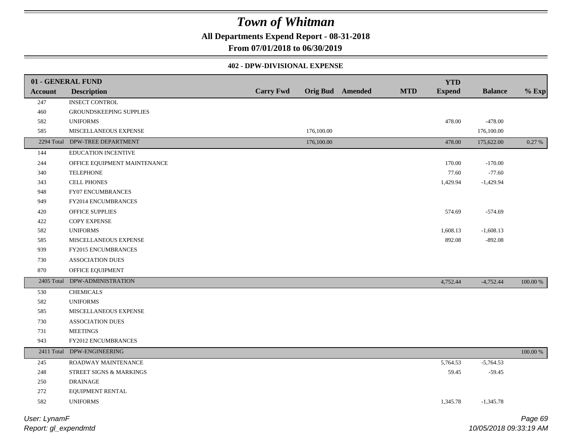**All Departments Expend Report - 08-31-2018**

**From 07/01/2018 to 06/30/2019**

### **402 - DPW-DIVISIONAL EXPENSE**

|                | 01 - GENERAL FUND              |                  |            |                         |            | <b>YTD</b>    |                |             |
|----------------|--------------------------------|------------------|------------|-------------------------|------------|---------------|----------------|-------------|
| <b>Account</b> | <b>Description</b>             | <b>Carry Fwd</b> |            | <b>Orig Bud</b> Amended | <b>MTD</b> | <b>Expend</b> | <b>Balance</b> | $%$ Exp     |
| 247            | <b>INSECT CONTROL</b>          |                  |            |                         |            |               |                |             |
| 460            | GROUNDSKEEPING SUPPLIES        |                  |            |                         |            |               |                |             |
| 582            | <b>UNIFORMS</b>                |                  |            |                         |            | 478.00        | $-478.00$      |             |
| 585            | MISCELLANEOUS EXPENSE          |                  | 176,100.00 |                         |            |               | 176,100.00     |             |
|                | 2294 Total DPW-TREE DEPARTMENT |                  | 176,100.00 |                         |            | 478.00        | 175,622.00     | 0.27 %      |
| 144            | <b>EDUCATION INCENTIVE</b>     |                  |            |                         |            |               |                |             |
| 244            | OFFICE EQUIPMENT MAINTENANCE   |                  |            |                         |            | 170.00        | $-170.00$      |             |
| 340            | <b>TELEPHONE</b>               |                  |            |                         |            | 77.60         | $-77.60$       |             |
| 343            | <b>CELL PHONES</b>             |                  |            |                         |            | 1,429.94      | $-1,429.94$    |             |
| 948            | FY07 ENCUMBRANCES              |                  |            |                         |            |               |                |             |
| 949            | FY2014 ENCUMBRANCES            |                  |            |                         |            |               |                |             |
| 420            | OFFICE SUPPLIES                |                  |            |                         |            | 574.69        | $-574.69$      |             |
| 422            | COPY EXPENSE                   |                  |            |                         |            |               |                |             |
| 582            | <b>UNIFORMS</b>                |                  |            |                         |            | 1,608.13      | $-1,608.13$    |             |
| 585            | MISCELLANEOUS EXPENSE          |                  |            |                         |            | 892.08        | $-892.08$      |             |
| 939            | FY2015 ENCUMBRANCES            |                  |            |                         |            |               |                |             |
| 730            | <b>ASSOCIATION DUES</b>        |                  |            |                         |            |               |                |             |
| 870            | OFFICE EQUIPMENT               |                  |            |                         |            |               |                |             |
| 2405 Total     | DPW-ADMINISTRATION             |                  |            |                         |            | 4,752.44      | $-4,752.44$    | 100.00 %    |
| 530            | <b>CHEMICALS</b>               |                  |            |                         |            |               |                |             |
| 582            | <b>UNIFORMS</b>                |                  |            |                         |            |               |                |             |
| 585            | MISCELLANEOUS EXPENSE          |                  |            |                         |            |               |                |             |
| 730            | <b>ASSOCIATION DUES</b>        |                  |            |                         |            |               |                |             |
| 731            | <b>MEETINGS</b>                |                  |            |                         |            |               |                |             |
| 943            | FY2012 ENCUMBRANCES            |                  |            |                         |            |               |                |             |
| 2411 Total     | DPW-ENGINEERING                |                  |            |                         |            |               |                | $100.00~\%$ |
| 245            | ROADWAY MAINTENANCE            |                  |            |                         |            | 5,764.53      | $-5,764.53$    |             |
| $248\,$        | STREET SIGNS & MARKINGS        |                  |            |                         |            | 59.45         | $-59.45$       |             |
| 250            | <b>DRAINAGE</b>                |                  |            |                         |            |               |                |             |
| 272            | EQUIPMENT RENTAL               |                  |            |                         |            |               |                |             |
| 582            | <b>UNIFORMS</b>                |                  |            |                         |            | 1,345.78      | $-1,345.78$    |             |
| User: LynamF   |                                |                  |            |                         |            |               |                | Page 69     |

*Report: gl\_expendmtd*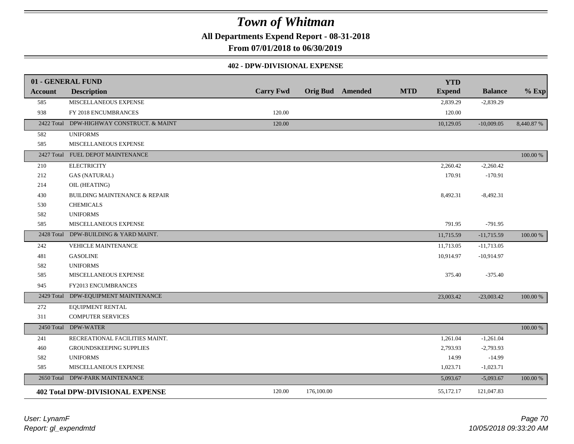**All Departments Expend Report - 08-31-2018**

**From 07/01/2018 to 06/30/2019**

#### **402 - DPW-DIVISIONAL EXPENSE**

|                | 01 - GENERAL FUND                        |                  |            |                         |            | <b>YTD</b>    |                |           |
|----------------|------------------------------------------|------------------|------------|-------------------------|------------|---------------|----------------|-----------|
| <b>Account</b> | <b>Description</b>                       | <b>Carry Fwd</b> |            | <b>Orig Bud</b> Amended | <b>MTD</b> | <b>Expend</b> | <b>Balance</b> | $%$ Exp   |
| 585            | MISCELLANEOUS EXPENSE                    |                  |            |                         |            | 2,839.29      | $-2,839.29$    |           |
| 938            | FY 2018 ENCUMBRANCES                     | 120.00           |            |                         |            | 120.00        |                |           |
| 2422 Total     | DPW-HIGHWAY CONSTRUCT. & MAINT           | 120.00           |            |                         |            | 10,129.05     | $-10,009.05$   | 8,440.87% |
| 582            | <b>UNIFORMS</b>                          |                  |            |                         |            |               |                |           |
| 585            | MISCELLANEOUS EXPENSE                    |                  |            |                         |            |               |                |           |
|                | 2427 Total FUEL DEPOT MAINTENANCE        |                  |            |                         |            |               |                | 100.00 %  |
| 210            | <b>ELECTRICITY</b>                       |                  |            |                         |            | 2,260.42      | $-2,260.42$    |           |
| 212            | <b>GAS (NATURAL)</b>                     |                  |            |                         |            | 170.91        | $-170.91$      |           |
| 214            | OIL (HEATING)                            |                  |            |                         |            |               |                |           |
| 430            | <b>BUILDING MAINTENANCE &amp; REPAIR</b> |                  |            |                         |            | 8,492.31      | $-8,492.31$    |           |
| 530            | <b>CHEMICALS</b>                         |                  |            |                         |            |               |                |           |
| 582            | <b>UNIFORMS</b>                          |                  |            |                         |            |               |                |           |
| 585            | MISCELLANEOUS EXPENSE                    |                  |            |                         |            | 791.95        | $-791.95$      |           |
|                | 2428 Total DPW-BUILDING & YARD MAINT.    |                  |            |                         |            | 11,715.59     | $-11,715.59$   | 100.00 %  |
| 242            | VEHICLE MAINTENANCE                      |                  |            |                         |            | 11,713.05     | $-11,713.05$   |           |
| 481            | <b>GASOLINE</b>                          |                  |            |                         |            | 10,914.97     | $-10,914.97$   |           |
| 582            | <b>UNIFORMS</b>                          |                  |            |                         |            |               |                |           |
| 585            | MISCELLANEOUS EXPENSE                    |                  |            |                         |            | 375.40        | $-375.40$      |           |
| 945            | FY2013 ENCUMBRANCES                      |                  |            |                         |            |               |                |           |
| 2429 Total     | DPW-EQUIPMENT MAINTENANCE                |                  |            |                         |            | 23,003.42     | $-23,003.42$   | 100.00 %  |
| 272            | EQUIPMENT RENTAL                         |                  |            |                         |            |               |                |           |
| 311            | <b>COMPUTER SERVICES</b>                 |                  |            |                         |            |               |                |           |
|                | 2450 Total DPW-WATER                     |                  |            |                         |            |               |                | 100.00 %  |
| 241            | RECREATIONAL FACILITIES MAINT.           |                  |            |                         |            | 1,261.04      | $-1,261.04$    |           |
| 460            | <b>GROUNDSKEEPING SUPPLIES</b>           |                  |            |                         |            | 2,793.93      | $-2,793.93$    |           |
| 582            | <b>UNIFORMS</b>                          |                  |            |                         |            | 14.99         | $-14.99$       |           |
| 585            | MISCELLANEOUS EXPENSE                    |                  |            |                         |            | 1,023.71      | $-1,023.71$    |           |
| 2650 Total     | DPW-PARK MAINTENANCE                     |                  |            |                         |            | 5,093.67      | $-5,093.67$    | 100.00 %  |
|                | <b>402 Total DPW-DIVISIONAL EXPENSE</b>  | 120.00           | 176,100.00 |                         |            | 55,172.17     | 121,047.83     |           |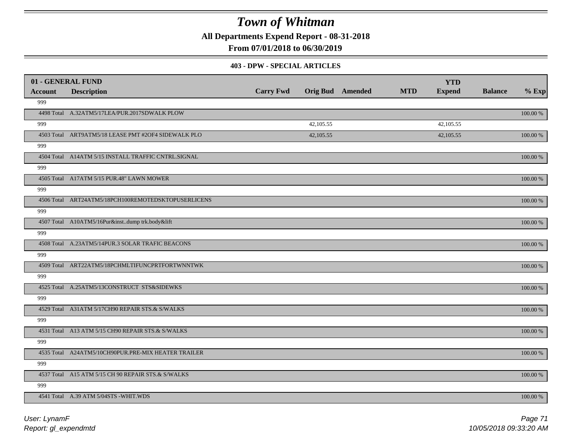**All Departments Expend Report - 08-31-2018**

**From 07/01/2018 to 06/30/2019**

#### **403 - DPW - SPECIAL ARTICLES**

| 01 - GENERAL FUND |                                                     |                  |                         |            | <b>YTD</b>    |                |          |
|-------------------|-----------------------------------------------------|------------------|-------------------------|------------|---------------|----------------|----------|
| <b>Account</b>    | <b>Description</b>                                  | <b>Carry Fwd</b> | <b>Orig Bud</b> Amended | <b>MTD</b> | <b>Expend</b> | <b>Balance</b> | $%$ Exp  |
| 999               |                                                     |                  |                         |            |               |                |          |
|                   | 4498 Total A.32ATM5/17LEA/PUR.2017SDWALK PLOW       |                  |                         |            |               |                | 100.00 % |
| 999               |                                                     |                  | 42,105.55               |            | 42,105.55     |                |          |
|                   | 4503 Total ART9ATM5/18 LEASE PMT #2OF4 SIDEWALK PLO |                  | 42,105.55               |            | 42,105.55     |                | 100.00 % |
| 999               |                                                     |                  |                         |            |               |                |          |
|                   | 4504 Total A14ATM 5/15 INSTALL TRAFFIC CNTRL.SIGNAL |                  |                         |            |               |                | 100.00 % |
| 999               |                                                     |                  |                         |            |               |                |          |
|                   | 4505 Total A17ATM 5/15 PUR.48" LAWN MOWER           |                  |                         |            |               |                | 100.00 % |
| 999               |                                                     |                  |                         |            |               |                |          |
|                   | 4506 Total ART24ATM5/18PCH100REMOTEDSKTOPUSERLICENS |                  |                         |            |               |                | 100.00 % |
| 999               |                                                     |                  |                         |            |               |                |          |
|                   | 4507 Total A10ATM5/16Pur&instdump trk.body&lift     |                  |                         |            |               |                | 100.00 % |
| 999               |                                                     |                  |                         |            |               |                |          |
|                   | 4508 Total A.23ATM5/14PUR.3 SOLAR TRAFIC BEACONS    |                  |                         |            |               |                | 100.00 % |
| 999               |                                                     |                  |                         |            |               |                |          |
|                   | 4509 Total ART22ATM5/18PCHMLTIFUNCPRTFORTWNNTWK     |                  |                         |            |               |                | 100.00 % |
| 999               |                                                     |                  |                         |            |               |                |          |
|                   | 4525 Total A.25ATM5/13CONSTRUCT STS&SIDEWKS         |                  |                         |            |               |                | 100.00 % |
| 999               |                                                     |                  |                         |            |               |                |          |
|                   | 4529 Total A31ATM 5/17CH90 REPAIR STS.& S/WALKS     |                  |                         |            |               |                | 100.00 % |
| 999               |                                                     |                  |                         |            |               |                |          |
|                   | 4531 Total A13 ATM 5/15 CH90 REPAIR STS.& S/WALKS   |                  |                         |            |               |                | 100.00 % |
| 999               |                                                     |                  |                         |            |               |                |          |
|                   | 4535 Total A24ATM5/10CH90PUR.PRE-MIX HEATER TRAILER |                  |                         |            |               |                | 100.00 % |
| 999               |                                                     |                  |                         |            |               |                |          |
|                   | 4537 Total A15 ATM 5/15 CH 90 REPAIR STS.& S/WALKS  |                  |                         |            |               |                | 100.00 % |
| 999               |                                                     |                  |                         |            |               |                |          |
|                   | 4541 Total A.39 ATM 5/04STS -WHIT.WDS               |                  |                         |            |               |                | 100.00 % |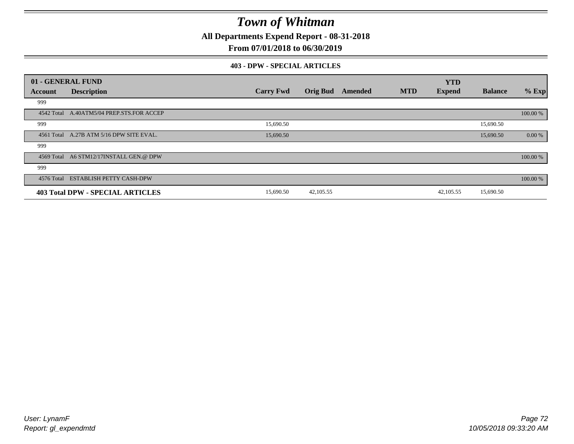**All Departments Expend Report - 08-31-2018**

**From 07/01/2018 to 06/30/2019**

#### **403 - DPW - SPECIAL ARTICLES**

| 01 - GENERAL FUND |                                           |                  |                 |         |            | <b>YTD</b>    |                |          |
|-------------------|-------------------------------------------|------------------|-----------------|---------|------------|---------------|----------------|----------|
| Account           | <b>Description</b>                        | <b>Carry Fwd</b> | <b>Orig Bud</b> | Amended | <b>MTD</b> | <b>Expend</b> | <b>Balance</b> | $%$ Exp  |
| 999               |                                           |                  |                 |         |            |               |                |          |
|                   | 4542 Total A.40ATM5/04 PREP.STS.FOR ACCEP |                  |                 |         |            |               |                | 100.00 % |
| 999               |                                           | 15,690.50        |                 |         |            |               | 15,690.50      |          |
|                   | 4561 Total A.27B ATM 5/16 DPW SITE EVAL.  | 15,690.50        |                 |         |            |               | 15,690.50      | 0.00 %   |
| 999               |                                           |                  |                 |         |            |               |                |          |
|                   | 4569 Total A6 STM12/17INSTALL GEN.@ DPW   |                  |                 |         |            |               |                | 100.00 % |
| 999               |                                           |                  |                 |         |            |               |                |          |
|                   | 4576 Total ESTABLISH PETTY CASH-DPW       |                  |                 |         |            |               |                | 100.00 % |
|                   | 403 Total DPW - SPECIAL ARTICLES          | 15,690.50        | 42, 105.55      |         |            | 42,105.55     | 15,690.50      |          |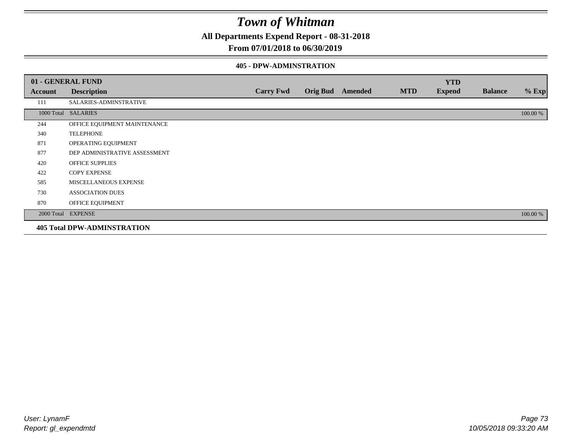**All Departments Expend Report - 08-31-2018**

### **From 07/01/2018 to 06/30/2019**

### **405 - DPW-ADMINSTRATION**

|         | 01 - GENERAL FUND                  |                  |                 |         |            | <b>YTD</b>    |                |          |
|---------|------------------------------------|------------------|-----------------|---------|------------|---------------|----------------|----------|
| Account | <b>Description</b>                 | <b>Carry Fwd</b> | <b>Orig Bud</b> | Amended | <b>MTD</b> | <b>Expend</b> | <b>Balance</b> | $%$ Exp  |
| 111     | SALARIES-ADMINSTRATIVE             |                  |                 |         |            |               |                |          |
|         | 1000 Total SALARIES                |                  |                 |         |            |               |                | 100.00 % |
| 244     | OFFICE EQUIPMENT MAINTENANCE       |                  |                 |         |            |               |                |          |
| 340     | <b>TELEPHONE</b>                   |                  |                 |         |            |               |                |          |
| 871     | OPERATING EQUIPMENT                |                  |                 |         |            |               |                |          |
| 877     | DEP ADMINISTRATIVE ASSESSMENT      |                  |                 |         |            |               |                |          |
| 420     | <b>OFFICE SUPPLIES</b>             |                  |                 |         |            |               |                |          |
| 422     | <b>COPY EXPENSE</b>                |                  |                 |         |            |               |                |          |
| 585     | MISCELLANEOUS EXPENSE              |                  |                 |         |            |               |                |          |
| 730     | <b>ASSOCIATION DUES</b>            |                  |                 |         |            |               |                |          |
| 870     | OFFICE EQUIPMENT                   |                  |                 |         |            |               |                |          |
|         | 2000 Total EXPENSE                 |                  |                 |         |            |               |                | 100.00 % |
|         | <b>405 Total DPW-ADMINSTRATION</b> |                  |                 |         |            |               |                |          |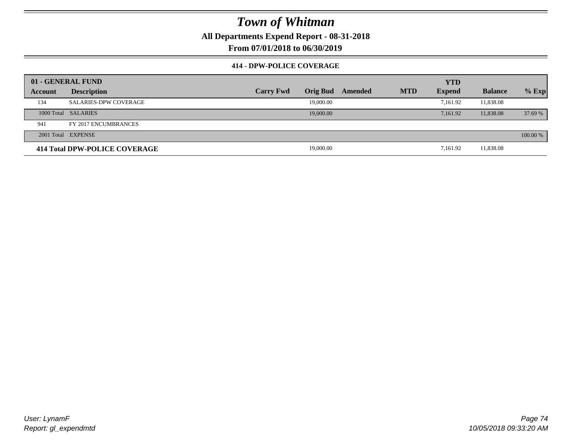**All Departments Expend Report - 08-31-2018**

**From 07/01/2018 to 06/30/2019**

### **414 - DPW-POLICE COVERAGE**

|         | 01 - GENERAL FUND             |                  |                 |         |            | <b>YTD</b>    |                |          |
|---------|-------------------------------|------------------|-----------------|---------|------------|---------------|----------------|----------|
| Account | <b>Description</b>            | <b>Carry Fwd</b> | <b>Orig Bud</b> | Amended | <b>MTD</b> | <b>Expend</b> | <b>Balance</b> | $%$ Exp  |
| 134     | <b>SALARIES-DPW COVERAGE</b>  |                  | 19,000.00       |         |            | 7,161.92      | 11,838.08      |          |
|         | 1000 Total SALARIES           |                  | 19,000.00       |         |            | 7.161.92      | 11,838.08      | 37.69 %  |
| 941     | FY 2017 ENCUMBRANCES          |                  |                 |         |            |               |                |          |
|         | 2001 Total EXPENSE            |                  |                 |         |            |               |                | 100.00 % |
|         | 414 Total DPW-POLICE COVERAGE |                  | 19,000.00       |         |            | 7,161.92      | 11,838.08      |          |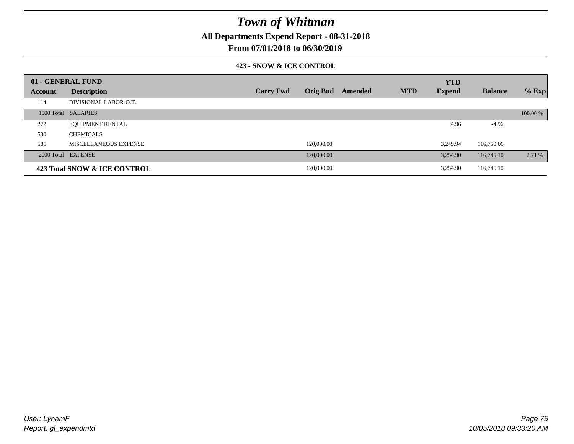**All Departments Expend Report - 08-31-2018**

**From 07/01/2018 to 06/30/2019**

### **423 - SNOW & ICE CONTROL**

|         | 01 - GENERAL FUND            |                  |                 |         |            | <b>YTD</b>    |                |          |
|---------|------------------------------|------------------|-----------------|---------|------------|---------------|----------------|----------|
| Account | <b>Description</b>           | <b>Carry Fwd</b> | <b>Orig Bud</b> | Amended | <b>MTD</b> | <b>Expend</b> | <b>Balance</b> | $%$ Exp  |
| 114     | DIVISIONAL LABOR-O.T.        |                  |                 |         |            |               |                |          |
|         | 1000 Total SALARIES          |                  |                 |         |            |               |                | 100.00 % |
| 272     | <b>EQUIPMENT RENTAL</b>      |                  |                 |         |            | 4.96          | $-4.96$        |          |
| 530     | <b>CHEMICALS</b>             |                  |                 |         |            |               |                |          |
| 585     | MISCELLANEOUS EXPENSE        |                  | 120,000.00      |         |            | 3.249.94      | 116,750.06     |          |
|         | 2000 Total EXPENSE           |                  | 120,000.00      |         |            | 3.254.90      | 116,745.10     | 2.71 %   |
|         | 423 Total SNOW & ICE CONTROL |                  | 120,000.00      |         |            | 3.254.90      | 116,745.10     |          |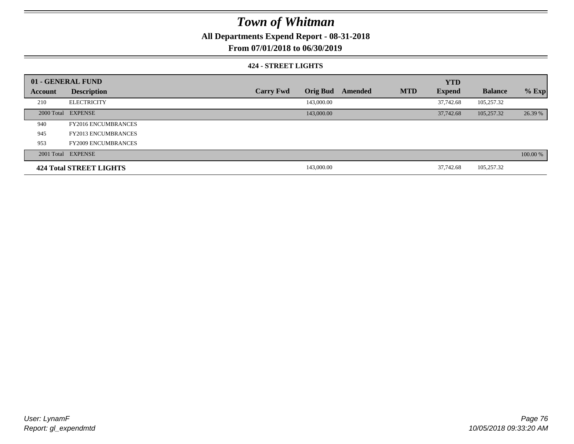**All Departments Expend Report - 08-31-2018**

**From 07/01/2018 to 06/30/2019**

### **424 - STREET LIGHTS**

|         | 01 - GENERAL FUND          |                  |                 |         |            | <b>YTD</b>    |                |          |
|---------|----------------------------|------------------|-----------------|---------|------------|---------------|----------------|----------|
| Account | <b>Description</b>         | <b>Carry Fwd</b> | <b>Orig Bud</b> | Amended | <b>MTD</b> | <b>Expend</b> | <b>Balance</b> | $%$ Exp  |
| 210     | <b>ELECTRICITY</b>         |                  | 143,000.00      |         |            | 37,742.68     | 105,257.32     |          |
|         | 2000 Total EXPENSE         |                  | 143,000.00      |         |            | 37,742.68     | 105,257.32     | 26.39 %  |
| 940     | <b>FY2016 ENCUMBRANCES</b> |                  |                 |         |            |               |                |          |
| 945     | <b>FY2013 ENCUMBRANCES</b> |                  |                 |         |            |               |                |          |
| 953     | <b>FY2009 ENCUMBRANCES</b> |                  |                 |         |            |               |                |          |
|         | 2001 Total EXPENSE         |                  |                 |         |            |               |                | 100.00 % |
|         | 424 Total STREET LIGHTS    |                  | 143,000.00      |         |            | 37,742.68     | 105,257.32     |          |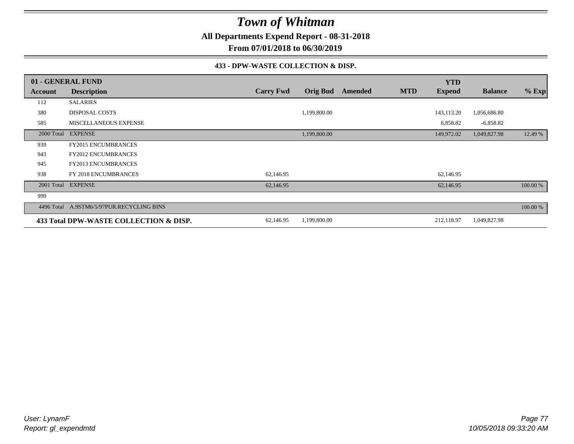**All Departments Expend Report - 08-31-2018**

**From 07/01/2018 to 06/30/2019**

### **433 - DPW-WASTE COLLECTION & DISP.**

|         | 01 - GENERAL FUND                         |                  |                 |         |            | <b>YTD</b>    |                |          |
|---------|-------------------------------------------|------------------|-----------------|---------|------------|---------------|----------------|----------|
| Account | <b>Description</b>                        | <b>Carry Fwd</b> | <b>Orig Bud</b> | Amended | <b>MTD</b> | <b>Expend</b> | <b>Balance</b> | $%$ Exp  |
| 112     | <b>SALARIES</b>                           |                  |                 |         |            |               |                |          |
| 380     | <b>DISPOSAL COSTS</b>                     |                  | 1,199,800.00    |         |            | 143,113.20    | 1,056,686.80   |          |
| 585     | MISCELLANEOUS EXPENSE                     |                  |                 |         |            | 6,858.82      | $-6,858.82$    |          |
|         | 2000 Total EXPENSE                        |                  | 1,199,800.00    |         |            | 149,972.02    | 1,049,827.98   | 12.49 %  |
| 939     | <b>FY2015 ENCUMBRANCES</b>                |                  |                 |         |            |               |                |          |
| 943     | <b>FY2012 ENCUMBRANCES</b>                |                  |                 |         |            |               |                |          |
| 945     | <b>FY2013 ENCUMBRANCES</b>                |                  |                 |         |            |               |                |          |
| 938     | FY 2018 ENCUMBRANCES                      | 62,146.95        |                 |         |            | 62,146.95     |                |          |
|         | 2001 Total EXPENSE                        | 62,146.95        |                 |         |            | 62,146.95     |                | 100.00 % |
| 999     |                                           |                  |                 |         |            |               |                |          |
|         | 4496 Total A.9STM6/5/97PUR.RECYCLING BINS |                  |                 |         |            |               |                | 100.00 % |
|         | 433 Total DPW-WASTE COLLECTION & DISP.    | 62,146.95        | 1,199,800.00    |         |            | 212,118.97    | 1,049,827.98   |          |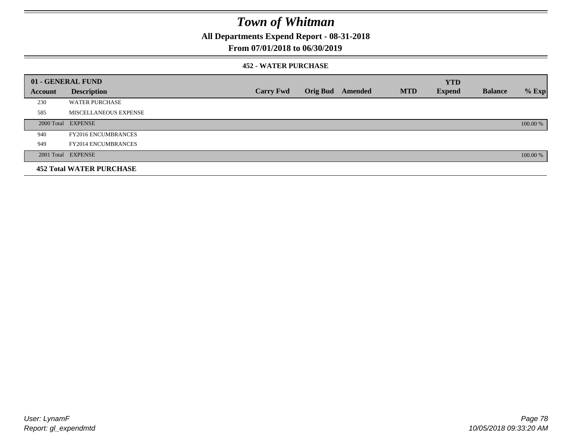**All Departments Expend Report - 08-31-2018**

### **From 07/01/2018 to 06/30/2019**

### **452 - WATER PURCHASE**

|         | 01 - GENERAL FUND               |                  |                 |         |            | <b>YTD</b>    |                |          |
|---------|---------------------------------|------------------|-----------------|---------|------------|---------------|----------------|----------|
| Account | <b>Description</b>              | <b>Carry Fwd</b> | <b>Orig Bud</b> | Amended | <b>MTD</b> | <b>Expend</b> | <b>Balance</b> | $%$ Exp  |
| 230     | <b>WATER PURCHASE</b>           |                  |                 |         |            |               |                |          |
| 585     | MISCELLANEOUS EXPENSE           |                  |                 |         |            |               |                |          |
|         | 2000 Total EXPENSE              |                  |                 |         |            |               |                | 100.00 % |
| 940     | <b>FY2016 ENCUMBRANCES</b>      |                  |                 |         |            |               |                |          |
| 949     | <b>FY2014 ENCUMBRANCES</b>      |                  |                 |         |            |               |                |          |
|         | 2001 Total EXPENSE              |                  |                 |         |            |               |                | 100.00 % |
|         | <b>452 Total WATER PURCHASE</b> |                  |                 |         |            |               |                |          |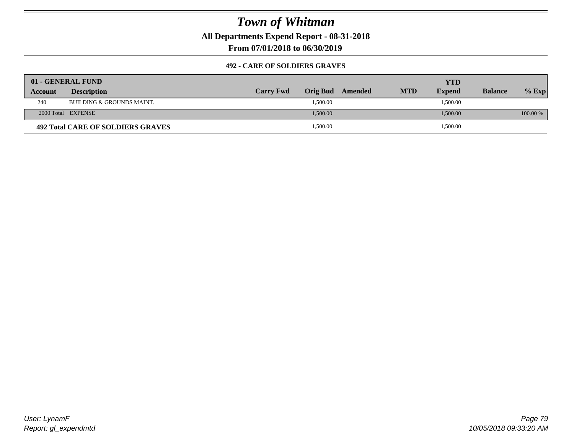**All Departments Expend Report - 08-31-2018**

**From 07/01/2018 to 06/30/2019**

### **492 - CARE OF SOLDIERS GRAVES**

|                | 01 - GENERAL FUND                 |                  |                  |            | YTD           |                |          |
|----------------|-----------------------------------|------------------|------------------|------------|---------------|----------------|----------|
| <b>Account</b> | <b>Description</b>                | <b>Carry Fwd</b> | Orig Bud Amended | <b>MTD</b> | <b>Expend</b> | <b>Balance</b> | $%$ Exp  |
| 240            | BUILDING & GROUNDS MAINT.         |                  | 1,500.00         |            | 1,500.00      |                |          |
|                | 2000 Total EXPENSE                |                  | 1,500.00         |            | 1,500.00      |                | 100.00 % |
|                | 492 Total CARE OF SOLDIERS GRAVES |                  | 1,500.00         |            | 1,500.00      |                |          |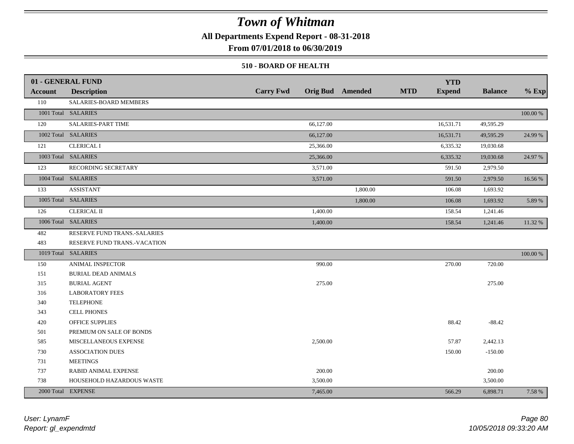**All Departments Expend Report - 08-31-2018**

**From 07/01/2018 to 06/30/2019**

### **510 - BOARD OF HEALTH**

|                | 01 - GENERAL FUND            |                  |                         |            | <b>YTD</b>    |                |          |
|----------------|------------------------------|------------------|-------------------------|------------|---------------|----------------|----------|
| <b>Account</b> | <b>Description</b>           | <b>Carry Fwd</b> | <b>Orig Bud</b> Amended | <b>MTD</b> | <b>Expend</b> | <b>Balance</b> | $%$ Exp  |
| 110            | SALARIES-BOARD MEMBERS       |                  |                         |            |               |                |          |
|                | 1001 Total SALARIES          |                  |                         |            |               |                | 100.00 % |
| 120            | SALARIES-PART TIME           | 66,127.00        |                         |            | 16,531.71     | 49,595.29      |          |
|                | 1002 Total SALARIES          | 66,127.00        |                         |            | 16,531.71     | 49,595.29      | 24.99 %  |
| 121            | <b>CLERICAL I</b>            | 25,366.00        |                         |            | 6,335.32      | 19,030.68      |          |
|                | 1003 Total SALARIES          | 25,366.00        |                         |            | 6,335.32      | 19,030.68      | 24.97 %  |
| 123            | RECORDING SECRETARY          | 3,571.00         |                         |            | 591.50        | 2,979.50       |          |
|                | 1004 Total SALARIES          | 3,571.00         |                         |            | 591.50        | 2,979.50       | 16.56 %  |
| 133            | <b>ASSISTANT</b>             |                  | 1,800.00                |            | 106.08        | 1,693.92       |          |
|                | 1005 Total SALARIES          |                  | 1,800.00                |            | 106.08        | 1,693.92       | 5.89 %   |
| 126            | <b>CLERICAL II</b>           | 1,400.00         |                         |            | 158.54        | 1,241.46       |          |
|                | 1006 Total SALARIES          | 1,400.00         |                         |            | 158.54        | 1,241.46       | 11.32 %  |
| 482            | RESERVE FUND TRANS.-SALARIES |                  |                         |            |               |                |          |
| 483            | RESERVE FUND TRANS.-VACATION |                  |                         |            |               |                |          |
|                | 1019 Total SALARIES          |                  |                         |            |               |                | 100.00 % |
| 150            | <b>ANIMAL INSPECTOR</b>      | 990.00           |                         |            | 270.00        | 720.00         |          |
| 151            | <b>BURIAL DEAD ANIMALS</b>   |                  |                         |            |               |                |          |
| 315            | <b>BURIAL AGENT</b>          | 275.00           |                         |            |               | 275.00         |          |
| 316            | <b>LABORATORY FEES</b>       |                  |                         |            |               |                |          |
| 340            | <b>TELEPHONE</b>             |                  |                         |            |               |                |          |
| 343            | CELL PHONES                  |                  |                         |            |               |                |          |
| 420            | OFFICE SUPPLIES              |                  |                         |            | 88.42         | $-88.42$       |          |
| 501            | PREMIUM ON SALE OF BONDS     |                  |                         |            |               |                |          |
| 585            | MISCELLANEOUS EXPENSE        | 2,500.00         |                         |            | 57.87         | 2,442.13       |          |
| 730            | <b>ASSOCIATION DUES</b>      |                  |                         |            | 150.00        | $-150.00$      |          |
| 731            | <b>MEETINGS</b>              |                  |                         |            |               |                |          |
| 737            | RABID ANIMAL EXPENSE         | 200.00           |                         |            |               | 200.00         |          |
| 738            | HOUSEHOLD HAZARDOUS WASTE    | 3,500.00         |                         |            |               | 3,500.00       |          |
|                | 2000 Total EXPENSE           | 7,465.00         |                         |            | 566.29        | 6,898.71       | 7.58 %   |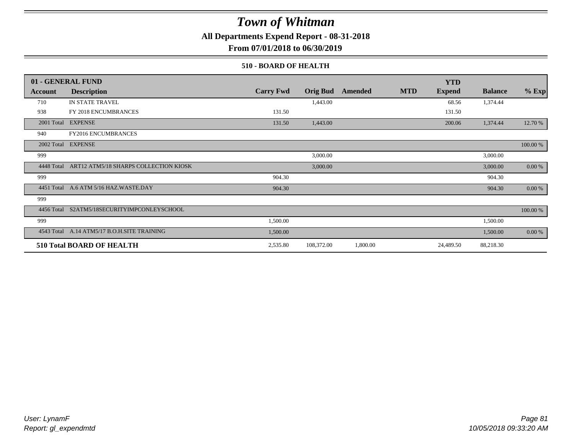**All Departments Expend Report - 08-31-2018**

**From 07/01/2018 to 06/30/2019**

### **510 - BOARD OF HEALTH**

|            | 01 - GENERAL FUND                                |                  |                 |          |            | <b>YTD</b>    |                |          |
|------------|--------------------------------------------------|------------------|-----------------|----------|------------|---------------|----------------|----------|
| Account    | <b>Description</b>                               | <b>Carry Fwd</b> | <b>Orig Bud</b> | Amended  | <b>MTD</b> | <b>Expend</b> | <b>Balance</b> | $%$ Exp  |
| 710        | IN STATE TRAVEL                                  |                  | 1,443.00        |          |            | 68.56         | 1,374.44       |          |
| 938        | FY 2018 ENCUMBRANCES                             | 131.50           |                 |          |            | 131.50        |                |          |
| 2001 Total | <b>EXPENSE</b>                                   | 131.50           | 1,443.00        |          |            | 200.06        | 1,374.44       | 12.70 %  |
| 940        | <b>FY2016 ENCUMBRANCES</b>                       |                  |                 |          |            |               |                |          |
| 2002 Total | <b>EXPENSE</b>                                   |                  |                 |          |            |               |                | 100.00 % |
| 999        |                                                  |                  | 3,000.00        |          |            |               | 3,000.00       |          |
|            | 4448 Total ART12 ATM5/18 SHARPS COLLECTION KIOSK |                  | 3,000.00        |          |            |               | 3,000.00       | 0.00 %   |
| 999        |                                                  | 904.30           |                 |          |            |               | 904.30         |          |
|            | 4451 Total A.6 ATM 5/16 HAZ.WASTE.DAY            | 904.30           |                 |          |            |               | 904.30         | 0.00 %   |
| 999        |                                                  |                  |                 |          |            |               |                |          |
|            | 4456 Total S2ATM5/18SECURITYIMPCONLEYSCHOOL      |                  |                 |          |            |               |                | 100.00 % |
| 999        |                                                  | 1,500.00         |                 |          |            |               | 1,500.00       |          |
|            | 4543 Total A.14 ATM5/17 B.O.H.SITE TRAINING      | 1,500.00         |                 |          |            |               | 1,500.00       | 0.00 %   |
|            | <b>510 Total BOARD OF HEALTH</b>                 | 2,535.80         | 108,372.00      | 1,800.00 |            | 24,489.50     | 88,218.30      |          |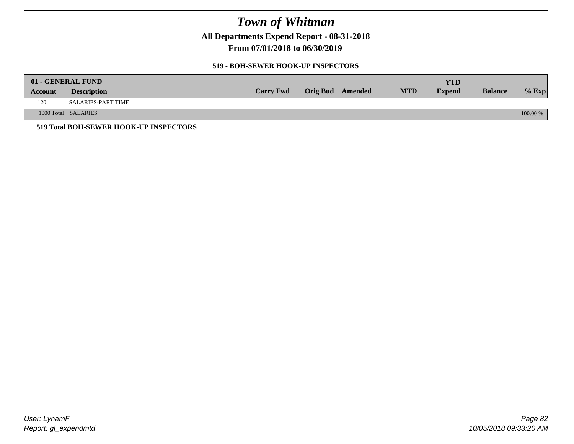**All Departments Expend Report - 08-31-2018**

**From 07/01/2018 to 06/30/2019**

### **519 - BOH-SEWER HOOK-UP INSPECTORS**

|         | 01 - GENERAL FUND                      |                  |                         |            | YTD           |                |          |
|---------|----------------------------------------|------------------|-------------------------|------------|---------------|----------------|----------|
| Account | <b>Description</b>                     | <b>Carry Fwd</b> | <b>Orig Bud</b> Amended | <b>MTD</b> | <b>Expend</b> | <b>Balance</b> | $%$ Exp  |
| 120     | SALARIES-PART TIME                     |                  |                         |            |               |                |          |
|         | 1000 Total SALARIES                    |                  |                         |            |               |                | 100.00 % |
|         | 519 Total BOH-SEWER HOOK-UP INSPECTORS |                  |                         |            |               |                |          |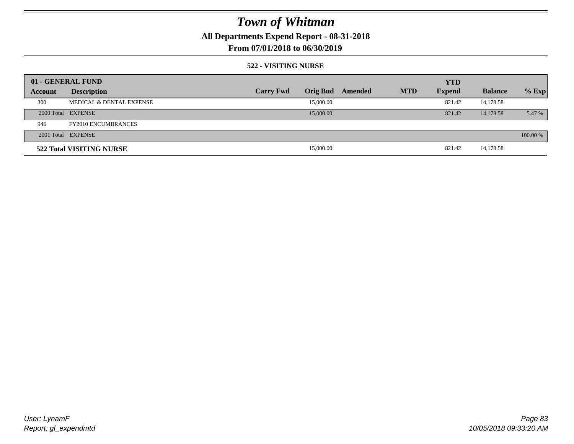**All Departments Expend Report - 08-31-2018**

**From 07/01/2018 to 06/30/2019**

### **522 - VISITING NURSE**

|         | 01 - GENERAL FUND                   |                  |                 |         |            | <b>YTD</b>    |                |          |
|---------|-------------------------------------|------------------|-----------------|---------|------------|---------------|----------------|----------|
| Account | <b>Description</b>                  | <b>Carry Fwd</b> | <b>Orig Bud</b> | Amended | <b>MTD</b> | <b>Expend</b> | <b>Balance</b> | $%$ Exp  |
| 300     | <b>MEDICAL &amp; DENTAL EXPENSE</b> |                  | 15,000.00       |         |            | 821.42        | 14,178.58      |          |
|         | 2000 Total EXPENSE                  |                  | 15,000.00       |         |            | 821.42        | 14,178.58      | 5.47 %   |
| 946     | <b>FY2010 ENCUMBRANCES</b>          |                  |                 |         |            |               |                |          |
|         | 2001 Total EXPENSE                  |                  |                 |         |            |               |                | 100.00 % |
|         | 522 Total VISITING NURSE            |                  | 15,000.00       |         |            | 821.42        | 14,178.58      |          |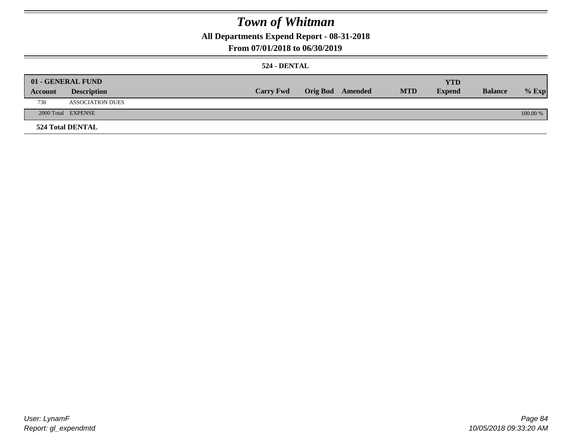**All Departments Expend Report - 08-31-2018**

## **From 07/01/2018 to 06/30/2019**

## **524 - DENTAL**

|         | 01 - GENERAL FUND       |                  |                  |            | <b>YTD</b>    |                |          |
|---------|-------------------------|------------------|------------------|------------|---------------|----------------|----------|
| Account | <b>Description</b>      | <b>Carry Fwd</b> | Orig Bud Amended | <b>MTD</b> | <b>Expend</b> | <b>Balance</b> | $%$ Exp  |
| 730     | <b>ASSOCIATION DUES</b> |                  |                  |            |               |                |          |
|         | 2000 Total EXPENSE      |                  |                  |            |               |                | 100.00 % |
|         | <b>524 Total DENTAL</b> |                  |                  |            |               |                |          |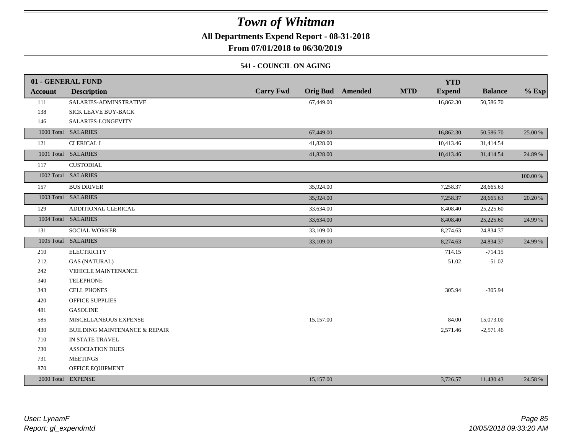**All Departments Expend Report - 08-31-2018**

**From 07/01/2018 to 06/30/2019**

### **541 - COUNCIL ON AGING**

|                | 01 - GENERAL FUND                        |                                     | <b>YTD</b>                                    |                |          |
|----------------|------------------------------------------|-------------------------------------|-----------------------------------------------|----------------|----------|
| <b>Account</b> | <b>Description</b>                       | <b>Carry Fwd</b><br><b>Orig Bud</b> | <b>MTD</b><br><b>Expend</b><br><b>Amended</b> | <b>Balance</b> | $%$ Exp  |
| 111            | SALARIES-ADMINSTRATIVE                   | 67,449.00                           | 16,862.30                                     | 50,586.70      |          |
| 138            | <b>SICK LEAVE BUY-BACK</b>               |                                     |                                               |                |          |
| 146            | SALARIES-LONGEVITY                       |                                     |                                               |                |          |
|                | 1000 Total SALARIES                      | 67,449.00                           | 16,862.30                                     | 50,586.70      | 25.00 %  |
| 121            | <b>CLERICAL I</b>                        | 41,828.00                           | 10,413.46                                     | 31,414.54      |          |
|                | 1001 Total SALARIES                      | 41,828.00                           | 10,413.46                                     | 31,414.54      | 24.89 %  |
| 117            | <b>CUSTODIAL</b>                         |                                     |                                               |                |          |
|                | 1002 Total SALARIES                      |                                     |                                               |                | 100.00 % |
| 157            | <b>BUS DRIVER</b>                        | 35,924.00                           | 7,258.37                                      | 28,665.63      |          |
|                | 1003 Total SALARIES                      | 35,924.00                           | 7,258.37                                      | 28,665.63      | 20.20 %  |
| 129            | ADDITIONAL CLERICAL                      | 33,634.00                           | 8,408.40                                      | 25,225.60      |          |
|                | 1004 Total SALARIES                      | 33,634.00                           | 8,408.40                                      | 25,225.60      | 24.99 %  |
| 131            | SOCIAL WORKER                            | 33,109.00                           | 8,274.63                                      | 24,834.37      |          |
|                | 1005 Total SALARIES                      | 33,109.00                           | 8,274.63                                      | 24,834.37      | 24.99 %  |
| 210            | <b>ELECTRICITY</b>                       |                                     | 714.15                                        | $-714.15$      |          |
| 212            | <b>GAS (NATURAL)</b>                     |                                     | 51.02                                         | $-51.02$       |          |
| 242            | <b>VEHICLE MAINTENANCE</b>               |                                     |                                               |                |          |
| 340            | <b>TELEPHONE</b>                         |                                     |                                               |                |          |
| 343            | <b>CELL PHONES</b>                       |                                     | 305.94                                        | $-305.94$      |          |
| 420            | <b>OFFICE SUPPLIES</b>                   |                                     |                                               |                |          |
| 481            | <b>GASOLINE</b>                          |                                     |                                               |                |          |
| 585            | MISCELLANEOUS EXPENSE                    | 15,157.00                           | 84.00                                         | 15,073.00      |          |
| 430            | <b>BUILDING MAINTENANCE &amp; REPAIR</b> |                                     | 2,571.46                                      | $-2,571.46$    |          |
| 710            | IN STATE TRAVEL                          |                                     |                                               |                |          |
| 730            | <b>ASSOCIATION DUES</b>                  |                                     |                                               |                |          |
| 731            | <b>MEETINGS</b>                          |                                     |                                               |                |          |
| 870            | OFFICE EQUIPMENT                         |                                     |                                               |                |          |
|                | 2000 Total EXPENSE                       | 15,157.00                           | 3,726.57                                      | 11,430.43      | 24.58 %  |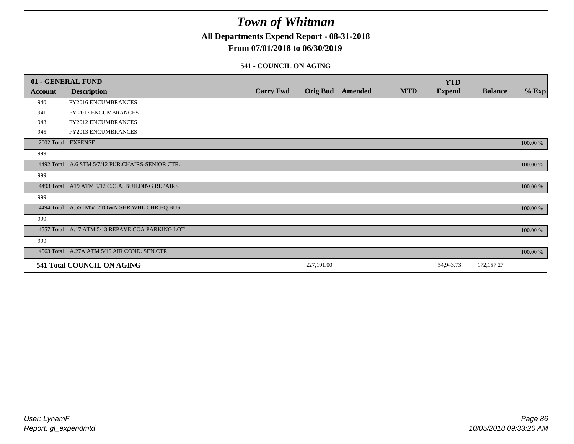**All Departments Expend Report - 08-31-2018**

## **From 07/01/2018 to 06/30/2019**

### **541 - COUNCIL ON AGING**

|         | 01 - GENERAL FUND                                |                  |                 |                |            | <b>YTD</b>    |                |          |
|---------|--------------------------------------------------|------------------|-----------------|----------------|------------|---------------|----------------|----------|
| Account | <b>Description</b>                               | <b>Carry Fwd</b> | <b>Orig Bud</b> | <b>Amended</b> | <b>MTD</b> | <b>Expend</b> | <b>Balance</b> | $%$ Exp  |
| 940     | <b>FY2016 ENCUMBRANCES</b>                       |                  |                 |                |            |               |                |          |
| 941     | FY 2017 ENCUMBRANCES                             |                  |                 |                |            |               |                |          |
| 943     | FY2012 ENCUMBRANCES                              |                  |                 |                |            |               |                |          |
| 945     | <b>FY2013 ENCUMBRANCES</b>                       |                  |                 |                |            |               |                |          |
|         | 2002 Total EXPENSE                               |                  |                 |                |            |               |                | 100.00 % |
| 999     |                                                  |                  |                 |                |            |               |                |          |
|         | 4492 Total A.6 STM 5/7/12 PUR.CHAIRS-SENIOR CTR. |                  |                 |                |            |               |                | 100.00 % |
| 999     |                                                  |                  |                 |                |            |               |                |          |
|         | 4493 Total A19 ATM 5/12 C.O.A. BUILDING REPAIRS  |                  |                 |                |            |               |                | 100.00 % |
| 999     |                                                  |                  |                 |                |            |               |                |          |
|         | 4494 Total A.5STM5/17TOWN SHR.WHL CHR.EQ.BUS     |                  |                 |                |            |               |                | 100.00 % |
| 999     |                                                  |                  |                 |                |            |               |                |          |
|         | 4557 Total A.17 ATM 5/13 REPAVE COA PARKING LOT  |                  |                 |                |            |               |                | 100.00 % |
| 999     |                                                  |                  |                 |                |            |               |                |          |
|         | 4563 Total A.27A ATM 5/16 AIR COND. SEN.CTR.     |                  |                 |                |            |               |                | 100.00 % |
|         | 541 Total COUNCIL ON AGING                       |                  | 227,101.00      |                |            | 54,943.73     | 172,157.27     |          |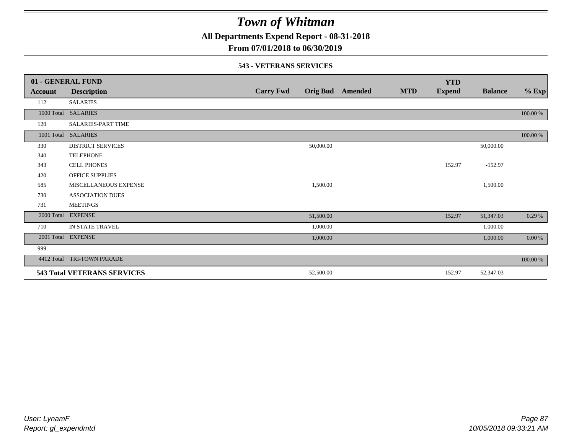**All Departments Expend Report - 08-31-2018**

**From 07/01/2018 to 06/30/2019**

### **543 - VETERANS SERVICES**

|            | 01 - GENERAL FUND                  |                  |                 |         |            | <b>YTD</b>    |                |          |
|------------|------------------------------------|------------------|-----------------|---------|------------|---------------|----------------|----------|
| Account    | <b>Description</b>                 | <b>Carry Fwd</b> | <b>Orig Bud</b> | Amended | <b>MTD</b> | <b>Expend</b> | <b>Balance</b> | $%$ Exp  |
| 112        | <b>SALARIES</b>                    |                  |                 |         |            |               |                |          |
| 1000 Total | <b>SALARIES</b>                    |                  |                 |         |            |               |                | 100.00 % |
| 120        | SALARIES-PART TIME                 |                  |                 |         |            |               |                |          |
| 1001 Total | <b>SALARIES</b>                    |                  |                 |         |            |               |                | 100.00 % |
| 330        | <b>DISTRICT SERVICES</b>           |                  | 50,000.00       |         |            |               | 50,000.00      |          |
| 340        | <b>TELEPHONE</b>                   |                  |                 |         |            |               |                |          |
| 343        | <b>CELL PHONES</b>                 |                  |                 |         |            | 152.97        | $-152.97$      |          |
| 420        | <b>OFFICE SUPPLIES</b>             |                  |                 |         |            |               |                |          |
| 585        | MISCELLANEOUS EXPENSE              |                  | 1,500.00        |         |            |               | 1,500.00       |          |
| 730        | <b>ASSOCIATION DUES</b>            |                  |                 |         |            |               |                |          |
| 731        | <b>MEETINGS</b>                    |                  |                 |         |            |               |                |          |
| 2000 Total | <b>EXPENSE</b>                     |                  | 51,500.00       |         |            | 152.97        | 51,347.03      | 0.29%    |
| 710        | IN STATE TRAVEL                    |                  | 1,000.00        |         |            |               | 1,000.00       |          |
| 2001 Total | <b>EXPENSE</b>                     |                  | 1,000.00        |         |            |               | 1,000.00       | 0.00 %   |
| 999        |                                    |                  |                 |         |            |               |                |          |
| 4412 Total | TRI-TOWN PARADE                    |                  |                 |         |            |               |                | 100.00 % |
|            | <b>543 Total VETERANS SERVICES</b> |                  | 52,500.00       |         |            | 152.97        | 52,347.03      |          |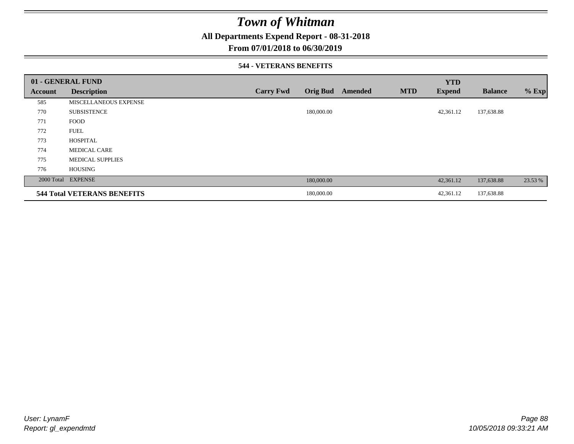**All Departments Expend Report - 08-31-2018**

## **From 07/01/2018 to 06/30/2019**

### **544 - VETERANS BENEFITS**

|                | 01 - GENERAL FUND                  |                  |                 |                |            | <b>YTD</b>    |                |         |
|----------------|------------------------------------|------------------|-----------------|----------------|------------|---------------|----------------|---------|
| <b>Account</b> | <b>Description</b>                 | <b>Carry Fwd</b> | <b>Orig Bud</b> | <b>Amended</b> | <b>MTD</b> | <b>Expend</b> | <b>Balance</b> | $%$ Exp |
| 585            | MISCELLANEOUS EXPENSE              |                  |                 |                |            |               |                |         |
| 770            | <b>SUBSISTENCE</b>                 |                  | 180,000.00      |                |            | 42,361.12     | 137,638.88     |         |
| 771            | <b>FOOD</b>                        |                  |                 |                |            |               |                |         |
| 772            | <b>FUEL</b>                        |                  |                 |                |            |               |                |         |
| 773            | <b>HOSPITAL</b>                    |                  |                 |                |            |               |                |         |
| 774            | <b>MEDICAL CARE</b>                |                  |                 |                |            |               |                |         |
| 775            | <b>MEDICAL SUPPLIES</b>            |                  |                 |                |            |               |                |         |
| 776            | <b>HOUSING</b>                     |                  |                 |                |            |               |                |         |
|                | 2000 Total EXPENSE                 |                  | 180,000.00      |                |            | 42,361.12     | 137,638.88     | 23.53 % |
|                | <b>544 Total VETERANS BENEFITS</b> |                  | 180,000.00      |                |            | 42,361.12     | 137,638.88     |         |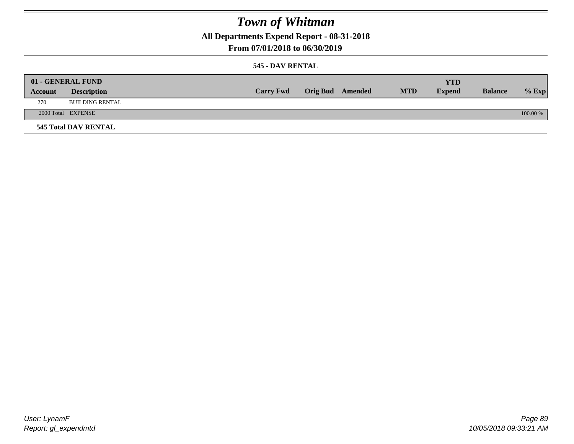**All Departments Expend Report - 08-31-2018**

**From 07/01/2018 to 06/30/2019**

### **545 - DAV RENTAL**

|         | 01 - GENERAL FUND           |                  |                  |            | <b>YTD</b>    |                |          |
|---------|-----------------------------|------------------|------------------|------------|---------------|----------------|----------|
| Account | <b>Description</b>          | <b>Carry Fwd</b> | Orig Bud Amended | <b>MTD</b> | <b>Expend</b> | <b>Balance</b> | $%$ Exp  |
| 270     | <b>BUILDING RENTAL</b>      |                  |                  |            |               |                |          |
|         | 2000 Total EXPENSE          |                  |                  |            |               |                | 100.00 % |
|         | <b>545 Total DAV RENTAL</b> |                  |                  |            |               |                |          |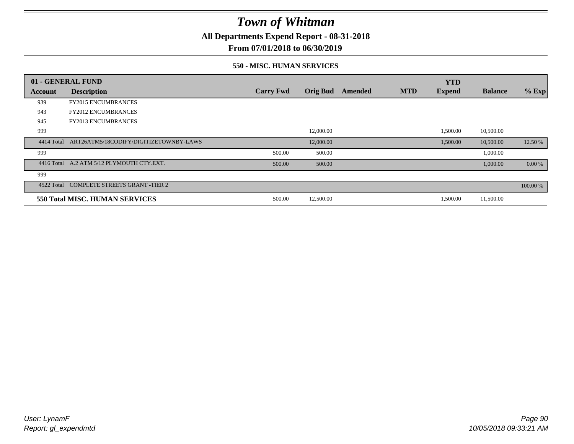**All Departments Expend Report - 08-31-2018**

**From 07/01/2018 to 06/30/2019**

### **550 - MISC. HUMAN SERVICES**

|            | 01 - GENERAL FUND                         |                  |                 |         |            | <b>YTD</b>    |                |           |
|------------|-------------------------------------------|------------------|-----------------|---------|------------|---------------|----------------|-----------|
| Account    | <b>Description</b>                        | <b>Carry Fwd</b> | <b>Orig Bud</b> | Amended | <b>MTD</b> | <b>Expend</b> | <b>Balance</b> | $%$ Exp   |
| 939        | <b>FY2015 ENCUMBRANCES</b>                |                  |                 |         |            |               |                |           |
| 943        | <b>FY2012 ENCUMBRANCES</b>                |                  |                 |         |            |               |                |           |
| 945        | <b>FY2013 ENCUMBRANCES</b>                |                  |                 |         |            |               |                |           |
| 999        |                                           |                  | 12,000.00       |         |            | 1,500.00      | 10,500.00      |           |
| 4414 Total | ART26ATM5/18CODIFY/DIGITIZETOWNBY-LAWS    |                  | 12,000.00       |         |            | 1,500.00      | 10,500.00      | 12.50 %   |
| 999        |                                           | 500.00           | 500.00          |         |            |               | 1,000.00       |           |
|            | 4416 Total A.2 ATM 5/12 PLYMOUTH CTY.EXT. | 500.00           | 500.00          |         |            |               | 1,000.00       | $0.00 \%$ |
| 999        |                                           |                  |                 |         |            |               |                |           |
|            | 4522 Total COMPLETE STREETS GRANT -TIER 2 |                  |                 |         |            |               |                | 100.00 %  |
|            | 550 Total MISC. HUMAN SERVICES            | 500.00           | 12,500.00       |         |            | 1,500.00      | 11,500.00      |           |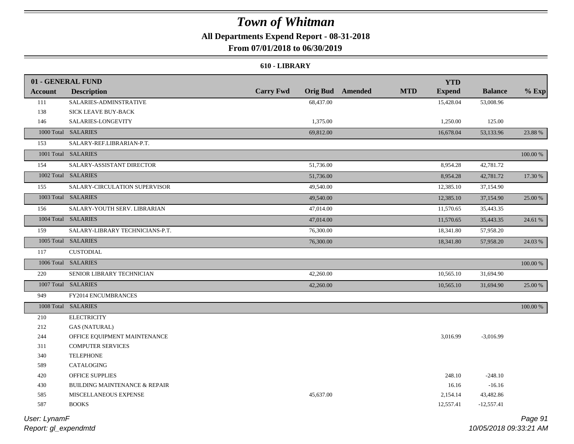## **All Departments Expend Report - 08-31-2018**

### **From 07/01/2018 to 06/30/2019**

### **610 - LIBRARY**

|                | 01 - GENERAL FUND                        |                  |                                       | <b>YTD</b>    |                |          |
|----------------|------------------------------------------|------------------|---------------------------------------|---------------|----------------|----------|
| <b>Account</b> | <b>Description</b>                       | <b>Carry Fwd</b> | <b>Orig Bud</b> Amended<br><b>MTD</b> | <b>Expend</b> | <b>Balance</b> | $%$ Exp  |
| 111            | SALARIES-ADMINSTRATIVE                   | 68,437.00        |                                       | 15,428.04     | 53,008.96      |          |
| 138            | SICK LEAVE BUY-BACK                      |                  |                                       |               |                |          |
| 146            | SALARIES-LONGEVITY                       | 1,375.00         |                                       | 1,250.00      | 125.00         |          |
|                | 1000 Total SALARIES                      | 69,812.00        |                                       | 16,678.04     | 53,133.96      | 23.88 %  |
| 153            | SALARY-REF.LIBRARIAN-P.T.                |                  |                                       |               |                |          |
|                | 1001 Total SALARIES                      |                  |                                       |               |                | 100.00 % |
| 154            | SALARY-ASSISTANT DIRECTOR                | 51,736.00        |                                       | 8,954.28      | 42,781.72      |          |
|                | 1002 Total SALARIES                      | 51,736.00        |                                       | 8,954.28      | 42,781.72      | 17.30 %  |
| 155            | SALARY-CIRCULATION SUPERVISOR            | 49,540.00        |                                       | 12,385.10     | 37,154.90      |          |
|                | 1003 Total SALARIES                      | 49,540.00        |                                       | 12,385.10     | 37,154.90      | 25.00 %  |
| 156            | SALARY-YOUTH SERV. LIBRARIAN             | 47,014.00        |                                       | 11,570.65     | 35,443.35      |          |
|                | 1004 Total SALARIES                      | 47,014.00        |                                       | 11,570.65     | 35,443.35      | 24.61 %  |
| 159            | SALARY-LIBRARY TECHNICIANS-P.T.          | 76,300.00        |                                       | 18,341.80     | 57,958.20      |          |
|                | 1005 Total SALARIES                      | 76,300.00        |                                       | 18,341.80     | 57,958.20      | 24.03 %  |
| 117            | <b>CUSTODIAL</b>                         |                  |                                       |               |                |          |
|                | 1006 Total SALARIES                      |                  |                                       |               |                | 100.00 % |
| 220            | SENIOR LIBRARY TECHNICIAN                | 42,260.00        |                                       | 10,565.10     | 31,694.90      |          |
|                | 1007 Total SALARIES                      | 42,260.00        |                                       | 10,565.10     | 31,694.90      | 25.00 %  |
| 949            | FY2014 ENCUMBRANCES                      |                  |                                       |               |                |          |
|                | 1008 Total SALARIES                      |                  |                                       |               |                | 100.00 % |
| 210            | <b>ELECTRICITY</b>                       |                  |                                       |               |                |          |
| 212            | <b>GAS (NATURAL)</b>                     |                  |                                       |               |                |          |
| 244            | OFFICE EQUIPMENT MAINTENANCE             |                  |                                       | 3,016.99      | $-3,016.99$    |          |
| 311            | <b>COMPUTER SERVICES</b>                 |                  |                                       |               |                |          |
| 340            | <b>TELEPHONE</b>                         |                  |                                       |               |                |          |
| 589            | CATALOGING                               |                  |                                       |               |                |          |
| 420            | <b>OFFICE SUPPLIES</b>                   |                  |                                       | 248.10        | $-248.10$      |          |
| 430            | <b>BUILDING MAINTENANCE &amp; REPAIR</b> |                  |                                       | 16.16         | $-16.16$       |          |
| 585            | MISCELLANEOUS EXPENSE                    | 45,637.00        |                                       | 2,154.14      | 43,482.86      |          |
| 587            | <b>BOOKS</b>                             |                  |                                       | 12,557.41     | $-12,557.41$   |          |
|                |                                          |                  |                                       |               |                |          |

*Report: gl\_expendmtd User: LynamF*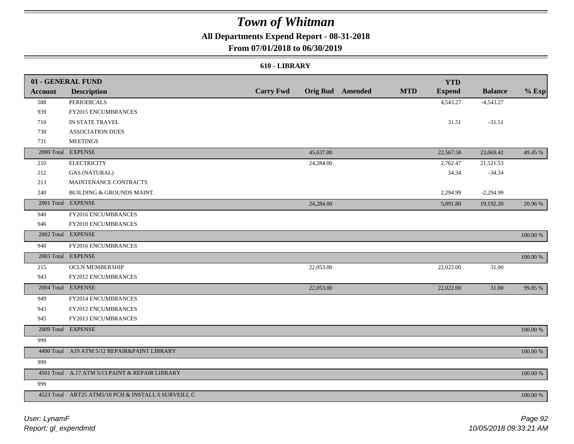## **All Departments Expend Report - 08-31-2018**

## **From 07/01/2018 to 06/30/2019**

### **610 - LIBRARY**

|                | 01 - GENERAL FUND                                   |                  |           |                         |            | <b>YTD</b>    |                |             |
|----------------|-----------------------------------------------------|------------------|-----------|-------------------------|------------|---------------|----------------|-------------|
| <b>Account</b> | <b>Description</b>                                  | <b>Carry Fwd</b> |           | <b>Orig Bud</b> Amended | <b>MTD</b> | <b>Expend</b> | <b>Balance</b> | $%$ Exp     |
| 588            | <b>PERIODICALS</b>                                  |                  |           |                         |            | 4,543.27      | $-4,543.27$    |             |
| 939            | FY2015 ENCUMBRANCES                                 |                  |           |                         |            |               |                |             |
| 710            | IN STATE TRAVEL                                     |                  |           |                         |            | 31.51         | $-31.51$       |             |
| 730            | ASSOCIATION DUES                                    |                  |           |                         |            |               |                |             |
| 731            | <b>MEETINGS</b>                                     |                  |           |                         |            |               |                |             |
|                | 2000 Total EXPENSE                                  |                  | 45,637.00 |                         |            | 22,567.58     | 23,069.42      | 49.45 %     |
| 210            | <b>ELECTRICITY</b>                                  |                  | 24,284.00 |                         |            | 2,762.47      | 21,521.53      |             |
| 212            | <b>GAS (NATURAL)</b>                                |                  |           |                         |            | 34.34         | $-34.34$       |             |
| 213            | MAINTENANCE CONTRACTS                               |                  |           |                         |            |               |                |             |
| 240            | BUILDING & GROUNDS MAINT.                           |                  |           |                         |            | 2,294.99      | $-2,294.99$    |             |
|                | 2001 Total EXPENSE                                  |                  | 24,284.00 |                         |            | 5,091.80      | 19,192.20      | 20.96 %     |
| 940            | FY2016 ENCUMBRANCES                                 |                  |           |                         |            |               |                |             |
| 946            | FY2010 ENCUMBRANCES                                 |                  |           |                         |            |               |                |             |
|                | 2002 Total EXPENSE                                  |                  |           |                         |            |               |                | 100.00 %    |
| 940            | FY2016 ENCUMBRANCES                                 |                  |           |                         |            |               |                |             |
|                | 2003 Total EXPENSE                                  |                  |           |                         |            |               |                | $100.00~\%$ |
| 215            | <b>OCLN MEMBERSHIP</b>                              |                  | 22,053.00 |                         |            | 22,022.00     | 31.00          |             |
| 943            | FY2012 ENCUMBRANCES                                 |                  |           |                         |            |               |                |             |
|                | 2004 Total EXPENSE                                  |                  | 22,053.00 |                         |            | 22,022.00     | 31.00          | 99.85 %     |
| 949            | FY2014 ENCUMBRANCES                                 |                  |           |                         |            |               |                |             |
| 943            | FY2012 ENCUMBRANCES                                 |                  |           |                         |            |               |                |             |
| 945            | FY2013 ENCUMBRANCES                                 |                  |           |                         |            |               |                |             |
|                | 2009 Total EXPENSE                                  |                  |           |                         |            |               |                | $100.00~\%$ |
| 999            |                                                     |                  |           |                         |            |               |                |             |
|                | 4490 Total A19 ATM 5/12 REPAIR&PAINT LIBRARY        |                  |           |                         |            |               |                | 100.00 %    |
| 999            |                                                     |                  |           |                         |            |               |                |             |
|                | 4501 Total A.17 ATM 5/13 PAINT & REPAIR LIBRARY     |                  |           |                         |            |               |                | 100.00 %    |
| 999            |                                                     |                  |           |                         |            |               |                |             |
|                | 4523 Total ART25 ATM5/18 PCH & INSTALL 6 SURVEILL C |                  |           |                         |            |               |                | 100.00 %    |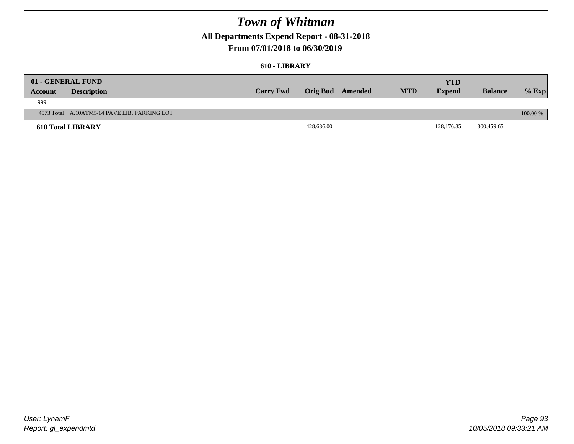**All Departments Expend Report - 08-31-2018**

## **From 07/01/2018 to 06/30/2019**

#### **610 - LIBRARY**

| <b>Account</b> | 01 - GENERAL FUND<br><b>Description</b>      | <b>Carry Fwd</b> | Orig Bud Amended | <b>MTD</b> | YTD<br><b>Expend</b> | <b>Balance</b> | $%$ Exp    |
|----------------|----------------------------------------------|------------------|------------------|------------|----------------------|----------------|------------|
| 999            |                                              |                  |                  |            |                      |                |            |
|                | 4573 Total A.10ATM5/14 PAVE LIB. PARKING LOT |                  |                  |            |                      |                | $100.00\%$ |
|                | <b>610 Total LIBRARY</b>                     |                  | 428,636.00       |            | 128,176.35           | 300,459.65     |            |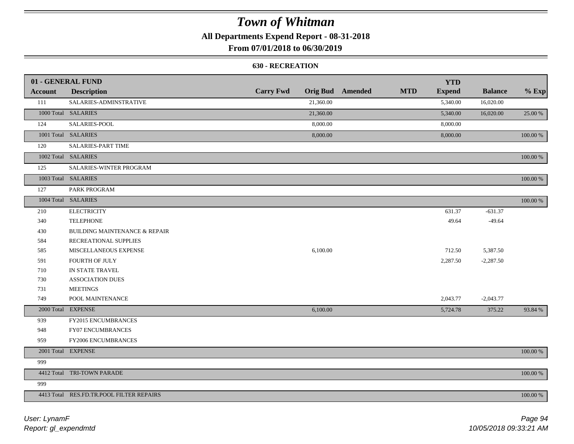**All Departments Expend Report - 08-31-2018**

**From 07/01/2018 to 06/30/2019**

### **630 - RECREATION**

|                | 01 - GENERAL FUND                        |                  |           |                         |            | <b>YTD</b>    |                |          |
|----------------|------------------------------------------|------------------|-----------|-------------------------|------------|---------------|----------------|----------|
| <b>Account</b> | <b>Description</b>                       | <b>Carry Fwd</b> |           | <b>Orig Bud</b> Amended | <b>MTD</b> | <b>Expend</b> | <b>Balance</b> | $%$ Exp  |
| 111            | SALARIES-ADMINSTRATIVE                   |                  | 21,360.00 |                         |            | 5,340.00      | 16,020.00      |          |
|                | 1000 Total SALARIES                      |                  | 21,360.00 |                         |            | 5,340.00      | 16,020.00      | 25.00 %  |
| 124            | SALARIES-POOL                            |                  | 8,000.00  |                         |            | 8,000.00      |                |          |
|                | 1001 Total SALARIES                      |                  | 8,000.00  |                         |            | 8,000.00      |                | 100.00 % |
| 120            | <b>SALARIES-PART TIME</b>                |                  |           |                         |            |               |                |          |
|                | 1002 Total SALARIES                      |                  |           |                         |            |               |                | 100.00 % |
| 125            | SALARIES-WINTER PROGRAM                  |                  |           |                         |            |               |                |          |
|                | 1003 Total SALARIES                      |                  |           |                         |            |               |                | 100.00 % |
| 127            | PARK PROGRAM                             |                  |           |                         |            |               |                |          |
|                | 1004 Total SALARIES                      |                  |           |                         |            |               |                | 100.00 % |
| 210            | <b>ELECTRICITY</b>                       |                  |           |                         |            | 631.37        | $-631.37$      |          |
| 340            | <b>TELEPHONE</b>                         |                  |           |                         |            | 49.64         | $-49.64$       |          |
| 430            | <b>BUILDING MAINTENANCE &amp; REPAIR</b> |                  |           |                         |            |               |                |          |
| 584            | RECREATIONAL SUPPLIES                    |                  |           |                         |            |               |                |          |
| 585            | MISCELLANEOUS EXPENSE                    |                  | 6,100.00  |                         |            | 712.50        | 5,387.50       |          |
| 591            | FOURTH OF JULY                           |                  |           |                         |            | 2,287.50      | $-2,287.50$    |          |
| 710            | IN STATE TRAVEL                          |                  |           |                         |            |               |                |          |
| 730            | <b>ASSOCIATION DUES</b>                  |                  |           |                         |            |               |                |          |
| 731            | <b>MEETINGS</b>                          |                  |           |                         |            |               |                |          |
| 749            | POOL MAINTENANCE                         |                  |           |                         |            | 2,043.77      | $-2,043.77$    |          |
|                | 2000 Total EXPENSE                       |                  | 6,100.00  |                         |            | 5,724.78      | 375.22         | 93.84 %  |
| 939            | FY2015 ENCUMBRANCES                      |                  |           |                         |            |               |                |          |
| 948            | FY07 ENCUMBRANCES                        |                  |           |                         |            |               |                |          |
| 959            | FY2006 ENCUMBRANCES                      |                  |           |                         |            |               |                |          |
|                | 2001 Total EXPENSE                       |                  |           |                         |            |               |                | 100.00 % |
| 999            |                                          |                  |           |                         |            |               |                |          |
|                | 4412 Total TRI-TOWN PARADE               |                  |           |                         |            |               |                | 100.00 % |
| 999            |                                          |                  |           |                         |            |               |                |          |
|                | 4413 Total RES.FD.TR.POOL FILTER REPAIRS |                  |           |                         |            |               |                | 100.00 % |

*Report: gl\_expendmtd User: LynamF*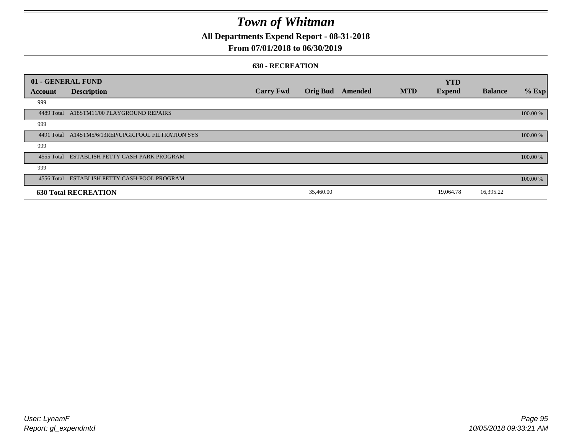**All Departments Expend Report - 08-31-2018**

## **From 07/01/2018 to 06/30/2019**

#### **630 - RECREATION**

|         | 01 - GENERAL FUND                                   |                  |                 |         |            | <b>YTD</b>    |                |          |
|---------|-----------------------------------------------------|------------------|-----------------|---------|------------|---------------|----------------|----------|
| Account | <b>Description</b>                                  | <b>Carry Fwd</b> | <b>Orig Bud</b> | Amended | <b>MTD</b> | <b>Expend</b> | <b>Balance</b> | % Exp    |
| 999     |                                                     |                  |                 |         |            |               |                |          |
|         | 4489 Total A18STM11/00 PLAYGROUND REPAIRS           |                  |                 |         |            |               |                | 100.00 % |
| 999     |                                                     |                  |                 |         |            |               |                |          |
|         | 4491 Total A14STM5/6/13REP/UPGR.POOL FILTRATION SYS |                  |                 |         |            |               |                | 100.00 % |
| 999     |                                                     |                  |                 |         |            |               |                |          |
|         | 4555 Total ESTABLISH PETTY CASH-PARK PROGRAM        |                  |                 |         |            |               |                | 100.00 % |
| 999     |                                                     |                  |                 |         |            |               |                |          |
|         | 4556 Total ESTABLISH PETTY CASH-POOL PROGRAM        |                  |                 |         |            |               |                | 100.00 % |
|         | <b>630 Total RECREATION</b>                         |                  | 35,460.00       |         |            | 19,064.78     | 16,395.22      |          |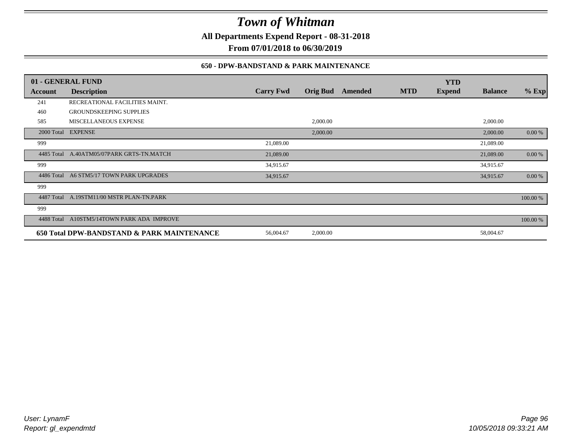**All Departments Expend Report - 08-31-2018**

**From 07/01/2018 to 06/30/2019**

## **650 - DPW-BANDSTAND & PARK MAINTENANCE**

|            | 01 - GENERAL FUND                          |                  |                 |         |            | <b>YTD</b>    |                |          |
|------------|--------------------------------------------|------------------|-----------------|---------|------------|---------------|----------------|----------|
| Account    | <b>Description</b>                         | <b>Carry Fwd</b> | <b>Orig Bud</b> | Amended | <b>MTD</b> | <b>Expend</b> | <b>Balance</b> | $%$ Exp  |
| 241        | RECREATIONAL FACILITIES MAINT.             |                  |                 |         |            |               |                |          |
| 460        | <b>GROUNDSKEEPING SUPPLIES</b>             |                  |                 |         |            |               |                |          |
| 585        | MISCELLANEOUS EXPENSE                      |                  | 2,000.00        |         |            |               | 2,000.00       |          |
|            | 2000 Total EXPENSE                         |                  | 2,000.00        |         |            |               | 2,000.00       | 0.00 %   |
| 999        |                                            | 21,089.00        |                 |         |            |               | 21,089.00      |          |
|            | 4485 Total A.40ATM05/07PARK GRTS-TN.MATCH  | 21,089.00        |                 |         |            |               | 21,089.00      | 0.00 %   |
| 999        |                                            | 34,915.67        |                 |         |            |               | 34,915.67      |          |
| 4486 Total | A6 STM5/17 TOWN PARK UPGRADES              | 34,915.67        |                 |         |            |               | 34,915.67      | 0.00 %   |
| 999        |                                            |                  |                 |         |            |               |                |          |
| 4487 Total | A.19STM11/00 MSTR PLAN-TN.PARK             |                  |                 |         |            |               |                | 100.00 % |
| 999        |                                            |                  |                 |         |            |               |                |          |
| 4488 Total | A10STM5/14TOWN PARK ADA IMPROVE            |                  |                 |         |            |               |                | 100.00 % |
|            | 650 Total DPW-BANDSTAND & PARK MAINTENANCE | 56,004.67        | 2,000.00        |         |            |               | 58,004.67      |          |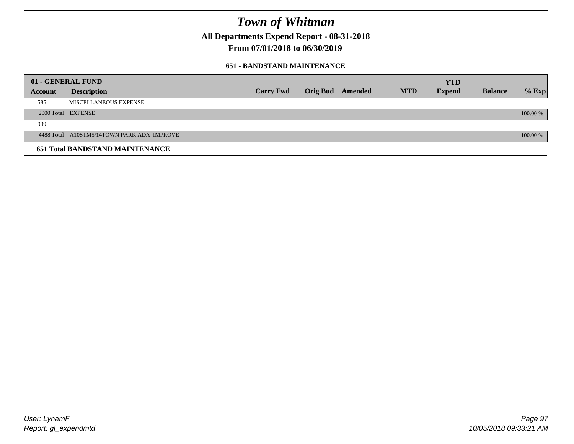**All Departments Expend Report - 08-31-2018**

**From 07/01/2018 to 06/30/2019**

### **651 - BANDSTAND MAINTENANCE**

| 01 - GENERAL FUND |                                            |                  |                         |            | <b>YTD</b>    |                |          |
|-------------------|--------------------------------------------|------------------|-------------------------|------------|---------------|----------------|----------|
| Account           | <b>Description</b>                         | <b>Carry Fwd</b> | <b>Orig Bud</b> Amended | <b>MTD</b> | <b>Expend</b> | <b>Balance</b> | $%$ Exp  |
| 585               | MISCELLANEOUS EXPENSE                      |                  |                         |            |               |                |          |
|                   | 2000 Total EXPENSE                         |                  |                         |            |               |                | 100.00 % |
| 999               |                                            |                  |                         |            |               |                |          |
|                   | 4488 Total A10STM5/14TOWN PARK ADA IMPROVE |                  |                         |            |               |                | 100.00 % |
|                   | <b>651 Total BANDSTAND MAINTENANCE</b>     |                  |                         |            |               |                |          |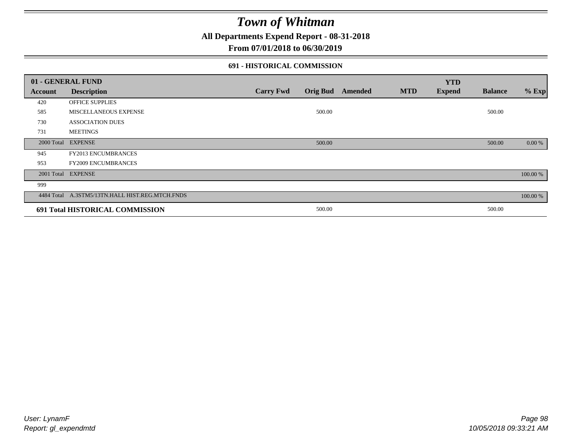**All Departments Expend Report - 08-31-2018**

**From 07/01/2018 to 06/30/2019**

## **691 - HISTORICAL COMMISSION**

| 01 - GENERAL FUND |                                                 |                  |                 |         |            | <b>YTD</b>    |                |          |
|-------------------|-------------------------------------------------|------------------|-----------------|---------|------------|---------------|----------------|----------|
| Account           | <b>Description</b>                              | <b>Carry Fwd</b> | <b>Orig Bud</b> | Amended | <b>MTD</b> | <b>Expend</b> | <b>Balance</b> | $%$ Exp  |
| 420               | OFFICE SUPPLIES                                 |                  |                 |         |            |               |                |          |
| 585               | MISCELLANEOUS EXPENSE                           |                  | 500.00          |         |            |               | 500.00         |          |
| 730               | <b>ASSOCIATION DUES</b>                         |                  |                 |         |            |               |                |          |
| 731               | <b>MEETINGS</b>                                 |                  |                 |         |            |               |                |          |
| 2000 Total        | <b>EXPENSE</b>                                  |                  | 500.00          |         |            |               | 500.00         | 0.00 %   |
| 945               | <b>FY2013 ENCUMBRANCES</b>                      |                  |                 |         |            |               |                |          |
| 953               | <b>FY2009 ENCUMBRANCES</b>                      |                  |                 |         |            |               |                |          |
|                   | 2001 Total EXPENSE                              |                  |                 |         |            |               |                | 100.00 % |
| 999               |                                                 |                  |                 |         |            |               |                |          |
|                   | 4484 Total A.3STM5/13TN.HALL HIST.REG.MTCH.FNDS |                  |                 |         |            |               |                | 100.00 % |
|                   | 691 Total HISTORICAL COMMISSION                 |                  | 500.00          |         |            |               | 500.00         |          |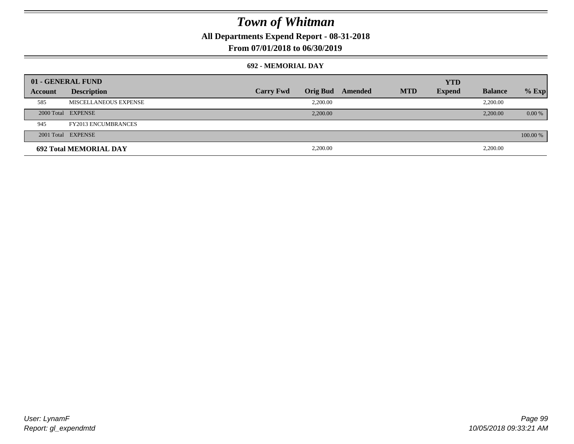**All Departments Expend Report - 08-31-2018**

**From 07/01/2018 to 06/30/2019**

### **692 - MEMORIAL DAY**

|         | 01 - GENERAL FUND             |                  |          |                         |            | <b>YTD</b>    |                |          |
|---------|-------------------------------|------------------|----------|-------------------------|------------|---------------|----------------|----------|
| Account | <b>Description</b>            | <b>Carry Fwd</b> |          | <b>Orig Bud</b> Amended | <b>MTD</b> | <b>Expend</b> | <b>Balance</b> | $%$ Exp  |
| 585     | MISCELLANEOUS EXPENSE         |                  | 2.200.00 |                         |            |               | 2,200.00       |          |
|         | 2000 Total EXPENSE            |                  | 2,200.00 |                         |            |               | 2,200.00       | $0.00\%$ |
| 945     | <b>FY2013 ENCUMBRANCES</b>    |                  |          |                         |            |               |                |          |
|         | 2001 Total EXPENSE            |                  |          |                         |            |               |                | 100.00 % |
|         | <b>692 Total MEMORIAL DAY</b> |                  | 2,200.00 |                         |            |               | 2,200.00       |          |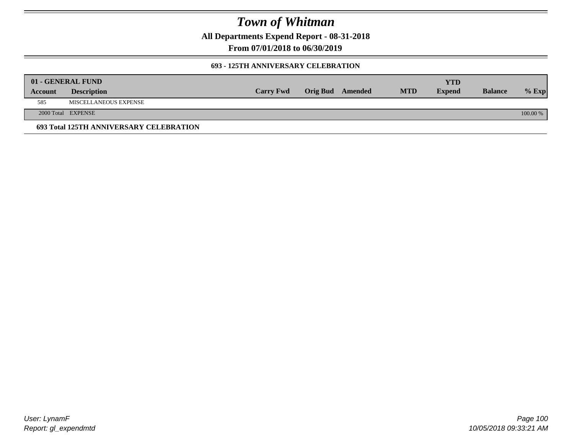**All Departments Expend Report - 08-31-2018**

**From 07/01/2018 to 06/30/2019**

### **693 - 125TH ANNIVERSARY CELEBRATION**

|         | 01 - GENERAL FUND                       |                  |                         |            | YTD           |                |          |
|---------|-----------------------------------------|------------------|-------------------------|------------|---------------|----------------|----------|
| Account | <b>Description</b>                      | <b>Carry Fwd</b> | <b>Orig Bud</b> Amended | <b>MTD</b> | <b>Expend</b> | <b>Balance</b> | $%$ Exp  |
| 585     | MISCELLANEOUS EXPENSE                   |                  |                         |            |               |                |          |
|         | 2000 Total EXPENSE                      |                  |                         |            |               |                | 100.00 % |
|         | 693 Total 125TH ANNIVERSARY CELEBRATION |                  |                         |            |               |                |          |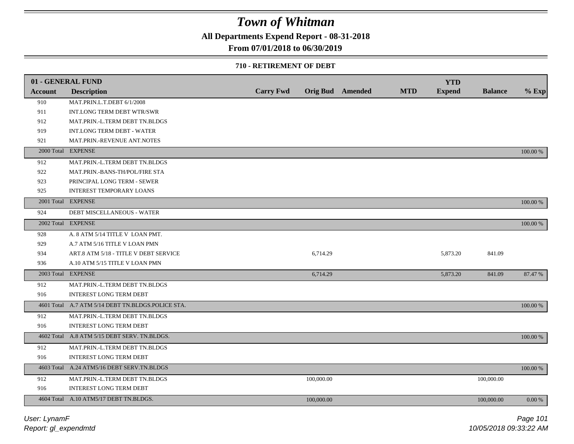**All Departments Expend Report - 08-31-2018**

### **From 07/01/2018 to 06/30/2019**

### **710 - RETIREMENT OF DEBT**

|                | 01 - GENERAL FUND                                 |                  |            |                         |            | <b>YTD</b>    |                |          |
|----------------|---------------------------------------------------|------------------|------------|-------------------------|------------|---------------|----------------|----------|
| <b>Account</b> | <b>Description</b>                                | <b>Carry Fwd</b> |            | <b>Orig Bud</b> Amended | <b>MTD</b> | <b>Expend</b> | <b>Balance</b> | $%$ Exp  |
| 910            | MAT.PRIN.L.T.DEBT 6/1/2008                        |                  |            |                         |            |               |                |          |
| 911            | INT.LONG TERM DEBT WTR/SWR                        |                  |            |                         |            |               |                |          |
| 912            | MAT.PRIN.-L.TERM DEBT TN.BLDGS                    |                  |            |                         |            |               |                |          |
| 919            | <b>INT.LONG TERM DEBT - WATER</b>                 |                  |            |                         |            |               |                |          |
| 921            | MAT.PRIN.-REVENUE ANT.NOTES                       |                  |            |                         |            |               |                |          |
|                | 2000 Total EXPENSE                                |                  |            |                         |            |               |                | 100.00 % |
| 912            | MAT.PRIN.-L.TERM DEBT TN.BLDGS                    |                  |            |                         |            |               |                |          |
| 922            | MAT.PRIN.-BANS-TH/POL/FIRE STA                    |                  |            |                         |            |               |                |          |
| 923            | PRINCIPAL LONG TERM - SEWER                       |                  |            |                         |            |               |                |          |
| 925            | INTEREST TEMPORARY LOANS                          |                  |            |                         |            |               |                |          |
|                | 2001 Total EXPENSE                                |                  |            |                         |            |               |                | 100.00 % |
| 924            | DEBT MISCELLANEOUS - WATER                        |                  |            |                         |            |               |                |          |
|                | 2002 Total EXPENSE                                |                  |            |                         |            |               |                | 100.00 % |
| 928            | A. 8 ATM 5/14 TITLE V LOAN PMT.                   |                  |            |                         |            |               |                |          |
| 929            | A.7 ATM 5/16 TITLE V LOAN PMN                     |                  |            |                         |            |               |                |          |
| 934            | ART.8 ATM 5/18 - TITLE V DEBT SERVICE             |                  | 6,714.29   |                         |            | 5,873.20      | 841.09         |          |
| 936            | A.10 ATM 5/15 TITLE V LOAN PMN                    |                  |            |                         |            |               |                |          |
|                | 2003 Total EXPENSE                                |                  | 6,714.29   |                         |            | 5,873.20      | 841.09         | 87.47 %  |
| 912            | MAT.PRIN.-L.TERM DEBT TN.BLDGS                    |                  |            |                         |            |               |                |          |
| 916            | <b>INTEREST LONG TERM DEBT</b>                    |                  |            |                         |            |               |                |          |
|                | 4601 Total A.7 ATM 5/14 DEBT TN.BLDGS.POLICE STA. |                  |            |                         |            |               |                | 100.00 % |
| 912            | MAT.PRIN.-L.TERM DEBT TN.BLDGS                    |                  |            |                         |            |               |                |          |
| 916            | <b>INTEREST LONG TERM DEBT</b>                    |                  |            |                         |            |               |                |          |
|                | 4602 Total A.8 ATM 5/15 DEBT SERV. TN.BLDGS.      |                  |            |                         |            |               |                | 100.00 % |
| 912            | MAT.PRIN.-L.TERM DEBT TN.BLDGS                    |                  |            |                         |            |               |                |          |
| 916            | INTEREST LONG TERM DEBT                           |                  |            |                         |            |               |                |          |
|                | 4603 Total A.24 ATM5/16 DEBT SERV.TN.BLDGS        |                  |            |                         |            |               |                | 100.00 % |
| 912            | MAT.PRIN.-L.TERM DEBT TN.BLDGS                    |                  | 100,000.00 |                         |            |               | 100,000.00     |          |
| 916            | <b>INTEREST LONG TERM DEBT</b>                    |                  |            |                         |            |               |                |          |
|                | 4604 Total A.10 ATM5/17 DEBT TN.BLDGS.            |                  | 100,000.00 |                         |            |               | 100,000,00     | 0.00 %   |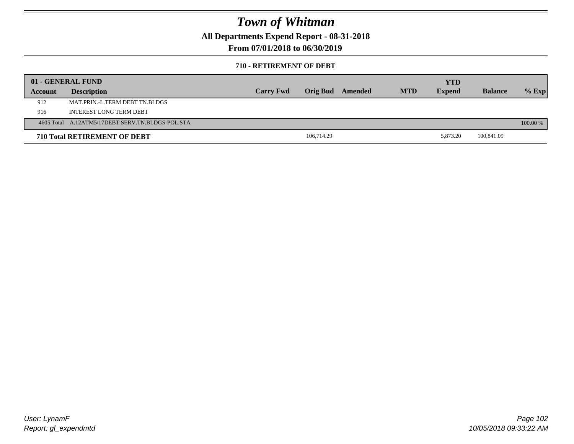**All Departments Expend Report - 08-31-2018**

**From 07/01/2018 to 06/30/2019**

### **710 - RETIREMENT OF DEBT**

|         | 01 - GENERAL FUND                                |                  |                 |         |            | YTD           |                |          |
|---------|--------------------------------------------------|------------------|-----------------|---------|------------|---------------|----------------|----------|
| Account | <b>Description</b>                               | <b>Carry Fwd</b> | <b>Orig Bud</b> | Amended | <b>MTD</b> | <b>Expend</b> | <b>Balance</b> | $%$ Exp  |
| 912     | MAT.PRIN.-L.TERM DEBT TN.BLDGS                   |                  |                 |         |            |               |                |          |
| 916     | <b>INTEREST LONG TERM DEBT</b>                   |                  |                 |         |            |               |                |          |
|         | 4605 Total A.12ATM5/17DEBT SERV.TN.BLDGS-POL.STA |                  |                 |         |            |               |                | 100.00 % |
|         | <b>710 Total RETIREMENT OF DEBT</b>              |                  | 106,714.29      |         |            | 5.873.20      | 100,841.09     |          |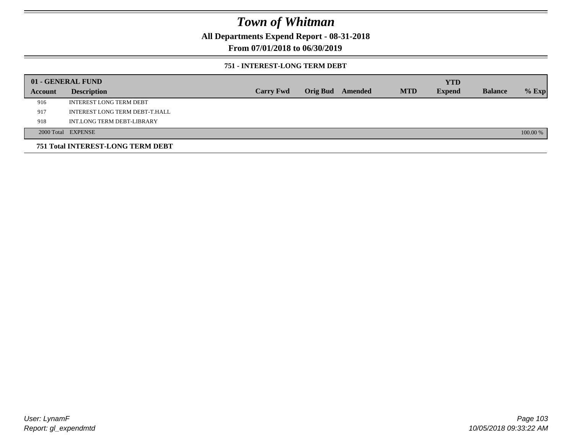**All Departments Expend Report - 08-31-2018**

**From 07/01/2018 to 06/30/2019**

### **751 - INTEREST-LONG TERM DEBT**

|         | 01 - GENERAL FUND                 |                  |                  |            | <b>YTD</b>    |                |          |
|---------|-----------------------------------|------------------|------------------|------------|---------------|----------------|----------|
| Account | <b>Description</b>                | <b>Carry Fwd</b> | Orig Bud Amended | <b>MTD</b> | <b>Expend</b> | <b>Balance</b> | $%$ Exp  |
| 916     | <b>INTEREST LONG TERM DEBT</b>    |                  |                  |            |               |                |          |
| 917     | INTEREST LONG TERM DEBT-T.HALL    |                  |                  |            |               |                |          |
| 918     | INT.LONG TERM DEBT-LIBRARY        |                  |                  |            |               |                |          |
|         | 2000 Total EXPENSE                |                  |                  |            |               |                | 100.00 % |
|         | 751 Total INTEREST-LONG TERM DEBT |                  |                  |            |               |                |          |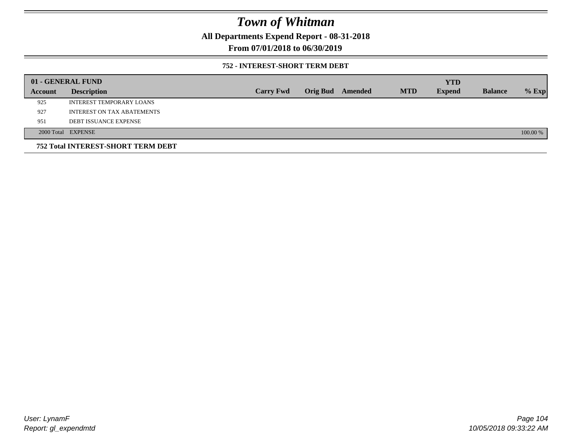**All Departments Expend Report - 08-31-2018**

**From 07/01/2018 to 06/30/2019**

### **752 - INTEREST-SHORT TERM DEBT**

|         | 01 - GENERAL FUND                         |                  |                 |         |            | <b>YTD</b>    |                |          |
|---------|-------------------------------------------|------------------|-----------------|---------|------------|---------------|----------------|----------|
| Account | <b>Description</b>                        | <b>Carry Fwd</b> | <b>Orig Bud</b> | Amended | <b>MTD</b> | <b>Expend</b> | <b>Balance</b> | $%$ Exp  |
| 925     | INTEREST TEMPORARY LOANS                  |                  |                 |         |            |               |                |          |
| 927     | INTEREST ON TAX ABATEMENTS                |                  |                 |         |            |               |                |          |
| 951     | <b>DEBT ISSUANCE EXPENSE</b>              |                  |                 |         |            |               |                |          |
|         | 2000 Total EXPENSE                        |                  |                 |         |            |               |                | 100.00 % |
|         | <b>752 Total INTEREST-SHORT TERM DEBT</b> |                  |                 |         |            |               |                |          |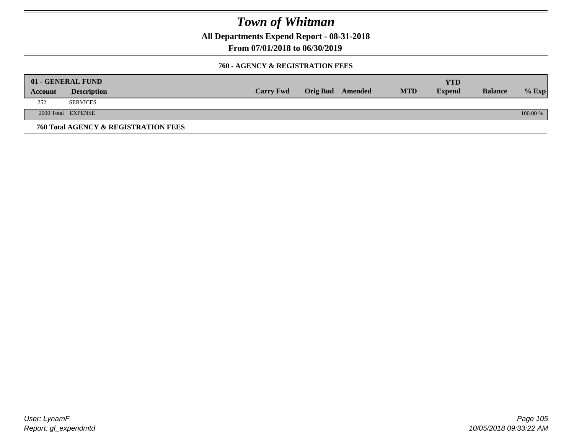**All Departments Expend Report - 08-31-2018**

**From 07/01/2018 to 06/30/2019**

### **760 - AGENCY & REGISTRATION FEES**

|         | 01 - GENERAL FUND                    |                  |                         |            | YTD           |                |          |
|---------|--------------------------------------|------------------|-------------------------|------------|---------------|----------------|----------|
| Account | <b>Description</b>                   | <b>Carry Fwd</b> | <b>Orig Bud</b> Amended | <b>MTD</b> | <b>Expend</b> | <b>Balance</b> | $%$ Exp  |
| 252     | <b>SERVICES</b>                      |                  |                         |            |               |                |          |
|         | 2000 Total EXPENSE                   |                  |                         |            |               |                | 100.00 % |
|         | 760 Total AGENCY & REGISTRATION FEES |                  |                         |            |               |                |          |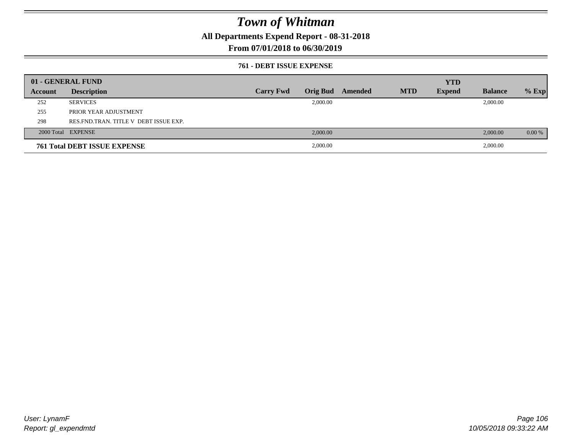**All Departments Expend Report - 08-31-2018**

### **From 07/01/2018 to 06/30/2019**

### **761 - DEBT ISSUE EXPENSE**

|         | 01 - GENERAL FUND                       |                  |          |                  |            | <b>YTD</b>    |                |          |
|---------|-----------------------------------------|------------------|----------|------------------|------------|---------------|----------------|----------|
| Account | <b>Description</b>                      | <b>Carry Fwd</b> |          | Orig Bud Amended | <b>MTD</b> | <b>Expend</b> | <b>Balance</b> | $%$ Exp  |
| 252     | <b>SERVICES</b>                         |                  | 2,000.00 |                  |            |               | 2,000.00       |          |
| 255     | PRIOR YEAR ADJUSTMENT                   |                  |          |                  |            |               |                |          |
| 298     | RES. FND. TRAN. TITLE V DEBT ISSUE EXP. |                  |          |                  |            |               |                |          |
|         | 2000 Total EXPENSE                      |                  | 2,000.00 |                  |            |               | 2,000.00       | $0.00\%$ |
|         | <b>761 Total DEBT ISSUE EXPENSE</b>     |                  | 2,000.00 |                  |            |               | 2,000.00       |          |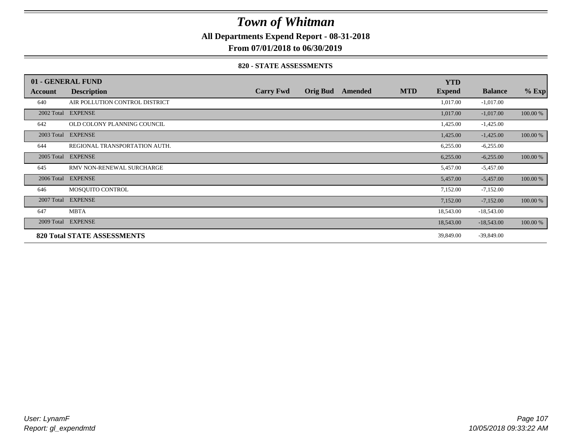**All Departments Expend Report - 08-31-2018**

**From 07/01/2018 to 06/30/2019**

### **820 - STATE ASSESSMENTS**

|            | 01 - GENERAL FUND                  |                  |                 |         |            | <b>YTD</b>    |                |          |
|------------|------------------------------------|------------------|-----------------|---------|------------|---------------|----------------|----------|
| Account    | <b>Description</b>                 | <b>Carry Fwd</b> | <b>Orig Bud</b> | Amended | <b>MTD</b> | <b>Expend</b> | <b>Balance</b> | $%$ Exp  |
| 640        | AIR POLLUTION CONTROL DISTRICT     |                  |                 |         |            | 1,017.00      | $-1,017.00$    |          |
|            | 2002 Total EXPENSE                 |                  |                 |         |            | 1,017.00      | $-1,017.00$    | 100.00 % |
| 642        | OLD COLONY PLANNING COUNCIL        |                  |                 |         |            | 1,425.00      | $-1,425.00$    |          |
|            | 2003 Total EXPENSE                 |                  |                 |         |            | 1,425.00      | $-1,425.00$    | 100.00 % |
| 644        | REGIONAL TRANSPORTATION AUTH.      |                  |                 |         |            | 6,255.00      | $-6,255.00$    |          |
| 2005 Total | <b>EXPENSE</b>                     |                  |                 |         |            | 6,255.00      | $-6,255.00$    | 100.00 % |
| 645        | RMV NON-RENEWAL SURCHARGE          |                  |                 |         |            | 5,457.00      | $-5,457.00$    |          |
| 2006 Total | <b>EXPENSE</b>                     |                  |                 |         |            | 5,457.00      | $-5,457.00$    | 100.00 % |
| 646        | MOSQUITO CONTROL                   |                  |                 |         |            | 7,152.00      | $-7,152.00$    |          |
| 2007 Total | <b>EXPENSE</b>                     |                  |                 |         |            | 7,152.00      | $-7,152.00$    | 100.00 % |
| 647        | <b>MBTA</b>                        |                  |                 |         |            | 18,543.00     | $-18,543.00$   |          |
|            | 2009 Total EXPENSE                 |                  |                 |         |            | 18,543.00     | $-18,543.00$   | 100.00 % |
|            | <b>820 Total STATE ASSESSMENTS</b> |                  |                 |         |            | 39,849.00     | $-39,849.00$   |          |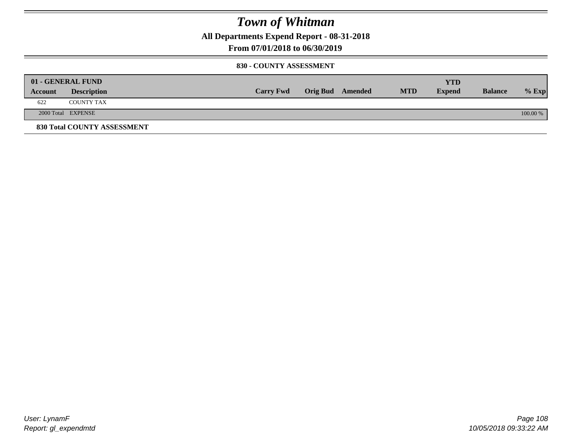**All Departments Expend Report - 08-31-2018**

**From 07/01/2018 to 06/30/2019**

### **830 - COUNTY ASSESSMENT**

|         | 01 - GENERAL FUND                  |                  |                         |            | YTD           |                |          |
|---------|------------------------------------|------------------|-------------------------|------------|---------------|----------------|----------|
| Account | <b>Description</b>                 | <b>Carry Fwd</b> | <b>Orig Bud</b> Amended | <b>MTD</b> | <b>Expend</b> | <b>Balance</b> | $%$ Exp  |
| 622     | <b>COUNTY TAX</b>                  |                  |                         |            |               |                |          |
|         | 2000 Total EXPENSE                 |                  |                         |            |               |                | 100.00 % |
|         | <b>830 Total COUNTY ASSESSMENT</b> |                  |                         |            |               |                |          |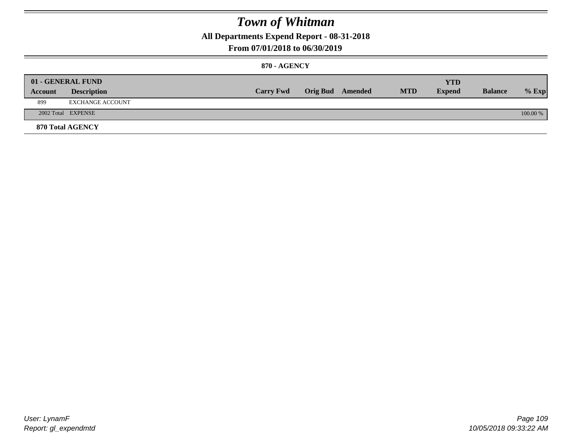**All Departments Expend Report - 08-31-2018**

### **From 07/01/2018 to 06/30/2019**

### **870 - AGENCY**

|         | 01 - GENERAL FUND  |                  |                         |            | <b>YTD</b>    |                |          |
|---------|--------------------|------------------|-------------------------|------------|---------------|----------------|----------|
| Account | <b>Description</b> | <b>Carry Fwd</b> | <b>Orig Bud</b> Amended | <b>MTD</b> | <b>Expend</b> | <b>Balance</b> | $%$ Exp  |
| 899     | EXCHANGE ACCOUNT   |                  |                         |            |               |                |          |
|         | 2002 Total EXPENSE |                  |                         |            |               |                | 100.00 % |
|         | 870 Total AGENCY   |                  |                         |            |               |                |          |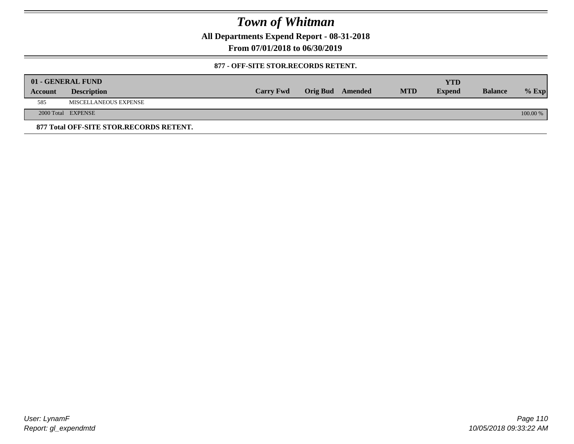**All Departments Expend Report - 08-31-2018**

**From 07/01/2018 to 06/30/2019**

### **877 - OFF-SITE STOR.RECORDS RETENT.**

|         | 01 - GENERAL FUND                       |                  |                         |            | YTD           |                |          |
|---------|-----------------------------------------|------------------|-------------------------|------------|---------------|----------------|----------|
| Account | <b>Description</b>                      | <b>Carry Fwd</b> | <b>Orig Bud</b> Amended | <b>MTD</b> | <b>Expend</b> | <b>Balance</b> | $%$ Exp  |
| 585     | MISCELLANEOUS EXPENSE                   |                  |                         |            |               |                |          |
|         | 2000 Total EXPENSE                      |                  |                         |            |               |                | 100.00 % |
|         | 877 Total OFF-SITE STOR.RECORDS RETENT. |                  |                         |            |               |                |          |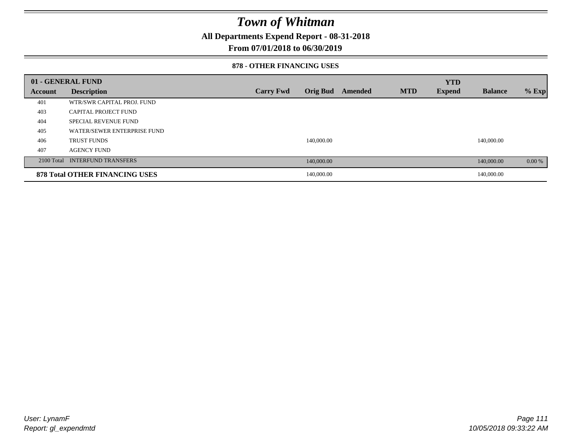**All Departments Expend Report - 08-31-2018**

### **From 07/01/2018 to 06/30/2019**

#### **878 - OTHER FINANCING USES**

|         | 01 - GENERAL FUND                     |                  |                 |         |            | <b>YTD</b>    |                |         |
|---------|---------------------------------------|------------------|-----------------|---------|------------|---------------|----------------|---------|
| Account | <b>Description</b>                    | <b>Carry Fwd</b> | <b>Orig Bud</b> | Amended | <b>MTD</b> | <b>Expend</b> | <b>Balance</b> | $%$ Exp |
| 401     | WTR/SWR CAPITAL PROJ. FUND            |                  |                 |         |            |               |                |         |
| 403     | CAPITAL PROJECT FUND                  |                  |                 |         |            |               |                |         |
| 404     | <b>SPECIAL REVENUE FUND</b>           |                  |                 |         |            |               |                |         |
| 405     | WATER/SEWER ENTERPRISE FUND           |                  |                 |         |            |               |                |         |
| 406     | <b>TRUST FUNDS</b>                    |                  | 140,000.00      |         |            |               | 140,000.00     |         |
| 407     | <b>AGENCY FUND</b>                    |                  |                 |         |            |               |                |         |
|         | 2100 Total INTERFUND TRANSFERS        |                  | 140,000.00      |         |            |               | 140,000.00     | 0.00 %  |
|         | <b>878 Total OTHER FINANCING USES</b> |                  | 140,000.00      |         |            |               | 140,000.00     |         |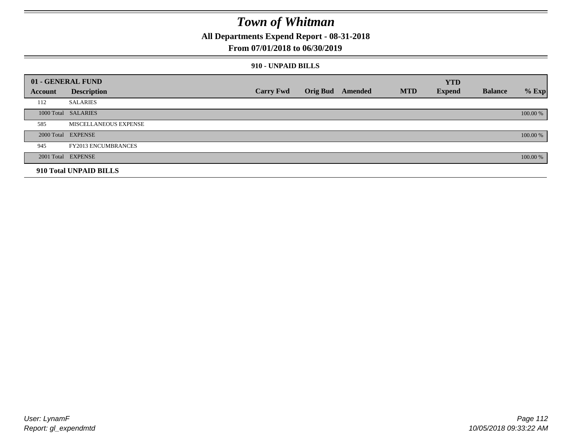**All Departments Expend Report - 08-31-2018**

### **From 07/01/2018 to 06/30/2019**

### **910 - UNPAID BILLS**

|                | 01 - GENERAL FUND          |                  |                  |            | <b>YTD</b>    |                |          |
|----------------|----------------------------|------------------|------------------|------------|---------------|----------------|----------|
| <b>Account</b> | <b>Description</b>         | <b>Carry Fwd</b> | Orig Bud Amended | <b>MTD</b> | <b>Expend</b> | <b>Balance</b> | $%$ Exp  |
| 112            | <b>SALARIES</b>            |                  |                  |            |               |                |          |
|                | 1000 Total SALARIES        |                  |                  |            |               |                | 100.00 % |
| 585            | MISCELLANEOUS EXPENSE      |                  |                  |            |               |                |          |
|                | 2000 Total EXPENSE         |                  |                  |            |               |                | 100.00 % |
| 945            | <b>FY2013 ENCUMBRANCES</b> |                  |                  |            |               |                |          |
|                | 2001 Total EXPENSE         |                  |                  |            |               |                | 100.00 % |
|                | 910 Total UNPAID BILLS     |                  |                  |            |               |                |          |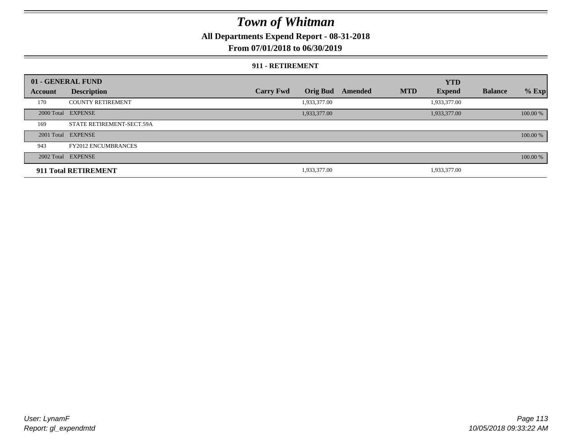**All Departments Expend Report - 08-31-2018**

**From 07/01/2018 to 06/30/2019**

### **911 - RETIREMENT**

|         | 01 - GENERAL FUND          |                  |                 |         |            | <b>YTD</b>    |                |          |
|---------|----------------------------|------------------|-----------------|---------|------------|---------------|----------------|----------|
| Account | <b>Description</b>         | <b>Carry Fwd</b> | <b>Orig Bud</b> | Amended | <b>MTD</b> | <b>Expend</b> | <b>Balance</b> | $%$ Exp  |
| 170     | <b>COUNTY RETIREMENT</b>   |                  | 1,933,377.00    |         |            | 1,933,377.00  |                |          |
|         | 2000 Total EXPENSE         |                  | 1,933,377.00    |         |            | 1,933,377.00  |                | 100.00 % |
| 169     | STATE RETIREMENT-SECT.59A  |                  |                 |         |            |               |                |          |
|         | 2001 Total EXPENSE         |                  |                 |         |            |               |                | 100.00 % |
| 943     | <b>FY2012 ENCUMBRANCES</b> |                  |                 |         |            |               |                |          |
|         | 2002 Total EXPENSE         |                  |                 |         |            |               |                | 100.00 % |
|         | 911 Total RETIREMENT       |                  | 1,933,377.00    |         |            | 1,933,377.00  |                |          |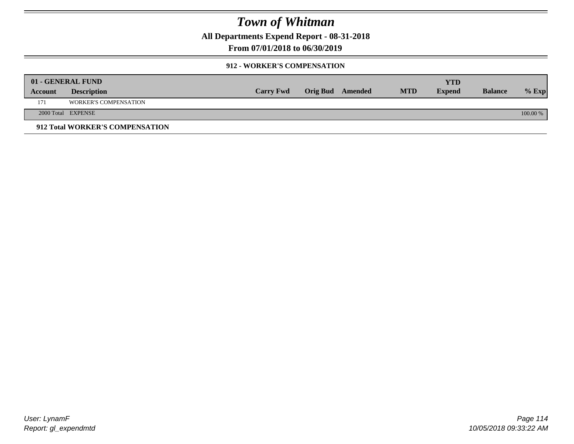**All Departments Expend Report - 08-31-2018**

**From 07/01/2018 to 06/30/2019**

### **912 - WORKER'S COMPENSATION**

|         | 01 - GENERAL FUND               |                  |                         |            | <b>YTD</b>    |                |          |
|---------|---------------------------------|------------------|-------------------------|------------|---------------|----------------|----------|
| Account | <b>Description</b>              | <b>Carry Fwd</b> | <b>Orig Bud</b> Amended | <b>MTD</b> | <b>Expend</b> | <b>Balance</b> | $%$ Exp  |
| 171     | <b>WORKER'S COMPENSATION</b>    |                  |                         |            |               |                |          |
|         | 2000 Total EXPENSE              |                  |                         |            |               |                | 100.00 % |
|         | 912 Total WORKER'S COMPENSATION |                  |                         |            |               |                |          |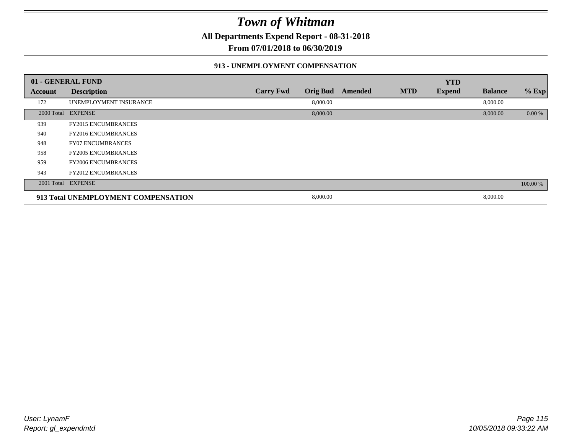**All Departments Expend Report - 08-31-2018**

**From 07/01/2018 to 06/30/2019**

### **913 - UNEMPLOYMENT COMPENSATION**

|                | 01 - GENERAL FUND                   |                  |                 |         |            | <b>YTD</b>    |                |          |
|----------------|-------------------------------------|------------------|-----------------|---------|------------|---------------|----------------|----------|
| <b>Account</b> | <b>Description</b>                  | <b>Carry Fwd</b> | <b>Orig Bud</b> | Amended | <b>MTD</b> | <b>Expend</b> | <b>Balance</b> | $%$ Exp  |
| 172            | UNEMPLOYMENT INSURANCE              |                  | 8,000.00        |         |            |               | 8,000.00       |          |
|                | 2000 Total EXPENSE                  |                  | 8,000.00        |         |            |               | 8,000.00       | 0.00 %   |
| 939            | <b>FY2015 ENCUMBRANCES</b>          |                  |                 |         |            |               |                |          |
| 940            | <b>FY2016 ENCUMBRANCES</b>          |                  |                 |         |            |               |                |          |
| 948            | <b>FY07 ENCUMBRANCES</b>            |                  |                 |         |            |               |                |          |
| 958            | <b>FY2005 ENCUMBRANCES</b>          |                  |                 |         |            |               |                |          |
| 959            | <b>FY2006 ENCUMBRANCES</b>          |                  |                 |         |            |               |                |          |
| 943            | <b>FY2012 ENCUMBRANCES</b>          |                  |                 |         |            |               |                |          |
|                | 2001 Total EXPENSE                  |                  |                 |         |            |               |                | 100.00 % |
|                | 913 Total UNEMPLOYMENT COMPENSATION |                  | 8,000.00        |         |            |               | 8,000.00       |          |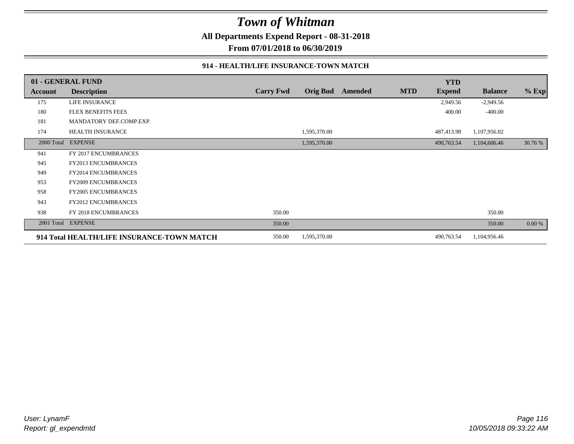**All Departments Expend Report - 08-31-2018**

**From 07/01/2018 to 06/30/2019**

### **914 - HEALTH/LIFE INSURANCE-TOWN MATCH**

|            | 01 - GENERAL FUND                          |                  |                 |         |            | <b>YTD</b>    |                |         |
|------------|--------------------------------------------|------------------|-----------------|---------|------------|---------------|----------------|---------|
| Account    | <b>Description</b>                         | <b>Carry Fwd</b> | <b>Orig Bud</b> | Amended | <b>MTD</b> | <b>Expend</b> | <b>Balance</b> | $%$ Exp |
| 175        | LIFE INSURANCE                             |                  |                 |         |            | 2,949.56      | $-2,949.56$    |         |
| 180        | <b>FLEX BENEFITS FEES</b>                  |                  |                 |         |            | 400.00        | $-400.00$      |         |
| 181        | MANDATORY DEF.COMP.EXP.                    |                  |                 |         |            |               |                |         |
| 174        | HEALTH INSURANCE                           |                  | 1,595,370.00    |         |            | 487,413.98    | 1,107,956.02   |         |
| 2000 Total | <b>EXPENSE</b>                             |                  | 1,595,370.00    |         |            | 490,763.54    | 1,104,606.46   | 30.76 % |
| 941        | FY 2017 ENCUMBRANCES                       |                  |                 |         |            |               |                |         |
| 945        | <b>FY2013 ENCUMBRANCES</b>                 |                  |                 |         |            |               |                |         |
| 949        | <b>FY2014 ENCUMBRANCES</b>                 |                  |                 |         |            |               |                |         |
| 953        | <b>FY2009 ENCUMBRANCES</b>                 |                  |                 |         |            |               |                |         |
| 958        | <b>FY2005 ENCUMBRANCES</b>                 |                  |                 |         |            |               |                |         |
| 943        | <b>FY2012 ENCUMBRANCES</b>                 |                  |                 |         |            |               |                |         |
| 938        | FY 2018 ENCUMBRANCES                       | 350.00           |                 |         |            |               | 350.00         |         |
| 2001 Total | <b>EXPENSE</b>                             | 350.00           |                 |         |            |               | 350.00         | 0.00 %  |
|            | 914 Total HEALTH/LIFE INSURANCE-TOWN MATCH | 350.00           | 1,595,370.00    |         |            | 490,763.54    | 1,104,956.46   |         |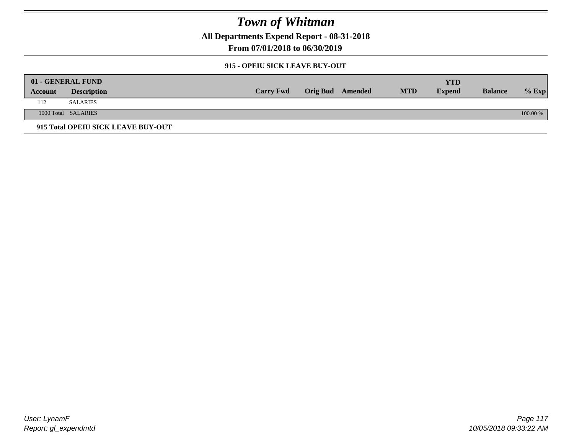**All Departments Expend Report - 08-31-2018**

**From 07/01/2018 to 06/30/2019**

### **915 - OPEIU SICK LEAVE BUY-OUT**

|         | 01 - GENERAL FUND                  |                  |                         |            | YTD           |                |          |
|---------|------------------------------------|------------------|-------------------------|------------|---------------|----------------|----------|
| Account | <b>Description</b>                 | <b>Carry Fwd</b> | <b>Orig Bud</b> Amended | <b>MTD</b> | <b>Expend</b> | <b>Balance</b> | $%$ Exp  |
| 112     | SALARIES                           |                  |                         |            |               |                |          |
|         | 1000 Total SALARIES                |                  |                         |            |               |                | 100.00 % |
|         | 915 Total OPEIU SICK LEAVE BUY-OUT |                  |                         |            |               |                |          |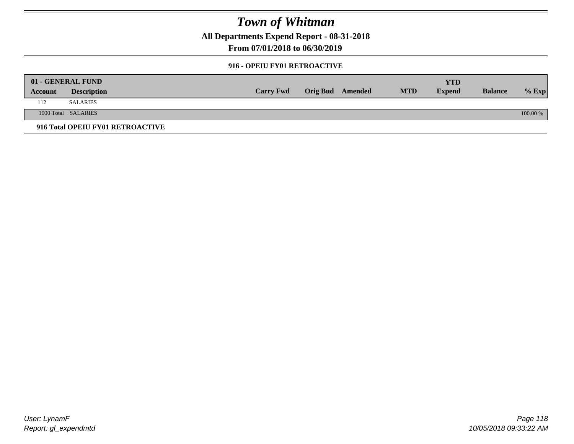**All Departments Expend Report - 08-31-2018**

**From 07/01/2018 to 06/30/2019**

### **916 - OPEIU FY01 RETROACTIVE**

|         | 01 - GENERAL FUND                |                  |                         |            | YTD           |                |          |
|---------|----------------------------------|------------------|-------------------------|------------|---------------|----------------|----------|
| Account | <b>Description</b>               | <b>Carry Fwd</b> | <b>Orig Bud</b> Amended | <b>MTD</b> | <b>Expend</b> | <b>Balance</b> | $%$ Exp  |
| 112     | <b>SALARIES</b>                  |                  |                         |            |               |                |          |
|         | 1000 Total SALARIES              |                  |                         |            |               |                | 100.00 % |
|         | 916 Total OPEIU FY01 RETROACTIVE |                  |                         |            |               |                |          |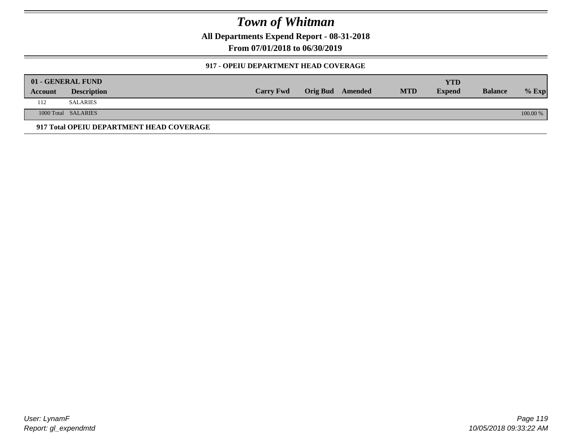**All Departments Expend Report - 08-31-2018**

**From 07/01/2018 to 06/30/2019**

### **917 - OPEIU DEPARTMENT HEAD COVERAGE**

|         | 01 - GENERAL FUND                        |                  |                         |            | YTD           |                |            |
|---------|------------------------------------------|------------------|-------------------------|------------|---------------|----------------|------------|
| Account | <b>Description</b>                       | <b>Carry Fwd</b> | <b>Orig Bud</b> Amended | <b>MTD</b> | <b>Expend</b> | <b>Balance</b> | $%$ Exp    |
| 112     | <b>SALARIES</b>                          |                  |                         |            |               |                |            |
|         | 1000 Total SALARIES                      |                  |                         |            |               |                | $100.00\%$ |
|         | 917 Total OPEIU DEPARTMENT HEAD COVERAGE |                  |                         |            |               |                |            |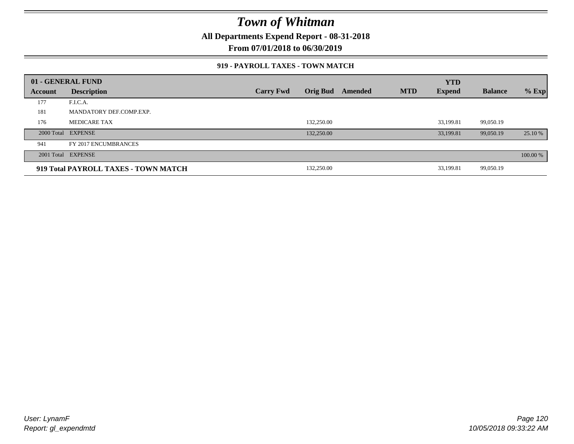**All Departments Expend Report - 08-31-2018**

**From 07/01/2018 to 06/30/2019**

### **919 - PAYROLL TAXES - TOWN MATCH**

|         | 01 - GENERAL FUND                    |                  |                 |         |            | <b>YTD</b>    |                |          |
|---------|--------------------------------------|------------------|-----------------|---------|------------|---------------|----------------|----------|
| Account | <b>Description</b>                   | <b>Carry Fwd</b> | <b>Orig Bud</b> | Amended | <b>MTD</b> | <b>Expend</b> | <b>Balance</b> | $%$ Exp  |
| 177     | F.I.C.A.                             |                  |                 |         |            |               |                |          |
| 181     | MANDATORY DEF.COMP.EXP.              |                  |                 |         |            |               |                |          |
| 176     | <b>MEDICARE TAX</b>                  |                  | 132,250.00      |         |            | 33.199.81     | 99.050.19      |          |
|         | 2000 Total EXPENSE                   |                  | 132,250.00      |         |            | 33,199.81     | 99,050.19      | 25.10 %  |
| 941     | FY 2017 ENCUMBRANCES                 |                  |                 |         |            |               |                |          |
|         | 2001 Total EXPENSE                   |                  |                 |         |            |               |                | 100.00 % |
|         | 919 Total PAYROLL TAXES - TOWN MATCH |                  | 132,250.00      |         |            | 33,199.81     | 99,050.19      |          |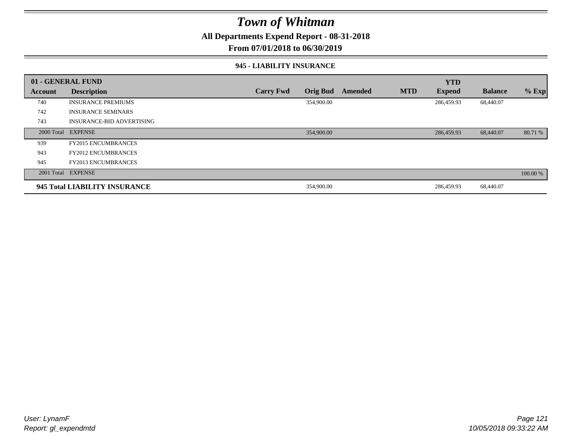**All Departments Expend Report - 08-31-2018**

**From 07/01/2018 to 06/30/2019**

#### **945 - LIABILITY INSURANCE**

|         | 01 - GENERAL FUND                |                  |                 |         |            | <b>YTD</b>    |                |          |
|---------|----------------------------------|------------------|-----------------|---------|------------|---------------|----------------|----------|
| Account | <b>Description</b>               | <b>Carry Fwd</b> | <b>Orig Bud</b> | Amended | <b>MTD</b> | <b>Expend</b> | <b>Balance</b> | $%$ Exp  |
| 740     | <b>INSURANCE PREMIUMS</b>        |                  | 354,900.00      |         |            | 286,459.93    | 68,440.07      |          |
| 742     | <b>INSURANCE SEMINARS</b>        |                  |                 |         |            |               |                |          |
| 743     | <b>INSURANCE-BID ADVERTISING</b> |                  |                 |         |            |               |                |          |
|         | 2000 Total EXPENSE               |                  | 354,900.00      |         |            | 286,459.93    | 68,440.07      | 80.71 %  |
| 939     | <b>FY2015 ENCUMBRANCES</b>       |                  |                 |         |            |               |                |          |
| 943     | <b>FY2012 ENCUMBRANCES</b>       |                  |                 |         |            |               |                |          |
| 945     | <b>FY2013 ENCUMBRANCES</b>       |                  |                 |         |            |               |                |          |
|         | 2001 Total EXPENSE               |                  |                 |         |            |               |                | 100.00 % |
|         | 945 Total LIABILITY INSURANCE    |                  | 354,900.00      |         |            | 286,459.93    | 68,440.07      |          |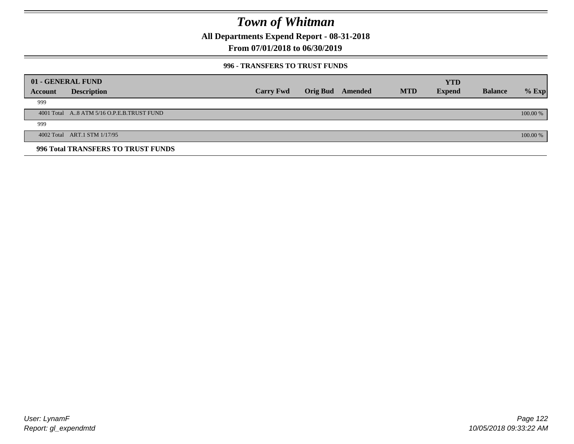**All Departments Expend Report - 08-31-2018**

**From 07/01/2018 to 06/30/2019**

### **996 - TRANSFERS TO TRUST FUNDS**

|         | 01 - GENERAL FUND                         |                  |                 |         |            | <b>YTD</b>    |                |            |
|---------|-------------------------------------------|------------------|-----------------|---------|------------|---------------|----------------|------------|
| Account | <b>Description</b>                        | <b>Carry Fwd</b> | <b>Orig Bud</b> | Amended | <b>MTD</b> | <b>Expend</b> | <b>Balance</b> | $%$ Exp    |
| 999     |                                           |                  |                 |         |            |               |                |            |
|         | 4001 Total A8 ATM 5/16 O.P.E.B.TRUST FUND |                  |                 |         |            |               |                | $100.00\%$ |
| 999     |                                           |                  |                 |         |            |               |                |            |
|         | 4002 Total ART.1 STM 1/17/95              |                  |                 |         |            |               |                | $100.00\%$ |
|         | 996 Total TRANSFERS TO TRUST FUNDS        |                  |                 |         |            |               |                |            |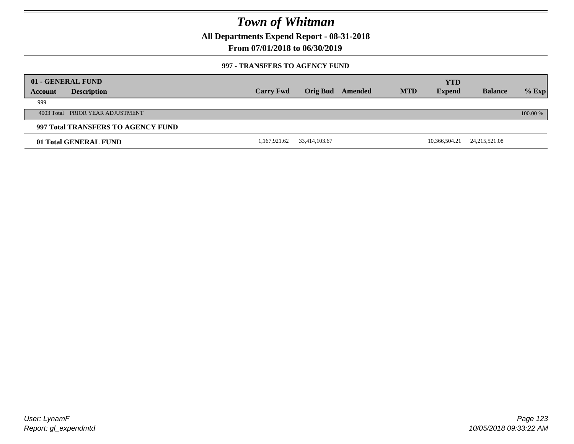**All Departments Expend Report - 08-31-2018**

**From 07/01/2018 to 06/30/2019**

### **997 - TRANSFERS TO AGENCY FUND**

|         | 01 - GENERAL FUND                  |                  |               |         |            | <b>YTD</b>    |                 |          |
|---------|------------------------------------|------------------|---------------|---------|------------|---------------|-----------------|----------|
| Account | <b>Description</b>                 | <b>Carry Fwd</b> | Orig Bud      | Amended | <b>MTD</b> | <b>Expend</b> | <b>Balance</b>  | $%$ Exp  |
| 999     |                                    |                  |               |         |            |               |                 |          |
|         | 4003 Total PRIOR YEAR ADJUSTMENT   |                  |               |         |            |               |                 | 100.00 % |
|         | 997 Total TRANSFERS TO AGENCY FUND |                  |               |         |            |               |                 |          |
|         | 01 Total GENERAL FUND              | 1,167,921.62     | 33,414,103.67 |         |            | 10,366,504.21 | 24, 215, 521.08 |          |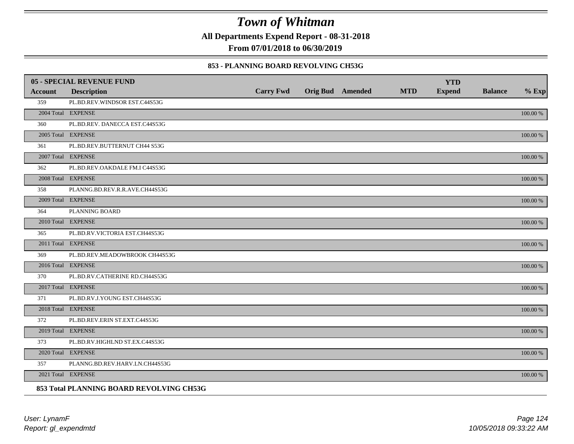**All Departments Expend Report - 08-31-2018**

**From 07/01/2018 to 06/30/2019**

### **853 - PLANNING BOARD REVOLVING CH53G**

|                | <b>05 - SPECIAL REVENUE FUND</b>         |                  |                  |            | <b>YTD</b>    |                |             |
|----------------|------------------------------------------|------------------|------------------|------------|---------------|----------------|-------------|
| <b>Account</b> | <b>Description</b>                       | <b>Carry Fwd</b> | Orig Bud Amended | <b>MTD</b> | <b>Expend</b> | <b>Balance</b> | $%$ Exp     |
| 359            | PL.BD.REV.WINDSOR EST.C44S53G            |                  |                  |            |               |                |             |
|                | 2004 Total EXPENSE                       |                  |                  |            |               |                | 100.00 %    |
| 360            | PL.BD.REV. DANECCA EST.C44S53G           |                  |                  |            |               |                |             |
|                | 2005 Total EXPENSE                       |                  |                  |            |               |                | 100.00 %    |
| 361            | PL.BD.REV.BUTTERNUT CH44 S53G            |                  |                  |            |               |                |             |
|                | 2007 Total EXPENSE                       |                  |                  |            |               |                | 100.00 %    |
| 362            | PL.BD.REV.OAKDALE FM.I C44S53G           |                  |                  |            |               |                |             |
|                | 2008 Total EXPENSE                       |                  |                  |            |               |                | 100.00 %    |
| 358            | PLANNG.BD.REV.R.R.AVE.CH44S53G           |                  |                  |            |               |                |             |
|                | 2009 Total EXPENSE                       |                  |                  |            |               |                | $100.00~\%$ |
| 364            | PLANNING BOARD                           |                  |                  |            |               |                |             |
|                | 2010 Total EXPENSE                       |                  |                  |            |               |                | $100.00~\%$ |
| 365            | PL.BD.RV.VICTORIA EST.CH44S53G           |                  |                  |            |               |                |             |
|                | 2011 Total EXPENSE                       |                  |                  |            |               |                | 100.00 %    |
| 369            | PL.BD.REV.MEADOWBROOK CH44S53G           |                  |                  |            |               |                |             |
|                | 2016 Total EXPENSE                       |                  |                  |            |               |                | 100.00 %    |
| 370            | PL.BD.RV.CATHERINE RD.CH44S53G           |                  |                  |            |               |                |             |
|                | 2017 Total EXPENSE                       |                  |                  |            |               |                | 100.00 %    |
| 371            | PL.BD.RV.J.YOUNG EST.CH44S53G            |                  |                  |            |               |                |             |
|                | 2018 Total EXPENSE                       |                  |                  |            |               |                | 100.00 %    |
| 372            | PL.BD.REV.ERIN ST.EXT.C44S53G            |                  |                  |            |               |                |             |
|                | 2019 Total EXPENSE                       |                  |                  |            |               |                | $100.00~\%$ |
| 373            | PL.BD.RV.HIGHLND ST.EX.C44S53G           |                  |                  |            |               |                |             |
|                | 2020 Total EXPENSE                       |                  |                  |            |               |                | 100.00 %    |
| 357            | PLANNG.BD.REV.HARV.LN.CH44S53G           |                  |                  |            |               |                |             |
|                | 2021 Total EXPENSE                       |                  |                  |            |               |                | 100.00 %    |
|                | 853 Total PLANNING BOARD REVOLVING CH53G |                  |                  |            |               |                |             |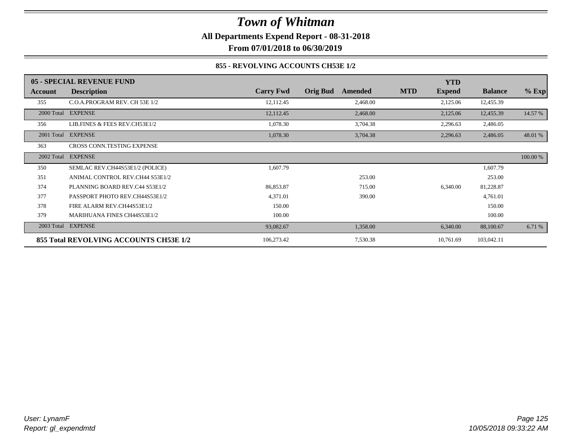**All Departments Expend Report - 08-31-2018**

**From 07/01/2018 to 06/30/2019**

### **855 - REVOLVING ACCOUNTS CH53E 1/2**

|            | 05 - SPECIAL REVENUE FUND              |                  |                            | <b>YTD</b>                  |                |          |
|------------|----------------------------------------|------------------|----------------------------|-----------------------------|----------------|----------|
| Account    | <b>Description</b>                     | <b>Carry Fwd</b> | <b>Orig Bud</b><br>Amended | <b>MTD</b><br><b>Expend</b> | <b>Balance</b> | $%$ Exp  |
| 355        | C.O.A.PROGRAM REV. CH 53E 1/2          | 12,112.45        | 2,468.00                   | 2,125.06                    | 12,455.39      |          |
|            | 2000 Total EXPENSE                     | 12,112.45        | 2,468.00                   | 2,125.06                    | 12,455.39      | 14.57 %  |
| 356        | LIB.FINES & FEES REV.CH53E1/2          | 1,078.30         | 3,704.38                   | 2,296.63                    | 2,486.05       |          |
| 2001 Total | <b>EXPENSE</b>                         | 1,078.30         | 3,704.38                   | 2,296.63                    | 2,486.05       | 48.01 %  |
| 363        | CROSS CONN.TESTING EXPENSE             |                  |                            |                             |                |          |
| 2002 Total | <b>EXPENSE</b>                         |                  |                            |                             |                | 100.00 % |
| 350        | SEMLAC REV.CH44S53E1/2 (POLICE)        | 1,607.79         |                            |                             | 1,607.79       |          |
| 351        | ANIMAL CONTROL REV.CH44 S53E1/2        |                  | 253.00                     |                             | 253.00         |          |
| 374        | PLANNING BOARD REV.C44 S53E1/2         | 86,853.87        | 715.00                     | 6,340.00                    | 81,228.87      |          |
| 377        | PASSPORT PHOTO REV.CH44S53E1/2         | 4,371.01         | 390.00                     |                             | 4,761.01       |          |
| 378        | FIRE ALARM REV.CH44S53E1/2             | 150.00           |                            |                             | 150.00         |          |
| 379        | <b>MARIHUANA FINES CH44S53E1/2</b>     | 100.00           |                            |                             | 100.00         |          |
| 2003 Total | <b>EXPENSE</b>                         | 93,082.67        | 1,358.00                   | 6,340.00                    | 88,100.67      | 6.71 %   |
|            | 855 Total REVOLVING ACCOUNTS CH53E 1/2 | 106,273.42       | 7,530.38                   | 10,761.69                   | 103,042.11     |          |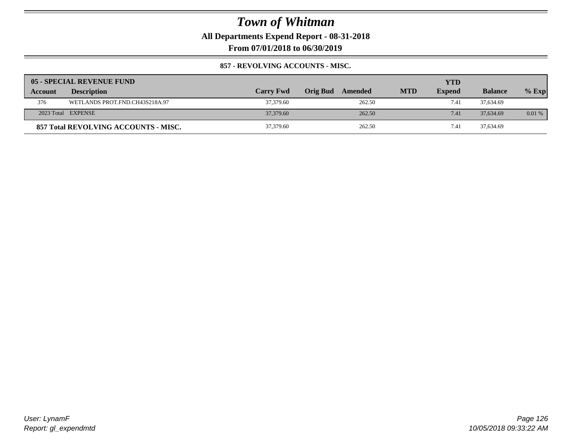**All Departments Expend Report - 08-31-2018**

**From 07/01/2018 to 06/30/2019**

### **857 - REVOLVING ACCOUNTS - MISC.**

|         | 05 - SPECIAL REVENUE FUND            |                  |                     |            | <b>YTD</b>    |                |         |
|---------|--------------------------------------|------------------|---------------------|------------|---------------|----------------|---------|
| Account | <b>Description</b>                   | <b>Carry Fwd</b> | Orig Bud<br>Amended | <b>MTD</b> | <b>Expend</b> | <b>Balance</b> | $%$ Exp |
| 376     | WETLANDS PROT.FND.CH43S218A.97       | 37,379.60        | 262.50              |            | 7.41          | 37,634.69      |         |
|         | 2023 Total EXPENSE                   | 37,379.60        | 262.50              |            | 7.41          | 37,634.69      | 0.01%   |
|         | 857 Total REVOLVING ACCOUNTS - MISC. | 37,379.60        | 262.50              |            | 7.41          | 37,634.69      |         |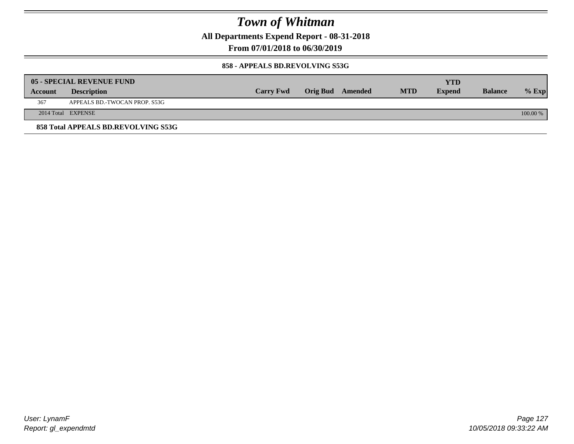**All Departments Expend Report - 08-31-2018**

**From 07/01/2018 to 06/30/2019**

### **858 - APPEALS BD.REVOLVING S53G**

|         | 05 - SPECIAL REVENUE FUND           |                  |                  |            | <b>YTD</b>    |                |            |
|---------|-------------------------------------|------------------|------------------|------------|---------------|----------------|------------|
| Account | <b>Description</b>                  | <b>Carry Fwd</b> | Orig Bud Amended | <b>MTD</b> | <b>Expend</b> | <b>Balance</b> | $%$ Exp    |
| 367     | APPEALS BD.-TWOCAN PROP. S53G       |                  |                  |            |               |                |            |
|         | 2014 Total EXPENSE                  |                  |                  |            |               |                | $100.00\%$ |
|         | 858 Total APPEALS BD.REVOLVING S53G |                  |                  |            |               |                |            |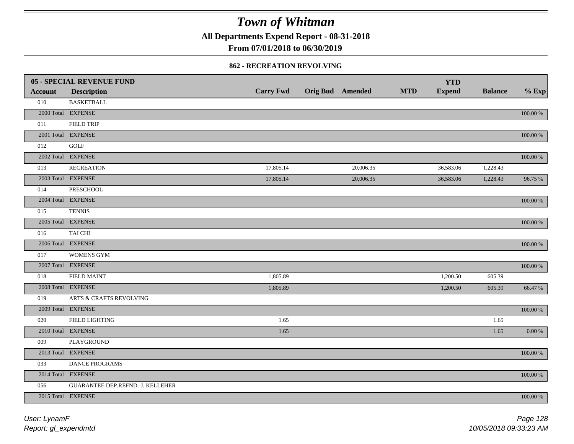**All Departments Expend Report - 08-31-2018**

**From 07/01/2018 to 06/30/2019**

#### **862 - RECREATION REVOLVING**

|                | 05 - SPECIAL REVENUE FUND        |                  |                  |            | <b>YTD</b>    |                |             |
|----------------|----------------------------------|------------------|------------------|------------|---------------|----------------|-------------|
| <b>Account</b> | <b>Description</b>               | <b>Carry Fwd</b> | Orig Bud Amended | <b>MTD</b> | <b>Expend</b> | <b>Balance</b> | $%$ Exp     |
| 010            | <b>BASKETBALL</b>                |                  |                  |            |               |                |             |
|                | 2000 Total EXPENSE               |                  |                  |            |               |                | $100.00~\%$ |
| 011            | <b>FIELD TRIP</b>                |                  |                  |            |               |                |             |
|                | 2001 Total EXPENSE               |                  |                  |            |               |                | $100.00~\%$ |
| 012            | <b>GOLF</b>                      |                  |                  |            |               |                |             |
|                | 2002 Total EXPENSE               |                  |                  |            |               |                | 100.00 %    |
| 013            | <b>RECREATION</b>                | 17,805.14        | 20,006.35        |            | 36,583.06     | 1,228.43       |             |
|                | 2003 Total EXPENSE               | 17,805.14        | 20,006.35        |            | 36,583.06     | 1,228.43       | 96.75 %     |
| 014            | <b>PRESCHOOL</b>                 |                  |                  |            |               |                |             |
|                | 2004 Total EXPENSE               |                  |                  |            |               |                | 100.00 %    |
| 015            | <b>TENNIS</b>                    |                  |                  |            |               |                |             |
|                | 2005 Total EXPENSE               |                  |                  |            |               |                | 100.00 %    |
| 016            | TAI CHI                          |                  |                  |            |               |                |             |
|                | 2006 Total EXPENSE               |                  |                  |            |               |                | $100.00~\%$ |
| 017            | <b>WOMENS GYM</b>                |                  |                  |            |               |                |             |
|                | 2007 Total EXPENSE               |                  |                  |            |               |                | $100.00~\%$ |
| 018            | <b>FIELD MAINT</b>               | 1,805.89         |                  |            | 1,200.50      | 605.39         |             |
|                | 2008 Total EXPENSE               | 1,805.89         |                  |            | 1,200.50      | 605.39         | 66.47 %     |
| 019            | ARTS & CRAFTS REVOLVING          |                  |                  |            |               |                |             |
|                | 2009 Total EXPENSE               |                  |                  |            |               |                | $100.00~\%$ |
| 020            | <b>FIELD LIGHTING</b>            | 1.65             |                  |            |               | 1.65           |             |
|                | 2010 Total EXPENSE               | 1.65             |                  |            |               | 1.65           | $0.00\,\%$  |
| 009            | <b>PLAYGROUND</b>                |                  |                  |            |               |                |             |
|                | 2013 Total EXPENSE               |                  |                  |            |               |                | $100.00~\%$ |
| 033            | DANCE PROGRAMS                   |                  |                  |            |               |                |             |
|                | 2014 Total EXPENSE               |                  |                  |            |               |                | 100.00 %    |
| 056            | GUARANTEE DEP.REFND.-J. KELLEHER |                  |                  |            |               |                |             |
|                | 2015 Total EXPENSE               |                  |                  |            |               |                | 100.00 %    |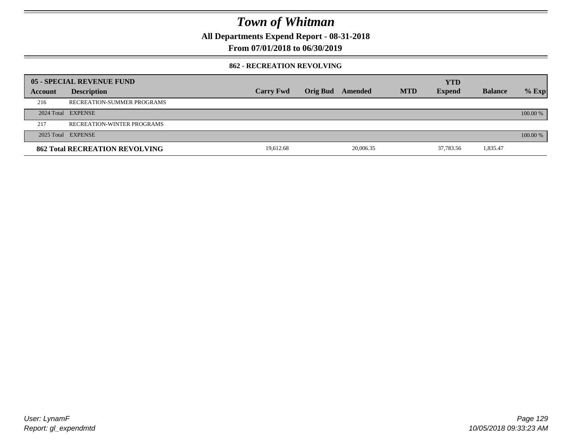**All Departments Expend Report - 08-31-2018**

**From 07/01/2018 to 06/30/2019**

### **862 - RECREATION REVOLVING**

|         | 05 - SPECIAL REVENUE FUND             |                  |          |           |            | <b>YTD</b>    |                |          |
|---------|---------------------------------------|------------------|----------|-----------|------------|---------------|----------------|----------|
| Account | <b>Description</b>                    | <b>Carry Fwd</b> | Orig Bud | Amended   | <b>MTD</b> | <b>Expend</b> | <b>Balance</b> | $%$ Exp  |
| 216     | RECREATION-SUMMER PROGRAMS            |                  |          |           |            |               |                |          |
|         | 2024 Total EXPENSE                    |                  |          |           |            |               |                | 100.00 % |
| 217     | <b>RECREATION-WINTER PROGRAMS</b>     |                  |          |           |            |               |                |          |
|         | 2025 Total EXPENSE                    |                  |          |           |            |               |                | 100.00 % |
|         | <b>862 Total RECREATION REVOLVING</b> | 19.612.68        |          | 20,006.35 |            | 37,783.56     | 1,835.47       |          |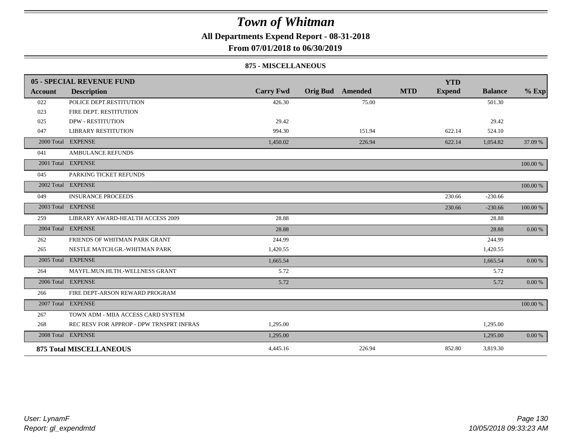**All Departments Expend Report - 08-31-2018**

**From 07/01/2018 to 06/30/2019**

#### **875 - MISCELLANEOUS**

|            | 05 - SPECIAL REVENUE FUND                |                  |                         |        |            | <b>YTD</b>    |                |           |
|------------|------------------------------------------|------------------|-------------------------|--------|------------|---------------|----------------|-----------|
| Account    | <b>Description</b>                       | <b>Carry Fwd</b> | <b>Orig Bud</b> Amended |        | <b>MTD</b> | <b>Expend</b> | <b>Balance</b> | $%$ Exp   |
| 022        | POLICE DEPT.RESTITUTION                  | 426.30           |                         | 75.00  |            |               | 501.30         |           |
| 023        | FIRE DEPT. RESTITUTION                   |                  |                         |        |            |               |                |           |
| 025        | <b>DPW - RESTITUTION</b>                 | 29.42            |                         |        |            |               | 29.42          |           |
| 047        | <b>LIBRARY RESTITUTION</b>               | 994.30           |                         | 151.94 |            | 622.14        | 524.10         |           |
| 2000 Total | <b>EXPENSE</b>                           | 1,450.02         |                         | 226.94 |            | 622.14        | 1,054.82       | 37.09 %   |
| 041        | AMBULANCE REFUNDS                        |                  |                         |        |            |               |                |           |
|            | 2001 Total EXPENSE                       |                  |                         |        |            |               |                | 100.00 %  |
| 045        | PARKING TICKET REFUNDS                   |                  |                         |        |            |               |                |           |
| 2002 Total | <b>EXPENSE</b>                           |                  |                         |        |            |               |                | 100.00 %  |
| 049        | <b>INSURANCE PROCEEDS</b>                |                  |                         |        |            | 230.66        | $-230.66$      |           |
|            | 2003 Total EXPENSE                       |                  |                         |        |            | 230.66        | $-230.66$      | 100.00 %  |
| 259        | LIBRARY AWARD-HEALTH ACCESS 2009         | 28.88            |                         |        |            |               | 28.88          |           |
|            | 2004 Total EXPENSE                       | 28.88            |                         |        |            |               | 28.88          | 0.00 %    |
| 262        | FRIENDS OF WHITMAN PARK GRANT            | 244.99           |                         |        |            |               | 244.99         |           |
| 265        | NESTLE MATCH.GR.-WHITMAN PARK            | 1,420.55         |                         |        |            |               | 1,420.55       |           |
|            | 2005 Total EXPENSE                       | 1,665.54         |                         |        |            |               | 1,665.54       | $0.00 \%$ |
| 264        | MAYFL.MUN.HLTH.-WELLNESS GRANT           | 5.72             |                         |        |            |               | 5.72           |           |
|            | 2006 Total EXPENSE                       | 5.72             |                         |        |            |               | 5.72           | $0.00 \%$ |
| 266        | FIRE DEPT-ARSON REWARD PROGRAM           |                  |                         |        |            |               |                |           |
|            | 2007 Total EXPENSE                       |                  |                         |        |            |               |                | 100.00 %  |
| 267        | TOWN ADM - MIIA ACCESS CARD SYSTEM       |                  |                         |        |            |               |                |           |
| 268        | REC RESV FOR APPROP - DPW TRNSPRT INFRAS | 1,295.00         |                         |        |            |               | 1,295.00       |           |
|            | 2008 Total EXPENSE                       | 1,295.00         |                         |        |            |               | 1,295.00       | 0.00 %    |
|            | <b>875 Total MISCELLANEOUS</b>           | 4,445.16         |                         | 226.94 |            | 852.80        | 3,819.30       |           |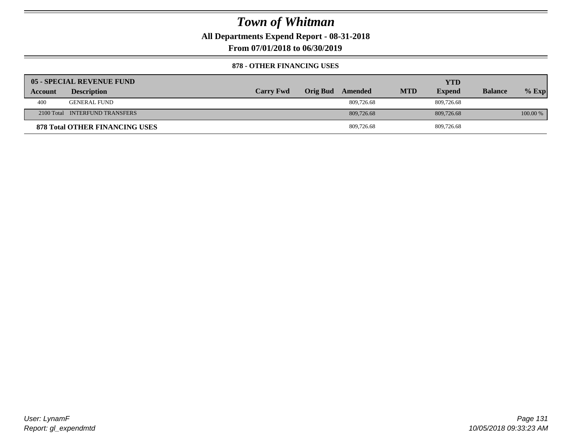**All Departments Expend Report - 08-31-2018**

**From 07/01/2018 to 06/30/2019**

### **878 - OTHER FINANCING USES**

|         | 05 - SPECIAL REVENUE FUND             |                  |          |            |            | YTD           |                |            |
|---------|---------------------------------------|------------------|----------|------------|------------|---------------|----------------|------------|
| Account | <b>Description</b>                    | <b>Carry Fwd</b> | Orig Bud | Amended    | <b>MTD</b> | <b>Expend</b> | <b>Balance</b> | $%$ Exp    |
| 400     | <b>GENERAL FUND</b>                   |                  |          | 809.726.68 |            | 809.726.68    |                |            |
|         | 2100 Total INTERFUND TRANSFERS        |                  |          | 809,726.68 |            | 809,726.68    |                | $100.00\%$ |
|         | <b>878 Total OTHER FINANCING USES</b> |                  |          | 809,726.68 |            | 809,726.68    |                |            |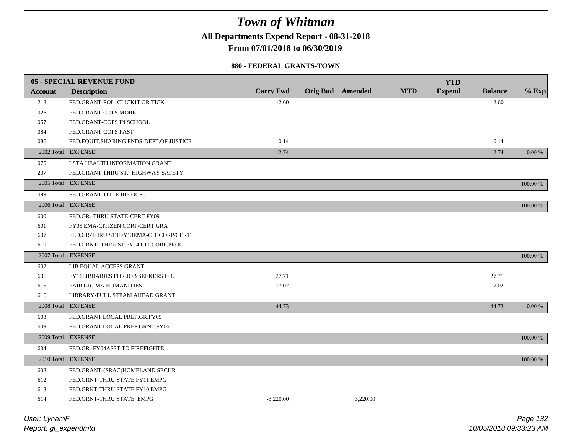**All Departments Expend Report - 08-31-2018**

**From 07/01/2018 to 06/30/2019**

#### **880 - FEDERAL GRANTS-TOWN**

|                | 05 - SPECIAL REVENUE FUND                |                  |                         |          |            | <b>YTD</b>    |                |          |
|----------------|------------------------------------------|------------------|-------------------------|----------|------------|---------------|----------------|----------|
| <b>Account</b> | <b>Description</b>                       | <b>Carry Fwd</b> | <b>Orig Bud Amended</b> |          | <b>MTD</b> | <b>Expend</b> | <b>Balance</b> | $%$ Exp  |
| 218            | FED.GRANT-POL. CLICKIT OR TICK           | 12.60            |                         |          |            |               | 12.60          |          |
| 026            | FED.GRANT-COPS MORE                      |                  |                         |          |            |               |                |          |
| 057            | FED.GRANT-COPS IN SCHOOL                 |                  |                         |          |            |               |                |          |
| 084            | FED.GRANT-COPS FAST                      |                  |                         |          |            |               |                |          |
| 086            | FED.EQUIT.SHARING FNDS-DEPT.OF JUSTICE   | 0.14             |                         |          |            |               | 0.14           |          |
|                | 2002 Total EXPENSE                       | 12.74            |                         |          |            |               | 12.74          | 0.00 %   |
|                |                                          |                  |                         |          |            |               |                |          |
| 075            | LSTA HEALTH INFORMATION GRANT            |                  |                         |          |            |               |                |          |
| 207            | FED.GRANT THRU ST.- HIGHWAY SAFETY       |                  |                         |          |            |               |                |          |
|                | 2005 Total EXPENSE                       |                  |                         |          |            |               |                | 100.00 % |
| 099            | FED.GRANT TITLE IIIE OCPC                |                  |                         |          |            |               |                |          |
|                | 2006 Total EXPENSE                       |                  |                         |          |            |               |                | 100.00 % |
| 600            | FED.GR.-THRU STATE-CERT FY09             |                  |                         |          |            |               |                |          |
| 601            | FY05 EMA-CITIZEN CORP/CERT GRA           |                  |                         |          |            |               |                |          |
| 607            | FED.GR-THRU ST.FFY13EMA-CIT.CORP/CERT    |                  |                         |          |            |               |                |          |
| 610            | FED.GRNT.-THRU ST.FY14 CIT.CORP.PROG.    |                  |                         |          |            |               |                |          |
|                | 2007 Total EXPENSE                       |                  |                         |          |            |               |                | 100.00 % |
| 602            | LIB.EQUAL ACCESS GRANT                   |                  |                         |          |            |               |                |          |
| 606            | <b>FY11LIBRARIES FOR JOB SEEKERS GR.</b> | 27.71            |                         |          |            |               | 27.71          |          |
| 615            | FAIR GR.-MA HUMANITIES                   | 17.02            |                         |          |            |               | 17.02          |          |
| 616            | LIBRARY-FULL STEAM AHEAD GRANT           |                  |                         |          |            |               |                |          |
|                | 2008 Total EXPENSE                       | 44.73            |                         |          |            |               | 44.73          | 0.00 %   |
| 603            | FED.GRANT LOCAL PREP.GR.FY05             |                  |                         |          |            |               |                |          |
| 609            | FED.GRANT LOCAL PREP.GRNT.FY06           |                  |                         |          |            |               |                |          |
|                | 2009 Total EXPENSE                       |                  |                         |          |            |               |                | 100.00 % |
| 604            | FED.GR.-FY04ASST.TO FIREFIGHTE           |                  |                         |          |            |               |                |          |
|                | 2010 Total EXPENSE                       |                  |                         |          |            |               |                | 100.00 % |
| 608            | FED.GRANT-(SRAC)HOMELAND SECUR           |                  |                         |          |            |               |                |          |
| 612            | FED.GRNT-THRU STATE FY11 EMPG            |                  |                         |          |            |               |                |          |
| 613            | FED.GRNT-THRU STATE FY10 EMPG            |                  |                         |          |            |               |                |          |
| 614            | FED.GRNT-THRU STATE EMPG                 | $-3.220.00$      |                         | 3.220.00 |            |               |                |          |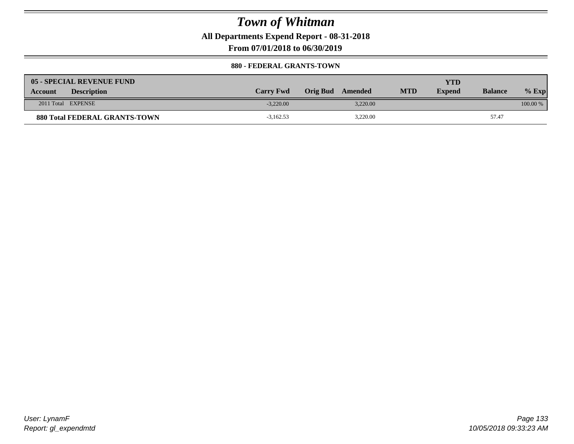**All Departments Expend Report - 08-31-2018**

**From 07/01/2018 to 06/30/2019**

### **880 - FEDERAL GRANTS-TOWN**

| <b>05 - SPECIAL REVENUE FUND</b>     |                  |                  |            | YTD           |                |            |
|--------------------------------------|------------------|------------------|------------|---------------|----------------|------------|
| <b>Description</b><br>Account        | <b>Carry Fwd</b> | Orig Bud Amended | <b>MTD</b> | <b>Expend</b> | <b>Balance</b> | $%$ Exp    |
| 2011 Total EXPENSE                   | $-3.220.00$      | 3.220.00         |            |               |                | $100.00\%$ |
| <b>880 Total FEDERAL GRANTS-TOWN</b> | $-3,162.53$      | 3,220.00         |            |               | 57.47          |            |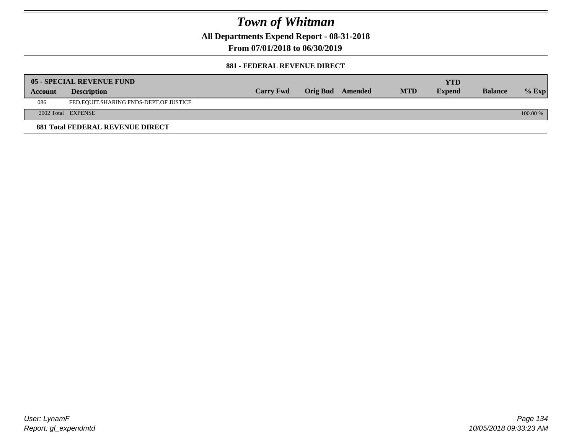**All Departments Expend Report - 08-31-2018**

**From 07/01/2018 to 06/30/2019**

### **881 - FEDERAL REVENUE DIRECT**

|         | <b>05 - SPECIAL REVENUE FUND</b>       |                  |                  |            | <b>YTD</b>    |                |          |
|---------|----------------------------------------|------------------|------------------|------------|---------------|----------------|----------|
| Account | <b>Description</b>                     | <b>Carry Fwd</b> | Orig Bud Amended | <b>MTD</b> | <b>Expend</b> | <b>Balance</b> | $%$ Exp  |
| 086     | FED.EQUIT.SHARING FNDS-DEPT.OF JUSTICE |                  |                  |            |               |                |          |
|         | 2002 Total EXPENSE                     |                  |                  |            |               |                | 100.00 % |
|         | 881 Total FEDERAL REVENUE DIRECT       |                  |                  |            |               |                |          |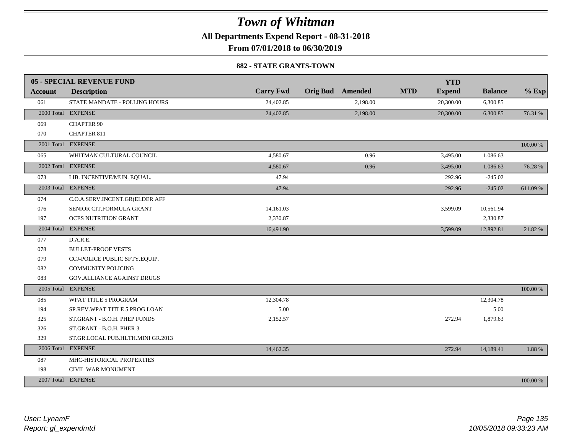**All Departments Expend Report - 08-31-2018**

**From 07/01/2018 to 06/30/2019**

### **882 - STATE GRANTS-TOWN**

|         | 05 - SPECIAL REVENUE FUND         |                  |                         | <b>YTD</b>                  |                |          |
|---------|-----------------------------------|------------------|-------------------------|-----------------------------|----------------|----------|
| Account | <b>Description</b>                | <b>Carry Fwd</b> | <b>Orig Bud</b> Amended | <b>MTD</b><br><b>Expend</b> | <b>Balance</b> | $%$ Exp  |
| 061     | STATE MANDATE - POLLING HOURS     | 24,402.85        | 2,198.00                | 20,300.00                   | 6,300.85       |          |
|         | 2000 Total EXPENSE                | 24,402.85        | 2,198.00                | 20,300.00                   | 6,300.85       | 76.31 %  |
| 069     | <b>CHAPTER 90</b>                 |                  |                         |                             |                |          |
| 070     | <b>CHAPTER 811</b>                |                  |                         |                             |                |          |
|         | 2001 Total EXPENSE                |                  |                         |                             |                | 100.00 % |
| 065     | WHITMAN CULTURAL COUNCIL          | 4,580.67         | 0.96                    | 3,495.00                    | 1,086.63       |          |
|         | 2002 Total EXPENSE                | 4,580.67         | 0.96                    | 3,495.00                    | 1,086.63       | 76.28 %  |
| 073     | LIB. INCENTIVE/MUN. EQUAL.        | 47.94            |                         | 292.96                      | $-245.02$      |          |
|         | 2003 Total EXPENSE                | 47.94            |                         | 292.96                      | $-245.02$      | 611.09%  |
| 074     | C.O.A.SERV.INCENT.GR(ELDER AFF    |                  |                         |                             |                |          |
| 076     | SENIOR CIT.FORMULA GRANT          | 14,161.03        |                         | 3,599.09                    | 10,561.94      |          |
| 197     | <b>OCES NUTRITION GRANT</b>       | 2,330.87         |                         |                             | 2,330.87       |          |
|         | 2004 Total EXPENSE                | 16,491.90        |                         | 3,599.09                    | 12,892.81      | 21.82%   |
| 077     | D.A.R.E.                          |                  |                         |                             |                |          |
| 078     | <b>BULLET-PROOF VESTS</b>         |                  |                         |                             |                |          |
| 079     | CCJ-POLICE PUBLIC SFTY.EQUIP.     |                  |                         |                             |                |          |
| 082     | <b>COMMUNITY POLICING</b>         |                  |                         |                             |                |          |
| 083     | <b>GOV.ALLIANCE AGAINST DRUGS</b> |                  |                         |                             |                |          |
|         | 2005 Total EXPENSE                |                  |                         |                             |                | 100.00 % |
| 085     | WPAT TITLE 5 PROGRAM              | 12,304.78        |                         |                             | 12,304.78      |          |
| 194     | SP.REV.WPAT TITLE 5 PROG.LOAN     | 5.00             |                         |                             | 5.00           |          |
| 325     | ST.GRANT - B.O.H. PHEP FUNDS      | 2,152.57         |                         | 272.94                      | 1,879.63       |          |
| 326     | ST.GRANT - B.O.H. PHER 3          |                  |                         |                             |                |          |
| 329     | ST.GR.LOCAL PUB.HLTH.MINI GR.2013 |                  |                         |                             |                |          |
|         | 2006 Total EXPENSE                | 14,462.35        |                         | 272.94                      | 14,189.41      | 1.88%    |
| 087     | MHC-HISTORICAL PROPERTIES         |                  |                         |                             |                |          |
| 198     | CIVIL WAR MONUMENT                |                  |                         |                             |                |          |
|         | 2007 Total EXPENSE                |                  |                         |                             |                | 100.00 % |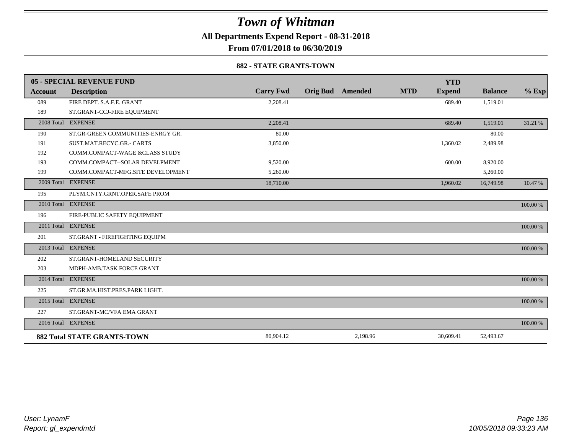**All Departments Expend Report - 08-31-2018**

**From 07/01/2018 to 06/30/2019**

#### **882 - STATE GRANTS-TOWN**

|                | 05 - SPECIAL REVENUE FUND          |                  |                         |            | <b>YTD</b>    |                |          |
|----------------|------------------------------------|------------------|-------------------------|------------|---------------|----------------|----------|
| <b>Account</b> | <b>Description</b>                 | <b>Carry Fwd</b> | <b>Orig Bud</b> Amended | <b>MTD</b> | <b>Expend</b> | <b>Balance</b> | $%$ Exp  |
| 089            | FIRE DEPT. S.A.F.E. GRANT          | 2,208.41         |                         |            | 689.40        | 1,519.01       |          |
| 189            | ST.GRANT-CCJ-FIRE EQUIPMENT        |                  |                         |            |               |                |          |
|                | 2008 Total EXPENSE                 | 2,208.41         |                         |            | 689.40        | 1,519.01       | 31.21 %  |
| 190            | ST.GR-GREEN COMMUNITIES-ENRGY GR.  | 80.00            |                         |            |               | 80.00          |          |
| 191            | SUST.MAT.RECYC.GR.- CARTS          | 3,850.00         |                         |            | 1,360.02      | 2,489.98       |          |
| 192            | COMM.COMPACT-WAGE &CLASS STUDY     |                  |                         |            |               |                |          |
| 193            | COMM.COMPACT--SOLAR DEVELPMENT     | 9,520.00         |                         |            | 600.00        | 8,920.00       |          |
| 199            | COMM.COMPACT-MFG.SITE DEVELOPMENT  | 5,260.00         |                         |            |               | 5,260.00       |          |
|                | 2009 Total EXPENSE                 | 18,710.00        |                         |            | 1,960.02      | 16,749.98      | 10.47 %  |
| 195            | PLYM.CNTY.GRNT.OPER.SAFE PROM      |                  |                         |            |               |                |          |
|                | 2010 Total EXPENSE                 |                  |                         |            |               |                | 100.00 % |
| 196            | FIRE-PUBLIC SAFETY EQUIPMENT       |                  |                         |            |               |                |          |
|                | 2011 Total EXPENSE                 |                  |                         |            |               |                | 100.00 % |
| 201            | ST.GRANT - FIREFIGHTING EQUIPM     |                  |                         |            |               |                |          |
|                | 2013 Total EXPENSE                 |                  |                         |            |               |                | 100.00 % |
| 202            | ST.GRANT-HOMELAND SECURITY         |                  |                         |            |               |                |          |
| 203            | MDPH-AMB.TASK FORCE GRANT          |                  |                         |            |               |                |          |
|                | 2014 Total EXPENSE                 |                  |                         |            |               |                | 100.00 % |
| 225            | ST.GR.MA.HIST.PRES.PARK LIGHT.     |                  |                         |            |               |                |          |
|                | 2015 Total EXPENSE                 |                  |                         |            |               |                | 100.00 % |
| 227            | ST.GRANT-MC/VFA EMA GRANT          |                  |                         |            |               |                |          |
|                | 2016 Total EXPENSE                 |                  |                         |            |               |                | 100.00 % |
|                | <b>882 Total STATE GRANTS-TOWN</b> | 80,904.12        | 2,198.96                |            | 30,609.41     | 52,493.67      |          |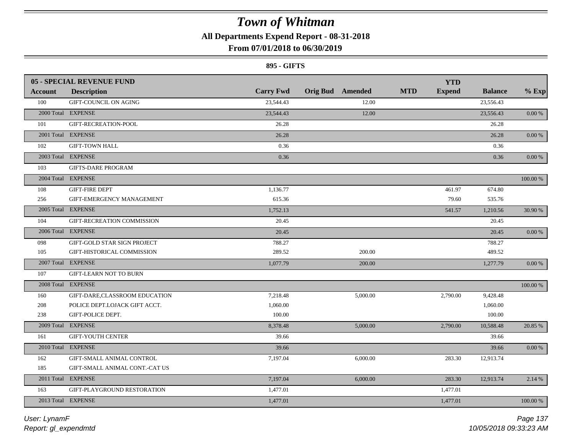**All Departments Expend Report - 08-31-2018**

### **From 07/01/2018 to 06/30/2019**

### **895 - GIFTS**

|         | <b>05 - SPECIAL REVENUE FUND</b> |                  |                         |            | <b>YTD</b>    |                |            |
|---------|----------------------------------|------------------|-------------------------|------------|---------------|----------------|------------|
| Account | <b>Description</b>               | <b>Carry Fwd</b> | <b>Orig Bud</b> Amended | <b>MTD</b> | <b>Expend</b> | <b>Balance</b> | $%$ Exp    |
| 100     | GIFT-COUNCIL ON AGING            | 23,544.43        |                         | 12.00      |               | 23,556.43      |            |
|         | 2000 Total EXPENSE               | 23,544.43        |                         | 12.00      |               | 23,556.43      | 0.00 %     |
| 101     | GIFT-RECREATION-POOL             | 26.28            |                         |            |               | 26.28          |            |
|         | 2001 Total EXPENSE               | 26.28            |                         |            |               | 26.28          | 0.00 %     |
| 102     | <b>GIFT-TOWN HALL</b>            | 0.36             |                         |            |               | 0.36           |            |
|         | 2003 Total EXPENSE               | 0.36             |                         |            |               | 0.36           | 0.00 %     |
| 103     | <b>GIFTS-DARE PROGRAM</b>        |                  |                         |            |               |                |            |
|         | 2004 Total EXPENSE               |                  |                         |            |               |                | 100.00 %   |
| 108     | <b>GIFT-FIRE DEPT</b>            | 1,136.77         |                         |            | 461.97        | 674.80         |            |
| 256     | GIFT-EMERGENCY MANAGEMENT        | 615.36           |                         |            | 79.60         | 535.76         |            |
|         | 2005 Total EXPENSE               | 1,752.13         |                         |            | 541.57        | 1,210.56       | 30.90 %    |
| 104     | GIFT-RECREATION COMMISSION       | 20.45            |                         |            |               | 20.45          |            |
|         | 2006 Total EXPENSE               | 20.45            |                         |            |               | 20.45          | 0.00 %     |
| 098     | GIFT-GOLD STAR SIGN PROJECT      | 788.27           |                         |            |               | 788.27         |            |
| 105     | GIFT-HISTORICAL COMMISSION       | 289.52           |                         | 200.00     |               | 489.52         |            |
|         | 2007 Total EXPENSE               | 1,077.79         |                         | 200.00     |               | 1,277.79       | $0.00\,\%$ |
| 107     | <b>GIFT-LEARN NOT TO BURN</b>    |                  |                         |            |               |                |            |
|         | 2008 Total EXPENSE               |                  |                         |            |               |                | 100.00 %   |
| 160     | GIFT-DARE,CLASSROOM EDUCATION    | 7,218.48         | 5,000.00                |            | 2,790.00      | 9,428.48       |            |
| 208     | POLICE DEPT.LOJACK GIFT ACCT.    | 1,060.00         |                         |            |               | 1,060.00       |            |
| 238     | GIFT-POLICE DEPT.                | 100.00           |                         |            |               | 100.00         |            |
|         | 2009 Total EXPENSE               | 8,378.48         | 5,000.00                |            | 2,790.00      | 10,588.48      | 20.85 %    |
| 161     | <b>GIFT-YOUTH CENTER</b>         | 39.66            |                         |            |               | 39.66          |            |
|         | 2010 Total EXPENSE               | 39.66            |                         |            |               | 39.66          | $0.00\,\%$ |
| 162     | GIFT-SMALL ANIMAL CONTROL        | 7,197.04         | 6,000.00                |            | 283.30        | 12,913.74      |            |
| 185     | GIFT-SMALL ANIMAL CONT.-CAT US   |                  |                         |            |               |                |            |
|         | 2011 Total EXPENSE               | 7,197.04         | 6,000.00                |            | 283.30        | 12,913.74      | 2.14 %     |
| 163     | GIFT-PLAYGROUND RESTORATION      | 1,477.01         |                         |            | 1,477.01      |                |            |
|         | 2013 Total EXPENSE               | 1,477.01         |                         |            | 1,477.01      |                | 100.00 %   |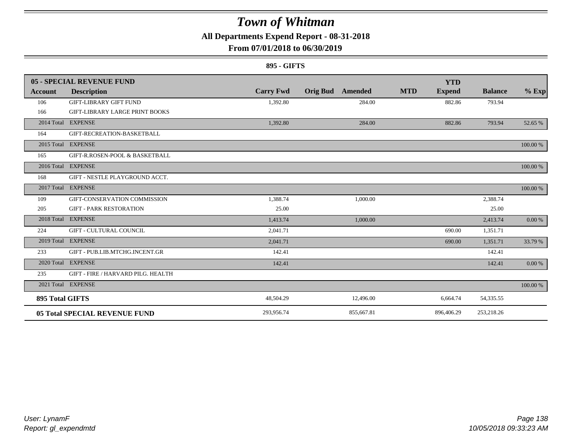**All Departments Expend Report - 08-31-2018**

### **From 07/01/2018 to 06/30/2019**

### **895 - GIFTS**

|                 | 05 - SPECIAL REVENUE FUND             |                  |                            | <b>YTD</b>                  |                |          |
|-----------------|---------------------------------------|------------------|----------------------------|-----------------------------|----------------|----------|
| Account         | <b>Description</b>                    | <b>Carry Fwd</b> | <b>Orig Bud</b><br>Amended | <b>MTD</b><br><b>Expend</b> | <b>Balance</b> | $%$ Exp  |
| 106             | <b>GIFT-LIBRARY GIFT FUND</b>         | 1,392.80         | 284.00                     | 882.86                      | 793.94         |          |
| 166             | <b>GIFT-LIBRARY LARGE PRINT BOOKS</b> |                  |                            |                             |                |          |
|                 | 2014 Total EXPENSE                    | 1,392.80         | 284.00                     | 882.86                      | 793.94         | 52.65 %  |
| 164             | GIFT-RECREATION-BASKETBALL            |                  |                            |                             |                |          |
|                 | 2015 Total EXPENSE                    |                  |                            |                             |                | 100.00 % |
| 165             | GIFT-R.ROSEN-POOL & BASKETBALL        |                  |                            |                             |                |          |
|                 | 2016 Total EXPENSE                    |                  |                            |                             |                | 100.00 % |
| 168             | GIFT - NESTLE PLAYGROUND ACCT.        |                  |                            |                             |                |          |
|                 | 2017 Total EXPENSE                    |                  |                            |                             |                | 100.00 % |
| 109             | GIFT-CONSERVATION COMMISSION          | 1,388.74         | 1,000.00                   |                             | 2,388.74       |          |
| 205             | <b>GIFT - PARK RESTORATION</b>        | 25.00            |                            |                             | 25.00          |          |
| 2018 Total      | <b>EXPENSE</b>                        | 1,413.74         | 1,000.00                   |                             | 2,413.74       | 0.00 %   |
| 224             | <b>GIFT - CULTURAL COUNCIL</b>        | 2,041.71         |                            | 690.00                      | 1,351.71       |          |
|                 | 2019 Total EXPENSE                    | 2,041.71         |                            | 690.00                      | 1,351.71       | 33.79 %  |
| 233             | GIFT - PUB.LIB.MTCHG.INCENT.GR        | 142.41           |                            |                             | 142.41         |          |
|                 | 2020 Total EXPENSE                    | 142.41           |                            |                             | 142.41         | 0.00 %   |
| 235             | GIFT - FIRE / HARVARD PILG. HEALTH    |                  |                            |                             |                |          |
|                 | 2021 Total EXPENSE                    |                  |                            |                             |                | 100.00 % |
| 895 Total GIFTS |                                       | 48,504.29        | 12,496.00                  | 6,664.74                    | 54,335.55      |          |
|                 | <b>05 Total SPECIAL REVENUE FUND</b>  | 293,956.74       | 855,667.81                 | 896,406.29                  | 253,218.26     |          |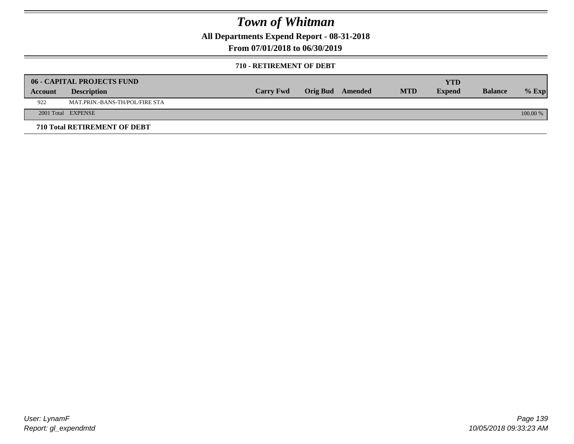**All Departments Expend Report - 08-31-2018**

**From 07/01/2018 to 06/30/2019**

#### **710 - RETIREMENT OF DEBT**

|         | <b>06 - CAPITAL PROJECTS FUND</b>   |                  |                  |            | <b>YTD</b>    |                |          |
|---------|-------------------------------------|------------------|------------------|------------|---------------|----------------|----------|
| Account | <b>Description</b>                  | <b>Carry Fwd</b> | Orig Bud Amended | <b>MTD</b> | <b>Expend</b> | <b>Balance</b> | $%$ Exp  |
| 922     | MAT.PRIN.-BANS-TH/POL/FIRE STA      |                  |                  |            |               |                |          |
|         | 2001 Total EXPENSE                  |                  |                  |            |               |                | 100.00 % |
|         | <b>710 Total RETIREMENT OF DEBT</b> |                  |                  |            |               |                |          |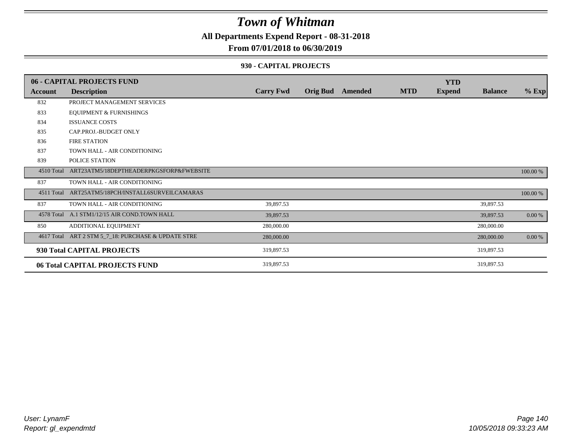**All Departments Expend Report - 08-31-2018**

### **From 07/01/2018 to 06/30/2019**

#### **930 - CAPITAL PROJECTS**

|                | 06 - CAPITAL PROJECTS FUND                          |                  |                         |            | <b>YTD</b>    |                |          |
|----------------|-----------------------------------------------------|------------------|-------------------------|------------|---------------|----------------|----------|
| <b>Account</b> | <b>Description</b>                                  | <b>Carry Fwd</b> | <b>Orig Bud</b> Amended | <b>MTD</b> | <b>Expend</b> | <b>Balance</b> | $%$ Exp  |
| 832            | PROJECT MANAGEMENT SERVICES                         |                  |                         |            |               |                |          |
| 833            | <b>EQUIPMENT &amp; FURNISHINGS</b>                  |                  |                         |            |               |                |          |
| 834            | <b>ISSUANCE COSTS</b>                               |                  |                         |            |               |                |          |
| 835            | CAP.PROJ.-BUDGET ONLY                               |                  |                         |            |               |                |          |
| 836            | <b>FIRE STATION</b>                                 |                  |                         |            |               |                |          |
| 837            | TOWN HALL - AIR CONDITIONING                        |                  |                         |            |               |                |          |
| 839            | POLICE STATION                                      |                  |                         |            |               |                |          |
| 4510 Total     | ART23ATM5/18DEPTHEADERPKGSFORP&FWEBSITE             |                  |                         |            |               |                | 100.00 % |
| 837            | TOWN HALL - AIR CONDITIONING                        |                  |                         |            |               |                |          |
|                | 4511 Total ART25ATM5/18PCH/INSTALL6SURVEILCAMARAS   |                  |                         |            |               |                | 100.00 % |
| 837            | TOWN HALL - AIR CONDITIONING                        | 39,897.53        |                         |            |               | 39,897.53      |          |
|                | 4578 Total A.1 STM1/12/15 AIR COND.TOWN HALL        | 39,897.53        |                         |            |               | 39,897.53      | $0.00\%$ |
| 850            | ADDITIONAL EQUIPMENT                                | 280,000.00       |                         |            |               | 280,000.00     |          |
|                | 4617 Total ART 2 STM 5_7_18: PURCHASE & UPDATE STRE | 280,000.00       |                         |            |               | 280,000.00     | $0.00\%$ |
|                | 930 Total CAPITAL PROJECTS                          | 319,897.53       |                         |            |               | 319,897.53     |          |
|                | 06 Total CAPITAL PROJECTS FUND                      | 319,897.53       |                         |            |               | 319,897.53     |          |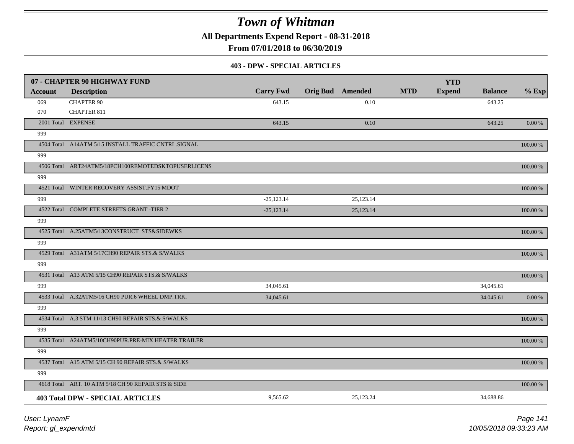**All Departments Expend Report - 08-31-2018**

**From 07/01/2018 to 06/30/2019**

#### **403 - DPW - SPECIAL ARTICLES**

|                | 07 - CHAPTER 90 HIGHWAY FUND                        |                  |                         |           |            | <b>YTD</b>    |                |             |
|----------------|-----------------------------------------------------|------------------|-------------------------|-----------|------------|---------------|----------------|-------------|
| <b>Account</b> | <b>Description</b>                                  | <b>Carry Fwd</b> | <b>Orig Bud</b> Amended |           | <b>MTD</b> | <b>Expend</b> | <b>Balance</b> | $%$ Exp     |
| 069            | <b>CHAPTER 90</b>                                   | 643.15           |                         | 0.10      |            |               | 643.25         |             |
| 070            | <b>CHAPTER 811</b>                                  |                  |                         |           |            |               |                |             |
|                | 2001 Total EXPENSE                                  | 643.15           |                         | 0.10      |            |               | 643.25         | $0.00\,\%$  |
| 999            |                                                     |                  |                         |           |            |               |                |             |
|                | 4504 Total A14ATM 5/15 INSTALL TRAFFIC CNTRL.SIGNAL |                  |                         |           |            |               |                | 100.00 %    |
| 999            |                                                     |                  |                         |           |            |               |                |             |
|                | 4506 Total ART24ATM5/18PCH100REMOTEDSKTOPUSERLICENS |                  |                         |           |            |               |                | 100.00 %    |
| 999            |                                                     |                  |                         |           |            |               |                |             |
|                | 4521 Total WINTER RECOVERY ASSIST.FY15 MDOT         |                  |                         |           |            |               |                | 100.00 %    |
| 999            |                                                     | $-25,123.14$     |                         | 25,123.14 |            |               |                |             |
|                | 4522 Total COMPLETE STREETS GRANT -TIER 2           | $-25,123.14$     |                         | 25,123.14 |            |               |                | 100.00 %    |
| 999            |                                                     |                  |                         |           |            |               |                |             |
|                | 4525 Total A.25ATM5/13CONSTRUCT STS&SIDEWKS         |                  |                         |           |            |               |                | 100.00 %    |
| 999            |                                                     |                  |                         |           |            |               |                |             |
|                | 4529 Total A31ATM 5/17CH90 REPAIR STS.& S/WALKS     |                  |                         |           |            |               |                | $100.00~\%$ |
| 999            |                                                     |                  |                         |           |            |               |                |             |
|                | 4531 Total A13 ATM 5/15 CH90 REPAIR STS.& S/WALKS   |                  |                         |           |            |               |                | 100.00 %    |
| 999            |                                                     | 34,045.61        |                         |           |            |               | 34,045.61      |             |
|                | 4533 Total A.32ATM5/16 CH90 PUR.6 WHEEL DMP.TRK.    | 34,045.61        |                         |           |            |               | 34,045.61      | 0.00 %      |
| 999            |                                                     |                  |                         |           |            |               |                |             |
|                | 4534 Total A.3 STM 11/13 CH90 REPAIR STS.& S/WALKS  |                  |                         |           |            |               |                | 100.00 %    |
| 999            |                                                     |                  |                         |           |            |               |                |             |
|                | 4535 Total A24ATM5/10CH90PUR.PRE-MIX HEATER TRAILER |                  |                         |           |            |               |                | $100.00~\%$ |
| 999            |                                                     |                  |                         |           |            |               |                |             |
|                | 4537 Total A15 ATM 5/15 CH 90 REPAIR STS.& S/WALKS  |                  |                         |           |            |               |                | 100.00 %    |
| 999            |                                                     |                  |                         |           |            |               |                |             |
|                | 4618 Total ART. 10 ATM 5/18 CH 90 REPAIR STS & SIDE |                  |                         |           |            |               |                | $100.00~\%$ |
|                | <b>403 Total DPW - SPECIAL ARTICLES</b>             | 9,565.62         |                         | 25,123.24 |            |               | 34,688.86      |             |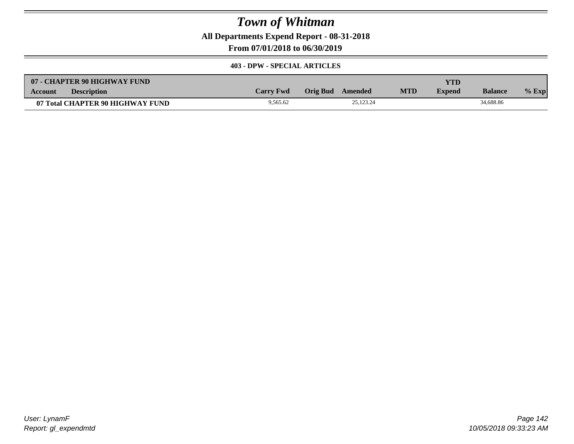**All Departments Expend Report - 08-31-2018**

**From 07/01/2018 to 06/30/2019**

### **403 - DPW - SPECIAL ARTICLES**

| 07 - CHAPTER 90 HIGHWAY FUND         |                  |                  |           |            | YTD           |                |         |
|--------------------------------------|------------------|------------------|-----------|------------|---------------|----------------|---------|
| <b>Description</b><br><b>Account</b> | <b>Carry Fwd</b> | Orig Bud Amended |           | <b>MTD</b> | <b>Expend</b> | <b>Balance</b> | $%$ Exp |
| 07 Total CHAPTER 90 HIGHWAY FUND     | 9,565.62         |                  | 25.123.24 |            |               | 34,688.86      |         |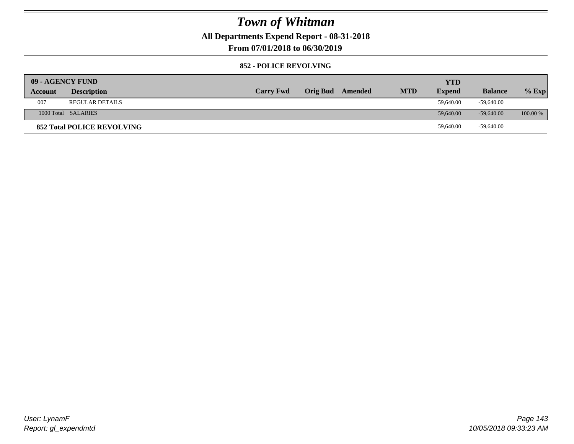**All Departments Expend Report - 08-31-2018**

**From 07/01/2018 to 06/30/2019**

### **852 - POLICE REVOLVING**

| 09 - AGENCY FUND |                                   |                  |                 |         |            | YTD           |                |            |
|------------------|-----------------------------------|------------------|-----------------|---------|------------|---------------|----------------|------------|
| Account          | <b>Description</b>                | <b>Carry Fwd</b> | <b>Orig Bud</b> | Amended | <b>MTD</b> | <b>Expend</b> | <b>Balance</b> | $%$ Exp    |
| 007              | <b>REGULAR DETAILS</b>            |                  |                 |         |            | 59,640.00     | -59,640.00     |            |
|                  | 1000 Total SALARIES               |                  |                 |         |            | 59,640.00     | $-59,640,00$   | $100.00\%$ |
|                  | <b>852 Total POLICE REVOLVING</b> |                  |                 |         |            | 59,640.00     | -59,640.00     |            |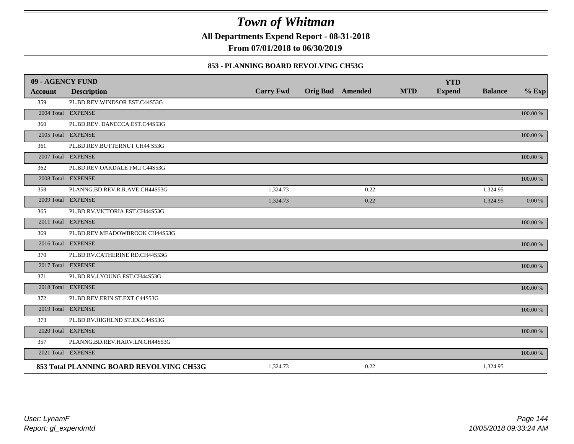**All Departments Expend Report - 08-31-2018**

**From 07/01/2018 to 06/30/2019**

### **853 - PLANNING BOARD REVOLVING CH53G**

| 09 - AGENCY FUND |                                          |                  |                         |            | <b>YTD</b>    |                |             |
|------------------|------------------------------------------|------------------|-------------------------|------------|---------------|----------------|-------------|
| <b>Account</b>   | <b>Description</b>                       | <b>Carry Fwd</b> | <b>Orig Bud</b> Amended | <b>MTD</b> | <b>Expend</b> | <b>Balance</b> | $%$ Exp     |
| 359              | PL.BD.REV.WINDSOR EST.C44S53G            |                  |                         |            |               |                |             |
|                  | 2004 Total EXPENSE                       |                  |                         |            |               |                | 100.00 %    |
| 360              | PL.BD.REV. DANECCA EST.C44S53G           |                  |                         |            |               |                |             |
|                  | 2005 Total EXPENSE                       |                  |                         |            |               |                | 100.00 %    |
| 361              | PL.BD.REV.BUTTERNUT CH44 S53G            |                  |                         |            |               |                |             |
|                  | 2007 Total EXPENSE                       |                  |                         |            |               |                | 100.00 %    |
| 362              | PL.BD.REV.OAKDALE FM.I C44S53G           |                  |                         |            |               |                |             |
|                  | 2008 Total EXPENSE                       |                  |                         |            |               |                | 100.00 %    |
| 358              | PLANNG.BD.REV.R.R.AVE.CH44S53G           | 1,324.73         | 0.22                    |            |               | 1,324.95       |             |
|                  | 2009 Total EXPENSE                       | 1,324.73         | 0.22                    |            |               | 1,324.95       | 0.00 %      |
| 365              | PL.BD.RV.VICTORIA EST.CH44S53G           |                  |                         |            |               |                |             |
|                  | 2011 Total EXPENSE                       |                  |                         |            |               |                | 100.00 %    |
| 369              | PL.BD.REV.MEADOWBROOK CH44S53G           |                  |                         |            |               |                |             |
|                  | 2016 Total EXPENSE                       |                  |                         |            |               |                | $100.00~\%$ |
| 370              | PL.BD.RV.CATHERINE RD.CH44S53G           |                  |                         |            |               |                |             |
|                  | 2017 Total EXPENSE                       |                  |                         |            |               |                | 100.00 %    |
| 371              | PL.BD.RV.J.YOUNG EST.CH44S53G            |                  |                         |            |               |                |             |
|                  | 2018 Total EXPENSE                       |                  |                         |            |               |                | 100.00 %    |
| 372              | PL.BD.REV.ERIN ST.EXT.C44S53G            |                  |                         |            |               |                |             |
|                  | 2019 Total EXPENSE                       |                  |                         |            |               |                | 100.00 %    |
| 373              | PL.BD.RV.HIGHLND ST.EX.C44S53G           |                  |                         |            |               |                |             |
|                  | 2020 Total EXPENSE                       |                  |                         |            |               |                | 100.00 %    |
| 357              | PLANNG.BD.REV.HARV.LN.CH44S53G           |                  |                         |            |               |                |             |
|                  | 2021 Total EXPENSE                       |                  |                         |            |               |                | 100.00 %    |
|                  | 853 Total PLANNING BOARD REVOLVING CH53G | 1,324.73         | 0.22                    |            |               | 1,324.95       |             |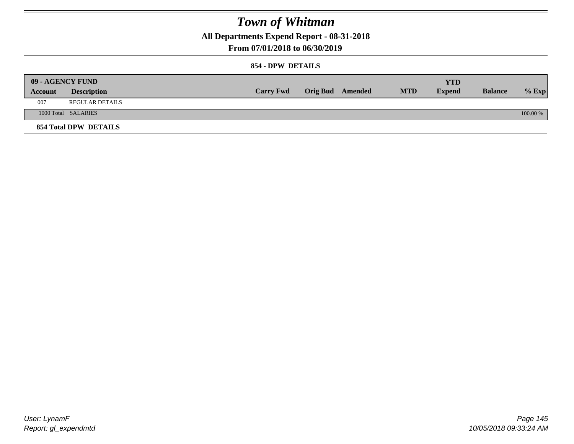**All Departments Expend Report - 08-31-2018**

**From 07/01/2018 to 06/30/2019**

### **854 - DPW DETAILS**

|         | <b>09 - AGENCY FUND</b> |                  |                         |            | <b>YTD</b>    |                |          |
|---------|-------------------------|------------------|-------------------------|------------|---------------|----------------|----------|
| Account | <b>Description</b>      | <b>Carry Fwd</b> | <b>Orig Bud</b> Amended | <b>MTD</b> | <b>Expend</b> | <b>Balance</b> | $%$ Exp  |
| 007     | REGULAR DETAILS         |                  |                         |            |               |                |          |
|         | 1000 Total SALARIES     |                  |                         |            |               |                | 100.00 % |
|         | 854 Total DPW DETAILS   |                  |                         |            |               |                |          |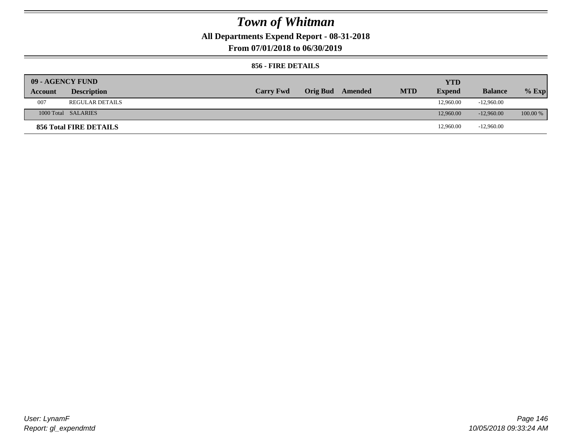**All Departments Expend Report - 08-31-2018**

**From 07/01/2018 to 06/30/2019**

### **856 - FIRE DETAILS**

| 09 - AGENCY FUND |                        |                  |                 |         |            | <b>YTD</b>    |                |            |
|------------------|------------------------|------------------|-----------------|---------|------------|---------------|----------------|------------|
| Account          | <b>Description</b>     | <b>Carry Fwd</b> | <b>Orig Bud</b> | Amended | <b>MTD</b> | <b>Expend</b> | <b>Balance</b> | $%$ Exp    |
| 007              | <b>REGULAR DETAILS</b> |                  |                 |         |            | 12,960.00     | $-12.960.00$   |            |
|                  | 1000 Total SALARIES    |                  |                 |         |            | 12,960.00     | $-12,960,00$   | $100.00\%$ |
|                  | 856 Total FIRE DETAILS |                  |                 |         |            | 12,960.00     | $-12,960.00$   |            |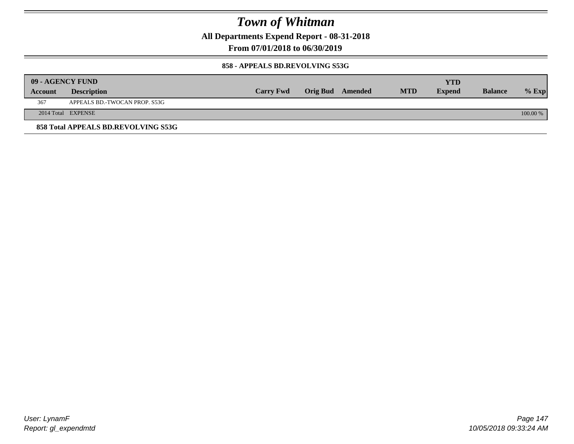**All Departments Expend Report - 08-31-2018**

**From 07/01/2018 to 06/30/2019**

### **858 - APPEALS BD.REVOLVING S53G**

|         | 09 - AGENCY FUND                    |                  |                  |            | <b>YTD</b>    |                |          |
|---------|-------------------------------------|------------------|------------------|------------|---------------|----------------|----------|
| Account | <b>Description</b>                  | <b>Carry Fwd</b> | Orig Bud Amended | <b>MTD</b> | <b>Expend</b> | <b>Balance</b> | $%$ Exp  |
| 367     | APPEALS BD.-TWOCAN PROP. S53G       |                  |                  |            |               |                |          |
|         | 2014 Total EXPENSE                  |                  |                  |            |               |                | 100.00 % |
|         | 858 Total APPEALS BD.REVOLVING S53G |                  |                  |            |               |                |          |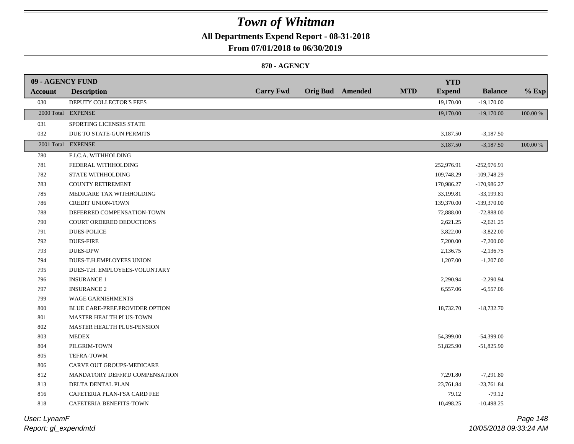## **All Departments Expend Report - 08-31-2018**

**From 07/01/2018 to 06/30/2019**

### **870 - AGENCY**

| 09 - AGENCY FUND |                                |                  |                         |            | <b>YTD</b>    |                |          |
|------------------|--------------------------------|------------------|-------------------------|------------|---------------|----------------|----------|
| <b>Account</b>   | <b>Description</b>             | <b>Carry Fwd</b> | <b>Orig Bud</b> Amended | <b>MTD</b> | <b>Expend</b> | <b>Balance</b> | $%$ Exp  |
| 030              | DEPUTY COLLECTOR'S FEES        |                  |                         |            | 19,170.00     | $-19,170.00$   |          |
|                  | 2000 Total EXPENSE             |                  |                         |            | 19,170.00     | $-19,170.00$   | 100.00 % |
| 031              | SPORTING LICENSES STATE        |                  |                         |            |               |                |          |
| 032              | DUE TO STATE-GUN PERMITS       |                  |                         |            | 3,187.50      | $-3,187.50$    |          |
|                  | 2001 Total EXPENSE             |                  |                         |            | 3,187.50      | $-3,187.50$    | 100.00 % |
| 780              | F.I.C.A. WITHHOLDING           |                  |                         |            |               |                |          |
| 781              | FEDERAL WITHHOLDING            |                  |                         |            | 252,976.91    | $-252,976.91$  |          |
| 782              | STATE WITHHOLDING              |                  |                         |            | 109,748.29    | $-109,748.29$  |          |
| 783              | COUNTY RETIREMENT              |                  |                         |            | 170,986.27    | $-170,986.27$  |          |
| 785              | MEDICARE TAX WITHHOLDING       |                  |                         |            | 33,199.81     | $-33,199.81$   |          |
| 786              | <b>CREDIT UNION-TOWN</b>       |                  |                         |            | 139,370.00    | $-139,370.00$  |          |
| 788              | DEFERRED COMPENSATION-TOWN     |                  |                         |            | 72,888.00     | $-72,888.00$   |          |
| 790              | COURT ORDERED DEDUCTIONS       |                  |                         |            | 2,621.25      | $-2,621.25$    |          |
| 791              | <b>DUES-POLICE</b>             |                  |                         |            | 3,822.00      | $-3,822.00$    |          |
| 792              | <b>DUES-FIRE</b>               |                  |                         |            | 7,200.00      | $-7,200.00$    |          |
| 793              | <b>DUES-DPW</b>                |                  |                         |            | 2,136.75      | $-2,136.75$    |          |
| 794              | DUES-T.H.EMPLOYEES UNION       |                  |                         |            | 1,207.00      | $-1,207.00$    |          |
| 795              | DUES-T.H. EMPLOYEES-VOLUNTARY  |                  |                         |            |               |                |          |
| 796              | <b>INSURANCE 1</b>             |                  |                         |            | 2,290.94      | $-2,290.94$    |          |
| 797              | <b>INSURANCE 2</b>             |                  |                         |            | 6,557.06      | $-6,557.06$    |          |
| 799              | <b>WAGE GARNISHMENTS</b>       |                  |                         |            |               |                |          |
| $800\,$          | BLUE CARE-PREF.PROVIDER OPTION |                  |                         |            | 18,732.70     | $-18,732.70$   |          |
| 801              | MASTER HEALTH PLUS-TOWN        |                  |                         |            |               |                |          |
| 802              | MASTER HEALTH PLUS-PENSION     |                  |                         |            |               |                |          |
| 803              | <b>MEDEX</b>                   |                  |                         |            | 54,399.00     | $-54,399.00$   |          |
| 804              | PILGRIM-TOWN                   |                  |                         |            | 51,825.90     | $-51,825.90$   |          |
| 805              | TEFRA-TOWM                     |                  |                         |            |               |                |          |
| 806              | CARVE OUT GROUPS-MEDICARE      |                  |                         |            |               |                |          |
| 812              | MANDATORY DEFFR'D COMPENSATION |                  |                         |            | 7,291.80      | $-7,291.80$    |          |
| 813              | DELTA DENTAL PLAN              |                  |                         |            | 23,761.84     | $-23,761.84$   |          |
| 816              | CAFETERIA PLAN-FSA CARD FEE    |                  |                         |            | 79.12         | $-79.12$       |          |
| 818              | CAFETERIA BENEFITS-TOWN        |                  |                         |            | 10,498.25     | $-10,498.25$   |          |
|                  |                                |                  |                         |            |               |                |          |

*Report: gl\_expendmtd User: LynamF*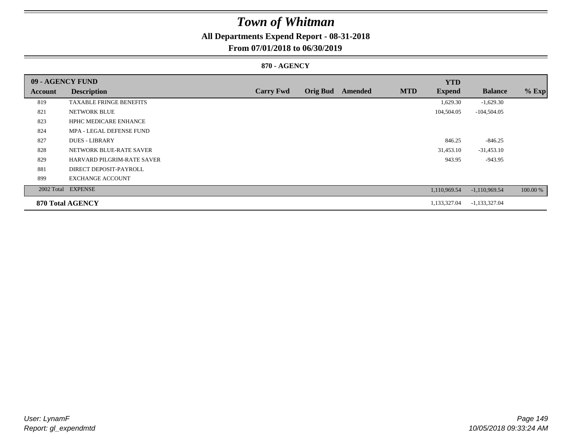## **All Departments Expend Report - 08-31-2018**

### **From 07/01/2018 to 06/30/2019**

### **870 - AGENCY**

| 09 - AGENCY FUND |                                |                  |                 |         |            | <b>YTD</b>    |                 |          |
|------------------|--------------------------------|------------------|-----------------|---------|------------|---------------|-----------------|----------|
| Account          | <b>Description</b>             | <b>Carry Fwd</b> | <b>Orig Bud</b> | Amended | <b>MTD</b> | <b>Expend</b> | <b>Balance</b>  | $%$ Exp  |
| 819              | <b>TAXABLE FRINGE BENEFITS</b> |                  |                 |         |            | 1,629.30      | $-1,629.30$     |          |
| 821              | <b>NETWORK BLUE</b>            |                  |                 |         |            | 104,504.05    | $-104,504.05$   |          |
| 823              | <b>HPHC MEDICARE ENHANCE</b>   |                  |                 |         |            |               |                 |          |
| 824              | MPA - LEGAL DEFENSE FUND       |                  |                 |         |            |               |                 |          |
| 827              | <b>DUES - LIBRARY</b>          |                  |                 |         |            | 846.25        | $-846.25$       |          |
| 828              | NETWORK BLUE-RATE SAVER        |                  |                 |         |            | 31,453.10     | $-31,453.10$    |          |
| 829              | HARVARD PILGRIM-RATE SAVER     |                  |                 |         |            | 943.95        | $-943.95$       |          |
| 881              | DIRECT DEPOSIT-PAYROLL         |                  |                 |         |            |               |                 |          |
| 899              | <b>EXCHANGE ACCOUNT</b>        |                  |                 |         |            |               |                 |          |
|                  | 2002 Total EXPENSE             |                  |                 |         |            | 1,110,969.54  | $-1,110,969.54$ | 100.00 % |
|                  | <b>870 Total AGENCY</b>        |                  |                 |         |            | 1,133,327.04  | $-1,133,327.04$ |          |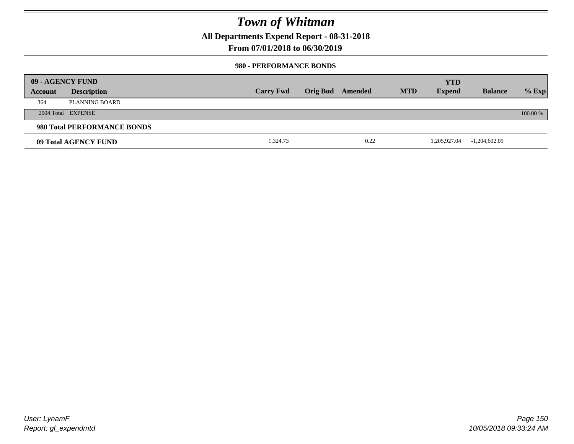**All Departments Expend Report - 08-31-2018**

**From 07/01/2018 to 06/30/2019**

### **980 - PERFORMANCE BONDS**

|         | 09 - AGENCY FUND            |                  |                 |         |            | <b>YTD</b>    |                 |          |
|---------|-----------------------------|------------------|-----------------|---------|------------|---------------|-----------------|----------|
| Account | <b>Description</b>          | <b>Carry Fwd</b> | <b>Orig Bud</b> | Amended | <b>MTD</b> | <b>Expend</b> | <b>Balance</b>  | $%$ Exp  |
| 364     | PLANNING BOARD              |                  |                 |         |            |               |                 |          |
|         | 2004 Total EXPENSE          |                  |                 |         |            |               |                 | 100.00 % |
|         | 980 Total PERFORMANCE BONDS |                  |                 |         |            |               |                 |          |
|         | 09 Total AGENCY FUND        | 1,324.73         |                 | 0.22    |            | 1,205,927.04  | $-1,204,602.09$ |          |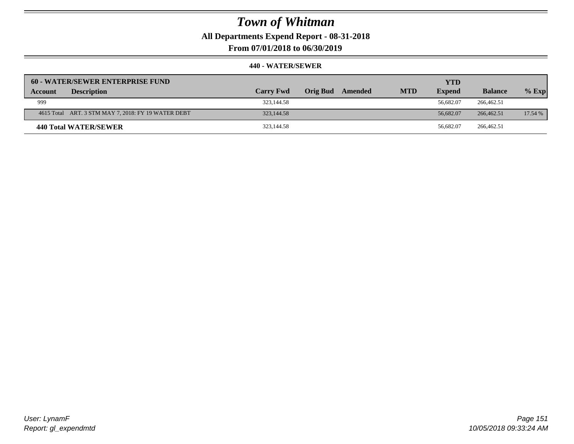**All Departments Expend Report - 08-31-2018**

**From 07/01/2018 to 06/30/2019**

| 60 - WATER/SEWER ENTERPRISE FUND                    |                  |                            |            | <b>YTD</b>    |                |         |
|-----------------------------------------------------|------------------|----------------------------|------------|---------------|----------------|---------|
| <b>Description</b><br><b>Account</b>                | <b>Carry Fwd</b> | <b>Orig Bud</b><br>Amended | <b>MTD</b> | <b>Expend</b> | <b>Balance</b> | $%$ Exp |
| 999                                                 | 323,144.58       |                            |            | 56,682.07     | 266,462.51     |         |
| 4615 Total ART. 3 STM MAY 7, 2018: FY 19 WATER DEBT | 323,144.58       |                            |            | 56,682.07     | 266,462.51     | 17.54 % |
| 440 Total WATER/SEWER                               | 323,144.58       |                            |            | 56,682.07     | 266,462.51     |         |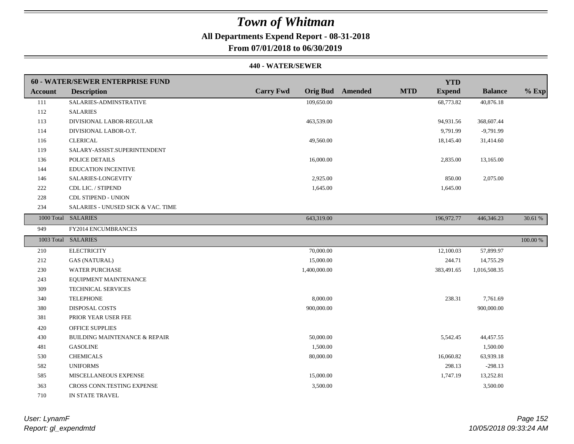## **All Departments Expend Report - 08-31-2018**

**From 07/01/2018 to 06/30/2019**

|                | <b>60 - WATER/SEWER ENTERPRISE FUND</b> |                  |                                       | <b>YTD</b>    |                |          |
|----------------|-----------------------------------------|------------------|---------------------------------------|---------------|----------------|----------|
| <b>Account</b> | <b>Description</b>                      | <b>Carry Fwd</b> | <b>Orig Bud</b> Amended<br><b>MTD</b> | <b>Expend</b> | <b>Balance</b> | $%$ Exp  |
| 111            | SALARIES-ADMINSTRATIVE                  | 109,650.00       |                                       | 68,773.82     | 40,876.18      |          |
| 112            | <b>SALARIES</b>                         |                  |                                       |               |                |          |
| 113            | DIVISIONAL LABOR-REGULAR                | 463,539.00       |                                       | 94,931.56     | 368,607.44     |          |
| 114            | DIVISIONAL LABOR-O.T.                   |                  |                                       | 9,791.99      | $-9,791.99$    |          |
| 116            | <b>CLERICAL</b>                         | 49,560.00        |                                       | 18,145.40     | 31,414.60      |          |
| 119            | SALARY-ASSIST.SUPERINTENDENT            |                  |                                       |               |                |          |
| 136            | POLICE DETAILS                          | 16,000.00        |                                       | 2,835.00      | 13,165.00      |          |
| 144            | <b>EDUCATION INCENTIVE</b>              |                  |                                       |               |                |          |
| 146            | SALARIES-LONGEVITY                      | 2,925.00         |                                       | 850.00        | 2,075.00       |          |
| 222            | CDL LIC. / STIPEND                      | 1,645.00         |                                       | 1,645.00      |                |          |
| 228            | <b>CDL STIPEND - UNION</b>              |                  |                                       |               |                |          |
| 234            | SALARIES - UNUSED SICK & VAC. TIME      |                  |                                       |               |                |          |
|                | 1000 Total SALARIES                     | 643,319.00       |                                       | 196,972.77    | 446,346.23     | 30.61 %  |
| 949            | FY2014 ENCUMBRANCES                     |                  |                                       |               |                |          |
|                | 1003 Total SALARIES                     |                  |                                       |               |                | 100.00 % |
| 210            | <b>ELECTRICITY</b>                      | 70,000.00        |                                       | 12,100.03     | 57,899.97      |          |
| 212            | <b>GAS (NATURAL)</b>                    | 15,000.00        |                                       | 244.71        | 14,755.29      |          |
| 230            | <b>WATER PURCHASE</b>                   | 1,400,000.00     |                                       | 383,491.65    | 1,016,508.35   |          |
| 243            | EQUIPMENT MAINTENANCE                   |                  |                                       |               |                |          |
| 309            | <b>TECHNICAL SERVICES</b>               |                  |                                       |               |                |          |
| 340            | <b>TELEPHONE</b>                        | 8,000.00         |                                       | 238.31        | 7.761.69       |          |
| 380            | <b>DISPOSAL COSTS</b>                   | 900,000.00       |                                       |               | 900,000.00     |          |
| 381            | PRIOR YEAR USER FEE                     |                  |                                       |               |                |          |
| 420            | <b>OFFICE SUPPLIES</b>                  |                  |                                       |               |                |          |
| 430            | BUILDING MAINTENANCE & REPAIR           | 50,000.00        |                                       | 5,542.45      | 44,457.55      |          |
| 481            | <b>GASOLINE</b>                         | 1,500.00         |                                       |               | 1,500.00       |          |
| 530            | <b>CHEMICALS</b>                        | 80,000.00        |                                       | 16,060.82     | 63,939.18      |          |
| 582            | <b>UNIFORMS</b>                         |                  |                                       | 298.13        | $-298.13$      |          |
| 585            | MISCELLANEOUS EXPENSE                   | 15,000.00        |                                       | 1,747.19      | 13,252.81      |          |
| 363            | CROSS CONN.TESTING EXPENSE              | 3,500.00         |                                       |               | 3,500.00       |          |
| 710            | IN STATE TRAVEL                         |                  |                                       |               |                |          |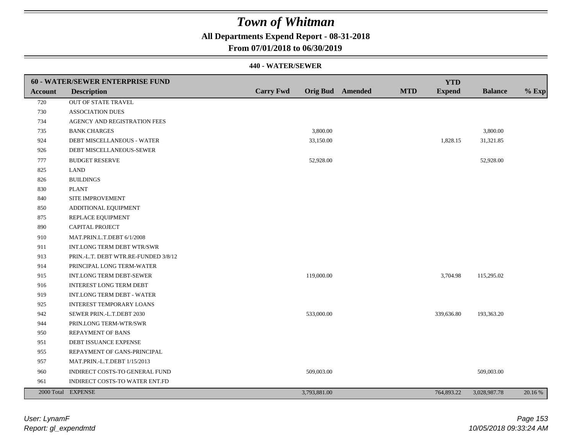## **All Departments Expend Report - 08-31-2018**

### **From 07/01/2018 to 06/30/2019**

|                | <b>60 - WATER/SEWER ENTERPRISE FUND</b> |                  |                         |            | <b>YTD</b>    |                |         |
|----------------|-----------------------------------------|------------------|-------------------------|------------|---------------|----------------|---------|
| <b>Account</b> | <b>Description</b>                      | <b>Carry Fwd</b> | <b>Orig Bud</b> Amended | <b>MTD</b> | <b>Expend</b> | <b>Balance</b> | $%$ Exp |
| 720            | OUT OF STATE TRAVEL                     |                  |                         |            |               |                |         |
| 730            | <b>ASSOCIATION DUES</b>                 |                  |                         |            |               |                |         |
| 734            | AGENCY AND REGISTRATION FEES            |                  |                         |            |               |                |         |
| 735            | <b>BANK CHARGES</b>                     |                  | 3,800.00                |            |               | 3,800.00       |         |
| 924            | DEBT MISCELLANEOUS - WATER              |                  | 33,150.00               |            | 1,828.15      | 31,321.85      |         |
| 926            | DEBT MISCELLANEOUS-SEWER                |                  |                         |            |               |                |         |
| 777            | <b>BUDGET RESERVE</b>                   |                  | 52,928.00               |            |               | 52,928.00      |         |
| 825            | <b>LAND</b>                             |                  |                         |            |               |                |         |
| 826            | <b>BUILDINGS</b>                        |                  |                         |            |               |                |         |
| 830            | <b>PLANT</b>                            |                  |                         |            |               |                |         |
| 840            | SITE IMPROVEMENT                        |                  |                         |            |               |                |         |
| 850            | ADDITIONAL EQUIPMENT                    |                  |                         |            |               |                |         |
| 875            | REPLACE EQUIPMENT                       |                  |                         |            |               |                |         |
| 890            | <b>CAPITAL PROJECT</b>                  |                  |                         |            |               |                |         |
| 910            | MAT.PRIN.L.T.DEBT 6/1/2008              |                  |                         |            |               |                |         |
| 911            | INT.LONG TERM DEBT WTR/SWR              |                  |                         |            |               |                |         |
| 913            | PRIN.-L.T. DEBT WTR.RE-FUNDED 3/8/12    |                  |                         |            |               |                |         |
| 914            | PRINCIPAL LONG TERM-WATER               |                  |                         |            |               |                |         |
| 915            | INT.LONG TERM DEBT-SEWER                |                  | 119,000.00              |            | 3,704.98      | 115,295.02     |         |
| 916            | <b>INTEREST LONG TERM DEBT</b>          |                  |                         |            |               |                |         |
| 919            | INT.LONG TERM DEBT - WATER              |                  |                         |            |               |                |         |
| 925            | <b>INTEREST TEMPORARY LOANS</b>         |                  |                         |            |               |                |         |
| 942            | SEWER PRIN.-L.T.DEBT 2030               |                  | 533,000.00              |            | 339,636.80    | 193,363.20     |         |
| 944            | PRIN.LONG TERM-WTR/SWR                  |                  |                         |            |               |                |         |
| 950            | <b>REPAYMENT OF BANS</b>                |                  |                         |            |               |                |         |
| 951            | DEBT ISSUANCE EXPENSE                   |                  |                         |            |               |                |         |
| 955            | REPAYMENT OF GANS-PRINCIPAL             |                  |                         |            |               |                |         |
| 957            | MAT.PRIN.-L.T.DEBT 1/15/2013            |                  |                         |            |               |                |         |
| 960            | INDIRECT COSTS-TO GENERAL FUND          |                  | 509,003.00              |            |               | 509,003.00     |         |
| 961            | INDIRECT COSTS-TO WATER ENT.FD          |                  |                         |            |               |                |         |
|                | 2000 Total EXPENSE                      |                  | 3,793,881.00            |            | 764,893.22    | 3,028,987.78   | 20.16 % |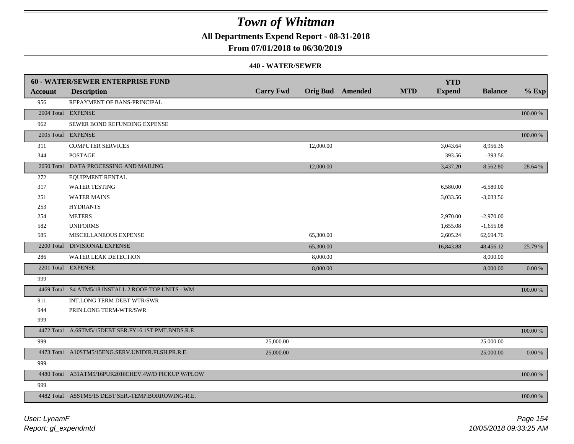**All Departments Expend Report - 08-31-2018**

### **From 07/01/2018 to 06/30/2019**

|                | <b>60 - WATER/SEWER ENTERPRISE FUND</b>             |                  |           |                         |            | <b>YTD</b>    |                |             |
|----------------|-----------------------------------------------------|------------------|-----------|-------------------------|------------|---------------|----------------|-------------|
| <b>Account</b> | <b>Description</b>                                  | <b>Carry Fwd</b> |           | <b>Orig Bud</b> Amended | <b>MTD</b> | <b>Expend</b> | <b>Balance</b> | $%$ Exp     |
| 956            | REPAYMENT OF BANS-PRINCIPAL                         |                  |           |                         |            |               |                |             |
|                | 2004 Total EXPENSE                                  |                  |           |                         |            |               |                | $100.00~\%$ |
| 962            | SEWER BOND REFUNDING EXPENSE                        |                  |           |                         |            |               |                |             |
|                | 2005 Total EXPENSE                                  |                  |           |                         |            |               |                | $100.00~\%$ |
| 311            | <b>COMPUTER SERVICES</b>                            |                  | 12,000.00 |                         |            | 3,043.64      | 8,956.36       |             |
| 344            | <b>POSTAGE</b>                                      |                  |           |                         |            | 393.56        | $-393.56$      |             |
|                | 2050 Total DATA PROCESSING AND MAILING              |                  | 12,000.00 |                         |            | 3,437.20      | 8,562.80       | 28.64 %     |
| 272            | <b>EQUIPMENT RENTAL</b>                             |                  |           |                         |            |               |                |             |
| 317            | <b>WATER TESTING</b>                                |                  |           |                         |            | 6,580.00      | $-6,580.00$    |             |
| 251            | <b>WATER MAINS</b>                                  |                  |           |                         |            | 3,033.56      | $-3,033.56$    |             |
| 253            | <b>HYDRANTS</b>                                     |                  |           |                         |            |               |                |             |
| 254            | <b>METERS</b>                                       |                  |           |                         |            | 2,970.00      | $-2,970.00$    |             |
| 582            | <b>UNIFORMS</b>                                     |                  |           |                         |            | 1,655.08      | $-1,655.08$    |             |
| 585            | MISCELLANEOUS EXPENSE                               |                  | 65,300.00 |                         |            | 2,605.24      | 62,694.76      |             |
|                | 2200 Total DIVISIONAL EXPENSE                       |                  | 65,300.00 |                         |            | 16,843.88     | 48,456.12      | 25.79 %     |
| 286            | WATER LEAK DETECTION                                |                  | 8,000.00  |                         |            |               | 8,000.00       |             |
|                | 2201 Total EXPENSE                                  |                  | 8,000.00  |                         |            |               | 8,000.00       | 0.00 %      |
| 999            |                                                     |                  |           |                         |            |               |                |             |
|                | 4469 Total S4 ATM5/18 INSTALL 2 ROOF-TOP UNITS - WM |                  |           |                         |            |               |                | 100.00 %    |
| 911            | <b>INT.LONG TERM DEBT WTR/SWR</b>                   |                  |           |                         |            |               |                |             |
| 944            | PRIN.LONG TERM-WTR/SWR                              |                  |           |                         |            |               |                |             |
| 999            |                                                     |                  |           |                         |            |               |                |             |
|                | 4472 Total A.6STM5/15DEBT SER.FY16 1ST PMT.BNDS.R.E |                  |           |                         |            |               |                | $100.00~\%$ |
| 999            |                                                     | 25,000.00        |           |                         |            |               | 25,000.00      |             |
|                | 4473 Total A10STM5/15ENG.SERV.UNIDIR.FLSH.PR.R.E.   | 25,000.00        |           |                         |            |               | 25,000.00      | 0.00 %      |
| 999            |                                                     |                  |           |                         |            |               |                |             |
|                | 4480 Total A31ATM5/16PUR2016CHEV.4W/D PICKUP W/PLOW |                  |           |                         |            |               |                | 100.00 %    |
| 999            |                                                     |                  |           |                         |            |               |                |             |
|                | 4482 Total A5STM5/15 DEBT SER.-TEMP.BORROWING-R.E.  |                  |           |                         |            |               |                | 100.00 %    |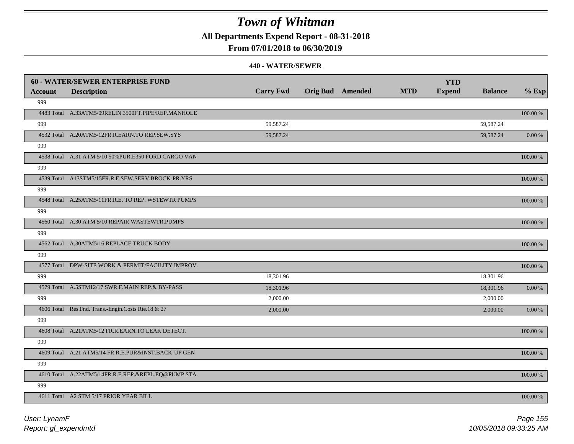**All Departments Expend Report - 08-31-2018**

### **From 07/01/2018 to 06/30/2019**

|         | <b>60 - WATER/SEWER ENTERPRISE FUND</b>              |                  |                         |            | <b>YTD</b>    |                |             |
|---------|------------------------------------------------------|------------------|-------------------------|------------|---------------|----------------|-------------|
| Account | <b>Description</b>                                   | <b>Carry Fwd</b> | <b>Orig Bud</b> Amended | <b>MTD</b> | <b>Expend</b> | <b>Balance</b> | $%$ Exp     |
| 999     |                                                      |                  |                         |            |               |                |             |
|         | 4483 Total A.33ATM5/09RELIN.3500FT.PIPE/REP.MANHOLE  |                  |                         |            |               |                | 100.00 %    |
| 999     |                                                      | 59,587.24        |                         |            |               | 59,587.24      |             |
|         | 4532 Total A.20ATM5/12FR.R.EARN.TO REP.SEW.SYS       | 59,587.24        |                         |            |               | 59,587.24      | $0.00\ \%$  |
| 999     |                                                      |                  |                         |            |               |                |             |
|         | 4538 Total A.31 ATM 5/10 50% PUR.E350 FORD CARGO VAN |                  |                         |            |               |                | $100.00~\%$ |
| 999     |                                                      |                  |                         |            |               |                |             |
|         | 4539 Total A13STM5/15FR.R.E.SEW.SERV.BROCK-PR.YRS    |                  |                         |            |               |                | $100.00~\%$ |
| 999     |                                                      |                  |                         |            |               |                |             |
|         | 4548 Total A.25ATM5/11FR.R.E. TO REP. WSTEWTR PUMPS  |                  |                         |            |               |                | 100.00 %    |
| 999     |                                                      |                  |                         |            |               |                |             |
|         | 4560 Total A.30 ATM 5/10 REPAIR WASTEWTR.PUMPS       |                  |                         |            |               |                | 100.00 %    |
| 999     |                                                      |                  |                         |            |               |                |             |
|         | 4562 Total A.30ATM5/16 REPLACE TRUCK BODY            |                  |                         |            |               |                | 100.00 %    |
| 999     |                                                      |                  |                         |            |               |                |             |
|         | 4577 Total DPW-SITE WORK & PERMIT/FACILITY IMPROV.   |                  |                         |            |               |                | 100.00 %    |
| 999     |                                                      | 18,301.96        |                         |            |               | 18,301.96      |             |
|         | 4579 Total A.5STM12/17 SWR.F.MAIN REP.& BY-PASS      | 18,301.96        |                         |            |               | 18,301.96      | $0.00\ \%$  |
| 999     |                                                      | 2,000.00         |                         |            |               | 2,000.00       |             |
|         | 4606 Total Res.Fnd. Trans.-Engin.Costs Rte.18 & 27   | 2,000.00         |                         |            |               | 2,000.00       | 0.00 %      |
| 999     |                                                      |                  |                         |            |               |                |             |
|         | 4608 Total A.21ATM5/12 FR.R.EARN.TO LEAK DETECT.     |                  |                         |            |               |                | 100.00 %    |
| 999     |                                                      |                  |                         |            |               |                |             |
|         | 4609 Total A.21 ATM5/14 FR.R.E.PUR&INST.BACK-UP GEN  |                  |                         |            |               |                | 100.00 %    |
| 999     |                                                      |                  |                         |            |               |                |             |
|         | 4610 Total A.22ATM5/14FR.R.E.REP.&REPL.EQ@PUMP STA.  |                  |                         |            |               |                | 100.00 %    |
| 999     |                                                      |                  |                         |            |               |                |             |
|         | 4611 Total A2 STM 5/17 PRIOR YEAR BILL               |                  |                         |            |               |                | 100.00 %    |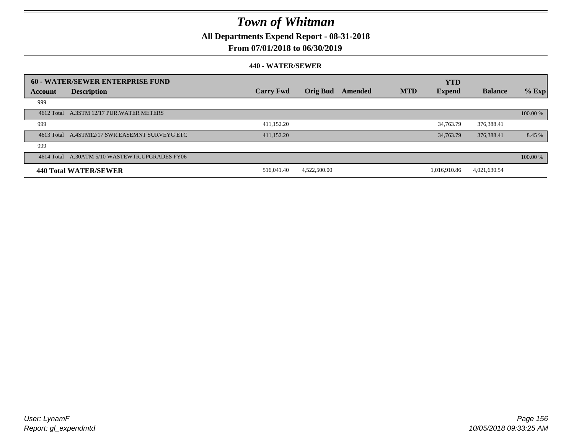**All Departments Expend Report - 08-31-2018**

### **From 07/01/2018 to 06/30/2019**

|         | 60 - WATER/SEWER ENTERPRISE FUND               | <b>Carry Fwd</b> | <b>Orig Bud</b> | Amended | <b>MTD</b> | <b>YTD</b>    | <b>Balance</b> |            |
|---------|------------------------------------------------|------------------|-----------------|---------|------------|---------------|----------------|------------|
| Account | <b>Description</b>                             |                  |                 |         |            | <b>Expend</b> |                | $%$ Exp    |
| 999     |                                                |                  |                 |         |            |               |                |            |
|         | 4612 Total A.3STM 12/17 PUR.WATER METERS       |                  |                 |         |            |               |                | 100.00 %   |
| 999     |                                                | 411,152.20       |                 |         |            | 34,763.79     | 376,388.41     |            |
|         | 4613 Total A.4STM12/17 SWR.EASEMNT SURVEYG ETC | 411,152.20       |                 |         |            | 34,763.79     | 376,388.41     | 8.45 %     |
| 999     |                                                |                  |                 |         |            |               |                |            |
|         | 4614 Total A.30ATM 5/10 WASTEWTR.UPGRADES FY06 |                  |                 |         |            |               |                | $100.00\%$ |
|         | 440 Total WATER/SEWER                          | 516,041.40       | 4,522,500.00    |         |            | 1.016.910.86  | 4,021,630.54   |            |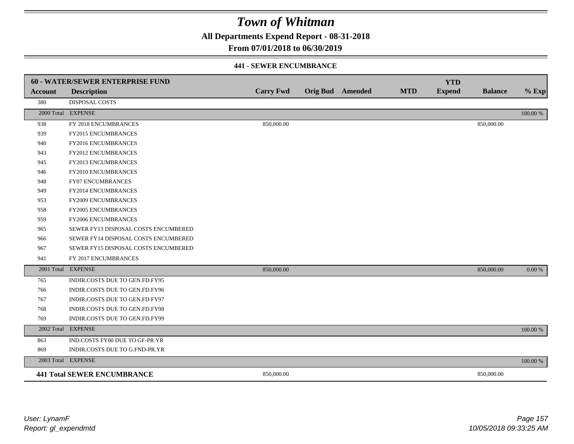**All Departments Expend Report - 08-31-2018**

**From 07/01/2018 to 06/30/2019**

### **441 - SEWER ENCUMBRANCE**

|                | <b>60 - WATER/SEWER ENTERPRISE FUND</b> |                  |                         |            | <b>YTD</b>    |                |             |
|----------------|-----------------------------------------|------------------|-------------------------|------------|---------------|----------------|-------------|
| <b>Account</b> | <b>Description</b>                      | <b>Carry Fwd</b> | <b>Orig Bud</b> Amended | <b>MTD</b> | <b>Expend</b> | <b>Balance</b> | $%$ Exp     |
| 380            | <b>DISPOSAL COSTS</b>                   |                  |                         |            |               |                |             |
|                | 2000 Total EXPENSE                      |                  |                         |            |               |                | $100.00~\%$ |
| 938            | FY 2018 ENCUMBRANCES                    | 850,000.00       |                         |            |               | 850,000.00     |             |
| 939            | FY2015 ENCUMBRANCES                     |                  |                         |            |               |                |             |
| 940            | FY2016 ENCUMBRANCES                     |                  |                         |            |               |                |             |
| 943            | <b>FY2012 ENCUMBRANCES</b>              |                  |                         |            |               |                |             |
| 945            | FY2013 ENCUMBRANCES                     |                  |                         |            |               |                |             |
| 946            | FY2010 ENCUMBRANCES                     |                  |                         |            |               |                |             |
| 948            | FY07 ENCUMBRANCES                       |                  |                         |            |               |                |             |
| 949            | FY2014 ENCUMBRANCES                     |                  |                         |            |               |                |             |
| 953            | <b>FY2009 ENCUMBRANCES</b>              |                  |                         |            |               |                |             |
| 958            | <b>FY2005 ENCUMBRANCES</b>              |                  |                         |            |               |                |             |
| 959            | <b>FY2006 ENCUMBRANCES</b>              |                  |                         |            |               |                |             |
| 965            | SEWER FY13 DISPOSAL COSTS ENCUMBERED    |                  |                         |            |               |                |             |
| 966            | SEWER FY14 DISPOSAL COSTS ENCUMBERED    |                  |                         |            |               |                |             |
| 967            | SEWER FY15 DISPOSAL COSTS ENCUMBERED    |                  |                         |            |               |                |             |
| 941            | FY 2017 ENCUMBRANCES                    |                  |                         |            |               |                |             |
|                | 2001 Total EXPENSE                      | 850,000.00       |                         |            |               | 850,000.00     | 0.00 %      |
| 765            | INDIR.COSTS DUE TO GEN.FD.FY95          |                  |                         |            |               |                |             |
| 766            | INDIR.COSTS DUE TO GEN.FD.FY96          |                  |                         |            |               |                |             |
| 767            | INDIR.COSTS DUE TO GEN.FD FY97          |                  |                         |            |               |                |             |
| 768            | INDIR.COSTS DUE TO GEN.FD.FY98          |                  |                         |            |               |                |             |
| 769            | INDIR.COSTS DUE TO GEN.FD.FY99          |                  |                         |            |               |                |             |
|                | 2002 Total EXPENSE                      |                  |                         |            |               |                | 100.00 %    |
| 863            | IND.COSTS FY00 DUE TO GF-PR.YR          |                  |                         |            |               |                |             |
| 869            | INDIR.COSTS DUE TO G.FND-PR.YR          |                  |                         |            |               |                |             |
|                | 2003 Total EXPENSE                      |                  |                         |            |               |                | 100.00 %    |
|                | <b>441 Total SEWER ENCUMBRANCE</b>      | 850,000.00       |                         |            |               | 850,000.00     |             |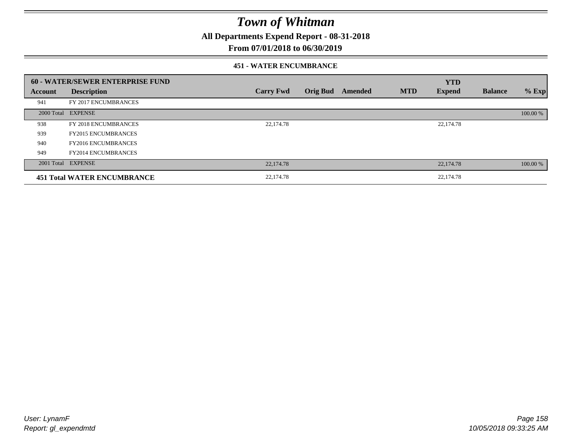**All Departments Expend Report - 08-31-2018**

### **From 07/01/2018 to 06/30/2019**

### **451 - WATER ENCUMBRANCE**

|         | 60 - WATER/SEWER ENTERPRISE FUND   |                  |                 |         |            | <b>YTD</b>    |                |          |
|---------|------------------------------------|------------------|-----------------|---------|------------|---------------|----------------|----------|
| Account | <b>Description</b>                 | <b>Carry Fwd</b> | <b>Orig Bud</b> | Amended | <b>MTD</b> | <b>Expend</b> | <b>Balance</b> | $%$ Exp  |
| 941     | FY 2017 ENCUMBRANCES               |                  |                 |         |            |               |                |          |
|         | 2000 Total EXPENSE                 |                  |                 |         |            |               |                | 100.00 % |
| 938     | FY 2018 ENCUMBRANCES               | 22,174.78        |                 |         |            | 22,174.78     |                |          |
| 939     | <b>FY2015 ENCUMBRANCES</b>         |                  |                 |         |            |               |                |          |
| 940     | <b>FY2016 ENCUMBRANCES</b>         |                  |                 |         |            |               |                |          |
| 949     | <b>FY2014 ENCUMBRANCES</b>         |                  |                 |         |            |               |                |          |
|         | 2001 Total EXPENSE                 | 22,174.78        |                 |         |            | 22,174.78     |                | 100.00 % |
|         | <b>451 Total WATER ENCUMBRANCE</b> | 22,174.78        |                 |         |            | 22,174.78     |                |          |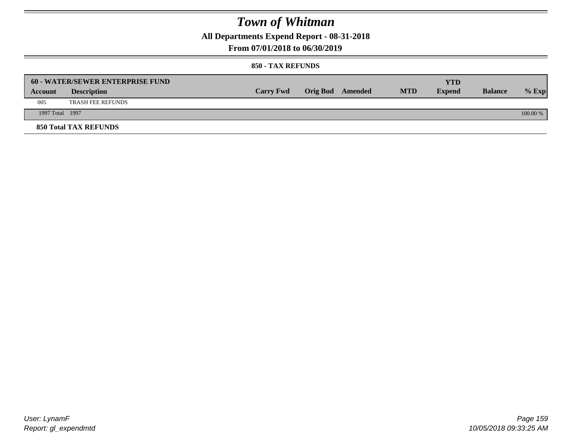**All Departments Expend Report - 08-31-2018**

**From 07/01/2018 to 06/30/2019**

|                 | <b>60 - WATER/SEWER ENTERPRISE FUND</b> |                  |                  |            | YTD           |                |            |
|-----------------|-----------------------------------------|------------------|------------------|------------|---------------|----------------|------------|
| Account         | <b>Description</b>                      | <b>Carry Fwd</b> | Orig Bud Amended | <b>MTD</b> | <b>Expend</b> | <b>Balance</b> | $%$ Exp    |
| 005             | <b>TRASH FEE REFUNDS</b>                |                  |                  |            |               |                |            |
| 1997 Total 1997 |                                         |                  |                  |            |               |                | $100.00\%$ |
|                 | <b>850 Total TAX REFUNDS</b>            |                  |                  |            |               |                |            |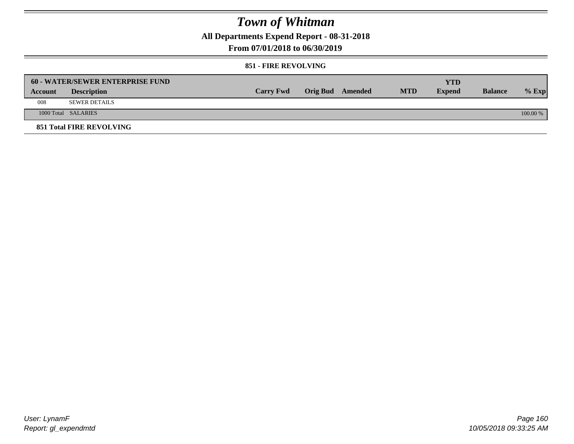**All Departments Expend Report - 08-31-2018**

**From 07/01/2018 to 06/30/2019**

### **851 - FIRE REVOLVING**

|         | 60 - WATER/SEWER ENTERPRISE FUND |                  |                  |            | YTD           |                |          |
|---------|----------------------------------|------------------|------------------|------------|---------------|----------------|----------|
| Account | <b>Description</b>               | <b>Carry Fwd</b> | Orig Bud Amended | <b>MTD</b> | <b>Expend</b> | <b>Balance</b> | $%$ Exp  |
| 008     | <b>SEWER DETAILS</b>             |                  |                  |            |               |                |          |
|         | 1000 Total SALARIES              |                  |                  |            |               |                | 100.00 % |
|         | <b>851 Total FIRE REVOLVING</b>  |                  |                  |            |               |                |          |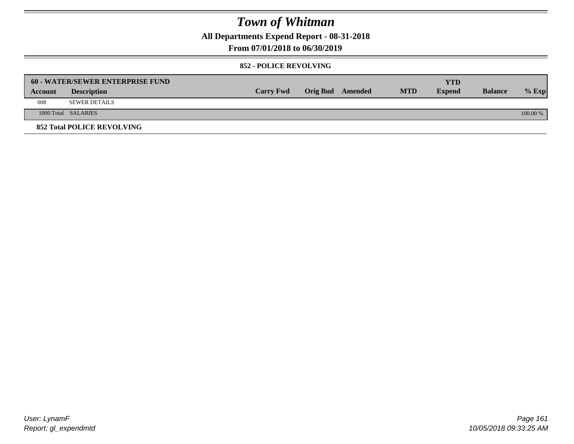**All Departments Expend Report - 08-31-2018**

**From 07/01/2018 to 06/30/2019**

### **852 - POLICE REVOLVING**

|         | <b>60 - WATER/SEWER ENTERPRISE FUND</b> |                  |                         |            | YTD           |                |            |
|---------|-----------------------------------------|------------------|-------------------------|------------|---------------|----------------|------------|
| Account | <b>Description</b>                      | <b>Carry Fwd</b> | <b>Orig Bud</b> Amended | <b>MTD</b> | <b>Expend</b> | <b>Balance</b> | $\%$ Exp   |
| 008     | SEWER DETAILS                           |                  |                         |            |               |                |            |
|         | 1000 Total SALARIES                     |                  |                         |            |               |                | $100.00\%$ |
|         | <b>852 Total POLICE REVOLVING</b>       |                  |                         |            |               |                |            |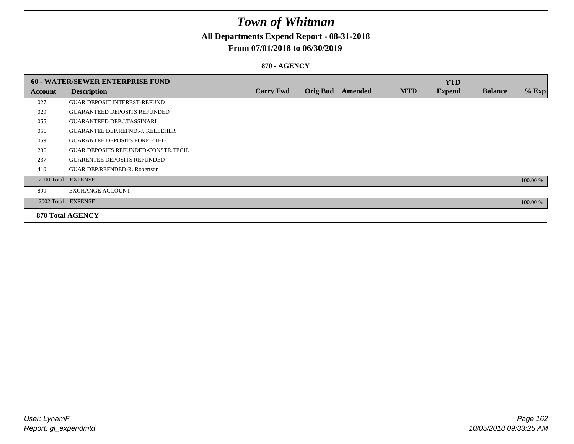## **All Departments Expend Report - 08-31-2018**

### **From 07/01/2018 to 06/30/2019**

### **870 - AGENCY**

|         | <b>60 - WATER/SEWER ENTERPRISE FUND</b> |                  |                 |                |            | <b>YTD</b>    |                |          |
|---------|-----------------------------------------|------------------|-----------------|----------------|------------|---------------|----------------|----------|
| Account | <b>Description</b>                      | <b>Carry Fwd</b> | <b>Orig Bud</b> | <b>Amended</b> | <b>MTD</b> | <b>Expend</b> | <b>Balance</b> | $%$ Exp  |
| 027     | <b>GUAR.DEPOSIT INTEREST-REFUND</b>     |                  |                 |                |            |               |                |          |
| 029     | <b>GUARANTEED DEPOSITS REFUNDED</b>     |                  |                 |                |            |               |                |          |
| 055     | <b>GUARANTEED DEP.J.TASSINARI</b>       |                  |                 |                |            |               |                |          |
| 056     | <b>GUARANTEE DEP.REFND.-J. KELLEHER</b> |                  |                 |                |            |               |                |          |
| 059     | <b>GUARANTEE DEPOSITS FORFIETED</b>     |                  |                 |                |            |               |                |          |
| 236     | GUAR.DEPOSITS REFUNDED-CONSTR.TECH.     |                  |                 |                |            |               |                |          |
| 237     | <b>GUARENTEE DEPOSITS REFUNDED</b>      |                  |                 |                |            |               |                |          |
| 410     | GUAR.DEP.REFNDED-R. Robertson           |                  |                 |                |            |               |                |          |
|         | 2000 Total EXPENSE                      |                  |                 |                |            |               |                | 100.00 % |
| 899     | <b>EXCHANGE ACCOUNT</b>                 |                  |                 |                |            |               |                |          |
|         | 2002 Total EXPENSE                      |                  |                 |                |            |               |                | 100.00 % |
|         | <b>870 Total AGENCY</b>                 |                  |                 |                |            |               |                |          |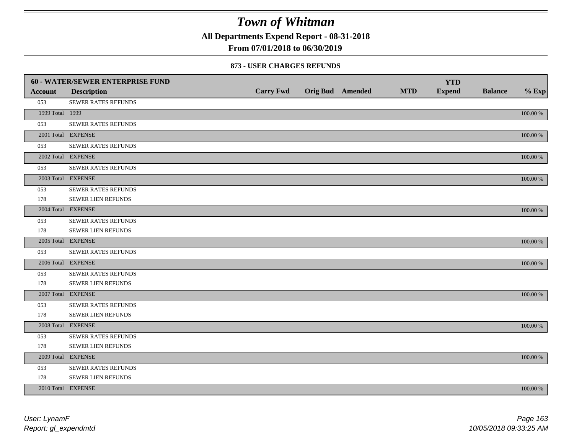**All Departments Expend Report - 08-31-2018**

**From 07/01/2018 to 06/30/2019**

### **873 - USER CHARGES REFUNDS**

|                 | 60 - WATER/SEWER ENTERPRISE FUND |                  |                         |            | <b>YTD</b>    |                |             |
|-----------------|----------------------------------|------------------|-------------------------|------------|---------------|----------------|-------------|
| <b>Account</b>  | <b>Description</b>               | <b>Carry Fwd</b> | <b>Orig Bud</b> Amended | <b>MTD</b> | <b>Expend</b> | <b>Balance</b> | $%$ Exp     |
| 053             | SEWER RATES REFUNDS              |                  |                         |            |               |                |             |
| 1999 Total 1999 |                                  |                  |                         |            |               |                | 100.00 %    |
| 053             | SEWER RATES REFUNDS              |                  |                         |            |               |                |             |
|                 | 2001 Total EXPENSE               |                  |                         |            |               |                | 100.00 %    |
| 053             | SEWER RATES REFUNDS              |                  |                         |            |               |                |             |
|                 | 2002 Total EXPENSE               |                  |                         |            |               |                | 100.00 %    |
| 053             | SEWER RATES REFUNDS              |                  |                         |            |               |                |             |
|                 | 2003 Total EXPENSE               |                  |                         |            |               |                | $100.00~\%$ |
| 053             | SEWER RATES REFUNDS              |                  |                         |            |               |                |             |
| 178             | SEWER LIEN REFUNDS               |                  |                         |            |               |                |             |
|                 | 2004 Total EXPENSE               |                  |                         |            |               |                | 100.00 %    |
| 053             | <b>SEWER RATES REFUNDS</b>       |                  |                         |            |               |                |             |
| 178             | SEWER LIEN REFUNDS               |                  |                         |            |               |                |             |
|                 | 2005 Total EXPENSE               |                  |                         |            |               |                | 100.00 %    |
| 053             | <b>SEWER RATES REFUNDS</b>       |                  |                         |            |               |                |             |
|                 | 2006 Total EXPENSE               |                  |                         |            |               |                | 100.00 %    |
| 053             | <b>SEWER RATES REFUNDS</b>       |                  |                         |            |               |                |             |
| 178             | SEWER LIEN REFUNDS               |                  |                         |            |               |                |             |
|                 | 2007 Total EXPENSE               |                  |                         |            |               |                | 100.00 %    |
| 053             | SEWER RATES REFUNDS              |                  |                         |            |               |                |             |
| 178             | <b>SEWER LIEN REFUNDS</b>        |                  |                         |            |               |                |             |
|                 | 2008 Total EXPENSE               |                  |                         |            |               |                | 100.00 %    |
| 053             | <b>SEWER RATES REFUNDS</b>       |                  |                         |            |               |                |             |
| 178             | <b>SEWER LIEN REFUNDS</b>        |                  |                         |            |               |                |             |
|                 | 2009 Total EXPENSE               |                  |                         |            |               |                | 100.00 %    |
| 053             | SEWER RATES REFUNDS              |                  |                         |            |               |                |             |
| 178             | <b>SEWER LIEN REFUNDS</b>        |                  |                         |            |               |                |             |
|                 | 2010 Total EXPENSE               |                  |                         |            |               |                | 100.00 %    |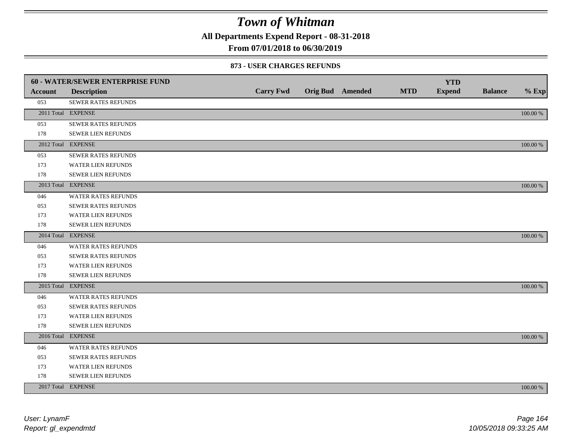**All Departments Expend Report - 08-31-2018**

## **From 07/01/2018 to 06/30/2019**

### **873 - USER CHARGES REFUNDS**

|                | 60 - WATER/SEWER ENTERPRISE FUND |                  |                         |            | <b>YTD</b>    |                |             |
|----------------|----------------------------------|------------------|-------------------------|------------|---------------|----------------|-------------|
| <b>Account</b> | <b>Description</b>               | <b>Carry Fwd</b> | <b>Orig Bud</b> Amended | <b>MTD</b> | <b>Expend</b> | <b>Balance</b> | $%$ Exp     |
| 053            | SEWER RATES REFUNDS              |                  |                         |            |               |                |             |
|                | 2011 Total EXPENSE               |                  |                         |            |               |                | 100.00 %    |
| 053            | SEWER RATES REFUNDS              |                  |                         |            |               |                |             |
| 178            | SEWER LIEN REFUNDS               |                  |                         |            |               |                |             |
|                | 2012 Total EXPENSE               |                  |                         |            |               |                | 100.00 %    |
| 053            | SEWER RATES REFUNDS              |                  |                         |            |               |                |             |
| 173            | WATER LIEN REFUNDS               |                  |                         |            |               |                |             |
| 178            | SEWER LIEN REFUNDS               |                  |                         |            |               |                |             |
|                | 2013 Total EXPENSE               |                  |                         |            |               |                | 100.00 %    |
| 046            | WATER RATES REFUNDS              |                  |                         |            |               |                |             |
| 053            | <b>SEWER RATES REFUNDS</b>       |                  |                         |            |               |                |             |
| 173            | WATER LIEN REFUNDS               |                  |                         |            |               |                |             |
| 178            | <b>SEWER LIEN REFUNDS</b>        |                  |                         |            |               |                |             |
|                | 2014 Total EXPENSE               |                  |                         |            |               |                | 100.00 %    |
| 046            | <b>WATER RATES REFUNDS</b>       |                  |                         |            |               |                |             |
| 053            | SEWER RATES REFUNDS              |                  |                         |            |               |                |             |
| 173            | <b>WATER LIEN REFUNDS</b>        |                  |                         |            |               |                |             |
| 178            | SEWER LIEN REFUNDS               |                  |                         |            |               |                |             |
|                | 2015 Total EXPENSE               |                  |                         |            |               |                | 100.00 %    |
| 046            | WATER RATES REFUNDS              |                  |                         |            |               |                |             |
| 053            | <b>SEWER RATES REFUNDS</b>       |                  |                         |            |               |                |             |
| 173            | WATER LIEN REFUNDS               |                  |                         |            |               |                |             |
| 178            | SEWER LIEN REFUNDS               |                  |                         |            |               |                |             |
|                | 2016 Total EXPENSE               |                  |                         |            |               |                | $100.00~\%$ |
| 046            | WATER RATES REFUNDS              |                  |                         |            |               |                |             |
| 053            | <b>SEWER RATES REFUNDS</b>       |                  |                         |            |               |                |             |
| 173            | WATER LIEN REFUNDS               |                  |                         |            |               |                |             |
| 178            | SEWER LIEN REFUNDS               |                  |                         |            |               |                |             |
|                | 2017 Total EXPENSE               |                  |                         |            |               |                | 100.00 %    |
|                |                                  |                  |                         |            |               |                |             |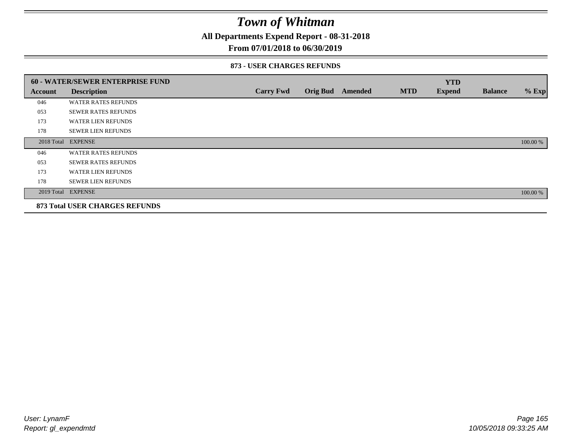**All Departments Expend Report - 08-31-2018**

### **From 07/01/2018 to 06/30/2019**

### **873 - USER CHARGES REFUNDS**

|         | 60 - WATER/SEWER ENTERPRISE FUND      |                  |                 |         |            | <b>YTD</b>    |                |          |
|---------|---------------------------------------|------------------|-----------------|---------|------------|---------------|----------------|----------|
| Account | <b>Description</b>                    | <b>Carry Fwd</b> | <b>Orig Bud</b> | Amended | <b>MTD</b> | <b>Expend</b> | <b>Balance</b> | $%$ Exp  |
| 046     | <b>WATER RATES REFUNDS</b>            |                  |                 |         |            |               |                |          |
| 053     | <b>SEWER RATES REFUNDS</b>            |                  |                 |         |            |               |                |          |
| 173     | <b>WATER LIEN REFUNDS</b>             |                  |                 |         |            |               |                |          |
| 178     | <b>SEWER LIEN REFUNDS</b>             |                  |                 |         |            |               |                |          |
|         | 2018 Total EXPENSE                    |                  |                 |         |            |               |                | 100.00 % |
| 046     | <b>WATER RATES REFUNDS</b>            |                  |                 |         |            |               |                |          |
| 053     | <b>SEWER RATES REFUNDS</b>            |                  |                 |         |            |               |                |          |
| 173     | <b>WATER LIEN REFUNDS</b>             |                  |                 |         |            |               |                |          |
| 178     | <b>SEWER LIEN REFUNDS</b>             |                  |                 |         |            |               |                |          |
|         | 2019 Total EXPENSE                    |                  |                 |         |            |               |                | 100.00 % |
|         | <b>873 Total USER CHARGES REFUNDS</b> |                  |                 |         |            |               |                |          |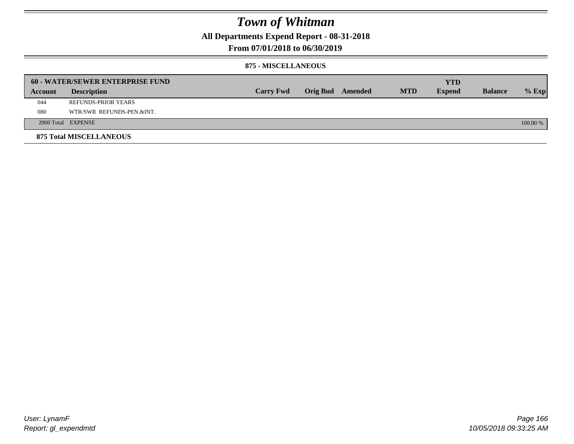**All Departments Expend Report - 08-31-2018**

**From 07/01/2018 to 06/30/2019**

### **875 - MISCELLANEOUS**

|         | <b>60 - WATER/SEWER ENTERPRISE FUND</b> |                  |  |                  |            | <b>YTD</b>    |                |          |
|---------|-----------------------------------------|------------------|--|------------------|------------|---------------|----------------|----------|
| Account | <b>Description</b>                      | <b>Carry Fwd</b> |  | Orig Bud Amended | <b>MTD</b> | <b>Expend</b> | <b>Balance</b> | $%$ Exp  |
| 044     | <b>REFUNDS-PRIOR YEARS</b>              |                  |  |                  |            |               |                |          |
| 080     | WTR/SWR REFUNDS-PEN.&INT.               |                  |  |                  |            |               |                |          |
|         | 2000 Total EXPENSE                      |                  |  |                  |            |               |                | 100.00 % |
|         | <b>875 Total MISCELLANEOUS</b>          |                  |  |                  |            |               |                |          |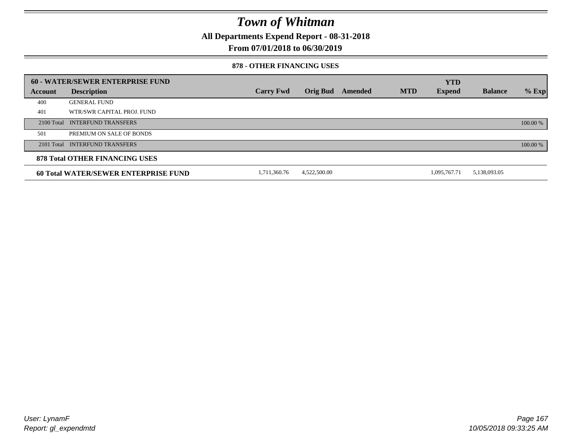**All Departments Expend Report - 08-31-2018**

**From 07/01/2018 to 06/30/2019**

### **878 - OTHER FINANCING USES**

|         | 60 - WATER/SEWER ENTERPRISE FUND            |                  |                 |         |            | <b>YTD</b>    |                |          |
|---------|---------------------------------------------|------------------|-----------------|---------|------------|---------------|----------------|----------|
| Account | <b>Description</b>                          | <b>Carry Fwd</b> | <b>Orig Bud</b> | Amended | <b>MTD</b> | <b>Expend</b> | <b>Balance</b> | $%$ Exp  |
| 400     | <b>GENERAL FUND</b>                         |                  |                 |         |            |               |                |          |
| 401     | WTR/SWR CAPITAL PROJ. FUND                  |                  |                 |         |            |               |                |          |
|         | 2100 Total INTERFUND TRANSFERS              |                  |                 |         |            |               |                | 100.00 % |
| 501     | PREMIUM ON SALE OF BONDS                    |                  |                 |         |            |               |                |          |
|         | 2101 Total INTERFUND TRANSFERS              |                  |                 |         |            |               |                | 100.00 % |
|         | <b>878 Total OTHER FINANCING USES</b>       |                  |                 |         |            |               |                |          |
|         | <b>60 Total WATER/SEWER ENTERPRISE FUND</b> | 1,711,360.76     | 4,522,500.00    |         |            | 1.095.767.71  | 5,138,093.05   |          |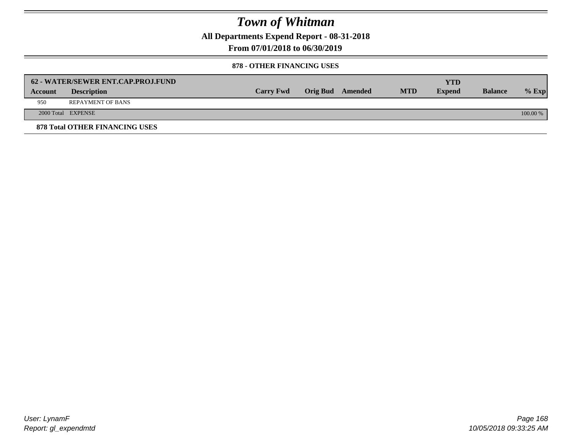**All Departments Expend Report - 08-31-2018**

**From 07/01/2018 to 06/30/2019**

### **878 - OTHER FINANCING USES**

|         | 62 - WATER/SEWER ENT.CAP.PROJ.FUND    |                  |                         |            | <b>YTD</b>    |                |            |
|---------|---------------------------------------|------------------|-------------------------|------------|---------------|----------------|------------|
| Account | <b>Description</b>                    | <b>Carry Fwd</b> | <b>Orig Bud</b> Amended | <b>MTD</b> | <b>Expend</b> | <b>Balance</b> | $\%$ Exp   |
| 950     | <b>REPAYMENT OF BANS</b>              |                  |                         |            |               |                |            |
|         | 2000 Total EXPENSE                    |                  |                         |            |               |                | $100.00\%$ |
|         | <b>878 Total OTHER FINANCING USES</b> |                  |                         |            |               |                |            |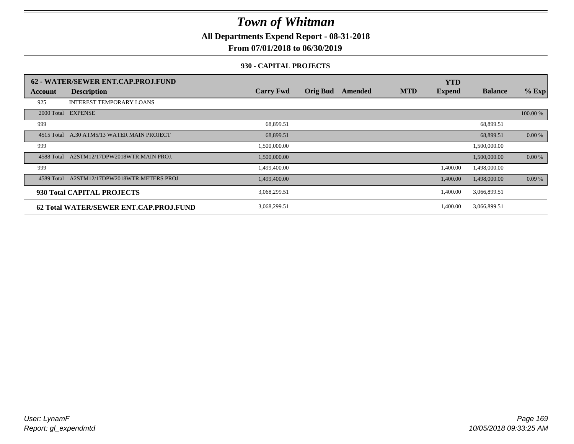**All Departments Expend Report - 08-31-2018**

**From 07/01/2018 to 06/30/2019**

### **930 - CAPITAL PROJECTS**

|            | 62 - WATER/SEWER ENT.CAP.PROJ.FUND     |                  |                 |         |            | <b>YTD</b>    |                |          |
|------------|----------------------------------------|------------------|-----------------|---------|------------|---------------|----------------|----------|
| Account    | <b>Description</b>                     | <b>Carry Fwd</b> | <b>Orig Bud</b> | Amended | <b>MTD</b> | <b>Expend</b> | <b>Balance</b> | $%$ Exp  |
| 925        | <b>INTEREST TEMPORARY LOANS</b>        |                  |                 |         |            |               |                |          |
| 2000 Total | <b>EXPENSE</b>                         |                  |                 |         |            |               |                | 100.00 % |
| 999        |                                        | 68,899.51        |                 |         |            |               | 68,899.51      |          |
| 4515 Total | A.30 ATM5/13 WATER MAIN PROJECT        | 68,899.51        |                 |         |            |               | 68,899.51      | 0.00 %   |
| 999        |                                        | 1,500,000.00     |                 |         |            |               | 1,500,000.00   |          |
| 4588 Total | A2STM12/17DPW2018WTR.MAIN PROJ.        | 1,500,000.00     |                 |         |            |               | 1,500,000.00   | 0.00 %   |
| 999        |                                        | 1,499,400.00     |                 |         |            | 1,400.00      | 1,498,000.00   |          |
| 4589 Total | A2STM12/17DPW2018WTR.METERS PROJ       | 1,499,400.00     |                 |         |            | 1,400.00      | 1,498,000.00   | 0.09%    |
|            | 930 Total CAPITAL PROJECTS             | 3,068,299.51     |                 |         |            | 1,400.00      | 3,066,899.51   |          |
|            | 62 Total WATER/SEWER ENT.CAP.PROJ.FUND | 3,068,299.51     |                 |         |            | 1,400.00      | 3,066,899.51   |          |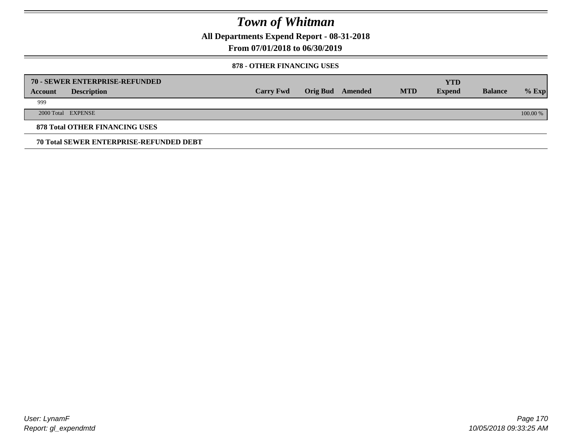**All Departments Expend Report - 08-31-2018**

**From 07/01/2018 to 06/30/2019**

### **878 - OTHER FINANCING USES**

|         | 70 - SEWER ENTERPRISE-REFUNDED                 |                  |                 |         |            | <b>YTD</b>    |                |          |
|---------|------------------------------------------------|------------------|-----------------|---------|------------|---------------|----------------|----------|
| Account | <b>Description</b>                             | <b>Carry Fwd</b> | <b>Orig Bud</b> | Amended | <b>MTD</b> | <b>Expend</b> | <b>Balance</b> | $%$ Exp  |
| 999     |                                                |                  |                 |         |            |               |                |          |
|         | 2000 Total EXPENSE                             |                  |                 |         |            |               |                | 100.00 % |
|         | <b>878 Total OTHER FINANCING USES</b>          |                  |                 |         |            |               |                |          |
|         | <b>70 Total SEWER ENTERPRISE-REFUNDED DEBT</b> |                  |                 |         |            |               |                |          |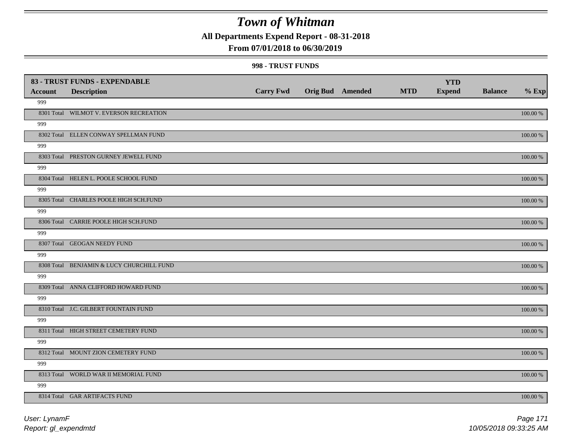**All Departments Expend Report - 08-31-2018**

## **From 07/01/2018 to 06/30/2019**

#### **998 - TRUST FUNDS**

|                | 83 - TRUST FUNDS - EXPENDABLE             |                  |                         |            | <b>YTD</b>    |                |             |
|----------------|-------------------------------------------|------------------|-------------------------|------------|---------------|----------------|-------------|
| <b>Account</b> | <b>Description</b>                        | <b>Carry Fwd</b> | <b>Orig Bud Amended</b> | <b>MTD</b> | <b>Expend</b> | <b>Balance</b> | $%$ Exp     |
| 999            |                                           |                  |                         |            |               |                |             |
|                | 8301 Total WILMOT V. EVERSON RECREATION   |                  |                         |            |               |                | 100.00 %    |
| 999            |                                           |                  |                         |            |               |                |             |
|                | 8302 Total ELLEN CONWAY SPELLMAN FUND     |                  |                         |            |               |                | 100.00 %    |
| 999            |                                           |                  |                         |            |               |                |             |
|                | 8303 Total PRESTON GURNEY JEWELL FUND     |                  |                         |            |               |                | $100.00~\%$ |
| 999            |                                           |                  |                         |            |               |                |             |
|                | 8304 Total HELEN L. POOLE SCHOOL FUND     |                  |                         |            |               |                | 100.00 %    |
| 999            |                                           |                  |                         |            |               |                |             |
|                | 8305 Total CHARLES POOLE HIGH SCH.FUND    |                  |                         |            |               |                | 100.00 %    |
| 999            |                                           |                  |                         |            |               |                |             |
|                | 8306 Total CARRIE POOLE HIGH SCH.FUND     |                  |                         |            |               |                | 100.00 %    |
| 999            |                                           |                  |                         |            |               |                |             |
|                | 8307 Total GEOGAN NEEDY FUND              |                  |                         |            |               |                | 100.00 %    |
| 999            |                                           |                  |                         |            |               |                |             |
|                | 8308 Total BENJAMIN & LUCY CHURCHILL FUND |                  |                         |            |               |                | 100.00 %    |
| 999            |                                           |                  |                         |            |               |                |             |
|                | 8309 Total ANNA CLIFFORD HOWARD FUND      |                  |                         |            |               |                | $100.00~\%$ |
| 999            |                                           |                  |                         |            |               |                |             |
|                | 8310 Total J.C. GILBERT FOUNTAIN FUND     |                  |                         |            |               |                | 100.00 %    |
| 999            |                                           |                  |                         |            |               |                |             |
|                | 8311 Total HIGH STREET CEMETERY FUND      |                  |                         |            |               |                | 100.00 %    |
| 999            |                                           |                  |                         |            |               |                |             |
|                | 8312 Total MOUNT ZION CEMETERY FUND       |                  |                         |            |               |                | $100.00~\%$ |
| 999            |                                           |                  |                         |            |               |                |             |
|                | 8313 Total WORLD WAR II MEMORIAL FUND     |                  |                         |            |               |                | 100.00 %    |
| 999            |                                           |                  |                         |            |               |                |             |
|                | 8314 Total GAR ARTIFACTS FUND             |                  |                         |            |               |                | 100.00 %    |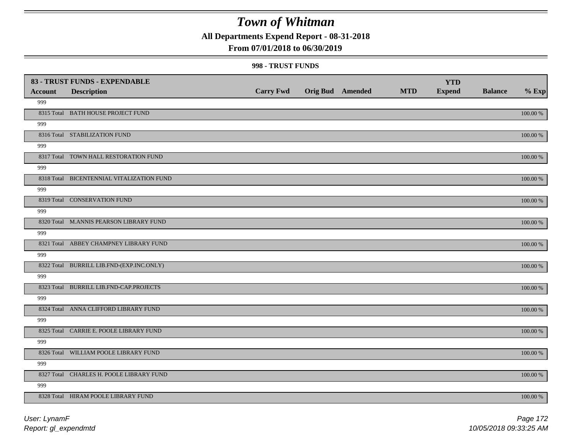**All Departments Expend Report - 08-31-2018**

## **From 07/01/2018 to 06/30/2019**

#### **998 - TRUST FUNDS**

| <b>Account</b> | 83 - TRUST FUNDS - EXPENDABLE<br><b>Description</b> | <b>Carry Fwd</b> | Orig Bud Amended | <b>MTD</b> | <b>YTD</b><br><b>Expend</b> | <b>Balance</b> | $%$ Exp     |
|----------------|-----------------------------------------------------|------------------|------------------|------------|-----------------------------|----------------|-------------|
| 999            |                                                     |                  |                  |            |                             |                |             |
|                | 8315 Total BATH HOUSE PROJECT FUND                  |                  |                  |            |                             |                | 100.00 %    |
| 999            |                                                     |                  |                  |            |                             |                |             |
|                | 8316 Total STABILIZATION FUND                       |                  |                  |            |                             |                | 100.00 %    |
| 999            |                                                     |                  |                  |            |                             |                |             |
|                | 8317 Total TOWN HALL RESTORATION FUND               |                  |                  |            |                             |                | 100.00 %    |
| 999            |                                                     |                  |                  |            |                             |                |             |
|                | 8318 Total BICENTENNIAL VITALIZATION FUND           |                  |                  |            |                             |                | 100.00 %    |
| 999            |                                                     |                  |                  |            |                             |                |             |
|                | 8319 Total CONSERVATION FUND                        |                  |                  |            |                             |                | 100.00 %    |
| 999            |                                                     |                  |                  |            |                             |                |             |
|                | 8320 Total M.ANNIS PEARSON LIBRARY FUND             |                  |                  |            |                             |                | 100.00 %    |
| 999            |                                                     |                  |                  |            |                             |                |             |
|                | 8321 Total ABBEY CHAMPNEY LIBRARY FUND              |                  |                  |            |                             |                | 100.00 %    |
| 999            |                                                     |                  |                  |            |                             |                |             |
|                | 8322 Total BURRILL LIB.FND-(EXP.INC.ONLY)           |                  |                  |            |                             |                | 100.00 %    |
| 999            |                                                     |                  |                  |            |                             |                |             |
|                | 8323 Total BURRILL LIB.FND-CAP.PROJECTS             |                  |                  |            |                             |                | 100.00 %    |
| 999            |                                                     |                  |                  |            |                             |                |             |
|                | 8324 Total ANNA CLIFFORD LIBRARY FUND               |                  |                  |            |                             |                | $100.00~\%$ |
| 999            |                                                     |                  |                  |            |                             |                |             |
|                | 8325 Total CARRIE E. POOLE LIBRARY FUND             |                  |                  |            |                             |                | $100.00~\%$ |
| 999            |                                                     |                  |                  |            |                             |                |             |
|                | 8326 Total WILLIAM POOLE LIBRARY FUND               |                  |                  |            |                             |                | 100.00 %    |
| 999            |                                                     |                  |                  |            |                             |                |             |
|                | 8327 Total CHARLES H. POOLE LIBRARY FUND            |                  |                  |            |                             |                | 100.00 %    |
| 999            |                                                     |                  |                  |            |                             |                |             |
|                | 8328 Total HIRAM POOLE LIBRARY FUND                 |                  |                  |            |                             |                | 100.00 %    |

*Report: gl\_expendmtd User: LynamF*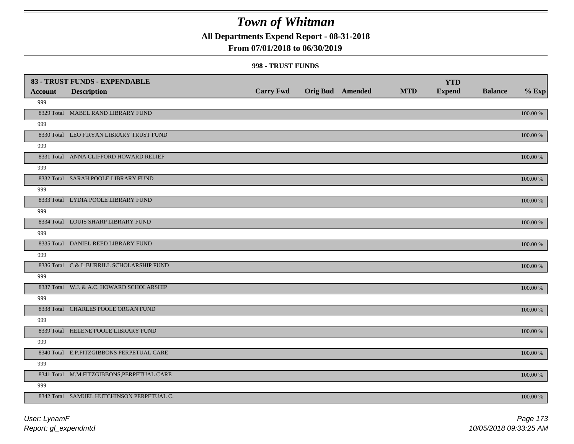**All Departments Expend Report - 08-31-2018**

## **From 07/01/2018 to 06/30/2019**

#### **998 - TRUST FUNDS**

|                | 83 - TRUST FUNDS - EXPENDABLE              |                  |                         |            | <b>YTD</b>    |                |             |
|----------------|--------------------------------------------|------------------|-------------------------|------------|---------------|----------------|-------------|
| <b>Account</b> | <b>Description</b>                         | <b>Carry Fwd</b> | <b>Orig Bud Amended</b> | <b>MTD</b> | <b>Expend</b> | <b>Balance</b> | $%$ Exp     |
| 999            |                                            |                  |                         |            |               |                |             |
|                | 8329 Total MABEL RAND LIBRARY FUND         |                  |                         |            |               |                | 100.00 %    |
| 999            |                                            |                  |                         |            |               |                |             |
|                | 8330 Total LEO F.RYAN LIBRARY TRUST FUND   |                  |                         |            |               |                | 100.00 %    |
| 999            |                                            |                  |                         |            |               |                |             |
|                | 8331 Total ANNA CLIFFORD HOWARD RELIEF     |                  |                         |            |               |                | $100.00~\%$ |
| 999            |                                            |                  |                         |            |               |                |             |
|                | 8332 Total SARAH POOLE LIBRARY FUND        |                  |                         |            |               |                | 100.00 %    |
| 999            |                                            |                  |                         |            |               |                |             |
|                | 8333 Total LYDIA POOLE LIBRARY FUND        |                  |                         |            |               |                | 100.00 %    |
| 999            |                                            |                  |                         |            |               |                |             |
|                | 8334 Total LOUIS SHARP LIBRARY FUND        |                  |                         |            |               |                | 100.00 %    |
| 999            |                                            |                  |                         |            |               |                |             |
|                | 8335 Total DANIEL REED LIBRARY FUND        |                  |                         |            |               |                | 100.00 %    |
| 999            |                                            |                  |                         |            |               |                |             |
|                | 8336 Total C & L BURRILL SCHOLARSHIP FUND  |                  |                         |            |               |                | 100.00 %    |
| 999            |                                            |                  |                         |            |               |                |             |
|                | 8337 Total W.J. & A.C. HOWARD SCHOLARSHIP  |                  |                         |            |               |                | $100.00~\%$ |
| 999            |                                            |                  |                         |            |               |                |             |
|                | 8338 Total CHARLES POOLE ORGAN FUND        |                  |                         |            |               |                | 100.00 %    |
| 999            |                                            |                  |                         |            |               |                |             |
|                | 8339 Total HELENE POOLE LIBRARY FUND       |                  |                         |            |               |                | 100.00 %    |
| 999            |                                            |                  |                         |            |               |                |             |
|                | 8340 Total E.P.FITZGIBBONS PERPETUAL CARE  |                  |                         |            |               |                | $100.00~\%$ |
| 999            |                                            |                  |                         |            |               |                |             |
|                | 8341 Total M.M.FITZGIBBONS, PERPETUAL CARE |                  |                         |            |               |                | 100.00 %    |
| 999            |                                            |                  |                         |            |               |                |             |
|                | 8342 Total SAMUEL HUTCHINSON PERPETUAL C.  |                  |                         |            |               |                | 100.00 %    |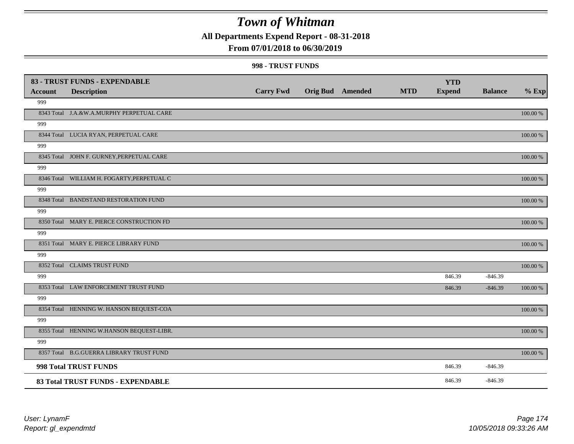**All Departments Expend Report - 08-31-2018**

## **From 07/01/2018 to 06/30/2019**

#### **998 - TRUST FUNDS**

|                | 83 - TRUST FUNDS - EXPENDABLE              |                  |                         |            | <b>YTD</b>    |                |             |
|----------------|--------------------------------------------|------------------|-------------------------|------------|---------------|----------------|-------------|
| <b>Account</b> | <b>Description</b>                         | <b>Carry Fwd</b> | <b>Orig Bud</b> Amended | <b>MTD</b> | <b>Expend</b> | <b>Balance</b> | $%$ Exp     |
| 999            |                                            |                  |                         |            |               |                |             |
|                | 8343 Total J.A.&W.A.MURPHY PERPETUAL CARE  |                  |                         |            |               |                | 100.00 %    |
| 999            |                                            |                  |                         |            |               |                |             |
|                | 8344 Total LUCIA RYAN, PERPETUAL CARE      |                  |                         |            |               |                | 100.00 %    |
| 999            |                                            |                  |                         |            |               |                |             |
|                | 8345 Total JOHN F. GURNEY, PERPETUAL CARE  |                  |                         |            |               |                | 100.00 %    |
| 999            |                                            |                  |                         |            |               |                |             |
|                | 8346 Total WILLIAM H. FOGARTY, PERPETUAL C |                  |                         |            |               |                | 100.00 %    |
| 999            |                                            |                  |                         |            |               |                |             |
|                | 8348 Total BANDSTAND RESTORATION FUND      |                  |                         |            |               |                | 100.00 %    |
| 999            |                                            |                  |                         |            |               |                |             |
|                | 8350 Total MARY E. PIERCE CONSTRUCTION FD  |                  |                         |            |               |                | 100.00 %    |
| 999            |                                            |                  |                         |            |               |                |             |
|                | 8351 Total MARY E. PIERCE LIBRARY FUND     |                  |                         |            |               |                | $100.00~\%$ |
| 999            |                                            |                  |                         |            |               |                |             |
|                | 8352 Total CLAIMS TRUST FUND               |                  |                         |            |               |                | 100.00 %    |
| 999            |                                            |                  |                         |            | 846.39        | $-846.39$      |             |
|                | 8353 Total LAW ENFORCEMENT TRUST FUND      |                  |                         |            | 846.39        | $-846.39$      | 100.00 %    |
| 999            |                                            |                  |                         |            |               |                |             |
|                | 8354 Total HENNING W. HANSON BEQUEST-COA   |                  |                         |            |               |                | 100.00 %    |
| 999            |                                            |                  |                         |            |               |                |             |
|                | 8355 Total HENNING W.HANSON BEQUEST-LIBR.  |                  |                         |            |               |                | 100.00 %    |
| 999            |                                            |                  |                         |            |               |                |             |
|                | 8357 Total B.G.GUERRA LIBRARY TRUST FUND   |                  |                         |            |               |                | 100.00 %    |
|                | 998 Total TRUST FUNDS                      |                  |                         |            | 846.39        | $-846.39$      |             |
|                | 83 Total TRUST FUNDS - EXPENDABLE          |                  |                         |            | 846.39        | $-846.39$      |             |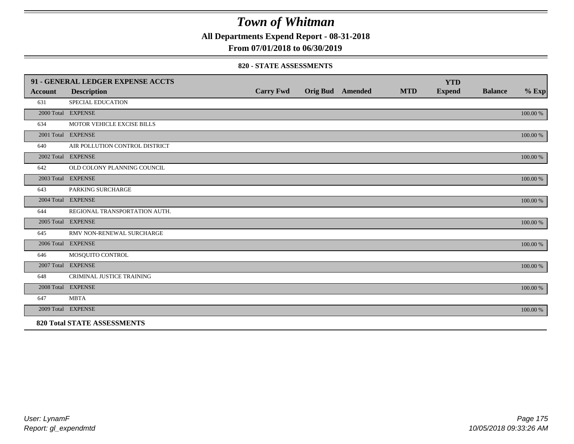**All Departments Expend Report - 08-31-2018**

**From 07/01/2018 to 06/30/2019**

### **820 - STATE ASSESSMENTS**

|                | 91 - GENERAL LEDGER EXPENSE ACCTS  |                  |                         |            | <b>YTD</b>    |                |          |
|----------------|------------------------------------|------------------|-------------------------|------------|---------------|----------------|----------|
| <b>Account</b> | <b>Description</b>                 | <b>Carry Fwd</b> | <b>Orig Bud</b> Amended | <b>MTD</b> | <b>Expend</b> | <b>Balance</b> | $%$ Exp  |
| 631            | SPECIAL EDUCATION                  |                  |                         |            |               |                |          |
|                | 2000 Total EXPENSE                 |                  |                         |            |               |                | 100.00 % |
| 634            | MOTOR VEHICLE EXCISE BILLS         |                  |                         |            |               |                |          |
|                | 2001 Total EXPENSE                 |                  |                         |            |               |                | 100.00 % |
| 640            | AIR POLLUTION CONTROL DISTRICT     |                  |                         |            |               |                |          |
|                | 2002 Total EXPENSE                 |                  |                         |            |               |                | 100.00 % |
| 642            | OLD COLONY PLANNING COUNCIL        |                  |                         |            |               |                |          |
|                | 2003 Total EXPENSE                 |                  |                         |            |               |                | 100.00 % |
| 643            | PARKING SURCHARGE                  |                  |                         |            |               |                |          |
|                | 2004 Total EXPENSE                 |                  |                         |            |               |                | 100.00 % |
| 644            | REGIONAL TRANSPORTATION AUTH.      |                  |                         |            |               |                |          |
|                | 2005 Total EXPENSE                 |                  |                         |            |               |                | 100.00 % |
| 645            | RMV NON-RENEWAL SURCHARGE          |                  |                         |            |               |                |          |
|                | 2006 Total EXPENSE                 |                  |                         |            |               |                | 100.00 % |
| 646            | MOSQUITO CONTROL                   |                  |                         |            |               |                |          |
|                | 2007 Total EXPENSE                 |                  |                         |            |               |                | 100.00 % |
| 648            | <b>CRIMINAL JUSTICE TRAINING</b>   |                  |                         |            |               |                |          |
|                | 2008 Total EXPENSE                 |                  |                         |            |               |                | 100.00 % |
| 647            | <b>MBTA</b>                        |                  |                         |            |               |                |          |
|                | 2009 Total EXPENSE                 |                  |                         |            |               |                | 100.00 % |
|                | <b>820 Total STATE ASSESSMENTS</b> |                  |                         |            |               |                |          |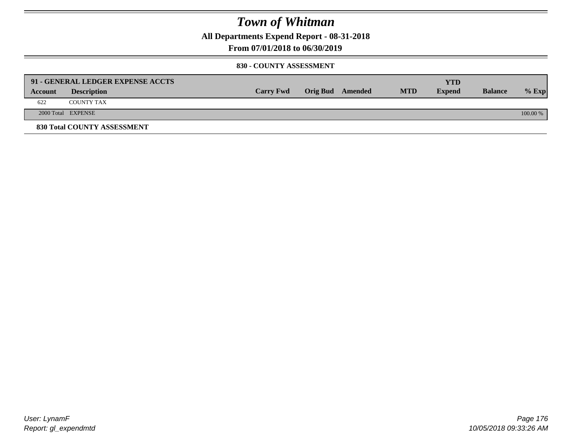**All Departments Expend Report - 08-31-2018**

**From 07/01/2018 to 06/30/2019**

### **830 - COUNTY ASSESSMENT**

|         | 91 - GENERAL LEDGER EXPENSE ACCTS |                  |                  |            | <b>YTD</b>    |                |            |
|---------|-----------------------------------|------------------|------------------|------------|---------------|----------------|------------|
| Account | <b>Description</b>                | <b>Carry Fwd</b> | Orig Bud Amended | <b>MTD</b> | <b>Expend</b> | <b>Balance</b> | $%$ Exp    |
| 622     | <b>COUNTY TAX</b>                 |                  |                  |            |               |                |            |
|         | 2000 Total EXPENSE                |                  |                  |            |               |                | $100.00\%$ |
|         | 830 Total COUNTY ASSESSMENT       |                  |                  |            |               |                |            |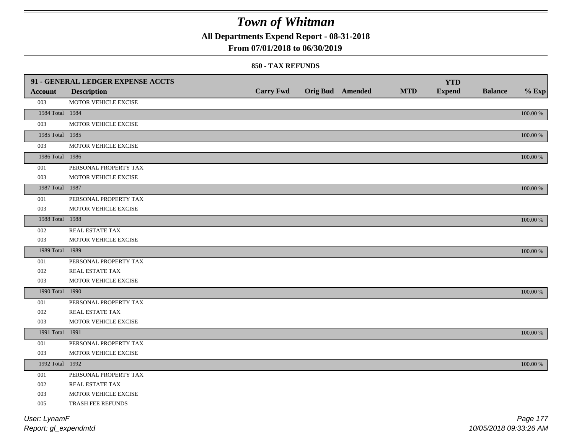**All Departments Expend Report - 08-31-2018**

### **From 07/01/2018 to 06/30/2019**

#### **850 - TAX REFUNDS**

|                 | 91 - GENERAL LEDGER EXPENSE ACCTS |                  |                         |            | <b>YTD</b>    |                |             |
|-----------------|-----------------------------------|------------------|-------------------------|------------|---------------|----------------|-------------|
| <b>Account</b>  | <b>Description</b>                | <b>Carry Fwd</b> | <b>Orig Bud Amended</b> | <b>MTD</b> | <b>Expend</b> | <b>Balance</b> | $%$ Exp     |
| 003             | MOTOR VEHICLE EXCISE              |                  |                         |            |               |                |             |
| 1984 Total 1984 |                                   |                  |                         |            |               |                | $100.00~\%$ |
| 003             | MOTOR VEHICLE EXCISE              |                  |                         |            |               |                |             |
| 1985 Total 1985 |                                   |                  |                         |            |               |                | $100.00~\%$ |
| 003             | MOTOR VEHICLE EXCISE              |                  |                         |            |               |                |             |
| 1986 Total 1986 |                                   |                  |                         |            |               |                | $100.00~\%$ |
| 001             | PERSONAL PROPERTY TAX             |                  |                         |            |               |                |             |
| 003             | MOTOR VEHICLE EXCISE              |                  |                         |            |               |                |             |
| 1987 Total 1987 |                                   |                  |                         |            |               |                | 100.00 %    |
| 001             | PERSONAL PROPERTY TAX             |                  |                         |            |               |                |             |
| 003             | MOTOR VEHICLE EXCISE              |                  |                         |            |               |                |             |
| 1988 Total 1988 |                                   |                  |                         |            |               |                | $100.00~\%$ |
| 002             | REAL ESTATE TAX                   |                  |                         |            |               |                |             |
| 003             | MOTOR VEHICLE EXCISE              |                  |                         |            |               |                |             |
| 1989 Total 1989 |                                   |                  |                         |            |               |                | 100.00 %    |
| 001             | PERSONAL PROPERTY TAX             |                  |                         |            |               |                |             |
| 002             | REAL ESTATE TAX                   |                  |                         |            |               |                |             |
| 003             | MOTOR VEHICLE EXCISE              |                  |                         |            |               |                |             |
| 1990 Total 1990 |                                   |                  |                         |            |               |                | 100.00 %    |
| 001             | PERSONAL PROPERTY TAX             |                  |                         |            |               |                |             |
| 002             | REAL ESTATE TAX                   |                  |                         |            |               |                |             |
| 003             | MOTOR VEHICLE EXCISE              |                  |                         |            |               |                |             |
| 1991 Total 1991 |                                   |                  |                         |            |               |                | 100.00 %    |
| 001             | PERSONAL PROPERTY TAX             |                  |                         |            |               |                |             |
| 003             | MOTOR VEHICLE EXCISE              |                  |                         |            |               |                |             |
| 1992 Total 1992 |                                   |                  |                         |            |               |                | $100.00~\%$ |
| 001             | PERSONAL PROPERTY TAX             |                  |                         |            |               |                |             |
| 002             | REAL ESTATE TAX                   |                  |                         |            |               |                |             |
| 003             | MOTOR VEHICLE EXCISE              |                  |                         |            |               |                |             |
| 005             | TRASH FEE REFUNDS                 |                  |                         |            |               |                |             |
| User: LynamF    |                                   |                  |                         |            |               |                | Page 177    |

*Report: gl\_expendmtd*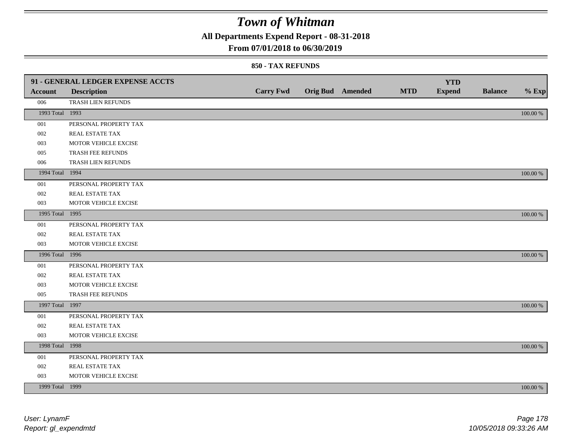**All Departments Expend Report - 08-31-2018**

## **From 07/01/2018 to 06/30/2019**

|                 | 91 - GENERAL LEDGER EXPENSE ACCTS |                  |                         |            | <b>YTD</b>    |                |             |
|-----------------|-----------------------------------|------------------|-------------------------|------------|---------------|----------------|-------------|
| <b>Account</b>  | <b>Description</b>                | <b>Carry Fwd</b> | <b>Orig Bud Amended</b> | <b>MTD</b> | <b>Expend</b> | <b>Balance</b> | $%$ Exp     |
| 006             | TRASH LIEN REFUNDS                |                  |                         |            |               |                |             |
| 1993 Total 1993 |                                   |                  |                         |            |               |                | 100.00 %    |
| 001             | PERSONAL PROPERTY TAX             |                  |                         |            |               |                |             |
| 002             | REAL ESTATE TAX                   |                  |                         |            |               |                |             |
| 003             | MOTOR VEHICLE EXCISE              |                  |                         |            |               |                |             |
| 005             | TRASH FEE REFUNDS                 |                  |                         |            |               |                |             |
| 006             | TRASH LIEN REFUNDS                |                  |                         |            |               |                |             |
| 1994 Total 1994 |                                   |                  |                         |            |               |                | $100.00~\%$ |
| 001             | PERSONAL PROPERTY TAX             |                  |                         |            |               |                |             |
| 002             | REAL ESTATE TAX                   |                  |                         |            |               |                |             |
| 003             | MOTOR VEHICLE EXCISE              |                  |                         |            |               |                |             |
| 1995 Total 1995 |                                   |                  |                         |            |               |                | 100.00 %    |
| 001             | PERSONAL PROPERTY TAX             |                  |                         |            |               |                |             |
| 002             | REAL ESTATE TAX                   |                  |                         |            |               |                |             |
| 003             | MOTOR VEHICLE EXCISE              |                  |                         |            |               |                |             |
| 1996 Total 1996 |                                   |                  |                         |            |               |                | 100.00 %    |
| 001             | PERSONAL PROPERTY TAX             |                  |                         |            |               |                |             |
| 002             | REAL ESTATE TAX                   |                  |                         |            |               |                |             |
| 003             | MOTOR VEHICLE EXCISE              |                  |                         |            |               |                |             |
| 005             | TRASH FEE REFUNDS                 |                  |                         |            |               |                |             |
| 1997 Total 1997 |                                   |                  |                         |            |               |                | 100.00 %    |
| 001             | PERSONAL PROPERTY TAX             |                  |                         |            |               |                |             |
| 002             | REAL ESTATE TAX                   |                  |                         |            |               |                |             |
| 003             | MOTOR VEHICLE EXCISE              |                  |                         |            |               |                |             |
| 1998 Total 1998 |                                   |                  |                         |            |               |                | 100.00 %    |
| 001             | PERSONAL PROPERTY TAX             |                  |                         |            |               |                |             |
| 002             | REAL ESTATE TAX                   |                  |                         |            |               |                |             |
| 003             | MOTOR VEHICLE EXCISE              |                  |                         |            |               |                |             |
| 1999 Total 1999 |                                   |                  |                         |            |               |                | 100.00 %    |
|                 |                                   |                  |                         |            |               |                |             |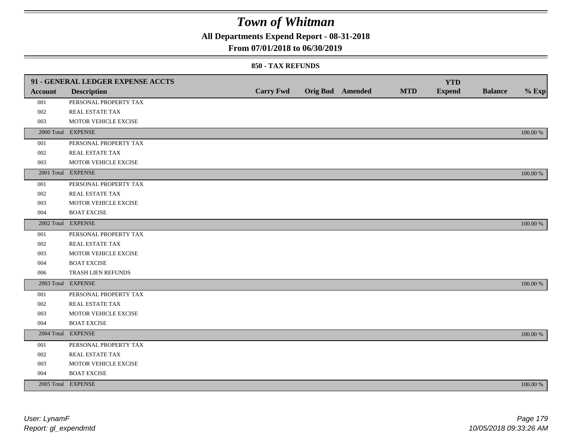**All Departments Expend Report - 08-31-2018**

## **From 07/01/2018 to 06/30/2019**

|                | 91 - GENERAL LEDGER EXPENSE ACCTS |                  |                         |            | <b>YTD</b>    |                |             |
|----------------|-----------------------------------|------------------|-------------------------|------------|---------------|----------------|-------------|
| <b>Account</b> | <b>Description</b>                | <b>Carry Fwd</b> | <b>Orig Bud Amended</b> | <b>MTD</b> | <b>Expend</b> | <b>Balance</b> | $%$ Exp     |
| 001            | PERSONAL PROPERTY TAX             |                  |                         |            |               |                |             |
| 002            | REAL ESTATE TAX                   |                  |                         |            |               |                |             |
| 003            | MOTOR VEHICLE EXCISE              |                  |                         |            |               |                |             |
|                | 2000 Total EXPENSE                |                  |                         |            |               |                | 100.00 %    |
| 001            | PERSONAL PROPERTY TAX             |                  |                         |            |               |                |             |
| 002            | REAL ESTATE TAX                   |                  |                         |            |               |                |             |
| 003            | MOTOR VEHICLE EXCISE              |                  |                         |            |               |                |             |
|                | 2001 Total EXPENSE                |                  |                         |            |               |                | 100.00 %    |
| 001            | PERSONAL PROPERTY TAX             |                  |                         |            |               |                |             |
| 002            | REAL ESTATE TAX                   |                  |                         |            |               |                |             |
| 003            | MOTOR VEHICLE EXCISE              |                  |                         |            |               |                |             |
| 004            | <b>BOAT EXCISE</b>                |                  |                         |            |               |                |             |
|                | 2002 Total EXPENSE                |                  |                         |            |               |                | 100.00 %    |
| 001            | PERSONAL PROPERTY TAX             |                  |                         |            |               |                |             |
| 002            | REAL ESTATE TAX                   |                  |                         |            |               |                |             |
| 003            | MOTOR VEHICLE EXCISE              |                  |                         |            |               |                |             |
| 004            | <b>BOAT EXCISE</b>                |                  |                         |            |               |                |             |
| 006            | TRASH LIEN REFUNDS                |                  |                         |            |               |                |             |
|                | 2003 Total EXPENSE                |                  |                         |            |               |                | 100.00 %    |
| 001            | PERSONAL PROPERTY TAX             |                  |                         |            |               |                |             |
| 002            | REAL ESTATE TAX                   |                  |                         |            |               |                |             |
| 003            | MOTOR VEHICLE EXCISE              |                  |                         |            |               |                |             |
| 004            | <b>BOAT EXCISE</b>                |                  |                         |            |               |                |             |
|                | 2004 Total EXPENSE                |                  |                         |            |               |                | 100.00 %    |
| 001            | PERSONAL PROPERTY TAX             |                  |                         |            |               |                |             |
| 002            | REAL ESTATE TAX                   |                  |                         |            |               |                |             |
| 003            | MOTOR VEHICLE EXCISE              |                  |                         |            |               |                |             |
| 004            | <b>BOAT EXCISE</b>                |                  |                         |            |               |                |             |
|                | 2005 Total EXPENSE                |                  |                         |            |               |                | $100.00~\%$ |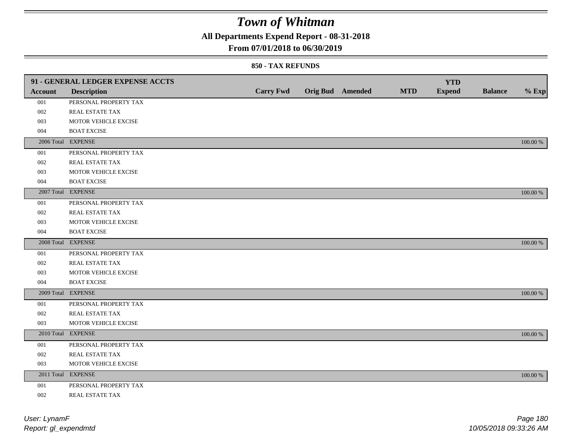**All Departments Expend Report - 08-31-2018**

### **From 07/01/2018 to 06/30/2019**

|         | 91 - GENERAL LEDGER EXPENSE ACCTS |                  |                         |            | <b>YTD</b>    |                |          |
|---------|-----------------------------------|------------------|-------------------------|------------|---------------|----------------|----------|
| Account | <b>Description</b>                | <b>Carry Fwd</b> | <b>Orig Bud</b> Amended | <b>MTD</b> | <b>Expend</b> | <b>Balance</b> | $%$ Exp  |
| 001     | PERSONAL PROPERTY TAX             |                  |                         |            |               |                |          |
| 002     | <b>REAL ESTATE TAX</b>            |                  |                         |            |               |                |          |
| 003     | MOTOR VEHICLE EXCISE              |                  |                         |            |               |                |          |
| 004     | <b>BOAT EXCISE</b>                |                  |                         |            |               |                |          |
|         | 2006 Total EXPENSE                |                  |                         |            |               |                | 100.00 % |
| 001     | PERSONAL PROPERTY TAX             |                  |                         |            |               |                |          |
| 002     | REAL ESTATE TAX                   |                  |                         |            |               |                |          |
| 003     | MOTOR VEHICLE EXCISE              |                  |                         |            |               |                |          |
| 004     | <b>BOAT EXCISE</b>                |                  |                         |            |               |                |          |
|         | 2007 Total EXPENSE                |                  |                         |            |               |                | 100.00 % |
| 001     | PERSONAL PROPERTY TAX             |                  |                         |            |               |                |          |
| 002     | <b>REAL ESTATE TAX</b>            |                  |                         |            |               |                |          |
| 003     | MOTOR VEHICLE EXCISE              |                  |                         |            |               |                |          |
| 004     | <b>BOAT EXCISE</b>                |                  |                         |            |               |                |          |
|         | 2008 Total EXPENSE                |                  |                         |            |               |                | 100.00 % |
| 001     | PERSONAL PROPERTY TAX             |                  |                         |            |               |                |          |
| 002     | <b>REAL ESTATE TAX</b>            |                  |                         |            |               |                |          |
| 003     | MOTOR VEHICLE EXCISE              |                  |                         |            |               |                |          |
| 004     | <b>BOAT EXCISE</b>                |                  |                         |            |               |                |          |
|         | 2009 Total EXPENSE                |                  |                         |            |               |                | 100.00 % |
| 001     | PERSONAL PROPERTY TAX             |                  |                         |            |               |                |          |
| 002     | REAL ESTATE TAX                   |                  |                         |            |               |                |          |
| 003     | MOTOR VEHICLE EXCISE              |                  |                         |            |               |                |          |
|         | 2010 Total EXPENSE                |                  |                         |            |               |                | 100.00 % |
| 001     | PERSONAL PROPERTY TAX             |                  |                         |            |               |                |          |
| 002     | REAL ESTATE TAX                   |                  |                         |            |               |                |          |
| 003     | MOTOR VEHICLE EXCISE              |                  |                         |            |               |                |          |
|         | 2011 Total EXPENSE                |                  |                         |            |               |                | 100.00 % |
| 001     | PERSONAL PROPERTY TAX             |                  |                         |            |               |                |          |
| 002     | REAL ESTATE TAX                   |                  |                         |            |               |                |          |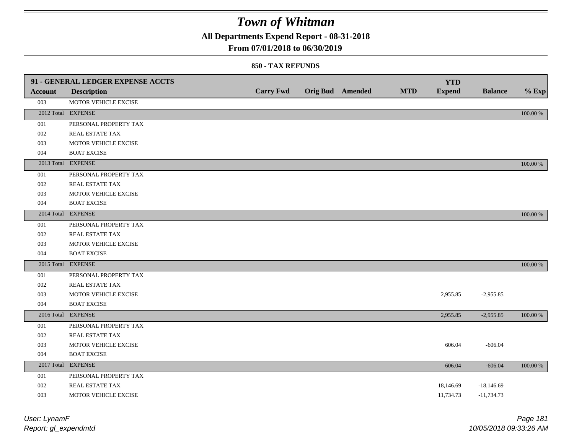**All Departments Expend Report - 08-31-2018**

### **From 07/01/2018 to 06/30/2019**

### **850 - TAX REFUNDS**

|                | 91 - GENERAL LEDGER EXPENSE ACCTS |                  |                         | <b>MTD</b> | <b>YTD</b>    |                |          |
|----------------|-----------------------------------|------------------|-------------------------|------------|---------------|----------------|----------|
| <b>Account</b> | <b>Description</b>                | <b>Carry Fwd</b> | <b>Orig Bud</b> Amended |            | <b>Expend</b> | <b>Balance</b> | $%$ Exp  |
| 003            | MOTOR VEHICLE EXCISE              |                  |                         |            |               |                |          |
|                | 2012 Total EXPENSE                |                  |                         |            |               |                | 100.00 % |
| 001            | PERSONAL PROPERTY TAX             |                  |                         |            |               |                |          |
| 002            | REAL ESTATE TAX                   |                  |                         |            |               |                |          |
| 003            | MOTOR VEHICLE EXCISE              |                  |                         |            |               |                |          |
| 004            | <b>BOAT EXCISE</b>                |                  |                         |            |               |                |          |
|                | 2013 Total EXPENSE                |                  |                         |            |               |                | 100.00 % |
| 001            | PERSONAL PROPERTY TAX             |                  |                         |            |               |                |          |
| 002            | REAL ESTATE TAX                   |                  |                         |            |               |                |          |
| 003            | MOTOR VEHICLE EXCISE              |                  |                         |            |               |                |          |
| 004            | <b>BOAT EXCISE</b>                |                  |                         |            |               |                |          |
|                | 2014 Total EXPENSE                |                  |                         |            |               |                | 100.00 % |
| 001            | PERSONAL PROPERTY TAX             |                  |                         |            |               |                |          |
| 002            | REAL ESTATE TAX                   |                  |                         |            |               |                |          |
| 003            | MOTOR VEHICLE EXCISE              |                  |                         |            |               |                |          |
| 004            | <b>BOAT EXCISE</b>                |                  |                         |            |               |                |          |
|                | 2015 Total EXPENSE                |                  |                         |            |               |                | 100.00 % |
| 001            | PERSONAL PROPERTY TAX             |                  |                         |            |               |                |          |
| 002            | REAL ESTATE TAX                   |                  |                         |            |               |                |          |
| 003            | MOTOR VEHICLE EXCISE              |                  |                         |            | 2,955.85      | $-2,955.85$    |          |
| 004            | <b>BOAT EXCISE</b>                |                  |                         |            |               |                |          |
|                | 2016 Total EXPENSE                |                  |                         |            | 2,955.85      | $-2,955.85$    | 100.00 % |
| 001            | PERSONAL PROPERTY TAX             |                  |                         |            |               |                |          |
| 002            | <b>REAL ESTATE TAX</b>            |                  |                         |            |               |                |          |
| 003            | MOTOR VEHICLE EXCISE              |                  |                         |            | 606.04        | $-606.04$      |          |
| 004            | <b>BOAT EXCISE</b>                |                  |                         |            |               |                |          |
|                | 2017 Total EXPENSE                |                  |                         |            | 606.04        | $-606.04$      | 100.00 % |
| 001            | PERSONAL PROPERTY TAX             |                  |                         |            |               |                |          |
| 002            | REAL ESTATE TAX                   |                  |                         |            | 18,146.69     | $-18,146.69$   |          |
| 003            | MOTOR VEHICLE EXCISE              |                  |                         |            | 11,734.73     | $-11,734.73$   |          |
|                |                                   |                  |                         |            |               |                |          |

| User: LynamF         | Page 181               |
|----------------------|------------------------|
| Report: gl_expendmtd | 10/05/2018 09:33:26 AM |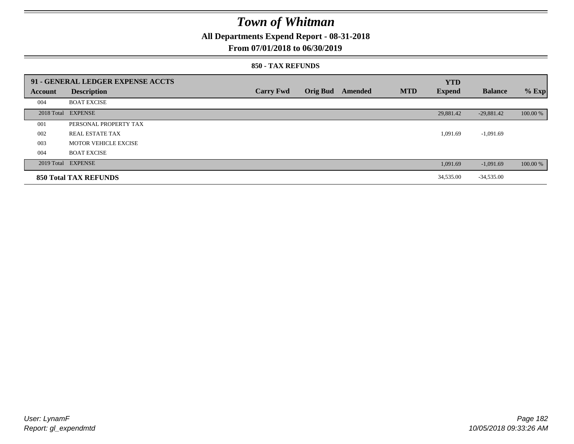**All Departments Expend Report - 08-31-2018**

### **From 07/01/2018 to 06/30/2019**

#### **850 - TAX REFUNDS**

|                | 91 - GENERAL LEDGER EXPENSE ACCTS |                  |                 |         |            | <b>YTD</b>    |                |          |
|----------------|-----------------------------------|------------------|-----------------|---------|------------|---------------|----------------|----------|
| <b>Account</b> | <b>Description</b>                | <b>Carry Fwd</b> | <b>Orig Bud</b> | Amended | <b>MTD</b> | <b>Expend</b> | <b>Balance</b> | $%$ Exp  |
| 004            | <b>BOAT EXCISE</b>                |                  |                 |         |            |               |                |          |
|                | 2018 Total EXPENSE                |                  |                 |         |            | 29,881.42     | $-29,881.42$   | 100.00 % |
| 001            | PERSONAL PROPERTY TAX             |                  |                 |         |            |               |                |          |
| 002            | REAL ESTATE TAX                   |                  |                 |         |            | 1,091.69      | $-1,091.69$    |          |
| 003            | <b>MOTOR VEHICLE EXCISE</b>       |                  |                 |         |            |               |                |          |
| 004            | <b>BOAT EXCISE</b>                |                  |                 |         |            |               |                |          |
|                | 2019 Total EXPENSE                |                  |                 |         |            | 1,091.69      | $-1,091.69$    | 100.00 % |
|                | <b>850 Total TAX REFUNDS</b>      |                  |                 |         |            | 34,535.00     | $-34,535.00$   |          |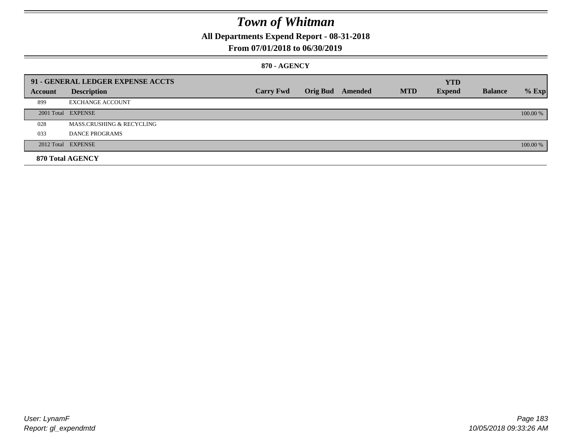**All Departments Expend Report - 08-31-2018**

### **From 07/01/2018 to 06/30/2019**

### **870 - AGENCY**

|         | 91 - GENERAL LEDGER EXPENSE ACCTS |                  |                         |            | <b>YTD</b>    |                |          |
|---------|-----------------------------------|------------------|-------------------------|------------|---------------|----------------|----------|
| Account | <b>Description</b>                | <b>Carry Fwd</b> | <b>Orig Bud</b> Amended | <b>MTD</b> | <b>Expend</b> | <b>Balance</b> | $%$ Exp  |
| 899     | <b>EXCHANGE ACCOUNT</b>           |                  |                         |            |               |                |          |
|         | 2001 Total EXPENSE                |                  |                         |            |               |                | 100.00 % |
| 028     | MASS.CRUSHING & RECYCLING         |                  |                         |            |               |                |          |
| 033     | DANCE PROGRAMS                    |                  |                         |            |               |                |          |
|         | 2012 Total EXPENSE                |                  |                         |            |               |                | 100.00 % |
|         | 870 Total AGENCY                  |                  |                         |            |               |                |          |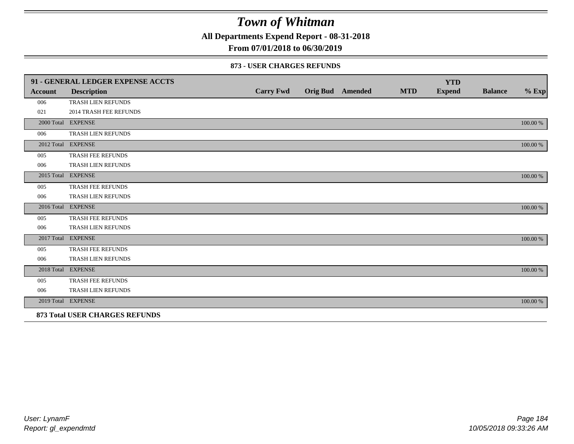**All Departments Expend Report - 08-31-2018**

**From 07/01/2018 to 06/30/2019**

#### **873 - USER CHARGES REFUNDS**

|                | 91 - GENERAL LEDGER EXPENSE ACCTS     |                  |                         |            | <b>YTD</b>    |                |          |
|----------------|---------------------------------------|------------------|-------------------------|------------|---------------|----------------|----------|
| <b>Account</b> | <b>Description</b>                    | <b>Carry Fwd</b> | <b>Orig Bud</b> Amended | <b>MTD</b> | <b>Expend</b> | <b>Balance</b> | $\%$ Exp |
| 006            | TRASH LIEN REFUNDS                    |                  |                         |            |               |                |          |
| 021            | <b>2014 TRASH FEE REFUNDS</b>         |                  |                         |            |               |                |          |
|                | 2000 Total EXPENSE                    |                  |                         |            |               |                | 100.00 % |
| 006            | TRASH LIEN REFUNDS                    |                  |                         |            |               |                |          |
|                | 2012 Total EXPENSE                    |                  |                         |            |               |                | 100.00 % |
| 005            | TRASH FEE REFUNDS                     |                  |                         |            |               |                |          |
| 006            | TRASH LIEN REFUNDS                    |                  |                         |            |               |                |          |
|                | 2015 Total EXPENSE                    |                  |                         |            |               |                | 100.00 % |
| 005            | TRASH FEE REFUNDS                     |                  |                         |            |               |                |          |
| 006            | TRASH LIEN REFUNDS                    |                  |                         |            |               |                |          |
|                | 2016 Total EXPENSE                    |                  |                         |            |               |                | 100.00 % |
| 005            | <b>TRASH FEE REFUNDS</b>              |                  |                         |            |               |                |          |
| 006            | TRASH LIEN REFUNDS                    |                  |                         |            |               |                |          |
|                | 2017 Total EXPENSE                    |                  |                         |            |               |                | 100.00 % |
| 005            | TRASH FEE REFUNDS                     |                  |                         |            |               |                |          |
| 006            | TRASH LIEN REFUNDS                    |                  |                         |            |               |                |          |
|                | 2018 Total EXPENSE                    |                  |                         |            |               |                | 100.00 % |
| 005            | TRASH FEE REFUNDS                     |                  |                         |            |               |                |          |
| 006            | TRASH LIEN REFUNDS                    |                  |                         |            |               |                |          |
|                | 2019 Total EXPENSE                    |                  |                         |            |               |                | 100.00 % |
|                | <b>873 Total USER CHARGES REFUNDS</b> |                  |                         |            |               |                |          |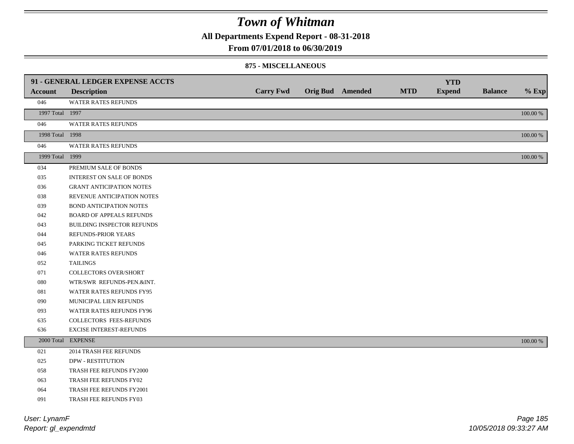**All Departments Expend Report - 08-31-2018**

### **From 07/01/2018 to 06/30/2019**

#### **875 - MISCELLANEOUS**

|                 | 91 - GENERAL LEDGER EXPENSE ACCTS |                  |                         |            | <b>YTD</b>    |                |          |
|-----------------|-----------------------------------|------------------|-------------------------|------------|---------------|----------------|----------|
| <b>Account</b>  | <b>Description</b>                | <b>Carry Fwd</b> | <b>Orig Bud</b> Amended | <b>MTD</b> | <b>Expend</b> | <b>Balance</b> | $%$ Exp  |
| 046             | WATER RATES REFUNDS               |                  |                         |            |               |                |          |
| 1997 Total 1997 |                                   |                  |                         |            |               |                | 100.00 % |
| 046             | <b>WATER RATES REFUNDS</b>        |                  |                         |            |               |                |          |
| 1998 Total 1998 |                                   |                  |                         |            |               |                | 100.00 % |
| 046             | WATER RATES REFUNDS               |                  |                         |            |               |                |          |
| 1999 Total 1999 |                                   |                  |                         |            |               |                | 100.00 % |
| 034             | PREMIUM SALE OF BONDS             |                  |                         |            |               |                |          |
| 035             | <b>INTEREST ON SALE OF BONDS</b>  |                  |                         |            |               |                |          |
| 036             | <b>GRANT ANTICIPATION NOTES</b>   |                  |                         |            |               |                |          |
| 038             | REVENUE ANTICIPATION NOTES        |                  |                         |            |               |                |          |
| 039             | <b>BOND ANTICIPATION NOTES</b>    |                  |                         |            |               |                |          |
| 042             | <b>BOARD OF APPEALS REFUNDS</b>   |                  |                         |            |               |                |          |
| 043             | BUILDING INSPECTOR REFUNDS        |                  |                         |            |               |                |          |
| 044             | REFUNDS-PRIOR YEARS               |                  |                         |            |               |                |          |
| 045             | PARKING TICKET REFUNDS            |                  |                         |            |               |                |          |
| 046             | WATER RATES REFUNDS               |                  |                         |            |               |                |          |
| 052             | <b>TAILINGS</b>                   |                  |                         |            |               |                |          |
| 071             | <b>COLLECTORS OVER/SHORT</b>      |                  |                         |            |               |                |          |
| 080             | WTR/SWR REFUNDS-PEN.&INT.         |                  |                         |            |               |                |          |
| 081             | WATER RATES REFUNDS FY95          |                  |                         |            |               |                |          |
| 090             | MUNICIPAL LIEN REFUNDS            |                  |                         |            |               |                |          |
| 093             | WATER RATES REFUNDS FY96          |                  |                         |            |               |                |          |
| 635             | COLLECTORS FEES-REFUNDS           |                  |                         |            |               |                |          |
| 636             | EXCISE INTEREST-REFUNDS           |                  |                         |            |               |                |          |
|                 | 2000 Total EXPENSE                |                  |                         |            |               |                | 100.00 % |
| 021             | 2014 TRASH FEE REFUNDS            |                  |                         |            |               |                |          |
| 025             | <b>DPW - RESTITUTION</b>          |                  |                         |            |               |                |          |
| 058             | TRASH FEE REFUNDS FY2000          |                  |                         |            |               |                |          |
| 063             | TRASH FEE REFUNDS FY02            |                  |                         |            |               |                |          |
| 064             | TRASH FEE REFUNDS FY2001          |                  |                         |            |               |                |          |
| 091             | <b>TRASH FEE REFUNDS FY03</b>     |                  |                         |            |               |                |          |

*Report: gl\_expendmtd User: LynamF*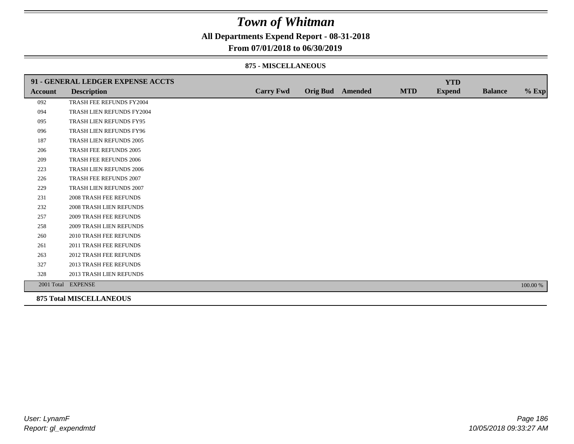**All Departments Expend Report - 08-31-2018**

### **From 07/01/2018 to 06/30/2019**

#### **875 - MISCELLANEOUS**

|                | 91 - GENERAL LEDGER EXPENSE ACCTS |                  |                  |            | <b>YTD</b>    |                |          |
|----------------|-----------------------------------|------------------|------------------|------------|---------------|----------------|----------|
| <b>Account</b> | <b>Description</b>                | <b>Carry Fwd</b> | Orig Bud Amended | <b>MTD</b> | <b>Expend</b> | <b>Balance</b> | $%$ Exp  |
| 092            | TRASH FEE REFUNDS FY2004          |                  |                  |            |               |                |          |
| 094            | TRASH LIEN REFUNDS FY2004         |                  |                  |            |               |                |          |
| 095            | TRASH LIEN REFUNDS FY95           |                  |                  |            |               |                |          |
| 096            | TRASH LIEN REFUNDS FY96           |                  |                  |            |               |                |          |
| 187            | TRASH LIEN REFUNDS 2005           |                  |                  |            |               |                |          |
| 206            | TRASH FEE REFUNDS 2005            |                  |                  |            |               |                |          |
| 209            | TRASH FEE REFUNDS 2006            |                  |                  |            |               |                |          |
| 223            | TRASH LIEN REFUNDS 2006           |                  |                  |            |               |                |          |
| 226            | TRASH FEE REFUNDS 2007            |                  |                  |            |               |                |          |
| 229            | TRASH LIEN REFUNDS 2007           |                  |                  |            |               |                |          |
| 231            | <b>2008 TRASH FEE REFUNDS</b>     |                  |                  |            |               |                |          |
| 232            | 2008 TRASH LIEN REFUNDS           |                  |                  |            |               |                |          |
| 257            | <b>2009 TRASH FEE REFUNDS</b>     |                  |                  |            |               |                |          |
| 258            | <b>2009 TRASH LIEN REFUNDS</b>    |                  |                  |            |               |                |          |
| 260            | 2010 TRASH FEE REFUNDS            |                  |                  |            |               |                |          |
| 261            | 2011 TRASH FEE REFUNDS            |                  |                  |            |               |                |          |
| 263            | <b>2012 TRASH FEE REFUNDS</b>     |                  |                  |            |               |                |          |
| 327            | <b>2013 TRASH FEE REFUNDS</b>     |                  |                  |            |               |                |          |
| 328            | 2013 TRASH LIEN REFUNDS           |                  |                  |            |               |                |          |
|                | 2001 Total EXPENSE                |                  |                  |            |               |                | 100.00 % |
|                | <b>Q75 Total MICCELL A MEALIC</b> |                  |                  |            |               |                |          |

**875 Total MISCELLANEOUS**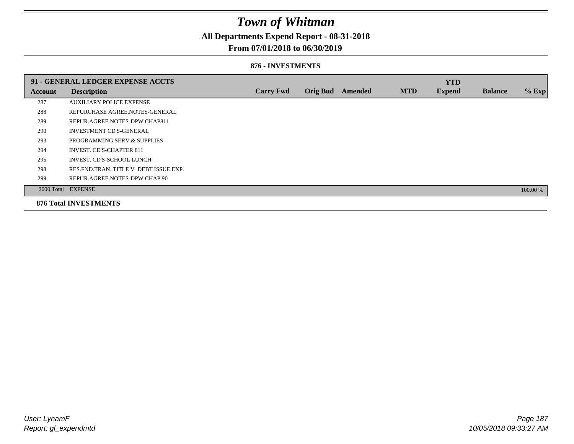**All Departments Expend Report - 08-31-2018**

### **From 07/01/2018 to 06/30/2019**

#### **876 - INVESTMENTS**

|         | 91 - GENERAL LEDGER EXPENSE ACCTS       |                  |                 |                |            | <b>YTD</b>    |                |          |
|---------|-----------------------------------------|------------------|-----------------|----------------|------------|---------------|----------------|----------|
| Account | <b>Description</b>                      | <b>Carry Fwd</b> | <b>Orig Bud</b> | <b>Amended</b> | <b>MTD</b> | <b>Expend</b> | <b>Balance</b> | $%$ Exp  |
| 287     | <b>AUXILIARY POLICE EXPENSE</b>         |                  |                 |                |            |               |                |          |
| 288     | REPURCHASE AGREE.NOTES-GENERAL          |                  |                 |                |            |               |                |          |
| 289     | REPUR.AGREE.NOTES-DPW CHAP811           |                  |                 |                |            |               |                |          |
| 290     | <b>INVESTMENT CD'S-GENERAL</b>          |                  |                 |                |            |               |                |          |
| 293     | PROGRAMMING SERV.& SUPPLIES             |                  |                 |                |            |               |                |          |
| 294     | <b>INVEST. CD'S-CHAPTER 811</b>         |                  |                 |                |            |               |                |          |
| 295     | INVEST. CD'S-SCHOOL LUNCH               |                  |                 |                |            |               |                |          |
| 298     | RES. FND. TRAN. TITLE V DEBT ISSUE EXP. |                  |                 |                |            |               |                |          |
| 299     | REPUR.AGREE.NOTES-DPW CHAP.90           |                  |                 |                |            |               |                |          |
|         | 2000 Total EXPENSE                      |                  |                 |                |            |               |                | 100.00 % |
|         | <b>876 Total INVESTMENTS</b>            |                  |                 |                |            |               |                |          |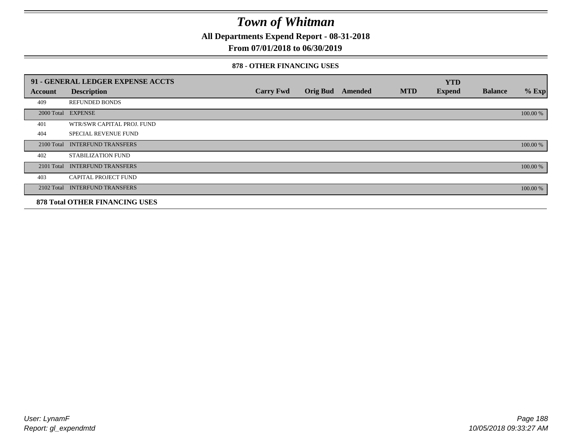**All Departments Expend Report - 08-31-2018**

### **From 07/01/2018 to 06/30/2019**

#### **878 - OTHER FINANCING USES**

|                | 91 - GENERAL LEDGER EXPENSE ACCTS     |                  |                 |                |            | <b>YTD</b>    |                |          |
|----------------|---------------------------------------|------------------|-----------------|----------------|------------|---------------|----------------|----------|
| <b>Account</b> | <b>Description</b>                    | <b>Carry Fwd</b> | <b>Orig Bud</b> | <b>Amended</b> | <b>MTD</b> | <b>Expend</b> | <b>Balance</b> | $%$ Exp  |
| 409            | <b>REFUNDED BONDS</b>                 |                  |                 |                |            |               |                |          |
| 2000 Total     | <b>EXPENSE</b>                        |                  |                 |                |            |               |                | 100.00 % |
| 401            | WTR/SWR CAPITAL PROJ. FUND            |                  |                 |                |            |               |                |          |
| 404            | <b>SPECIAL REVENUE FUND</b>           |                  |                 |                |            |               |                |          |
| 2100 Total     | <b>INTERFUND TRANSFERS</b>            |                  |                 |                |            |               |                | 100.00 % |
| 402            | <b>STABILIZATION FUND</b>             |                  |                 |                |            |               |                |          |
| 2101 Total     | <b>INTERFUND TRANSFERS</b>            |                  |                 |                |            |               |                | 100.00 % |
| 403            | CAPITAL PROJECT FUND                  |                  |                 |                |            |               |                |          |
| 2102 Total     | <b>INTERFUND TRANSFERS</b>            |                  |                 |                |            |               |                | 100.00 % |
|                | <b>878 Total OTHER FINANCING USES</b> |                  |                 |                |            |               |                |          |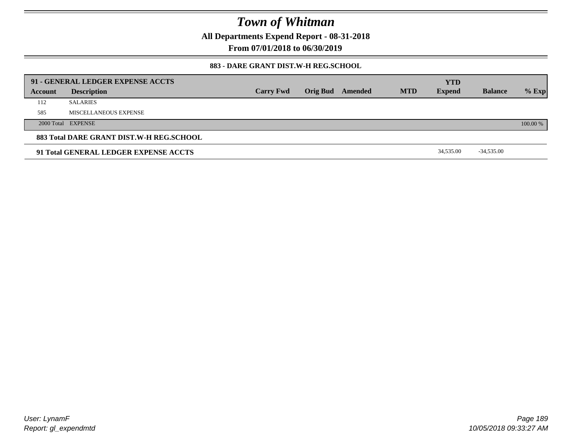**All Departments Expend Report - 08-31-2018**

**From 07/01/2018 to 06/30/2019**

### **883 - DARE GRANT DIST.W-H REG.SCHOOL**

|         | 91 - GENERAL LEDGER EXPENSE ACCTS        |                  |                  |            | <b>YTD</b>    |                |          |
|---------|------------------------------------------|------------------|------------------|------------|---------------|----------------|----------|
| Account | <b>Description</b>                       | <b>Carry Fwd</b> | Orig Bud Amended | <b>MTD</b> | <b>Expend</b> | <b>Balance</b> | $%$ Exp  |
| 112     | <b>SALARIES</b>                          |                  |                  |            |               |                |          |
| 585     | MISCELLANEOUS EXPENSE                    |                  |                  |            |               |                |          |
|         | 2000 Total EXPENSE                       |                  |                  |            |               |                | 100.00 % |
|         | 883 Total DARE GRANT DIST.W-H REG.SCHOOL |                  |                  |            |               |                |          |
|         | 91 Total GENERAL LEDGER EXPENSE ACCTS    |                  |                  |            | 34,535.00     | $-34,535.00$   |          |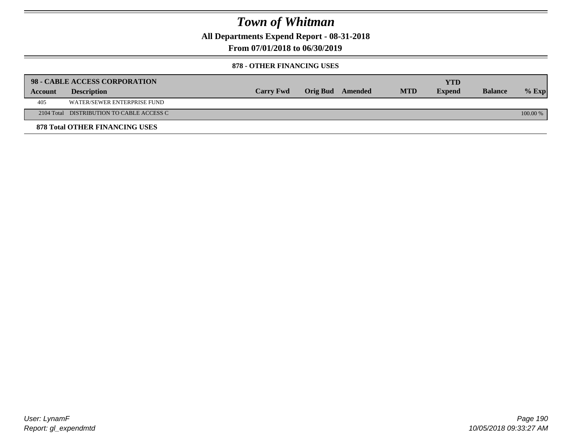**All Departments Expend Report - 08-31-2018**

**From 07/01/2018 to 06/30/2019**

### **878 - OTHER FINANCING USES**

|         | 98 - CABLE ACCESS CORPORATION             |                  |                  |            | YTD           |                |          |
|---------|-------------------------------------------|------------------|------------------|------------|---------------|----------------|----------|
| Account | <b>Description</b>                        | <b>Carry Fwd</b> | Orig Bud Amended | <b>MTD</b> | <b>Expend</b> | <b>Balance</b> | $%$ Exp  |
| 405     | WATER/SEWER ENTERPRISE FUND               |                  |                  |            |               |                |          |
|         | 2104 Total DISTRIBUTION TO CABLE ACCESS C |                  |                  |            |               |                | 100.00 % |
|         | <b>878 Total OTHER FINANCING USES</b>     |                  |                  |            |               |                |          |